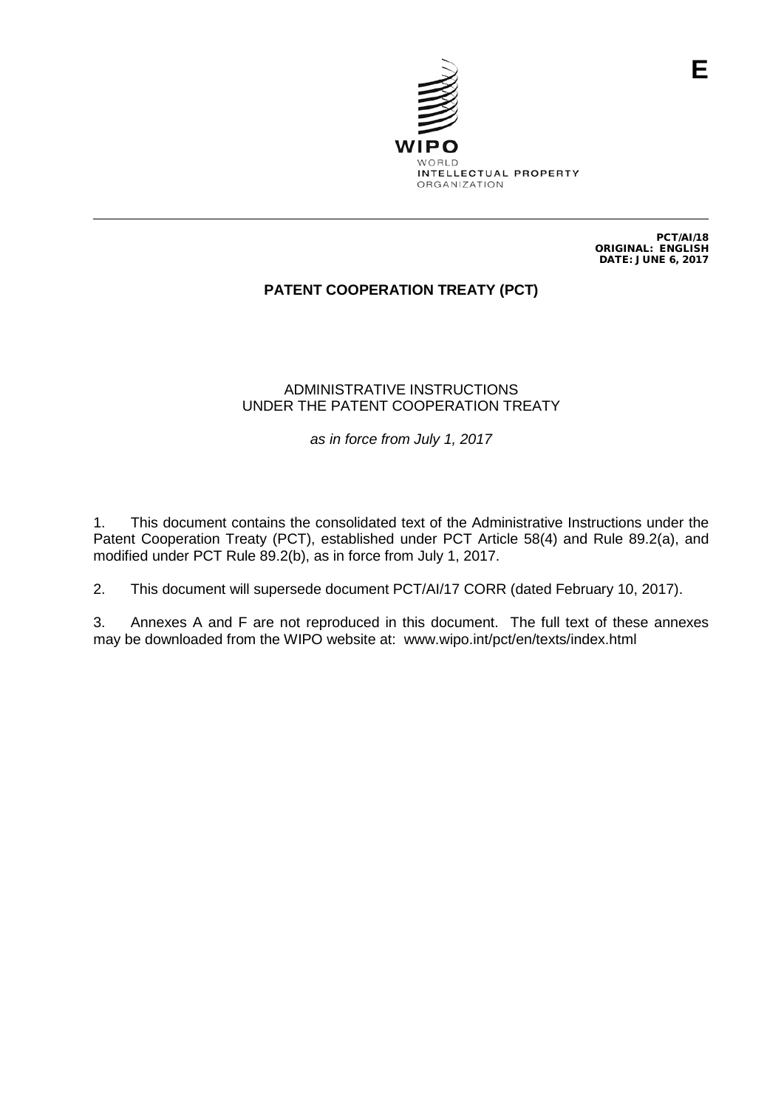

PCT/AI/18 ORIGINAL: ENGLISH DATE: JUNE 6, 2017

# **PATENT COOPERATION TREATY (PCT)**

## ADMINISTRATIVE INSTRUCTIONS UNDER THE PATENT COOPERATION TREATY

*as in force from July 1, 2017*

1. This document contains the consolidated text of the Administrative Instructions under the Patent Cooperation Treaty (PCT), established under PCT Article 58(4) and Rule 89.2(a), and modified under PCT Rule 89.2(b), as in force from July 1, 2017.

2. This document will supersede document PCT/AI/17 CORR (dated February 10, 2017).

3. Annexes A and F are not reproduced in this document. The full text of these annexes may be downloaded from the WIPO website at: www.wipo.int/pct/en/texts/index.html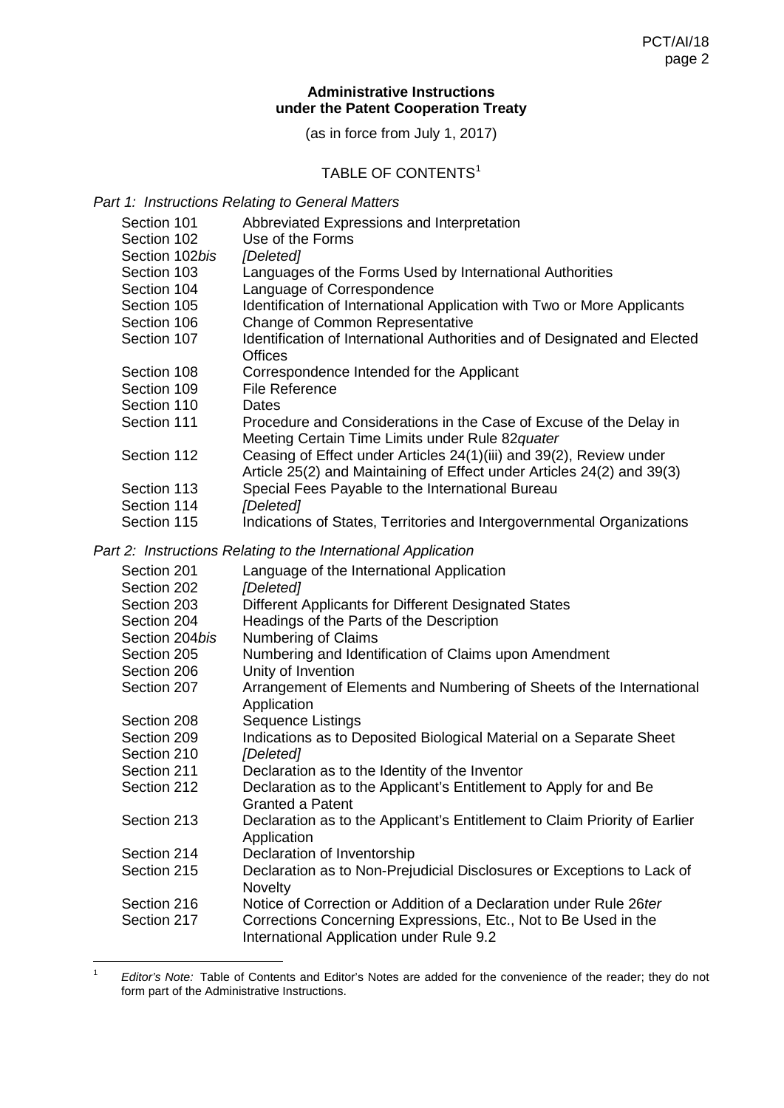## **Administrative Instructions under the Patent Cooperation Treaty**

(as in force from July 1, 2017)

# TABLE OF CONTENTS<sup>[1](#page-1-0)</sup>

*Part 1: Instructions Relating to General Matters*

| Section 101    | Abbreviated Expressions and Interpretation                                 |
|----------------|----------------------------------------------------------------------------|
| Section 102    | Use of the Forms                                                           |
| Section 102bis | [Deleted]                                                                  |
| Section 103    | Languages of the Forms Used by International Authorities                   |
| Section 104    | Language of Correspondence                                                 |
| Section 105    | Identification of International Application with Two or More Applicants    |
| Section 106    | Change of Common Representative                                            |
| Section 107    | Identification of International Authorities and of Designated and Elected  |
|                | <b>Offices</b>                                                             |
| Section 108    | Correspondence Intended for the Applicant                                  |
| Section 109    | <b>File Reference</b>                                                      |
| Section 110    | <b>Dates</b>                                                               |
| Section 111    | Procedure and Considerations in the Case of Excuse of the Delay in         |
|                | Meeting Certain Time Limits under Rule 82quater                            |
| Section 112    | Ceasing of Effect under Articles 24(1)(iii) and 39(2), Review under        |
|                | Article 25(2) and Maintaining of Effect under Articles 24(2) and 39(3)     |
| Section 113    | Special Fees Payable to the International Bureau                           |
| Section 114    | [Deleted]                                                                  |
| Section 115    | Indications of States, Territories and Intergovernmental Organizations     |
|                | Part 2: Instructions Relating to the International Application             |
| Section 201    | Language of the International Application                                  |
| Section 202    | [Deleted]                                                                  |
| Section 203    | Different Applicants for Different Designated States                       |
| Section 204    | Headings of the Parts of the Description                                   |
| Section 204bis | Numbering of Claims                                                        |
| Section 205    | Numbering and Identification of Claims upon Amendment                      |
| Section 206    | Unity of Invention                                                         |
| Section 207    | Arrangement of Elements and Numbering of Sheets of the International       |
|                | Application                                                                |
| Section 208    | <b>Sequence Listings</b>                                                   |
| Section 209    | Indications as to Deposited Biological Material on a Separate Sheet        |
| Section 210    | [Deleted]                                                                  |
| Section 211    | Declaration as to the Identity of the Inventor                             |
| Section 212    | Declaration as to the Applicant's Entitlement to Apply for and Be          |
|                | <b>Granted a Patent</b>                                                    |
| Section 213    | Declaration as to the Applicant's Entitlement to Claim Priority of Earlier |
|                | Application                                                                |
| Section 214    | Declaration of Inventorship                                                |
| Section 215    | Declaration as to Non-Prejudicial Disclosures or Exceptions to Lack of     |

**Novelty** Section 216 Notice of Correction or Addition of a Declaration under Rule 26*ter*<br>Section 217 Corrections Concerning Expressions. Etc., Not to Be Used in the

Corrections Concerning Expressions, Etc., Not to Be Used in the International Application under Rule 9.2

<span id="page-1-0"></span> <sup>1</sup> *Editor's Note:* Table of Contents and Editor's Notes are added for the convenience of the reader; they do not form part of the Administrative Instructions.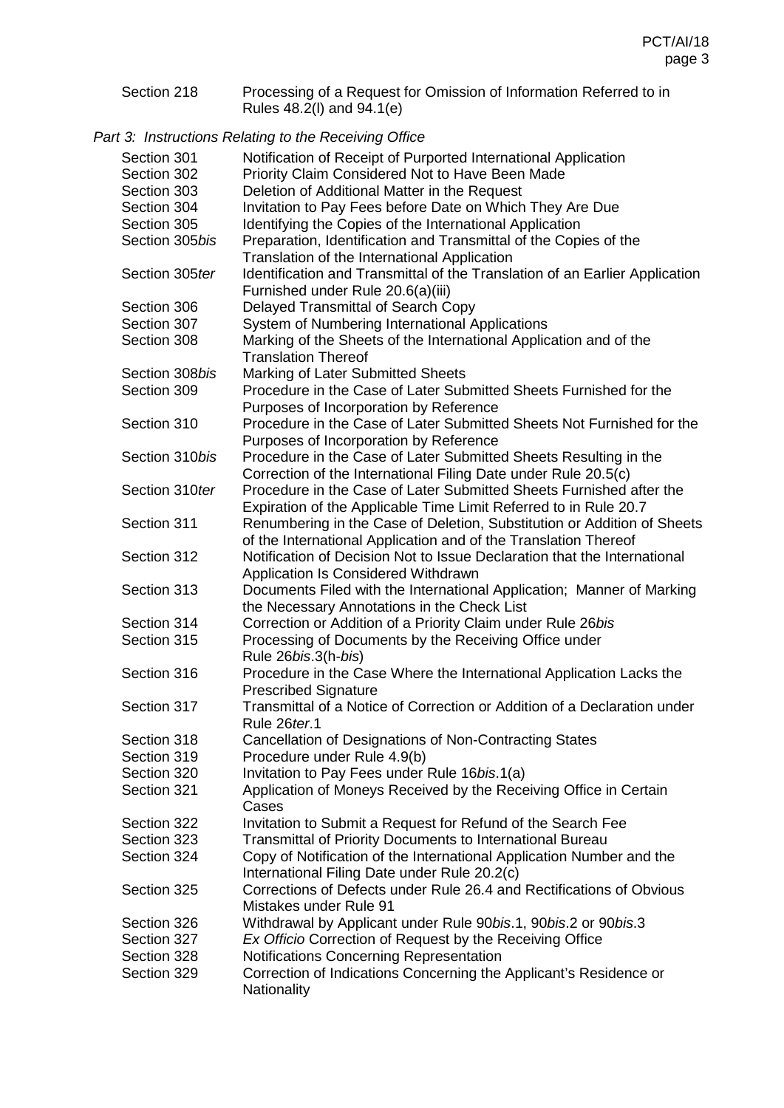Section 218 Processing of a Request for Omission of Information Referred to in Rules 48.2(l) and 94.1(e)

*Part 3: Instructions Relating to the Receiving Office*

| Section 301<br>Section 302 | Notification of Receipt of Purported International Application<br>Priority Claim Considered Not to Have Been Made                           |
|----------------------------|---------------------------------------------------------------------------------------------------------------------------------------------|
| Section 303                | Deletion of Additional Matter in the Request                                                                                                |
| Section 304                | Invitation to Pay Fees before Date on Which They Are Due                                                                                    |
| Section 305                | Identifying the Copies of the International Application                                                                                     |
| Section 305bis             | Preparation, Identification and Transmittal of the Copies of the                                                                            |
|                            | Translation of the International Application                                                                                                |
| Section 305ter             | Identification and Transmittal of the Translation of an Earlier Application                                                                 |
|                            | Furnished under Rule 20.6(a)(iii)                                                                                                           |
| Section 306                | Delayed Transmittal of Search Copy                                                                                                          |
| Section 307                | System of Numbering International Applications                                                                                              |
| Section 308                | Marking of the Sheets of the International Application and of the                                                                           |
|                            | <b>Translation Thereof</b>                                                                                                                  |
| Section 308bis             | Marking of Later Submitted Sheets                                                                                                           |
| Section 309                | Procedure in the Case of Later Submitted Sheets Furnished for the                                                                           |
|                            | Purposes of Incorporation by Reference                                                                                                      |
| Section 310                | Procedure in the Case of Later Submitted Sheets Not Furnished for the                                                                       |
|                            | Purposes of Incorporation by Reference                                                                                                      |
| Section 310bis             | Procedure in the Case of Later Submitted Sheets Resulting in the                                                                            |
|                            | Correction of the International Filing Date under Rule 20.5(c)                                                                              |
| Section 310ter             | Procedure in the Case of Later Submitted Sheets Furnished after the                                                                         |
|                            | Expiration of the Applicable Time Limit Referred to in Rule 20.7                                                                            |
| Section 311                |                                                                                                                                             |
|                            | Renumbering in the Case of Deletion, Substitution or Addition of Sheets                                                                     |
| Section 312                | of the International Application and of the Translation Thereof<br>Notification of Decision Not to Issue Declaration that the International |
|                            |                                                                                                                                             |
|                            | Application Is Considered Withdrawn                                                                                                         |
| Section 313                | Documents Filed with the International Application; Manner of Marking                                                                       |
| Section 314                | the Necessary Annotations in the Check List                                                                                                 |
|                            | Correction or Addition of a Priority Claim under Rule 26bis                                                                                 |
| Section 315                | Processing of Documents by the Receiving Office under                                                                                       |
|                            | Rule 26bis.3(h-bis)                                                                                                                         |
| Section 316                | Procedure in the Case Where the International Application Lacks the                                                                         |
|                            | <b>Prescribed Signature</b>                                                                                                                 |
| Section 317                | Transmittal of a Notice of Correction or Addition of a Declaration under                                                                    |
|                            | Rule 26ter.1                                                                                                                                |
| Section 318                | Cancellation of Designations of Non-Contracting States                                                                                      |
| Section 319                | Procedure under Rule 4.9(b)                                                                                                                 |
| Section 320                | Invitation to Pay Fees under Rule 16bis.1(a)                                                                                                |
| Section 321                | Application of Moneys Received by the Receiving Office in Certain                                                                           |
|                            | Cases                                                                                                                                       |
| Section 322                | Invitation to Submit a Request for Refund of the Search Fee                                                                                 |
| Section 323                | <b>Transmittal of Priority Documents to International Bureau</b>                                                                            |
| Section 324                | Copy of Notification of the International Application Number and the                                                                        |
|                            | International Filing Date under Rule 20.2(c)                                                                                                |
| Section 325                | Corrections of Defects under Rule 26.4 and Rectifications of Obvious                                                                        |
|                            | Mistakes under Rule 91                                                                                                                      |
| Section 326                | Withdrawal by Applicant under Rule 90bis.1, 90bis.2 or 90bis.3                                                                              |
| Section 327                | Ex Officio Correction of Request by the Receiving Office                                                                                    |
| Section 328                | Notifications Concerning Representation                                                                                                     |
| Section 329                | Correction of Indications Concerning the Applicant's Residence or                                                                           |
|                            | Nationality                                                                                                                                 |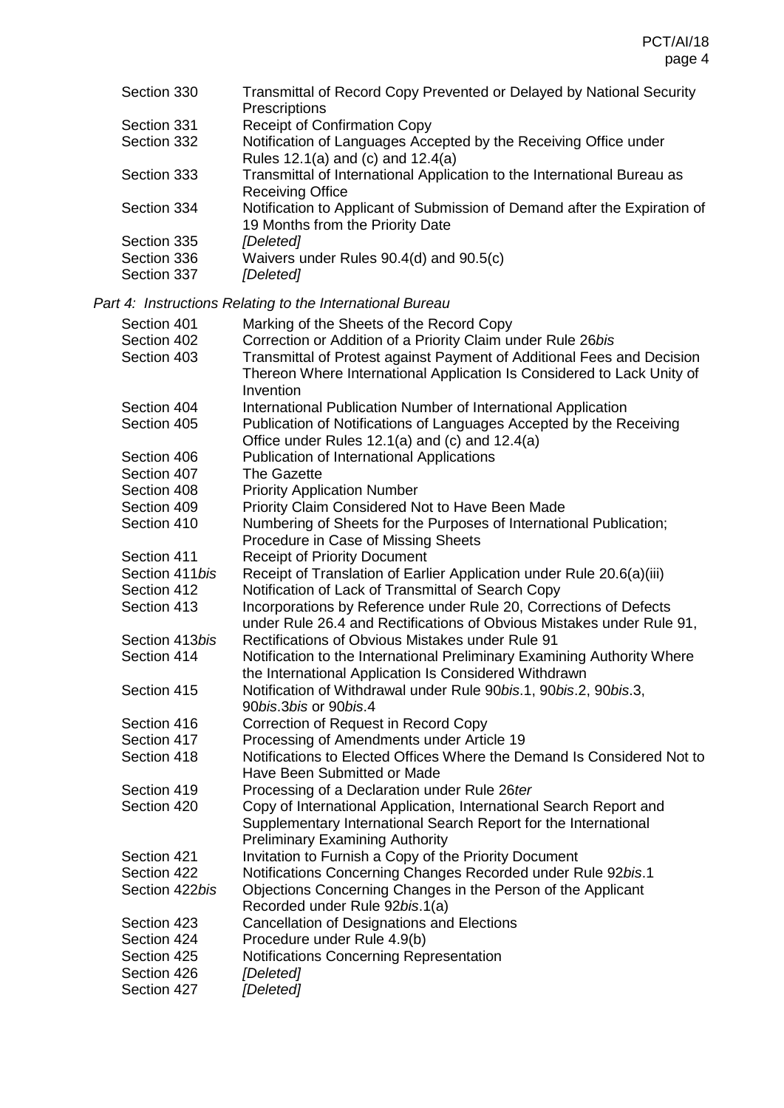| Section 330                | Transmittal of Record Copy Prevented or Delayed by National Security<br>Prescriptions                         |
|----------------------------|---------------------------------------------------------------------------------------------------------------|
| Section 331                | <b>Receipt of Confirmation Copy</b>                                                                           |
| Section 332                | Notification of Languages Accepted by the Receiving Office under<br>Rules 12.1(a) and (c) and 12.4(a)         |
| Section 333                | Transmittal of International Application to the International Bureau as<br><b>Receiving Office</b>            |
| Section 334                | Notification to Applicant of Submission of Demand after the Expiration of<br>19 Months from the Priority Date |
| Section 335                | [Deleted]                                                                                                     |
| Section 336<br>Section 337 | Waivers under Rules 90.4(d) and 90.5(c)<br>[Deleted]                                                          |

*Part 4: Instructions Relating to the International Bureau*

| Section 401<br>Section 402<br>Section 403 | Marking of the Sheets of the Record Copy<br>Correction or Addition of a Priority Claim under Rule 26bis<br>Transmittal of Protest against Payment of Additional Fees and Decision<br>Thereon Where International Application Is Considered to Lack Unity of<br>Invention |
|-------------------------------------------|--------------------------------------------------------------------------------------------------------------------------------------------------------------------------------------------------------------------------------------------------------------------------|
| Section 404<br>Section 405                | International Publication Number of International Application<br>Publication of Notifications of Languages Accepted by the Receiving<br>Office under Rules 12.1(a) and (c) and 12.4(a)                                                                                   |
| Section 406                               | Publication of International Applications                                                                                                                                                                                                                                |
| Section 407                               | <b>The Gazette</b>                                                                                                                                                                                                                                                       |
| Section 408                               | <b>Priority Application Number</b>                                                                                                                                                                                                                                       |
| Section 409                               | Priority Claim Considered Not to Have Been Made                                                                                                                                                                                                                          |
| Section 410                               | Numbering of Sheets for the Purposes of International Publication;<br>Procedure in Case of Missing Sheets                                                                                                                                                                |
| Section 411                               | <b>Receipt of Priority Document</b>                                                                                                                                                                                                                                      |
| Section 411 bis                           | Receipt of Translation of Earlier Application under Rule 20.6(a)(iii)                                                                                                                                                                                                    |
| Section 412                               | Notification of Lack of Transmittal of Search Copy                                                                                                                                                                                                                       |
| Section 413                               | Incorporations by Reference under Rule 20, Corrections of Defects<br>under Rule 26.4 and Rectifications of Obvious Mistakes under Rule 91,                                                                                                                               |
| Section 413bis                            | <b>Rectifications of Obvious Mistakes under Rule 91</b>                                                                                                                                                                                                                  |
| Section 414                               | Notification to the International Preliminary Examining Authority Where<br>the International Application Is Considered Withdrawn                                                                                                                                         |
| Section 415                               | Notification of Withdrawal under Rule 90bis.1, 90bis.2, 90bis.3,<br>90bis.3bis or 90bis.4                                                                                                                                                                                |
| Section 416                               | Correction of Request in Record Copy                                                                                                                                                                                                                                     |
| Section 417                               | Processing of Amendments under Article 19                                                                                                                                                                                                                                |
| Section 418                               | Notifications to Elected Offices Where the Demand Is Considered Not to<br>Have Been Submitted or Made                                                                                                                                                                    |
| Section 419                               | Processing of a Declaration under Rule 26ter                                                                                                                                                                                                                             |
| Section 420                               | Copy of International Application, International Search Report and<br>Supplementary International Search Report for the International<br><b>Preliminary Examining Authority</b>                                                                                          |
| Section 421                               | Invitation to Furnish a Copy of the Priority Document                                                                                                                                                                                                                    |
| Section 422                               | Notifications Concerning Changes Recorded under Rule 92bis.1                                                                                                                                                                                                             |
| Section 422bis                            | Objections Concerning Changes in the Person of the Applicant<br>Recorded under Rule 92bis.1(a)                                                                                                                                                                           |
| Section 423                               | Cancellation of Designations and Elections                                                                                                                                                                                                                               |
| Section 424                               | Procedure under Rule 4.9(b)                                                                                                                                                                                                                                              |
| Section 425                               | Notifications Concerning Representation                                                                                                                                                                                                                                  |
| Section 426                               | [Deleted]                                                                                                                                                                                                                                                                |
| Section 427                               | [Deleted]                                                                                                                                                                                                                                                                |
|                                           |                                                                                                                                                                                                                                                                          |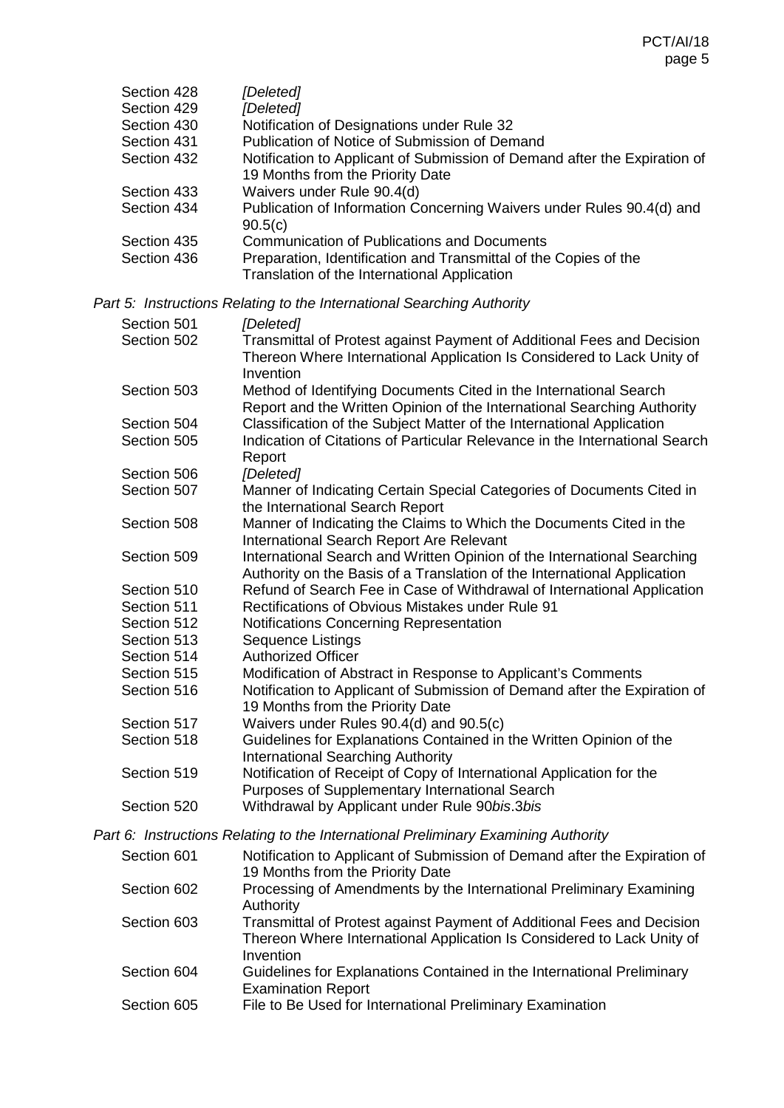| Section 428 | [Deleted]                                                                                                        |
|-------------|------------------------------------------------------------------------------------------------------------------|
| Section 429 | [Deleted]                                                                                                        |
| Section 430 | Notification of Designations under Rule 32                                                                       |
| Section 431 | Publication of Notice of Submission of Demand                                                                    |
| Section 432 | Notification to Applicant of Submission of Demand after the Expiration of                                        |
|             | 19 Months from the Priority Date                                                                                 |
| Section 433 | Waivers under Rule 90.4(d)                                                                                       |
| Section 434 | Publication of Information Concerning Waivers under Rules 90.4(d) and<br>90.5(c)                                 |
| Section 435 | <b>Communication of Publications and Documents</b>                                                               |
| Section 436 | Preparation, Identification and Transmittal of the Copies of the<br>Translation of the International Application |

*Part 5: Instructions Relating to the International Searching Authority*

| Section 501 | [Deleted]                                                                                                                                                     |
|-------------|---------------------------------------------------------------------------------------------------------------------------------------------------------------|
| Section 502 | Transmittal of Protest against Payment of Additional Fees and Decision<br>Thereon Where International Application Is Considered to Lack Unity of<br>Invention |
| Section 503 | Method of Identifying Documents Cited in the International Search<br>Report and the Written Opinion of the International Searching Authority                  |
| Section 504 | Classification of the Subject Matter of the International Application                                                                                         |
| Section 505 | Indication of Citations of Particular Relevance in the International Search<br>Report                                                                         |
| Section 506 | [Deleted]                                                                                                                                                     |
| Section 507 | Manner of Indicating Certain Special Categories of Documents Cited in<br>the International Search Report                                                      |
| Section 508 | Manner of Indicating the Claims to Which the Documents Cited in the<br>International Search Report Are Relevant                                               |
| Section 509 | International Search and Written Opinion of the International Searching<br>Authority on the Basis of a Translation of the International Application           |
| Section 510 | Refund of Search Fee in Case of Withdrawal of International Application                                                                                       |
| Section 511 | <b>Rectifications of Obvious Mistakes under Rule 91</b>                                                                                                       |
| Section 512 | Notifications Concerning Representation                                                                                                                       |
| Section 513 | Sequence Listings                                                                                                                                             |
| Section 514 | <b>Authorized Officer</b>                                                                                                                                     |
| Section 515 | Modification of Abstract in Response to Applicant's Comments                                                                                                  |
| Section 516 | Notification to Applicant of Submission of Demand after the Expiration of<br>19 Months from the Priority Date                                                 |
| Section 517 | Waivers under Rules 90.4(d) and 90.5(c)                                                                                                                       |
| Section 518 | Guidelines for Explanations Contained in the Written Opinion of the<br><b>International Searching Authority</b>                                               |
| Section 519 | Notification of Receipt of Copy of International Application for the<br>Purposes of Supplementary International Search                                        |
| Section 520 | Withdrawal by Applicant under Rule 90bis.3bis                                                                                                                 |

*Part 6: Instructions Relating to the International Preliminary Examining Authority*

| Section 601 | Notification to Applicant of Submission of Demand after the Expiration of                                                                                     |
|-------------|---------------------------------------------------------------------------------------------------------------------------------------------------------------|
|             | 19 Months from the Priority Date                                                                                                                              |
| Section 602 | Processing of Amendments by the International Preliminary Examining<br>Authority                                                                              |
| Section 603 | Transmittal of Protest against Payment of Additional Fees and Decision<br>Thereon Where International Application Is Considered to Lack Unity of<br>Invention |
| Section 604 | Guidelines for Explanations Contained in the International Preliminary<br><b>Examination Report</b>                                                           |
| Section 605 | File to Be Used for International Preliminary Examination                                                                                                     |
|             |                                                                                                                                                               |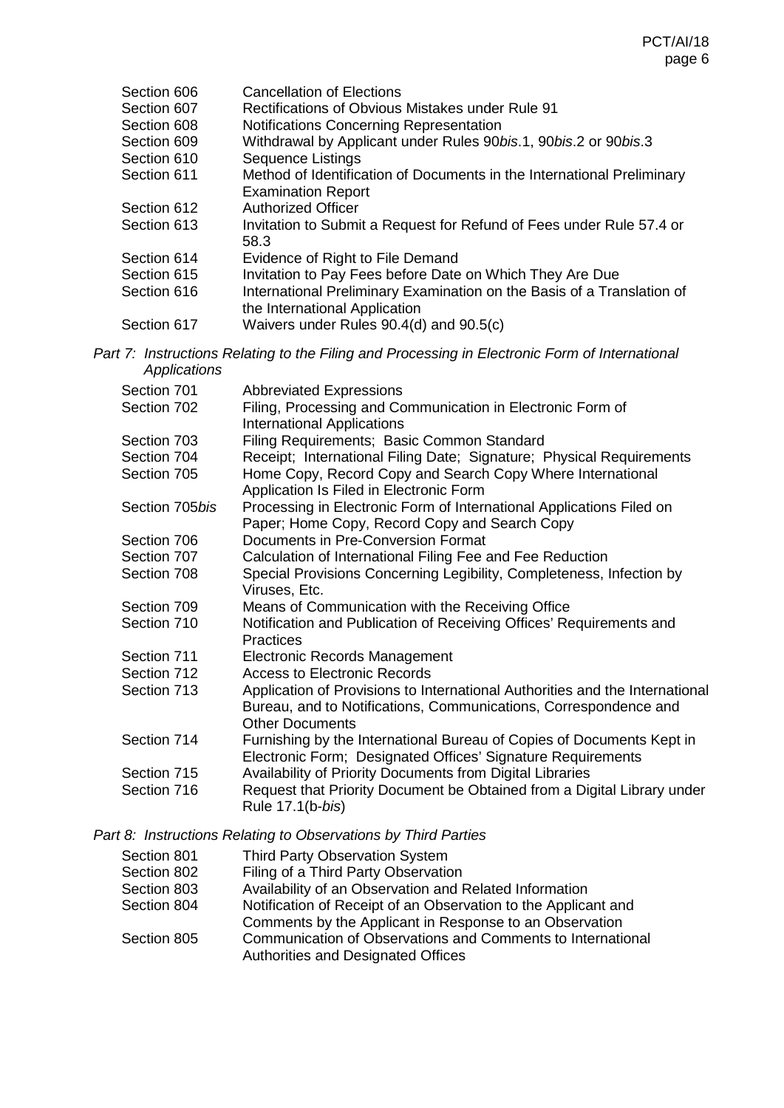| Section 606<br>Section 607<br>Section 608 | <b>Cancellation of Elections</b><br>Rectifications of Obvious Mistakes under Rule 91<br>Notifications Concerning Representation |
|-------------------------------------------|---------------------------------------------------------------------------------------------------------------------------------|
| Section 609                               | Withdrawal by Applicant under Rules 90bis.1, 90bis.2 or 90bis.3                                                                 |
| Section 610                               | <b>Sequence Listings</b>                                                                                                        |
| Section 611                               | Method of Identification of Documents in the International Preliminary<br><b>Examination Report</b>                             |
| Section 612                               | <b>Authorized Officer</b>                                                                                                       |
| Section 613                               | Invitation to Submit a Request for Refund of Fees under Rule 57.4 or<br>58.3                                                    |
| Section 614                               | Evidence of Right to File Demand                                                                                                |
| Section 615                               | Invitation to Pay Fees before Date on Which They Are Due                                                                        |
| Section 616                               | International Preliminary Examination on the Basis of a Translation of<br>the International Application                         |
| Section 617                               | Waivers under Rules 90.4(d) and 90.5(c)                                                                                         |

*Part 7: Instructions Relating to the Filing and Processing in Electronic Form of International Applications*

| Section 701    | <b>Abbreviated Expressions</b>                                                                                                                                             |
|----------------|----------------------------------------------------------------------------------------------------------------------------------------------------------------------------|
| Section 702    | Filing, Processing and Communication in Electronic Form of<br><b>International Applications</b>                                                                            |
| Section 703    | Filing Requirements; Basic Common Standard                                                                                                                                 |
| Section 704    | Receipt; International Filing Date; Signature; Physical Requirements                                                                                                       |
| Section 705    | Home Copy, Record Copy and Search Copy Where International<br>Application Is Filed in Electronic Form                                                                      |
| Section 705bis | Processing in Electronic Form of International Applications Filed on<br>Paper; Home Copy, Record Copy and Search Copy                                                      |
| Section 706    | Documents in Pre-Conversion Format                                                                                                                                         |
| Section 707    | Calculation of International Filing Fee and Fee Reduction                                                                                                                  |
| Section 708    | Special Provisions Concerning Legibility, Completeness, Infection by<br>Viruses, Etc.                                                                                      |
| Section 709    | Means of Communication with the Receiving Office                                                                                                                           |
| Section 710    | Notification and Publication of Receiving Offices' Requirements and<br><b>Practices</b>                                                                                    |
| Section 711    | <b>Electronic Records Management</b>                                                                                                                                       |
| Section 712    | <b>Access to Electronic Records</b>                                                                                                                                        |
| Section 713    | Application of Provisions to International Authorities and the International<br>Bureau, and to Notifications, Communications, Correspondence and<br><b>Other Documents</b> |
| Section 714    | Furnishing by the International Bureau of Copies of Documents Kept in<br>Electronic Form; Designated Offices' Signature Requirements                                       |
| Section 715    | Availability of Priority Documents from Digital Libraries                                                                                                                  |
| Section 716    | Request that Priority Document be Obtained from a Digital Library under<br>Rule 17.1(b-bis)                                                                                |

*Part 8: Instructions Relating to Observations by Third Parties*

| Section 801 | <b>Third Party Observation System</b>                                                                                     |
|-------------|---------------------------------------------------------------------------------------------------------------------------|
| Section 802 | Filing of a Third Party Observation                                                                                       |
| Section 803 | Availability of an Observation and Related Information                                                                    |
| Section 804 | Notification of Receipt of an Observation to the Applicant and<br>Comments by the Applicant in Response to an Observation |
| Section 805 | Communication of Observations and Comments to International<br>Authorities and Designated Offices                         |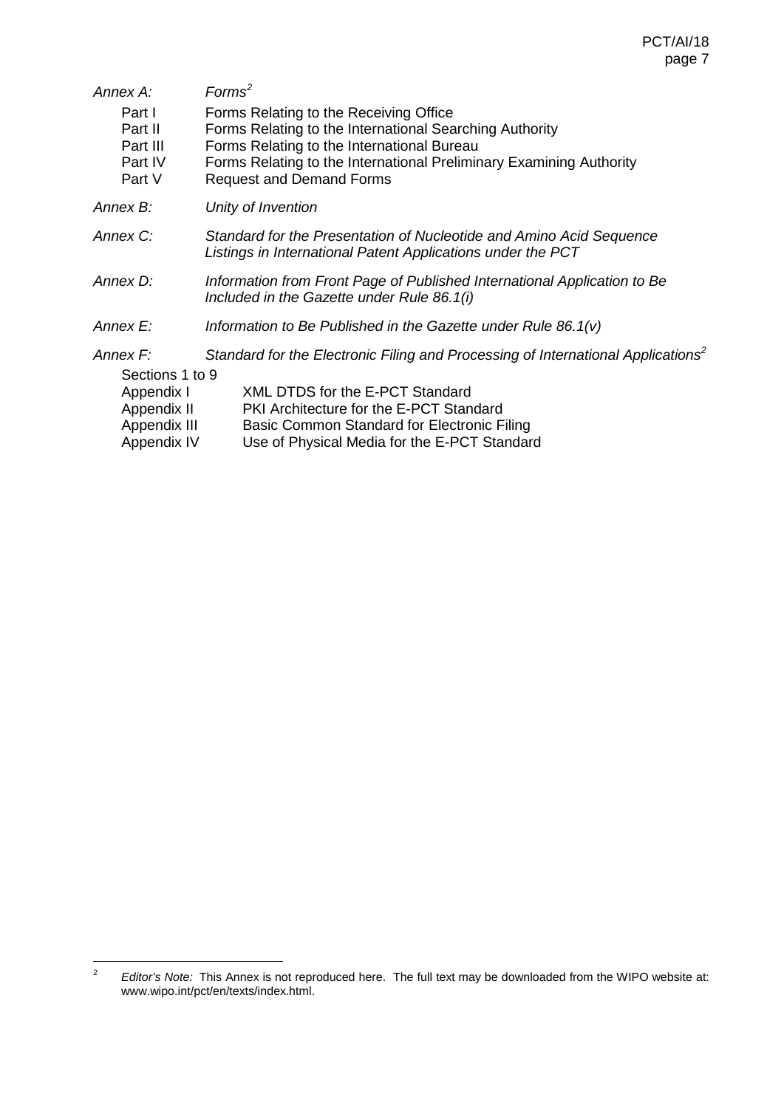<span id="page-6-0"></span>

| Annex A:                                                 | Forms <sup>2</sup>                                                                                                                                                                                                                                        |  |  |
|----------------------------------------------------------|-----------------------------------------------------------------------------------------------------------------------------------------------------------------------------------------------------------------------------------------------------------|--|--|
| Part I<br>Part II<br>Part III<br>Part IV<br>Part V       | Forms Relating to the Receiving Office<br>Forms Relating to the International Searching Authority<br>Forms Relating to the International Bureau<br>Forms Relating to the International Preliminary Examining Authority<br><b>Request and Demand Forms</b> |  |  |
| Annex B:                                                 | Unity of Invention                                                                                                                                                                                                                                        |  |  |
| Annex C:                                                 | Standard for the Presentation of Nucleotide and Amino Acid Sequence<br>Listings in International Patent Applications under the PCT                                                                                                                        |  |  |
| Annex D:                                                 | Information from Front Page of Published International Application to Be<br>Included in the Gazette under Rule 86.1(i)                                                                                                                                    |  |  |
| Annex E:                                                 | Information to Be Published in the Gazette under Rule 86.1(v)                                                                                                                                                                                             |  |  |
| Annex F:<br>Sections 1 to 9<br>Appendix I<br>Appendix II | Standard for the Electronic Filing and Processing of International Applications <sup>2</sup><br>XML DTDS for the E-PCT Standard<br>PKI Architecture for the E-PCT Standard                                                                                |  |  |
| Appendix III<br>Appendix IV                              | Basic Common Standard for Electronic Filing<br>Use of Physical Media for the E-PCT Standard                                                                                                                                                               |  |  |

<span id="page-6-1"></span> <sup>2</sup> *Editor's Note:* This Annex is not reproduced here. The full text may be downloaded from the WIPO website at: www.wipo.int/pct/en/texts/index.html.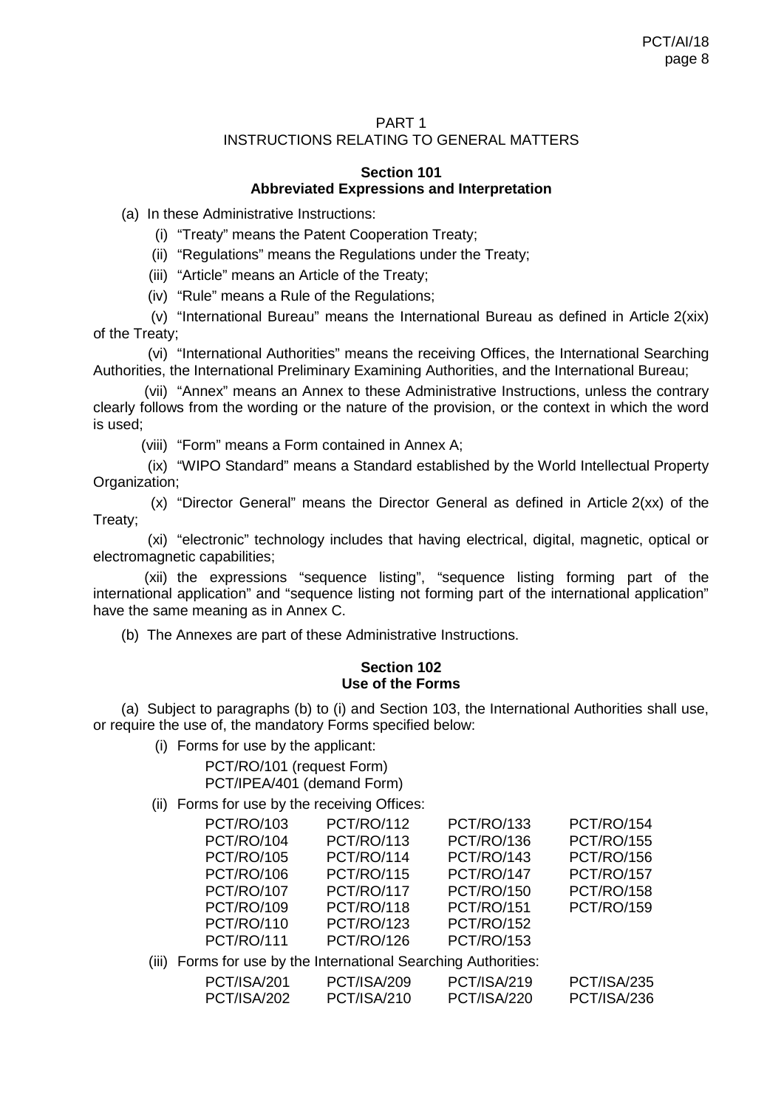## PART 1 INSTRUCTIONS RELATING TO GENERAL MATTERS

#### **Section 101 Abbreviated Expressions and Interpretation**

(a) In these Administrative Instructions:

- (i) "Treaty" means the Patent Cooperation Treaty;
- (ii) "Regulations" means the Regulations under the Treaty;
- (iii) "Article" means an Article of the Treaty;
- (iv) "Rule" means a Rule of the Regulations;

(v) "International Bureau" means the International Bureau as defined in Article 2(xix) of the Treaty;

(vi) "International Authorities" means the receiving Offices, the International Searching Authorities, the International Preliminary Examining Authorities, and the International Bureau;

(vii) "Annex" means an Annex to these Administrative Instructions, unless the contrary clearly follows from the wording or the nature of the provision, or the context in which the word is used;

(viii) "Form" means a Form contained in Annex A;

(ix) "WIPO Standard" means a Standard established by the World Intellectual Property Organization;

(x) "Director General" means the Director General as defined in Article 2(xx) of the Treaty;

(xi) "electronic" technology includes that having electrical, digital, magnetic, optical or electromagnetic capabilities;

(xii) the expressions "sequence listing", "sequence listing forming part of the international application" and "sequence listing not forming part of the international application" have the same meaning as in Annex C.

(b) The Annexes are part of these Administrative Instructions.

## **Section 102 Use of the Forms**

(a) Subject to paragraphs (b) to (i) and Section 103, the International Authorities shall use, or require the use of, the mandatory Forms specified below:

(i) Forms for use by the applicant:

PCT/RO/101 (request Form) PCT/IPEA/401 (demand Form)

(ii) Forms for use by the receiving Offices:

| <b>PCT/RO/103</b> | <b>PCT/RO/112</b> | <b>PCT/RO/133</b> | <b>PCT/RO/154</b> |
|-------------------|-------------------|-------------------|-------------------|
| <b>PCT/RO/104</b> | <b>PCT/RO/113</b> | <b>PCT/RO/136</b> | <b>PCT/RO/155</b> |
| <b>PCT/RO/105</b> | <b>PCT/RO/114</b> | <b>PCT/RO/143</b> | <b>PCT/RO/156</b> |
| <b>PCT/RO/106</b> | <b>PCT/RO/115</b> | <b>PCT/RO/147</b> | <b>PCT/RO/157</b> |
| <b>PCT/RO/107</b> | <b>PCT/RO/117</b> | <b>PCT/RO/150</b> | <b>PCT/RO/158</b> |
| <b>PCT/RO/109</b> | <b>PCT/RO/118</b> | <b>PCT/RO/151</b> | <b>PCT/RO/159</b> |
| <b>PCT/RO/110</b> | <b>PCT/RO/123</b> | <b>PCT/RO/152</b> |                   |
| <b>PCT/RO/111</b> | <b>PCT/RO/126</b> | <b>PCT/RO/153</b> |                   |

(iii) Forms for use by the International Searching Authorities:

| PCT/ISA/201        | PCT/ISA/209 | PCT/ISA/219        | PCT/ISA/235 |
|--------------------|-------------|--------------------|-------------|
| <b>PCT/ISA/202</b> | PCT/ISA/210 | <b>PCT/ISA/220</b> | PCT/ISA/236 |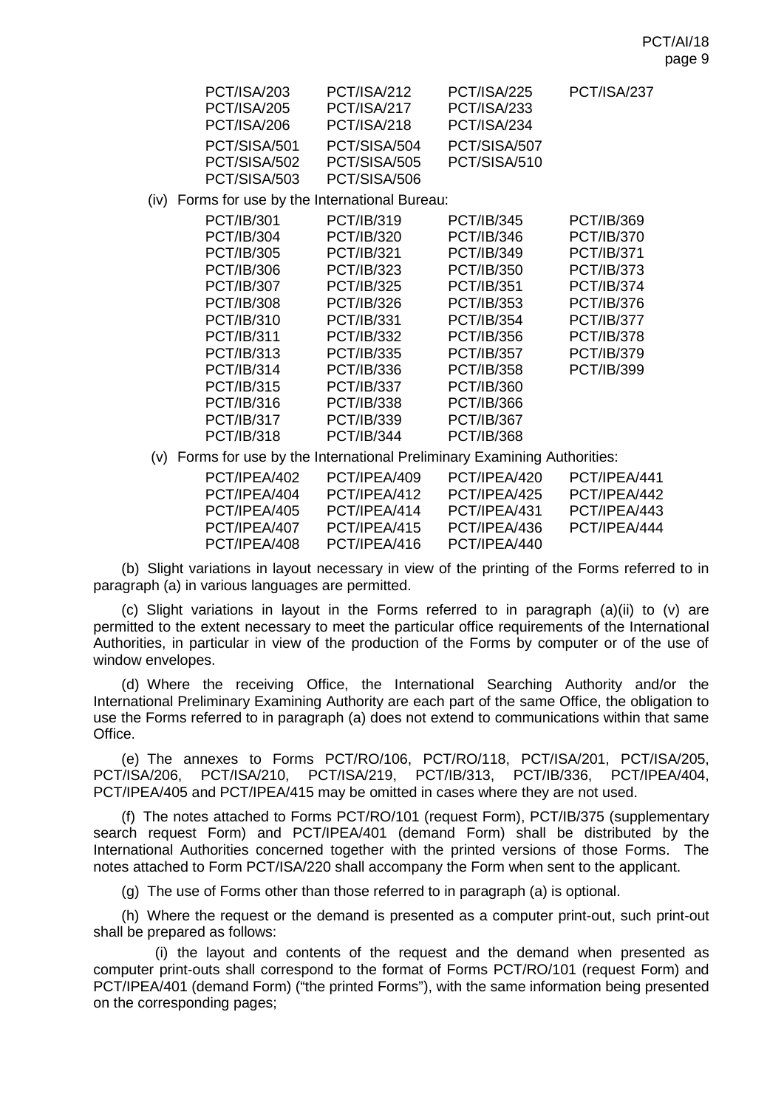| <b>PCT/ISA/203</b> | PCT/ISA/212  | <b>PCT/ISA/225</b> | PCT/ISA/237 |
|--------------------|--------------|--------------------|-------------|
| <b>PCT/ISA/205</b> | PCT/ISA/217  | <b>PCT/ISA/233</b> |             |
| PCT/ISA/206        | PCT/ISA/218  | PCT/ISA/234        |             |
| PCT/SISA/501       | PCT/SISA/504 | PCT/SISA/507       |             |
| PCT/SISA/502       | PCT/SISA/505 | PCT/SISA/510       |             |
| PCT/SISA/503       | PCT/SISA/506 |                    |             |

(iv) Forms for use by the International Bureau:

| PCT/IB/301        | PCT/IB/319        | <b>PCT/IB/345</b> | PCT/IB/369        |
|-------------------|-------------------|-------------------|-------------------|
| PCT/IB/304        | <b>PCT/IB/320</b> | <b>PCT/IB/346</b> | <b>PCT/IB/370</b> |
| PCT/IB/305        | PCT/IB/321        | PCT/IB/349        | <b>PCT/IB/371</b> |
| PCT/IB/306        | <b>PCT/IB/323</b> | PCT/IB/350        | <b>PCT/IB/373</b> |
| PCT/IB/307        | <b>PCT/IB/325</b> | <b>PCT/IB/351</b> | <b>PCT/IB/374</b> |
| PCT/IB/308        | PCT/IB/326        | PCT/IB/353        | <b>PCT/IB/376</b> |
| PCT/IB/310        | PCT/IB/331        | PCT/IB/354        | <b>PCT/IB/377</b> |
| PCT/IB/311        | <b>PCT/IB/332</b> | <b>PCT/IB/356</b> | <b>PCT/IB/378</b> |
| PCT/IB/313        | PCT/IB/335        | <b>PCT/IB/357</b> | <b>PCT/IB/379</b> |
| PCT/IB/314        | PCT/IB/336        | <b>PCT/IB/358</b> | PCT/IB/399        |
| PCT/IB/315        | <b>PCT/IB/337</b> | PCT/IB/360        |                   |
| PCT/IB/316        | PCT/IB/338        | PCT/IB/366        |                   |
| <b>PCT/IB/317</b> | PCT/IB/339        | <b>PCT/IB/367</b> |                   |
| PCT/IB/318        | <b>PCT/IB/344</b> | <b>PCT/IB/368</b> |                   |
|                   |                   |                   |                   |

(v) Forms for use by the International Preliminary Examining Authorities:

| PCT/IPFA/402 | PCT/IPFA/409 | PCT/IPFA/420 | PCT/IPFA/441 |
|--------------|--------------|--------------|--------------|
| PCT/IPFA/404 | PCT/IPFA/412 | PCT/IPFA/425 | PCT/IPFA/442 |
| PCT/IPFA/405 | PCT/IPFA/414 | PCT/IPEA/431 | PCT/IPFA/443 |
| PCT/IPFA/407 | PCT/IPFA/415 | PCT/IPFA/436 | PCT/IPFA/444 |
| PCT/IPFA/408 | PCT/IPFA/416 | PCT/IPFA/440 |              |
|              |              |              |              |

(b) Slight variations in layout necessary in view of the printing of the Forms referred to in paragraph (a) in various languages are permitted.

(c) Slight variations in layout in the Forms referred to in paragraph  $(a)(ii)$  to  $(v)$  are permitted to the extent necessary to meet the particular office requirements of the International Authorities, in particular in view of the production of the Forms by computer or of the use of window envelopes.

(d) Where the receiving Office, the International Searching Authority and/or the International Preliminary Examining Authority are each part of the same Office, the obligation to use the Forms referred to in paragraph (a) does not extend to communications within that same Office.

(e) The annexes to Forms PCT/RO/106, PCT/RO/118, PCT/ISA/201, PCT/ISA/205, (e)<br>/ISA/206. PCT/ISA/210. PCT/ISA/219. PCT/IB/313. PCT/IB/336. PCT/IPEA/404. PCT/ISA/206, PCT/ISA/210, PCT/ISA/219, PCT/IB/313, PCT/IB/336, PCT/IPEA/404, PCT/IPEA/405 and PCT/IPEA/415 may be omitted in cases where they are not used.

(f) The notes attached to Forms PCT/RO/101 (request Form), PCT/IB/375 (supplementary search request Form) and PCT/IPEA/401 (demand Form) shall be distributed by the International Authorities concerned together with the printed versions of those Forms. The notes attached to Form PCT/ISA/220 shall accompany the Form when sent to the applicant.

(g) The use of Forms other than those referred to in paragraph (a) is optional.

(h) Where the request or the demand is presented as a computer print-out, such print-out shall be prepared as follows:

(i) the layout and contents of the request and the demand when presented as computer print-outs shall correspond to the format of Forms PCT/RO/101 (request Form) and PCT/IPEA/401 (demand Form) ("the printed Forms"), with the same information being presented on the corresponding pages;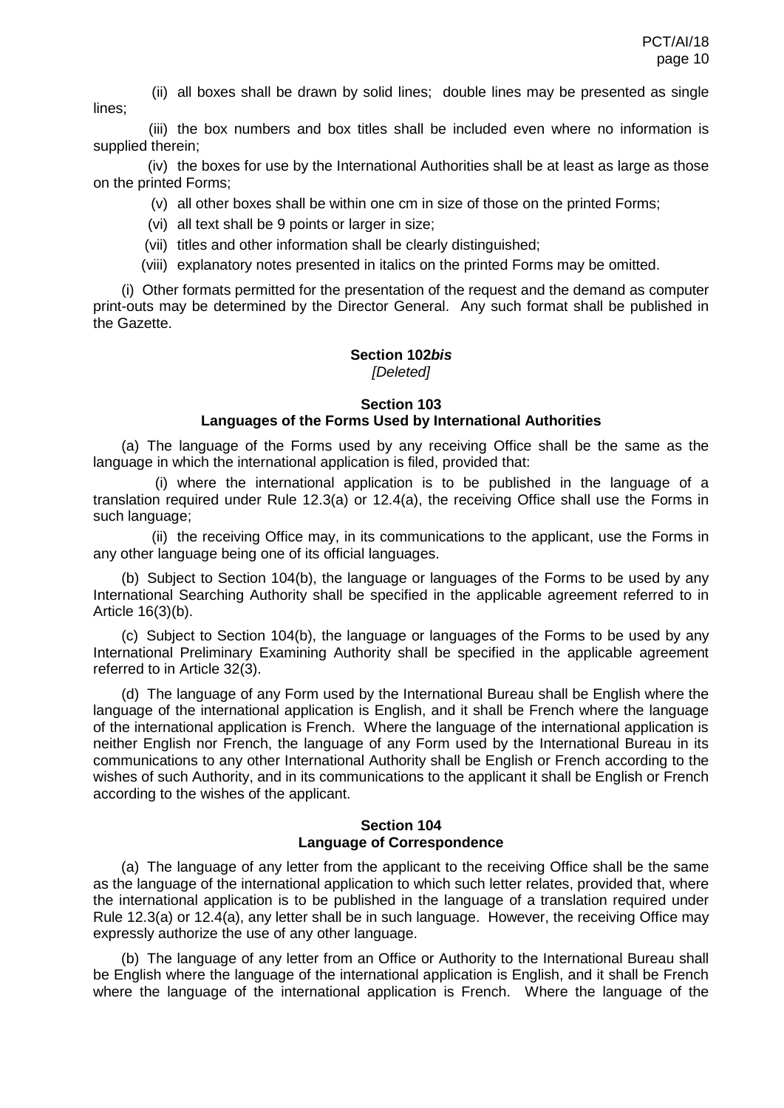(ii) all boxes shall be drawn by solid lines; double lines may be presented as single lines;

(iii) the box numbers and box titles shall be included even where no information is supplied therein;

(iv) the boxes for use by the International Authorities shall be at least as large as those on the printed Forms;

(v) all other boxes shall be within one cm in size of those on the printed Forms;

- (vi) all text shall be 9 points or larger in size;
- (vii) titles and other information shall be clearly distinguished;
- (viii) explanatory notes presented in italics on the printed Forms may be omitted.

(i) Other formats permitted for the presentation of the request and the demand as computer print-outs may be determined by the Director General. Any such format shall be published in the Gazette.

#### **Section 102***bis [Deleted]*

# **Section 103**

## **Languages of the Forms Used by International Authorities**

(a) The language of the Forms used by any receiving Office shall be the same as the language in which the international application is filed, provided that:

(i) where the international application is to be published in the language of a translation required under Rule 12.3(a) or 12.4(a), the receiving Office shall use the Forms in such language;

(ii) the receiving Office may, in its communications to the applicant, use the Forms in any other language being one of its official languages.

(b) Subject to Section 104(b), the language or languages of the Forms to be used by any International Searching Authority shall be specified in the applicable agreement referred to in Article 16(3)(b).

(c) Subject to Section 104(b), the language or languages of the Forms to be used by any International Preliminary Examining Authority shall be specified in the applicable agreement referred to in Article 32(3).

(d) The language of any Form used by the International Bureau shall be English where the language of the international application is English, and it shall be French where the language of the international application is French. Where the language of the international application is neither English nor French, the language of any Form used by the International Bureau in its communications to any other International Authority shall be English or French according to the wishes of such Authority, and in its communications to the applicant it shall be English or French according to the wishes of the applicant.

#### **Section 104 Language of Correspondence**

(a) The language of any letter from the applicant to the receiving Office shall be the same as the language of the international application to which such letter relates, provided that, where the international application is to be published in the language of a translation required under Rule 12.3(a) or 12.4(a), any letter shall be in such language. However, the receiving Office may expressly authorize the use of any other language.

(b) The language of any letter from an Office or Authority to the International Bureau shall be English where the language of the international application is English, and it shall be French where the language of the international application is French. Where the language of the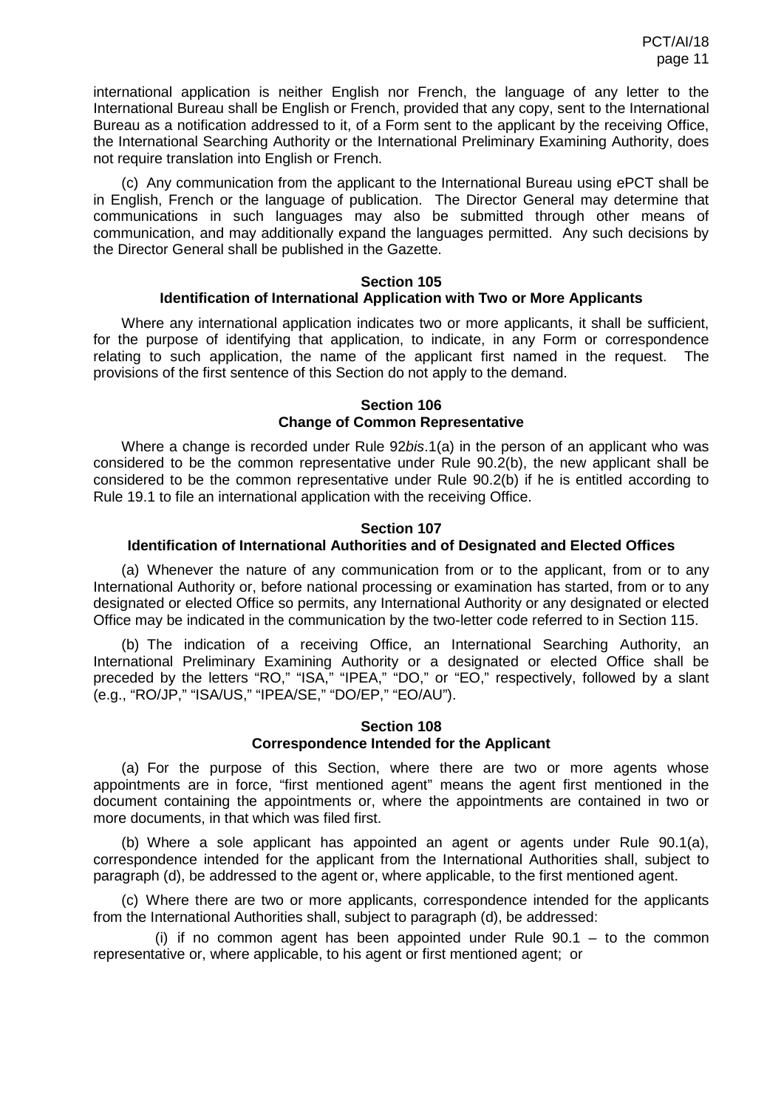international application is neither English nor French, the language of any letter to the International Bureau shall be English or French, provided that any copy, sent to the International Bureau as a notification addressed to it, of a Form sent to the applicant by the receiving Office, the International Searching Authority or the International Preliminary Examining Authority, does not require translation into English or French.

(c) Any communication from the applicant to the International Bureau using ePCT shall be in English, French or the language of publication. The Director General may determine that communications in such languages may also be submitted through other means of communication, and may additionally expand the languages permitted. Any such decisions by the Director General shall be published in the Gazette.

### **Section 105 Identification of International Application with Two or More Applicants**

Where any international application indicates two or more applicants, it shall be sufficient, for the purpose of identifying that application, to indicate, in any Form or correspondence relating to such application, the name of the applicant first named in the request. The provisions of the first sentence of this Section do not apply to the demand.

### **Section 106 Change of Common Representative**

Where a change is recorded under Rule 92*bis*.1(a) in the person of an applicant who was considered to be the common representative under Rule 90.2(b), the new applicant shall be considered to be the common representative under Rule 90.2(b) if he is entitled according to Rule 19.1 to file an international application with the receiving Office.

## **Section 107**

## **Identification of International Authorities and of Designated and Elected Offices**

(a) Whenever the nature of any communication from or to the applicant, from or to any International Authority or, before national processing or examination has started, from or to any designated or elected Office so permits, any International Authority or any designated or elected Office may be indicated in the communication by the two-letter code referred to in Section 115.

(b) The indication of a receiving Office, an International Searching Authority, an International Preliminary Examining Authority or a designated or elected Office shall be preceded by the letters "RO," "ISA," "IPEA," "DO," or "EO," respectively, followed by a slant (e.g., "RO/JP," "ISA/US," "IPEA/SE," "DO/EP," "EO/AU").

## **Section 108 Correspondence Intended for the Applicant**

(a) For the purpose of this Section, where there are two or more agents whose appointments are in force, "first mentioned agent" means the agent first mentioned in the document containing the appointments or, where the appointments are contained in two or more documents, in that which was filed first.

(b) Where a sole applicant has appointed an agent or agents under Rule 90.1(a), correspondence intended for the applicant from the International Authorities shall, subject to paragraph (d), be addressed to the agent or, where applicable, to the first mentioned agent.

(c) Where there are two or more applicants, correspondence intended for the applicants from the International Authorities shall, subject to paragraph (d), be addressed:

(i) if no common agent has been appointed under Rule  $90.1 -$  to the common representative or, where applicable, to his agent or first mentioned agent; or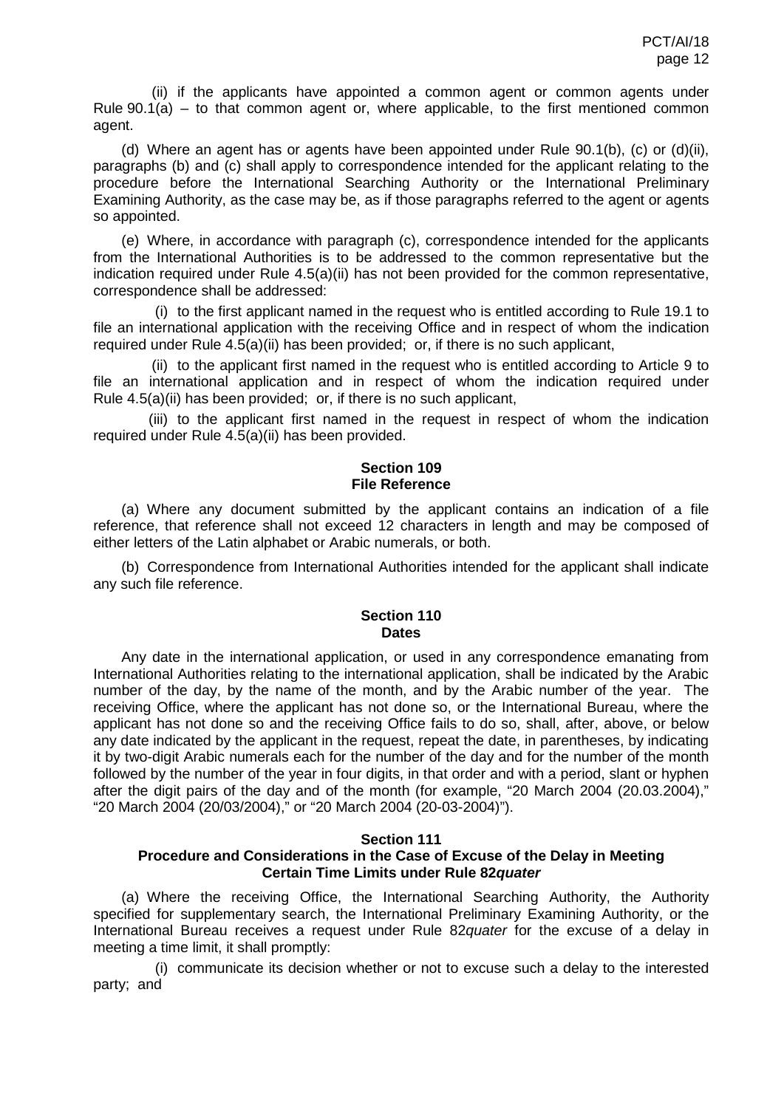(ii) if the applicants have appointed a common agent or common agents under Rule  $90.1(a)$  – to that common agent or, where applicable, to the first mentioned common agent.

(d) Where an agent has or agents have been appointed under Rule 90.1(b), (c) or (d)(ii), paragraphs (b) and (c) shall apply to correspondence intended for the applicant relating to the procedure before the International Searching Authority or the International Preliminary Examining Authority, as the case may be, as if those paragraphs referred to the agent or agents so appointed.

(e) Where, in accordance with paragraph (c), correspondence intended for the applicants from the International Authorities is to be addressed to the common representative but the indication required under Rule 4.5(a)(ii) has not been provided for the common representative, correspondence shall be addressed:

(i) to the first applicant named in the request who is entitled according to Rule 19.1 to file an international application with the receiving Office and in respect of whom the indication required under Rule 4.5(a)(ii) has been provided; or, if there is no such applicant,

(ii) to the applicant first named in the request who is entitled according to Article 9 to file an international application and in respect of whom the indication required under Rule 4.5(a)(ii) has been provided; or, if there is no such applicant,

(iii) to the applicant first named in the request in respect of whom the indication required under Rule 4.5(a)(ii) has been provided.

## **Section 109 File Reference**

(a) Where any document submitted by the applicant contains an indication of a file reference, that reference shall not exceed 12 characters in length and may be composed of either letters of the Latin alphabet or Arabic numerals, or both.

(b) Correspondence from International Authorities intended for the applicant shall indicate any such file reference.

#### **Section 110 Dates**

Any date in the international application, or used in any correspondence emanating from International Authorities relating to the international application, shall be indicated by the Arabic number of the day, by the name of the month, and by the Arabic number of the year. The receiving Office, where the applicant has not done so, or the International Bureau, where the applicant has not done so and the receiving Office fails to do so, shall, after, above, or below any date indicated by the applicant in the request, repeat the date, in parentheses, by indicating it by two-digit Arabic numerals each for the number of the day and for the number of the month followed by the number of the year in four digits, in that order and with a period, slant or hyphen after the digit pairs of the day and of the month (for example, "20 March 2004 (20.03.2004)," "20 March 2004 (20/03/2004)," or "20 March 2004 (20-03-2004)").

## **Section 111**

## **Procedure and Considerations in the Case of Excuse of the Delay in Meeting Certain Time Limits under Rule 82***quater*

(a) Where the receiving Office, the International Searching Authority, the Authority specified for supplementary search, the International Preliminary Examining Authority, or the International Bureau receives a request under Rule 82*quater* for the excuse of a delay in meeting a time limit, it shall promptly:

(i) communicate its decision whether or not to excuse such a delay to the interested party; and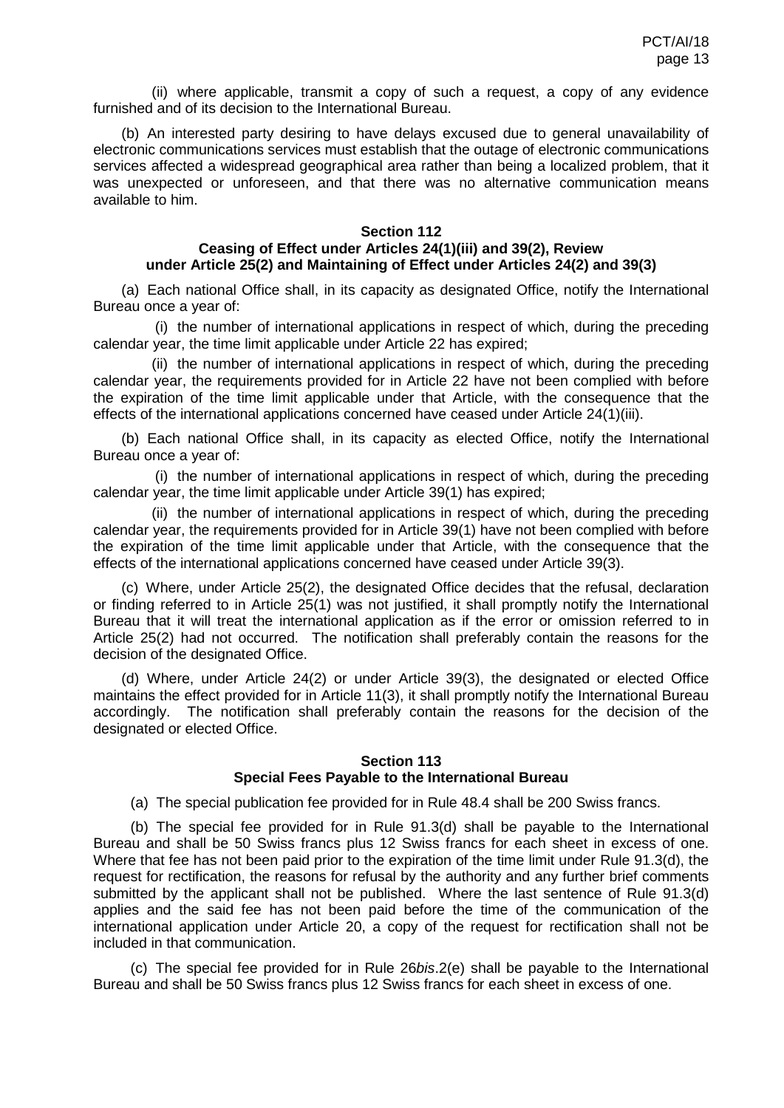(ii) where applicable, transmit a copy of such a request, a copy of any evidence furnished and of its decision to the International Bureau.

(b) An interested party desiring to have delays excused due to general unavailability of electronic communications services must establish that the outage of electronic communications services affected a widespread geographical area rather than being a localized problem, that it was unexpected or unforeseen, and that there was no alternative communication means available to him.

#### **Section 112**

## **Ceasing of Effect under Articles 24(1)(iii) and 39(2), Review under Article 25(2) and Maintaining of Effect under Articles 24(2) and 39(3)**

(a) Each national Office shall, in its capacity as designated Office, notify the International Bureau once a year of:

(i) the number of international applications in respect of which, during the preceding calendar year, the time limit applicable under Article 22 has expired;

(ii) the number of international applications in respect of which, during the preceding calendar year, the requirements provided for in Article 22 have not been complied with before the expiration of the time limit applicable under that Article, with the consequence that the effects of the international applications concerned have ceased under Article 24(1)(iii).

(b) Each national Office shall, in its capacity as elected Office, notify the International Bureau once a year of:

(i) the number of international applications in respect of which, during the preceding calendar year, the time limit applicable under Article 39(1) has expired;

(ii) the number of international applications in respect of which, during the preceding calendar year, the requirements provided for in Article 39(1) have not been complied with before the expiration of the time limit applicable under that Article, with the consequence that the effects of the international applications concerned have ceased under Article 39(3).

(c) Where, under Article 25(2), the designated Office decides that the refusal, declaration or finding referred to in Article 25(1) was not justified, it shall promptly notify the International Bureau that it will treat the international application as if the error or omission referred to in Article 25(2) had not occurred. The notification shall preferably contain the reasons for the decision of the designated Office.

(d) Where, under Article 24(2) or under Article 39(3), the designated or elected Office maintains the effect provided for in Article 11(3), it shall promptly notify the International Bureau accordingly. The notification shall preferably contain the reasons for the decision of the designated or elected Office.

#### **Section 113 Special Fees Payable to the International Bureau**

(a) The special publication fee provided for in Rule 48.4 shall be 200 Swiss francs.

(b) The special fee provided for in Rule 91.3(d) shall be payable to the International Bureau and shall be 50 Swiss francs plus 12 Swiss francs for each sheet in excess of one. Where that fee has not been paid prior to the expiration of the time limit under Rule 91.3(d), the request for rectification, the reasons for refusal by the authority and any further brief comments submitted by the applicant shall not be published. Where the last sentence of Rule 91.3(d) applies and the said fee has not been paid before the time of the communication of the international application under Article 20, a copy of the request for rectification shall not be included in that communication.

(c) The special fee provided for in Rule 26*bis*.2(e) shall be payable to the International Bureau and shall be 50 Swiss francs plus 12 Swiss francs for each sheet in excess of one.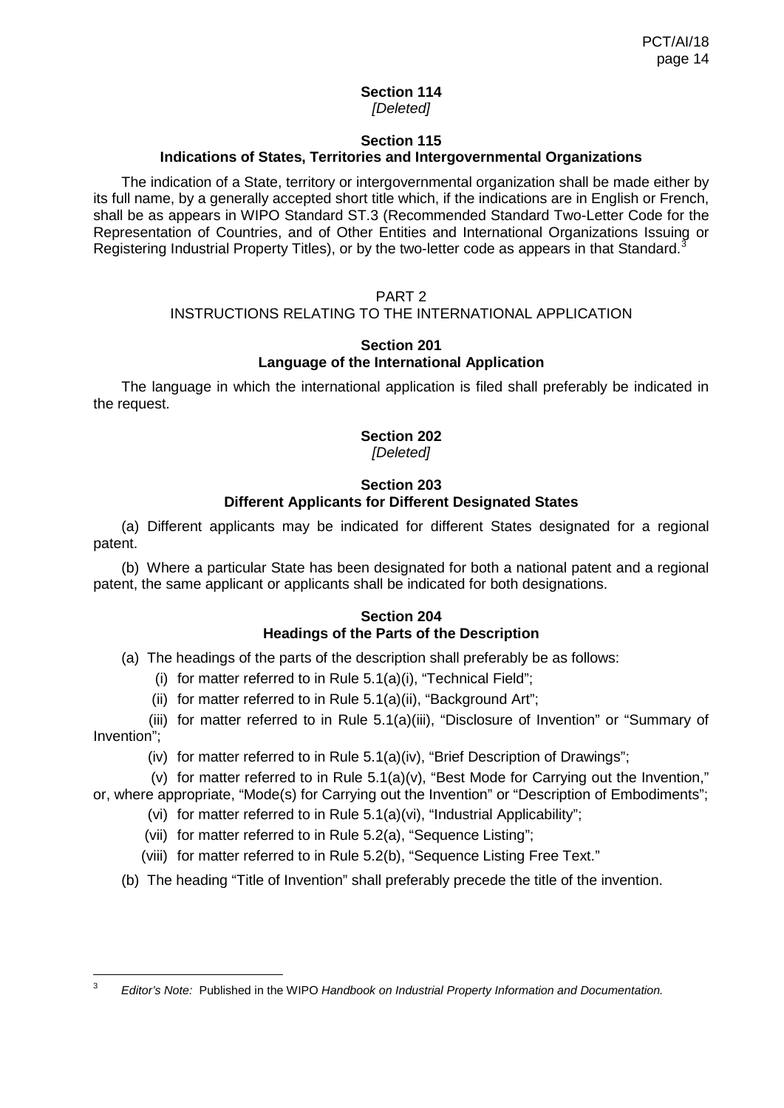#### **Section 114** *[Deleted]*

## **Section 115 Indications of States, Territories and Intergovernmental Organizations**

The indication of a State, territory or intergovernmental organization shall be made either by its full name, by a generally accepted short title which, if the indications are in English or French, shall be as appears in WIPO Standard ST.3 (Recommended Standard Two-Letter Code for the Representation of Countries, and of Other Entities and International Organizations Issuing or Registering Industrial Property Titles), or by the two-letter code as appears in that Standard.<sup>[3](#page-6-1)</sup>

## PART 2

# INSTRUCTIONS RELATING TO THE INTERNATIONAL APPLICATION

## **Section 201 Language of the International Application**

The language in which the international application is filed shall preferably be indicated in the request.

# **Section 202**

*[Deleted]*

## **Section 203 Different Applicants for Different Designated States**

(a) Different applicants may be indicated for different States designated for a regional patent.

(b) Where a particular State has been designated for both a national patent and a regional patent, the same applicant or applicants shall be indicated for both designations.

# **Section 204 Headings of the Parts of the Description**

(a) The headings of the parts of the description shall preferably be as follows:

- (i) for matter referred to in Rule 5.1(a)(i), "Technical Field";
- (ii) for matter referred to in Rule 5.1(a)(ii), "Background Art";

(iii) for matter referred to in Rule 5.1(a)(iii), "Disclosure of Invention" or "Summary of Invention";

(iv) for matter referred to in Rule 5.1(a)(iv), "Brief Description of Drawings";

(v) for matter referred to in Rule 5.1(a)(v), "Best Mode for Carrying out the Invention,"

or, where appropriate, "Mode(s) for Carrying out the Invention" or "Description of Embodiments";

- (vi) for matter referred to in Rule 5.1(a)(vi), "Industrial Applicability";
- (vii) for matter referred to in Rule 5.2(a), "Sequence Listing";
- (viii) for matter referred to in Rule 5.2(b), "Sequence Listing Free Text."
- (b) The heading "Title of Invention" shall preferably precede the title of the invention.

 <sup>3</sup> *Editor's Note:* Published in the WIPO *Handbook on Industrial Property Information and Documentation.*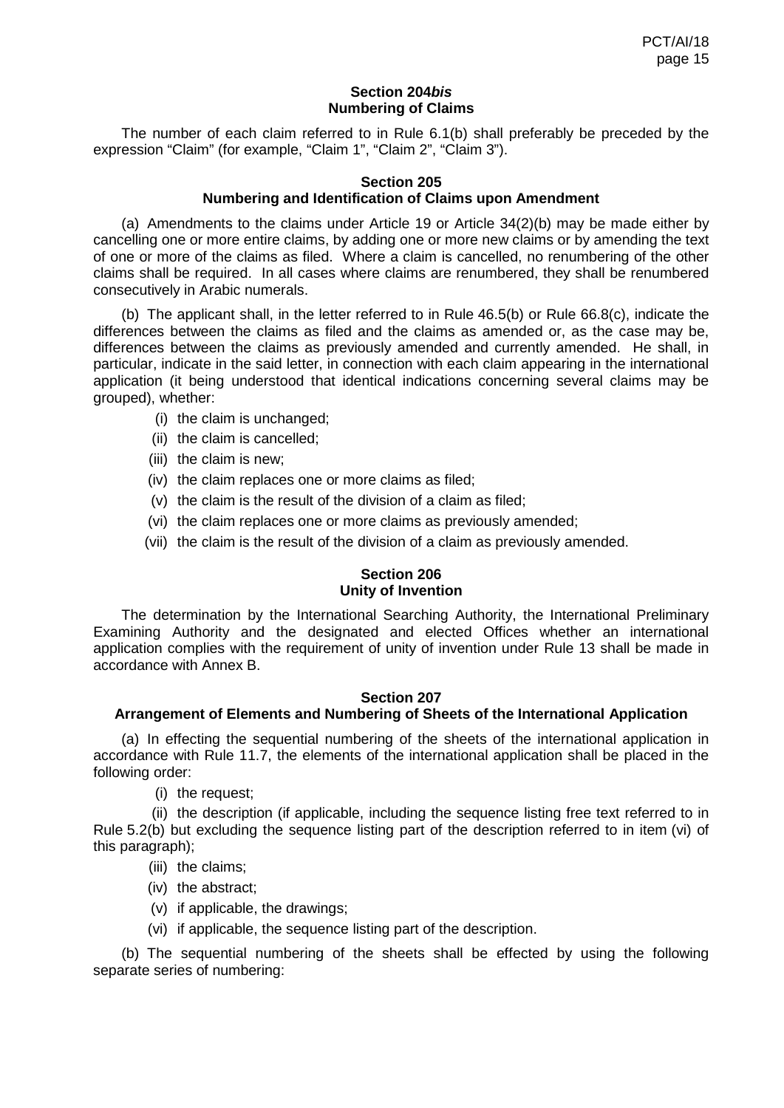## **Section 204***bis* **Numbering of Claims**

The number of each claim referred to in Rule 6.1(b) shall preferably be preceded by the expression "Claim" (for example, "Claim 1", "Claim 2", "Claim 3").

## **Section 205 Numbering and Identification of Claims upon Amendment**

(a) Amendments to the claims under Article 19 or Article 34(2)(b) may be made either by cancelling one or more entire claims, by adding one or more new claims or by amending the text of one or more of the claims as filed. Where a claim is cancelled, no renumbering of the other claims shall be required. In all cases where claims are renumbered, they shall be renumbered consecutively in Arabic numerals.

(b) The applicant shall, in the letter referred to in Rule 46.5(b) or Rule 66.8(c), indicate the differences between the claims as filed and the claims as amended or, as the case may be, differences between the claims as previously amended and currently amended. He shall, in particular, indicate in the said letter, in connection with each claim appearing in the international application (it being understood that identical indications concerning several claims may be grouped), whether:

- (i) the claim is unchanged;
- (ii) the claim is cancelled;
- (iii) the claim is new;
- (iv) the claim replaces one or more claims as filed;
- (v) the claim is the result of the division of a claim as filed;
- (vi) the claim replaces one or more claims as previously amended;
- (vii) the claim is the result of the division of a claim as previously amended.

## **Section 206 Unity of Invention**

The determination by the International Searching Authority, the International Preliminary Examining Authority and the designated and elected Offices whether an international application complies with the requirement of unity of invention under Rule 13 shall be made in accordance with Annex B.

#### **Section 207**

## **Arrangement of Elements and Numbering of Sheets of the International Application**

(a) In effecting the sequential numbering of the sheets of the international application in accordance with Rule 11.7, the elements of the international application shall be placed in the following order:

(i) the request;

(ii) the description (if applicable, including the sequence listing free text referred to in Rule 5.2(b) but excluding the sequence listing part of the description referred to in item (vi) of this paragraph);

- (iii) the claims;
- (iv) the abstract;
- (v) if applicable, the drawings;
- (vi) if applicable, the sequence listing part of the description.

(b) The sequential numbering of the sheets shall be effected by using the following separate series of numbering: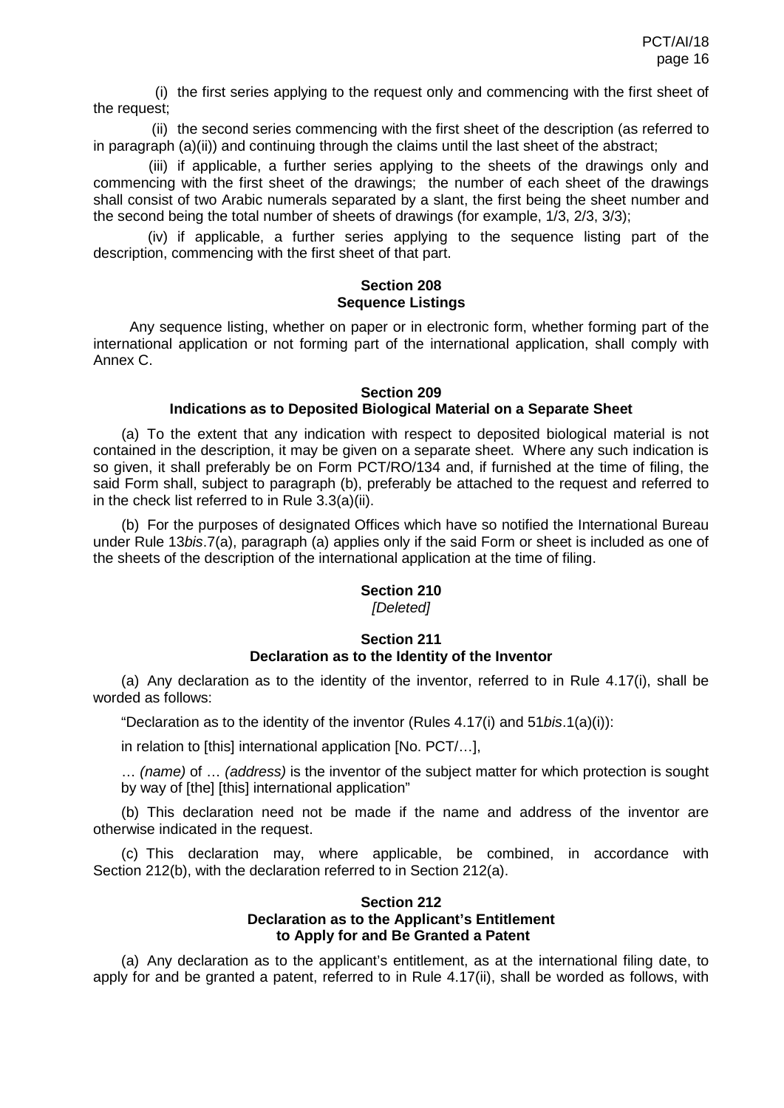(i) the first series applying to the request only and commencing with the first sheet of the request;

(ii) the second series commencing with the first sheet of the description (as referred to in paragraph  $(a)(ii)$  and continuing through the claims until the last sheet of the abstract;

(iii) if applicable, a further series applying to the sheets of the drawings only and commencing with the first sheet of the drawings; the number of each sheet of the drawings shall consist of two Arabic numerals separated by a slant, the first being the sheet number and the second being the total number of sheets of drawings (for example, 1/3, 2/3, 3/3);

(iv) if applicable, a further series applying to the sequence listing part of the description, commencing with the first sheet of that part.

### **Section 208 Sequence Listings**

 Any sequence listing, whether on paper or in electronic form, whether forming part of the international application or not forming part of the international application, shall comply with Annex C.

## **Section 209 Indications as to Deposited Biological Material on a Separate Sheet**

(a) To the extent that any indication with respect to deposited biological material is not contained in the description, it may be given on a separate sheet. Where any such indication is so given, it shall preferably be on Form PCT/RO/134 and, if furnished at the time of filing, the said Form shall, subject to paragraph (b), preferably be attached to the request and referred to in the check list referred to in Rule 3.3(a)(ii).

(b) For the purposes of designated Offices which have so notified the International Bureau under Rule 13*bis*.7(a), paragraph (a) applies only if the said Form or sheet is included as one of the sheets of the description of the international application at the time of filing.

## **Section 210**

*[Deleted]*

#### **Section 211 Declaration as to the Identity of the Inventor**

(a) Any declaration as to the identity of the inventor, referred to in Rule 4.17(i), shall be worded as follows:

"Declaration as to the identity of the inventor (Rules 4.17(i) and 51*bis*.1(a)(i)):

in relation to [this] international application [No. PCT/…],

… *(name)* of … *(address)* is the inventor of the subject matter for which protection is sought by way of [the] [this] international application"

(b) This declaration need not be made if the name and address of the inventor are otherwise indicated in the request.

(c) This declaration may, where applicable, be combined, in accordance with Section 212(b), with the declaration referred to in Section 212(a).

## **Section 212 Declaration as to the Applicant's Entitlement to Apply for and Be Granted a Patent**

(a) Any declaration as to the applicant's entitlement, as at the international filing date, to apply for and be granted a patent, referred to in Rule 4.17(ii), shall be worded as follows, with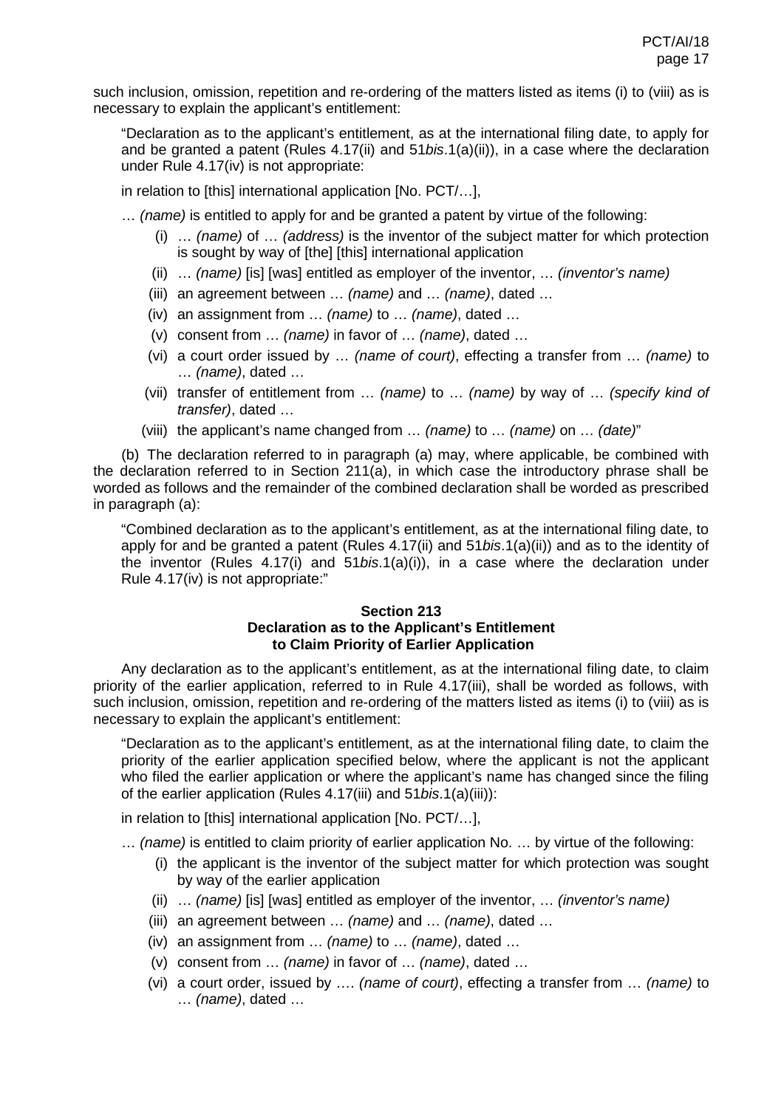such inclusion, omission, repetition and re-ordering of the matters listed as items (i) to (viii) as is necessary to explain the applicant's entitlement:

"Declaration as to the applicant's entitlement, as at the international filing date, to apply for and be granted a patent (Rules 4.17(ii) and 51*bis*.1(a)(ii)), in a case where the declaration under Rule 4.17(iv) is not appropriate:

in relation to [this] international application [No. PCT/…],

- … *(name)* is entitled to apply for and be granted a patent by virtue of the following:
	- (i) … *(name)* of … *(address)* is the inventor of the subject matter for which protection is sought by way of [the] [this] international application
	- (ii) … *(name)* [is] [was] entitled as employer of the inventor, … *(inventor's name)*
	- (iii) an agreement between … *(name)* and … *(name)*, dated …
	- (iv) an assignment from … *(name)* to … *(name)*, dated …
	- (v) consent from … *(name)* in favor of … *(name)*, dated …
	- (vi) a court order issued by … *(name of court)*, effecting a transfer from … *(name)* to … *(name)*, dated …
	- (vii) transfer of entitlement from … *(name)* to … *(name)* by way of … *(specify kind of transfer)*, dated …
	- (viii) the applicant's name changed from … *(name)* to … *(name)* on … *(date)*"

(b) The declaration referred to in paragraph (a) may, where applicable, be combined with the declaration referred to in Section 211(a), in which case the introductory phrase shall be worded as follows and the remainder of the combined declaration shall be worded as prescribed in paragraph (a):

"Combined declaration as to the applicant's entitlement, as at the international filing date, to apply for and be granted a patent (Rules 4.17(ii) and 51*bis*.1(a)(ii)) and as to the identity of the inventor (Rules 4.17(i) and 51*bis*.1(a)(i)), in a case where the declaration under Rule 4.17(iv) is not appropriate:"

#### **Section 213 Declaration as to the Applicant's Entitlement to Claim Priority of Earlier Application**

Any declaration as to the applicant's entitlement, as at the international filing date, to claim priority of the earlier application, referred to in Rule 4.17(iii), shall be worded as follows, with such inclusion, omission, repetition and re-ordering of the matters listed as items (i) to (viii) as is necessary to explain the applicant's entitlement:

"Declaration as to the applicant's entitlement, as at the international filing date, to claim the priority of the earlier application specified below, where the applicant is not the applicant who filed the earlier application or where the applicant's name has changed since the filing of the earlier application (Rules 4.17(iii) and 51*bis*.1(a)(iii)):

in relation to [this] international application [No. PCT/…],

- … *(name)* is entitled to claim priority of earlier application No. … by virtue of the following:
	- (i) the applicant is the inventor of the subject matter for which protection was sought by way of the earlier application
	- (ii) … *(name)* [is] [was] entitled as employer of the inventor, … *(inventor's name)*
	- (iii) an agreement between … *(name)* and … *(name)*, dated …
	- (iv) an assignment from … *(name)* to … *(name)*, dated …
	- (v) consent from … *(name)* in favor of … *(name)*, dated …
	- (vi) a court order, issued by …. *(name of court)*, effecting a transfer from … *(name)* to … *(name)*, dated …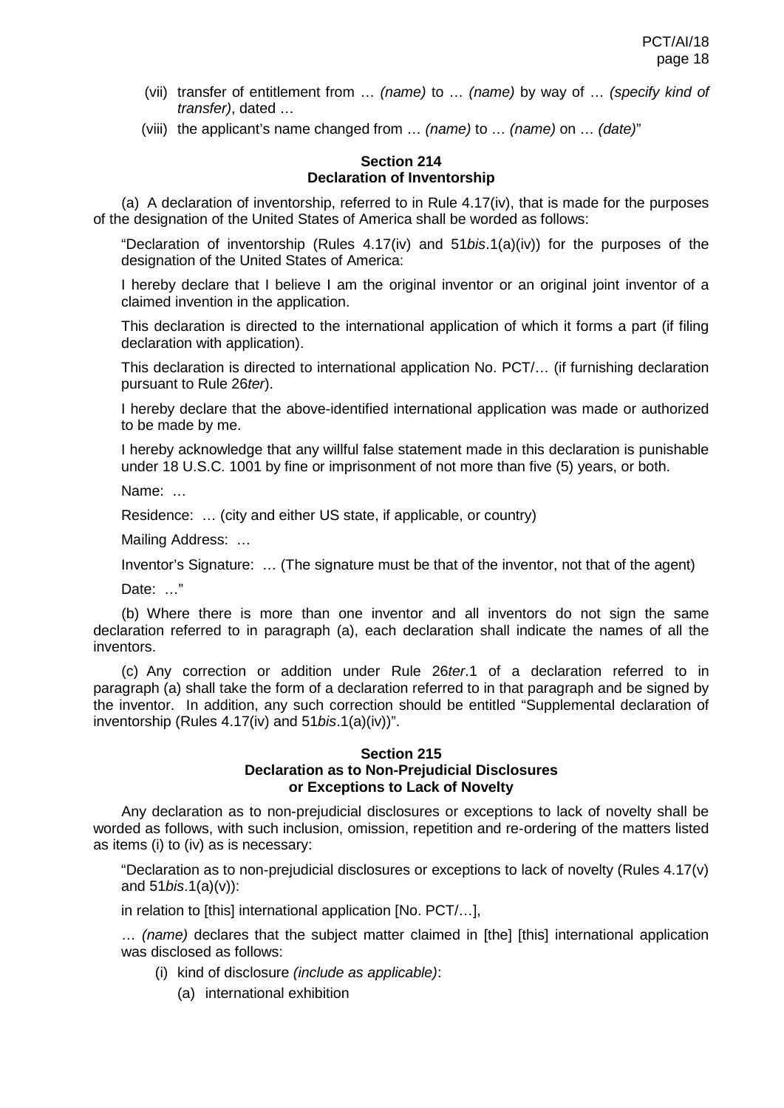- (vii) transfer of entitlement from … *(name)* to … *(name)* by way of … *(specify kind of transfer)*, dated …
- (viii) the applicant's name changed from … *(name)* to … *(name)* on … *(date)*"

## **Section 214 Declaration of Inventorship**

(a) A declaration of inventorship, referred to in Rule  $4.17(iv)$ , that is made for the purposes of the designation of the United States of America shall be worded as follows:

"Declaration of inventorship (Rules 4.17(iv) and 51*bis*.1(a)(iv)) for the purposes of the designation of the United States of America:

I hereby declare that I believe I am the original inventor or an original joint inventor of a claimed invention in the application.

This declaration is directed to the international application of which it forms a part (if filing declaration with application).

This declaration is directed to international application No. PCT/… (if furnishing declaration pursuant to Rule 26*ter*).

I hereby declare that the above-identified international application was made or authorized to be made by me.

I hereby acknowledge that any willful false statement made in this declaration is punishable under 18 U.S.C. 1001 by fine or imprisonment of not more than five (5) years, or both.

Name: …

Residence: … (city and either US state, if applicable, or country)

Mailing Address: …

Inventor's Signature: … (The signature must be that of the inventor, not that of the agent)

Date: …"

(b) Where there is more than one inventor and all inventors do not sign the same declaration referred to in paragraph (a), each declaration shall indicate the names of all the inventors.

(c) Any correction or addition under Rule 26*ter*.1 of a declaration referred to in paragraph (a) shall take the form of a declaration referred to in that paragraph and be signed by the inventor. In addition, any such correction should be entitled "Supplemental declaration of inventorship (Rules 4.17(iv) and 51*bis*.1(a)(iv))".

#### **Section 215 Declaration as to Non-Prejudicial Disclosures or Exceptions to Lack of Novelty**

Any declaration as to non-prejudicial disclosures or exceptions to lack of novelty shall be worded as follows, with such inclusion, omission, repetition and re-ordering of the matters listed as items (i) to (iv) as is necessary:

"Declaration as to non-prejudicial disclosures or exceptions to lack of novelty (Rules 4.17(v) and 51*bis*.1(a)(v)):

in relation to [this] international application [No. PCT/…],

… *(name)* declares that the subject matter claimed in [the] [this] international application was disclosed as follows:

- (i) kind of disclosure *(include as applicable)*:
	- (a) international exhibition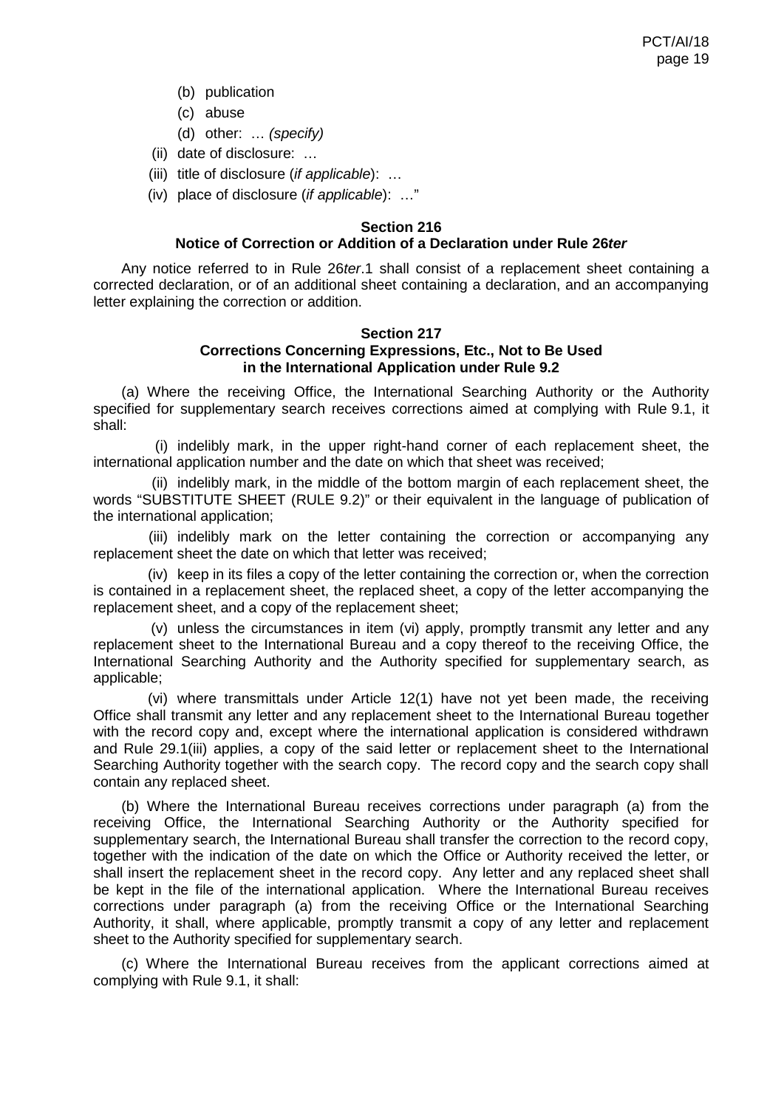- (b) publication
- (c) abuse
- (d) other: … *(specify)*
- (ii) date of disclosure: …
- (iii) title of disclosure (*if applicable*): …
- (iv) place of disclosure (*if applicable*): …"

#### **Section 216**

## **Notice of Correction or Addition of a Declaration under Rule 26***ter*

Any notice referred to in Rule 26*ter*.1 shall consist of a replacement sheet containing a corrected declaration, or of an additional sheet containing a declaration, and an accompanying letter explaining the correction or addition.

#### **Section 217 Corrections Concerning Expressions, Etc., Not to Be Used in the International Application under Rule 9.2**

(a) Where the receiving Office, the International Searching Authority or the Authority specified for supplementary search receives corrections aimed at complying with Rule 9.1, it shall:

(i) indelibly mark, in the upper right-hand corner of each replacement sheet, the international application number and the date on which that sheet was received;

(ii) indelibly mark, in the middle of the bottom margin of each replacement sheet, the words "SUBSTITUTE SHEET (RULE 9.2)" or their equivalent in the language of publication of the international application;

(iii) indelibly mark on the letter containing the correction or accompanying any replacement sheet the date on which that letter was received;

(iv) keep in its files a copy of the letter containing the correction or, when the correction is contained in a replacement sheet, the replaced sheet, a copy of the letter accompanying the replacement sheet, and a copy of the replacement sheet;

(v) unless the circumstances in item (vi) apply, promptly transmit any letter and any replacement sheet to the International Bureau and a copy thereof to the receiving Office, the International Searching Authority and the Authority specified for supplementary search, as applicable;

(vi) where transmittals under Article 12(1) have not yet been made, the receiving Office shall transmit any letter and any replacement sheet to the International Bureau together with the record copy and, except where the international application is considered withdrawn and Rule 29.1(iii) applies, a copy of the said letter or replacement sheet to the International Searching Authority together with the search copy. The record copy and the search copy shall contain any replaced sheet.

(b) Where the International Bureau receives corrections under paragraph (a) from the receiving Office, the International Searching Authority or the Authority specified for supplementary search, the International Bureau shall transfer the correction to the record copy, together with the indication of the date on which the Office or Authority received the letter, or shall insert the replacement sheet in the record copy. Any letter and any replaced sheet shall be kept in the file of the international application. Where the International Bureau receives corrections under paragraph (a) from the receiving Office or the International Searching Authority, it shall, where applicable, promptly transmit a copy of any letter and replacement sheet to the Authority specified for supplementary search.

(c) Where the International Bureau receives from the applicant corrections aimed at complying with Rule 9.1, it shall: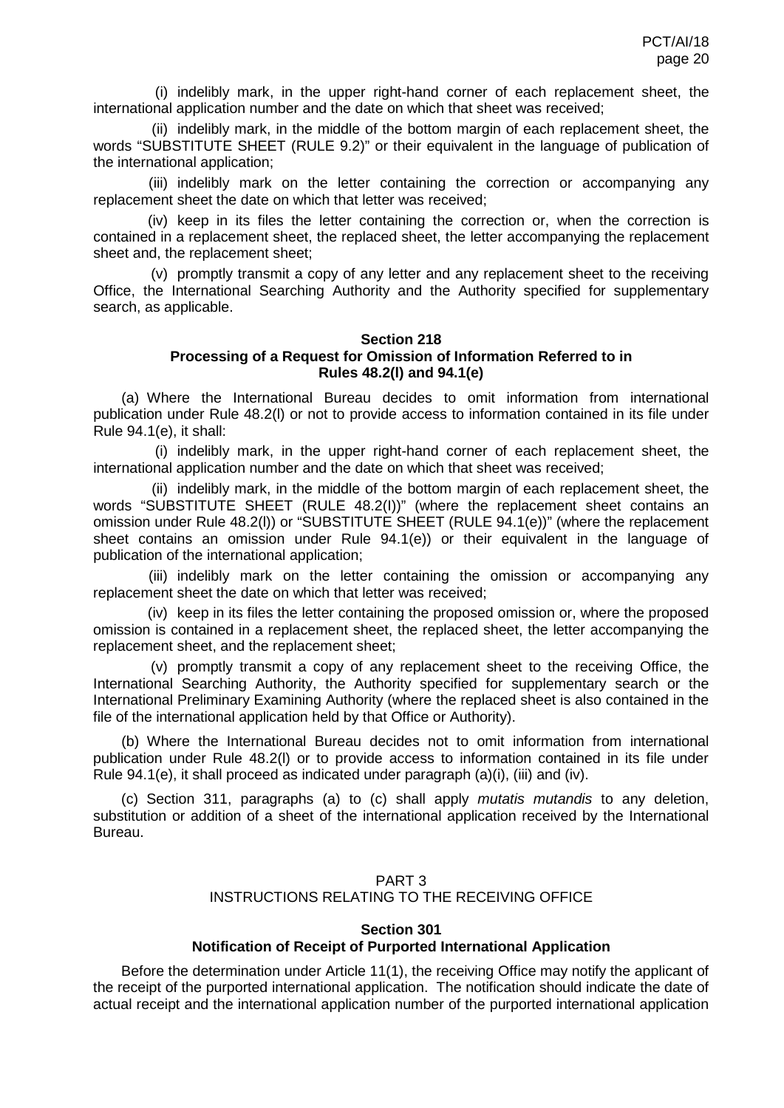(i) indelibly mark, in the upper right-hand corner of each replacement sheet, the international application number and the date on which that sheet was received;

(ii) indelibly mark, in the middle of the bottom margin of each replacement sheet, the words "SUBSTITUTE SHEET (RULE 9.2)" or their equivalent in the language of publication of the international application;

(iii) indelibly mark on the letter containing the correction or accompanying any replacement sheet the date on which that letter was received;

(iv) keep in its files the letter containing the correction or, when the correction is contained in a replacement sheet, the replaced sheet, the letter accompanying the replacement sheet and, the replacement sheet;

(v) promptly transmit a copy of any letter and any replacement sheet to the receiving Office, the International Searching Authority and the Authority specified for supplementary search, as applicable.

## **Section 218 Processing of a Request for Omission of Information Referred to in Rules 48.2(l) and 94.1(e)**

(a) Where the International Bureau decides to omit information from international publication under Rule 48.2(l) or not to provide access to information contained in its file under Rule 94.1(e), it shall:

(i) indelibly mark, in the upper right-hand corner of each replacement sheet, the international application number and the date on which that sheet was received;

(ii) indelibly mark, in the middle of the bottom margin of each replacement sheet, the words "SUBSTITUTE SHEET (RULE 48.2(I))" (where the replacement sheet contains an omission under Rule 48.2(l)) or "SUBSTITUTE SHEET (RULE 94.1(e))" (where the replacement sheet contains an omission under Rule 94.1(e)) or their equivalent in the language of publication of the international application;

(iii) indelibly mark on the letter containing the omission or accompanying any replacement sheet the date on which that letter was received;

(iv) keep in its files the letter containing the proposed omission or, where the proposed omission is contained in a replacement sheet, the replaced sheet, the letter accompanying the replacement sheet, and the replacement sheet;

(v) promptly transmit a copy of any replacement sheet to the receiving Office, the International Searching Authority, the Authority specified for supplementary search or the International Preliminary Examining Authority (where the replaced sheet is also contained in the file of the international application held by that Office or Authority).

(b) Where the International Bureau decides not to omit information from international publication under Rule 48.2(l) or to provide access to information contained in its file under Rule 94.1(e), it shall proceed as indicated under paragraph (a)(i), (iii) and (iv).

(c) Section 311, paragraphs (a) to (c) shall apply *mutatis mutandis* to any deletion, substitution or addition of a sheet of the international application received by the International Bureau.

# PART 3 INSTRUCTIONS RELATING TO THE RECEIVING OFFICE

## **Section 301 Notification of Receipt of Purported International Application**

Before the determination under Article 11(1), the receiving Office may notify the applicant of the receipt of the purported international application. The notification should indicate the date of actual receipt and the international application number of the purported international application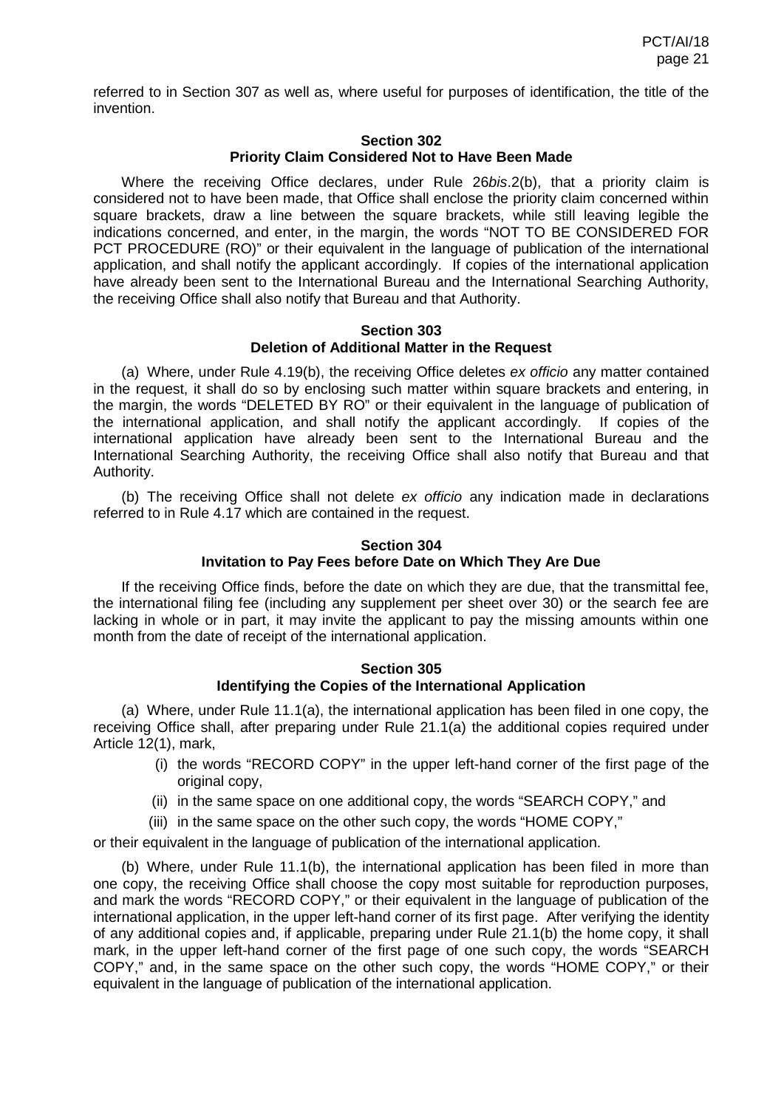referred to in Section 307 as well as, where useful for purposes of identification, the title of the invention.

#### **Section 302 Priority Claim Considered Not to Have Been Made**

Where the receiving Office declares, under Rule 26*bis*.2(b), that a priority claim is considered not to have been made, that Office shall enclose the priority claim concerned within square brackets, draw a line between the square brackets, while still leaving legible the indications concerned, and enter, in the margin, the words "NOT TO BE CONSIDERED FOR PCT PROCEDURE (RO)" or their equivalent in the language of publication of the international application, and shall notify the applicant accordingly. If copies of the international application have already been sent to the International Bureau and the International Searching Authority, the receiving Office shall also notify that Bureau and that Authority.

#### **Section 303 Deletion of Additional Matter in the Request**

(a) Where, under Rule 4.19(b), the receiving Office deletes *ex officio* any matter contained in the request, it shall do so by enclosing such matter within square brackets and entering, in the margin, the words "DELETED BY RO" or their equivalent in the language of publication of the international application, and shall notify the applicant accordingly. If copies of the international application have already been sent to the International Bureau and the International Searching Authority, the receiving Office shall also notify that Bureau and that Authority.

(b) The receiving Office shall not delete *ex officio* any indication made in declarations referred to in Rule 4.17 which are contained in the request.

#### **Section 304 Invitation to Pay Fees before Date on Which They Are Due**

If the receiving Office finds, before the date on which they are due, that the transmittal fee, the international filing fee (including any supplement per sheet over 30) or the search fee are lacking in whole or in part, it may invite the applicant to pay the missing amounts within one month from the date of receipt of the international application.

#### **Section 305 Identifying the Copies of the International Application**

(a) Where, under Rule 11.1(a), the international application has been filed in one copy, the receiving Office shall, after preparing under Rule 21.1(a) the additional copies required under Article 12(1), mark,

- (i) the words "RECORD COPY" in the upper left-hand corner of the first page of the original copy,
- (ii) in the same space on one additional copy, the words "SEARCH COPY," and
- (iii) in the same space on the other such copy, the words "HOME COPY,"

or their equivalent in the language of publication of the international application.

(b) Where, under Rule 11.1(b), the international application has been filed in more than one copy, the receiving Office shall choose the copy most suitable for reproduction purposes, and mark the words "RECORD COPY," or their equivalent in the language of publication of the international application, in the upper left-hand corner of its first page. After verifying the identity of any additional copies and, if applicable, preparing under Rule 21.1(b) the home copy, it shall mark, in the upper left-hand corner of the first page of one such copy, the words "SEARCH COPY," and, in the same space on the other such copy, the words "HOME COPY," or their equivalent in the language of publication of the international application.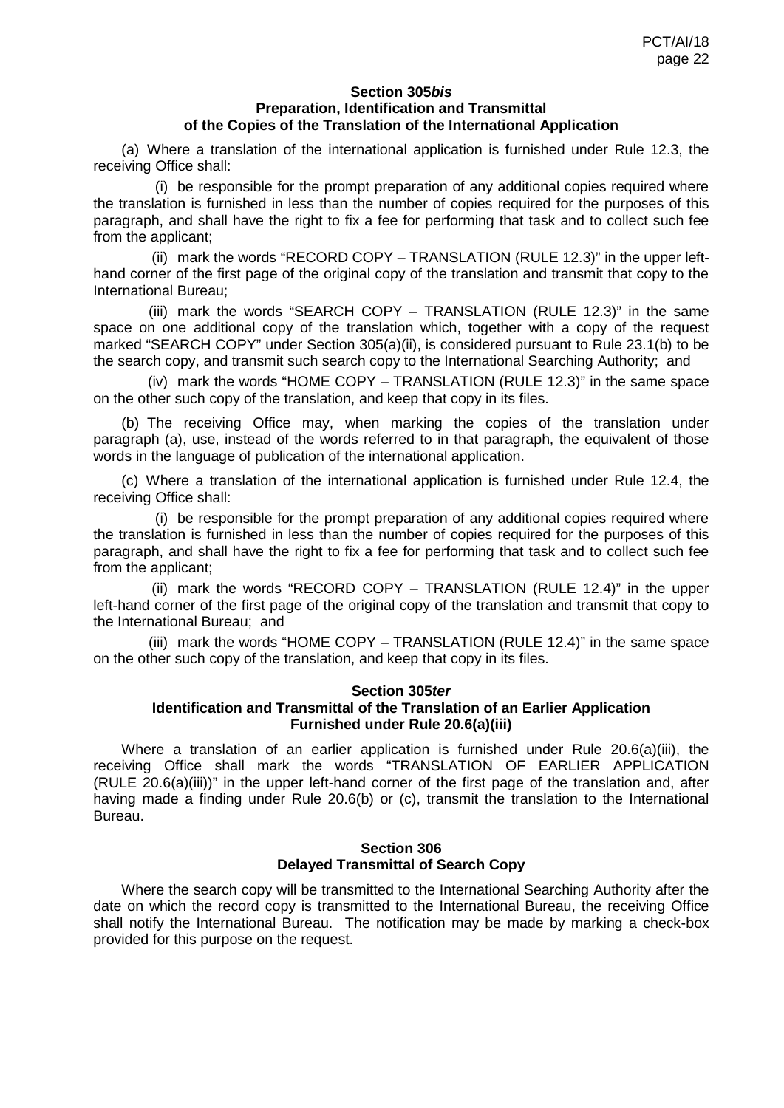#### **Section 305***bis* **Preparation, Identification and Transmittal of the Copies of the Translation of the International Application**

(a) Where a translation of the international application is furnished under Rule 12.3, the receiving Office shall:

(i) be responsible for the prompt preparation of any additional copies required where the translation is furnished in less than the number of copies required for the purposes of this paragraph, and shall have the right to fix a fee for performing that task and to collect such fee from the applicant;

(ii) mark the words "RECORD COPY – TRANSLATION (RULE 12.3)" in the upper lefthand corner of the first page of the original copy of the translation and transmit that copy to the International Bureau;

(iii) mark the words "SEARCH COPY – TRANSLATION (RULE 12.3)" in the same space on one additional copy of the translation which, together with a copy of the request marked "SEARCH COPY" under Section 305(a)(ii), is considered pursuant to Rule 23.1(b) to be the search copy, and transmit such search copy to the International Searching Authority; and

(iv) mark the words "HOME COPY – TRANSLATION (RULE 12.3)" in the same space on the other such copy of the translation, and keep that copy in its files.

(b) The receiving Office may, when marking the copies of the translation under paragraph (a), use, instead of the words referred to in that paragraph, the equivalent of those words in the language of publication of the international application.

(c) Where a translation of the international application is furnished under Rule 12.4, the receiving Office shall:

(i) be responsible for the prompt preparation of any additional copies required where the translation is furnished in less than the number of copies required for the purposes of this paragraph, and shall have the right to fix a fee for performing that task and to collect such fee from the applicant;

(ii) mark the words "RECORD COPY – TRANSLATION (RULE 12.4)" in the upper left-hand corner of the first page of the original copy of the translation and transmit that copy to the International Bureau; and

(iii) mark the words "HOME COPY – TRANSLATION (RULE 12.4)" in the same space on the other such copy of the translation, and keep that copy in its files.

#### **Section 305***ter*

## **Identification and Transmittal of the Translation of an Earlier Application Furnished under Rule 20.6(a)(iii)**

Where a translation of an earlier application is furnished under Rule 20.6(a)(iii), the receiving Office shall mark the words "TRANSLATION OF EARLIER APPLICATION (RULE 20.6(a)(iii))" in the upper left-hand corner of the first page of the translation and, after having made a finding under Rule 20.6(b) or (c), transmit the translation to the International Bureau.

#### **Section 306 Delayed Transmittal of Search Copy**

Where the search copy will be transmitted to the International Searching Authority after the date on which the record copy is transmitted to the International Bureau, the receiving Office shall notify the International Bureau. The notification may be made by marking a check-box provided for this purpose on the request.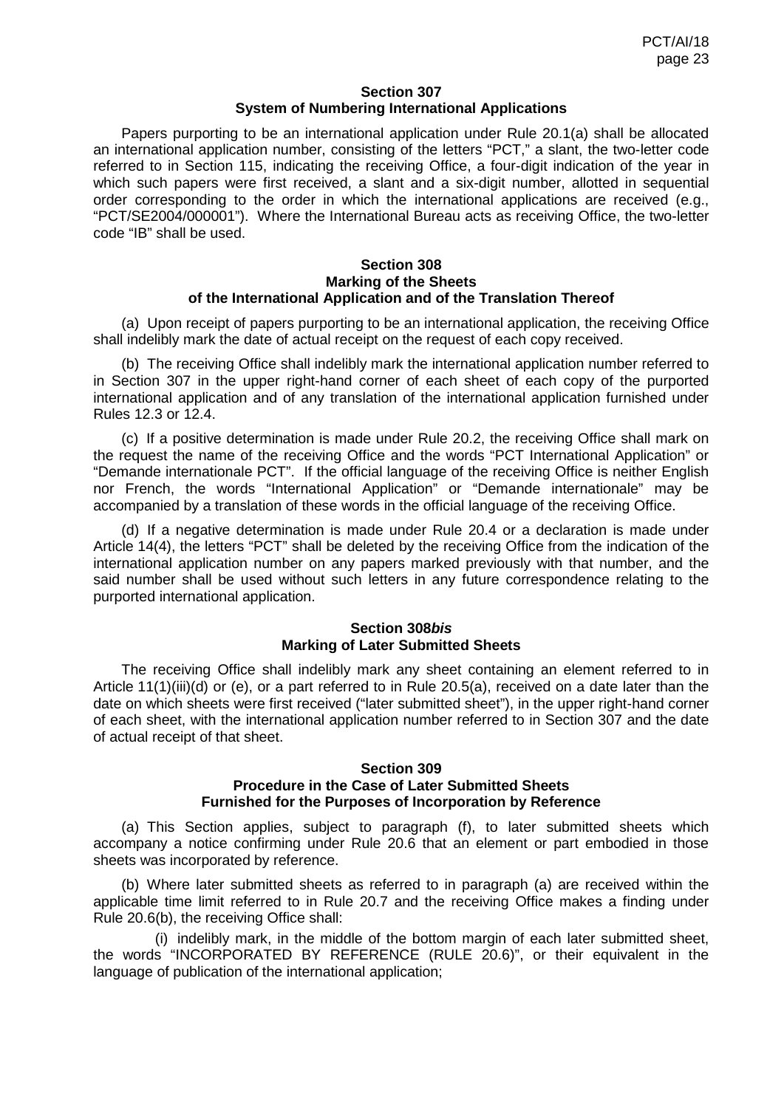### **Section 307 System of Numbering International Applications**

Papers purporting to be an international application under Rule 20.1(a) shall be allocated an international application number, consisting of the letters "PCT," a slant, the two-letter code referred to in Section 115, indicating the receiving Office, a four-digit indication of the year in which such papers were first received, a slant and a six-digit number, allotted in sequential order corresponding to the order in which the international applications are received (e.g., "PCT/SE2004/000001"). Where the International Bureau acts as receiving Office, the two-letter code "IB" shall be used.

#### **Section 308 Marking of the Sheets of the International Application and of the Translation Thereof**

(a) Upon receipt of papers purporting to be an international application, the receiving Office shall indelibly mark the date of actual receipt on the request of each copy received.

(b) The receiving Office shall indelibly mark the international application number referred to in Section 307 in the upper right-hand corner of each sheet of each copy of the purported international application and of any translation of the international application furnished under Rules 12.3 or 12.4.

(c) If a positive determination is made under Rule 20.2, the receiving Office shall mark on the request the name of the receiving Office and the words "PCT International Application" or "Demande internationale PCT". If the official language of the receiving Office is neither English nor French, the words "International Application" or "Demande internationale" may be accompanied by a translation of these words in the official language of the receiving Office.

(d) If a negative determination is made under Rule 20.4 or a declaration is made under Article 14(4), the letters "PCT" shall be deleted by the receiving Office from the indication of the international application number on any papers marked previously with that number, and the said number shall be used without such letters in any future correspondence relating to the purported international application.

## **Section 308***bis* **Marking of Later Submitted Sheets**

The receiving Office shall indelibly mark any sheet containing an element referred to in Article 11(1)(iii)(d) or (e), or a part referred to in Rule 20.5(a), received on a date later than the date on which sheets were first received ("later submitted sheet"), in the upper right-hand corner of each sheet, with the international application number referred to in Section 307 and the date of actual receipt of that sheet.

#### **Section 309 Procedure in the Case of Later Submitted Sheets Furnished for the Purposes of Incorporation by Reference**

(a) This Section applies, subject to paragraph (f), to later submitted sheets which accompany a notice confirming under Rule 20.6 that an element or part embodied in those sheets was incorporated by reference.

(b) Where later submitted sheets as referred to in paragraph (a) are received within the applicable time limit referred to in Rule 20.7 and the receiving Office makes a finding under Rule 20.6(b), the receiving Office shall:

(i) indelibly mark, in the middle of the bottom margin of each later submitted sheet, the words "INCORPORATED BY REFERENCE (RULE 20.6)", or their equivalent in the language of publication of the international application;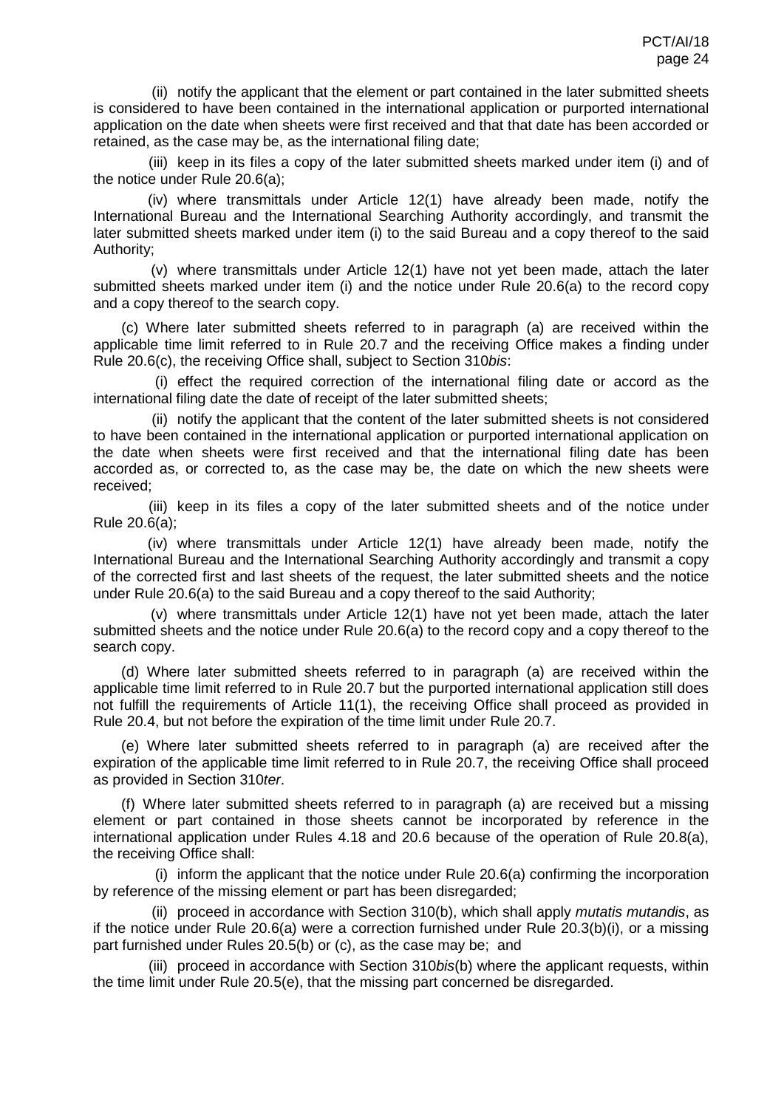(ii) notify the applicant that the element or part contained in the later submitted sheets is considered to have been contained in the international application or purported international application on the date when sheets were first received and that that date has been accorded or retained, as the case may be, as the international filing date;

(iii) keep in its files a copy of the later submitted sheets marked under item (i) and of the notice under Rule 20.6(a);

(iv) where transmittals under Article 12(1) have already been made, notify the International Bureau and the International Searching Authority accordingly, and transmit the later submitted sheets marked under item (i) to the said Bureau and a copy thereof to the said Authority;

(v) where transmittals under Article 12(1) have not yet been made, attach the later submitted sheets marked under item (i) and the notice under Rule 20.6(a) to the record copy and a copy thereof to the search copy.

(c) Where later submitted sheets referred to in paragraph (a) are received within the applicable time limit referred to in Rule 20.7 and the receiving Office makes a finding under Rule 20.6(c), the receiving Office shall, subject to Section 310*bis*:

(i) effect the required correction of the international filing date or accord as the international filing date the date of receipt of the later submitted sheets;

(ii) notify the applicant that the content of the later submitted sheets is not considered to have been contained in the international application or purported international application on the date when sheets were first received and that the international filing date has been accorded as, or corrected to, as the case may be, the date on which the new sheets were received;

(iii) keep in its files a copy of the later submitted sheets and of the notice under Rule 20.6(a);

(iv) where transmittals under Article 12(1) have already been made, notify the International Bureau and the International Searching Authority accordingly and transmit a copy of the corrected first and last sheets of the request, the later submitted sheets and the notice under Rule 20.6(a) to the said Bureau and a copy thereof to the said Authority;

(v) where transmittals under Article 12(1) have not yet been made, attach the later submitted sheets and the notice under Rule 20.6(a) to the record copy and a copy thereof to the search copy.

(d) Where later submitted sheets referred to in paragraph (a) are received within the applicable time limit referred to in Rule 20.7 but the purported international application still does not fulfill the requirements of Article 11(1), the receiving Office shall proceed as provided in Rule 20.4, but not before the expiration of the time limit under Rule 20.7.

(e) Where later submitted sheets referred to in paragraph (a) are received after the expiration of the applicable time limit referred to in Rule 20.7, the receiving Office shall proceed as provided in Section 310*ter*.

(f) Where later submitted sheets referred to in paragraph (a) are received but a missing element or part contained in those sheets cannot be incorporated by reference in the international application under Rules 4.18 and 20.6 because of the operation of Rule 20.8(a), the receiving Office shall:

(i) inform the applicant that the notice under Rule 20.6(a) confirming the incorporation by reference of the missing element or part has been disregarded;

(ii) proceed in accordance with Section 310(b), which shall apply *mutatis mutandis*, as if the notice under Rule 20.6(a) were a correction furnished under Rule 20.3(b)(i), or a missing part furnished under Rules 20.5(b) or (c), as the case may be; and

(iii) proceed in accordance with Section 310*bis*(b) where the applicant requests, within the time limit under Rule 20.5(e), that the missing part concerned be disregarded.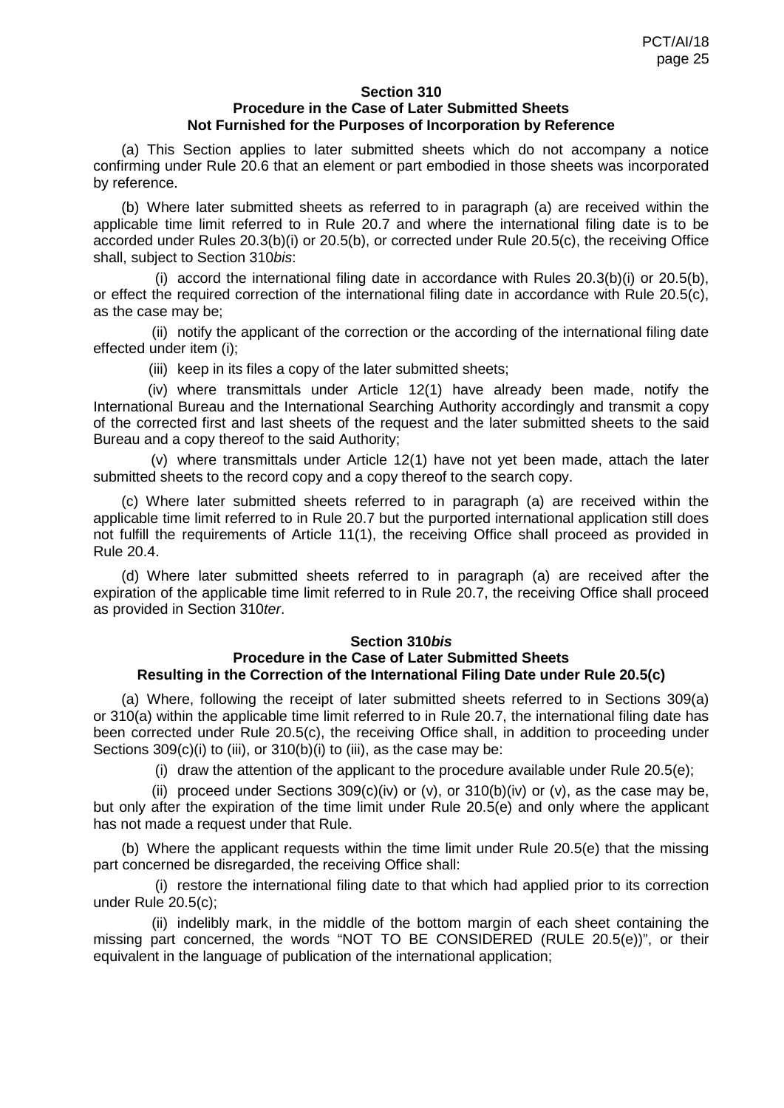#### **Section 310 Procedure in the Case of Later Submitted Sheets Not Furnished for the Purposes of Incorporation by Reference**

(a) This Section applies to later submitted sheets which do not accompany a notice confirming under Rule 20.6 that an element or part embodied in those sheets was incorporated by reference.

(b) Where later submitted sheets as referred to in paragraph (a) are received within the applicable time limit referred to in Rule 20.7 and where the international filing date is to be accorded under Rules 20.3(b)(i) or 20.5(b), or corrected under Rule 20.5(c), the receiving Office shall, subject to Section 310*bis*:

(i) accord the international filing date in accordance with Rules 20.3(b)(i) or 20.5(b), or effect the required correction of the international filing date in accordance with Rule 20.5(c), as the case may be;

(ii) notify the applicant of the correction or the according of the international filing date effected under item (i);

(iii) keep in its files a copy of the later submitted sheets;

(iv) where transmittals under Article 12(1) have already been made, notify the International Bureau and the International Searching Authority accordingly and transmit a copy of the corrected first and last sheets of the request and the later submitted sheets to the said Bureau and a copy thereof to the said Authority;

(v) where transmittals under Article 12(1) have not yet been made, attach the later submitted sheets to the record copy and a copy thereof to the search copy.

(c) Where later submitted sheets referred to in paragraph (a) are received within the applicable time limit referred to in Rule 20.7 but the purported international application still does not fulfill the requirements of Article 11(1), the receiving Office shall proceed as provided in Rule 20.4.

(d) Where later submitted sheets referred to in paragraph (a) are received after the expiration of the applicable time limit referred to in Rule 20.7, the receiving Office shall proceed as provided in Section 310*ter*.

#### **Section 310***bis*

## **Procedure in the Case of Later Submitted Sheets Resulting in the Correction of the International Filing Date under Rule 20.5(c)**

(a) Where, following the receipt of later submitted sheets referred to in Sections 309(a) or 310(a) within the applicable time limit referred to in Rule 20.7, the international filing date has been corrected under Rule 20.5(c), the receiving Office shall, in addition to proceeding under Sections 309(c)(i) to (iii), or 310(b)(i) to (iii), as the case may be:

(i) draw the attention of the applicant to the procedure available under Rule 20.5(e);

(ii) proceed under Sections  $309(c)(iv)$  or (v), or  $310(b)(iv)$  or (v), as the case may be, but only after the expiration of the time limit under Rule 20.5(e) and only where the applicant has not made a request under that Rule.

(b) Where the applicant requests within the time limit under Rule 20.5(e) that the missing part concerned be disregarded, the receiving Office shall:

(i) restore the international filing date to that which had applied prior to its correction under Rule 20.5(c);

(ii) indelibly mark, in the middle of the bottom margin of each sheet containing the missing part concerned, the words "NOT TO BE CONSIDERED (RULE 20.5(e))", or their equivalent in the language of publication of the international application;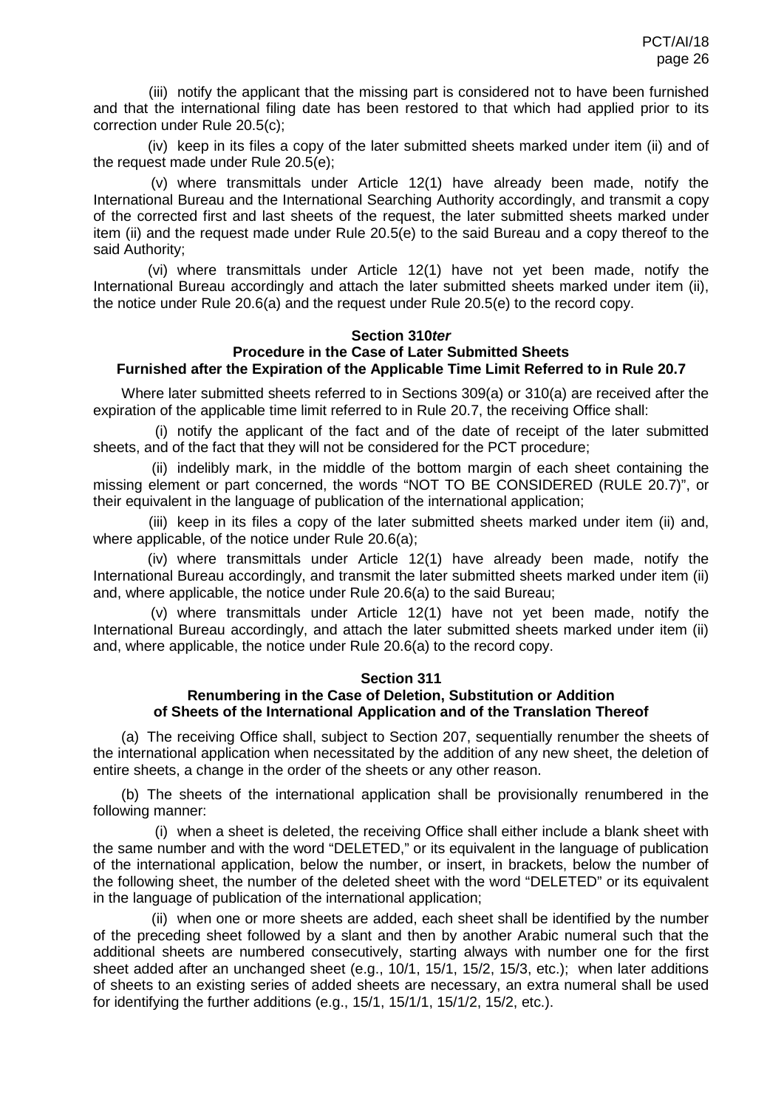(iii) notify the applicant that the missing part is considered not to have been furnished and that the international filing date has been restored to that which had applied prior to its correction under Rule 20.5(c);

(iv) keep in its files a copy of the later submitted sheets marked under item (ii) and of the request made under Rule 20.5(e);

(v) where transmittals under Article 12(1) have already been made, notify the International Bureau and the International Searching Authority accordingly, and transmit a copy of the corrected first and last sheets of the request, the later submitted sheets marked under item (ii) and the request made under Rule 20.5(e) to the said Bureau and a copy thereof to the said Authority;

(vi) where transmittals under Article 12(1) have not yet been made, notify the International Bureau accordingly and attach the later submitted sheets marked under item (ii), the notice under Rule 20.6(a) and the request under Rule 20.5(e) to the record copy.

#### **Section 310***ter* **Procedure in the Case of Later Submitted Sheets Furnished after the Expiration of the Applicable Time Limit Referred to in Rule 20.7**

Where later submitted sheets referred to in Sections 309(a) or 310(a) are received after the expiration of the applicable time limit referred to in Rule 20.7, the receiving Office shall:

(i) notify the applicant of the fact and of the date of receipt of the later submitted sheets, and of the fact that they will not be considered for the PCT procedure;

(ii) indelibly mark, in the middle of the bottom margin of each sheet containing the missing element or part concerned, the words "NOT TO BE CONSIDERED (RULE 20.7)", or their equivalent in the language of publication of the international application;

(iii) keep in its files a copy of the later submitted sheets marked under item (ii) and, where applicable, of the notice under Rule 20.6(a);

(iv) where transmittals under Article 12(1) have already been made, notify the International Bureau accordingly, and transmit the later submitted sheets marked under item (ii) and, where applicable, the notice under Rule 20.6(a) to the said Bureau;

(v) where transmittals under Article 12(1) have not yet been made, notify the International Bureau accordingly, and attach the later submitted sheets marked under item (ii) and, where applicable, the notice under Rule 20.6(a) to the record copy.

#### **Section 311**

## **Renumbering in the Case of Deletion, Substitution or Addition of Sheets of the International Application and of the Translation Thereof**

(a) The receiving Office shall, subject to Section 207, sequentially renumber the sheets of the international application when necessitated by the addition of any new sheet, the deletion of entire sheets, a change in the order of the sheets or any other reason.

(b) The sheets of the international application shall be provisionally renumbered in the following manner:

(i) when a sheet is deleted, the receiving Office shall either include a blank sheet with the same number and with the word "DELETED," or its equivalent in the language of publication of the international application, below the number, or insert, in brackets, below the number of the following sheet, the number of the deleted sheet with the word "DELETED" or its equivalent in the language of publication of the international application;

(ii) when one or more sheets are added, each sheet shall be identified by the number of the preceding sheet followed by a slant and then by another Arabic numeral such that the additional sheets are numbered consecutively, starting always with number one for the first sheet added after an unchanged sheet (e.g., 10/1, 15/1, 15/2, 15/3, etc.); when later additions of sheets to an existing series of added sheets are necessary, an extra numeral shall be used for identifying the further additions (e.g., 15/1, 15/1/1, 15/1/2, 15/2, etc.).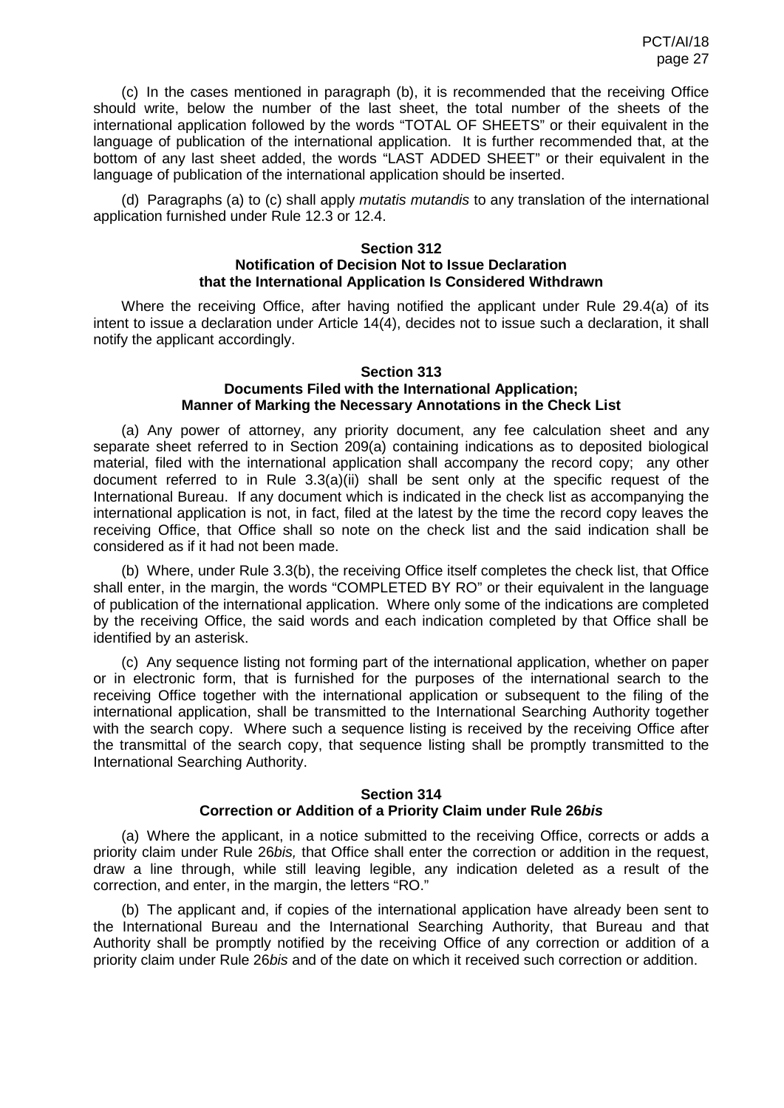(c) In the cases mentioned in paragraph (b), it is recommended that the receiving Office should write, below the number of the last sheet, the total number of the sheets of the international application followed by the words "TOTAL OF SHEETS" or their equivalent in the language of publication of the international application. It is further recommended that, at the bottom of any last sheet added, the words "LAST ADDED SHEET" or their equivalent in the language of publication of the international application should be inserted.

(d) Paragraphs (a) to (c) shall apply *mutatis mutandis* to any translation of the international application furnished under Rule 12.3 or 12.4.

### **Section 312**

### **Notification of Decision Not to Issue Declaration that the International Application Is Considered Withdrawn**

Where the receiving Office, after having notified the applicant under Rule 29.4(a) of its intent to issue a declaration under Article 14(4), decides not to issue such a declaration, it shall notify the applicant accordingly.

# **Section 313**

#### **Documents Filed with the International Application; Manner of Marking the Necessary Annotations in the Check List**

(a) Any power of attorney, any priority document, any fee calculation sheet and any separate sheet referred to in Section 209(a) containing indications as to deposited biological material, filed with the international application shall accompany the record copy; any other document referred to in Rule 3.3(a)(ii) shall be sent only at the specific request of the International Bureau. If any document which is indicated in the check list as accompanying the international application is not, in fact, filed at the latest by the time the record copy leaves the receiving Office, that Office shall so note on the check list and the said indication shall be considered as if it had not been made.

(b) Where, under Rule 3.3(b), the receiving Office itself completes the check list, that Office shall enter, in the margin, the words "COMPLETED BY RO" or their equivalent in the language of publication of the international application. Where only some of the indications are completed by the receiving Office, the said words and each indication completed by that Office shall be identified by an asterisk.

(c) Any sequence listing not forming part of the international application, whether on paper or in electronic form, that is furnished for the purposes of the international search to the receiving Office together with the international application or subsequent to the filing of the international application, shall be transmitted to the International Searching Authority together with the search copy. Where such a sequence listing is received by the receiving Office after the transmittal of the search copy, that sequence listing shall be promptly transmitted to the International Searching Authority.

#### **Section 314**

## **Correction or Addition of a Priority Claim under Rule 26***bis*

(a) Where the applicant, in a notice submitted to the receiving Office, corrects or adds a priority claim under Rule 26*bis,* that Office shall enter the correction or addition in the request, draw a line through, while still leaving legible, any indication deleted as a result of the correction, and enter, in the margin, the letters "RO."

(b) The applicant and, if copies of the international application have already been sent to the International Bureau and the International Searching Authority, that Bureau and that Authority shall be promptly notified by the receiving Office of any correction or addition of a priority claim under Rule 26*bis* and of the date on which it received such correction or addition.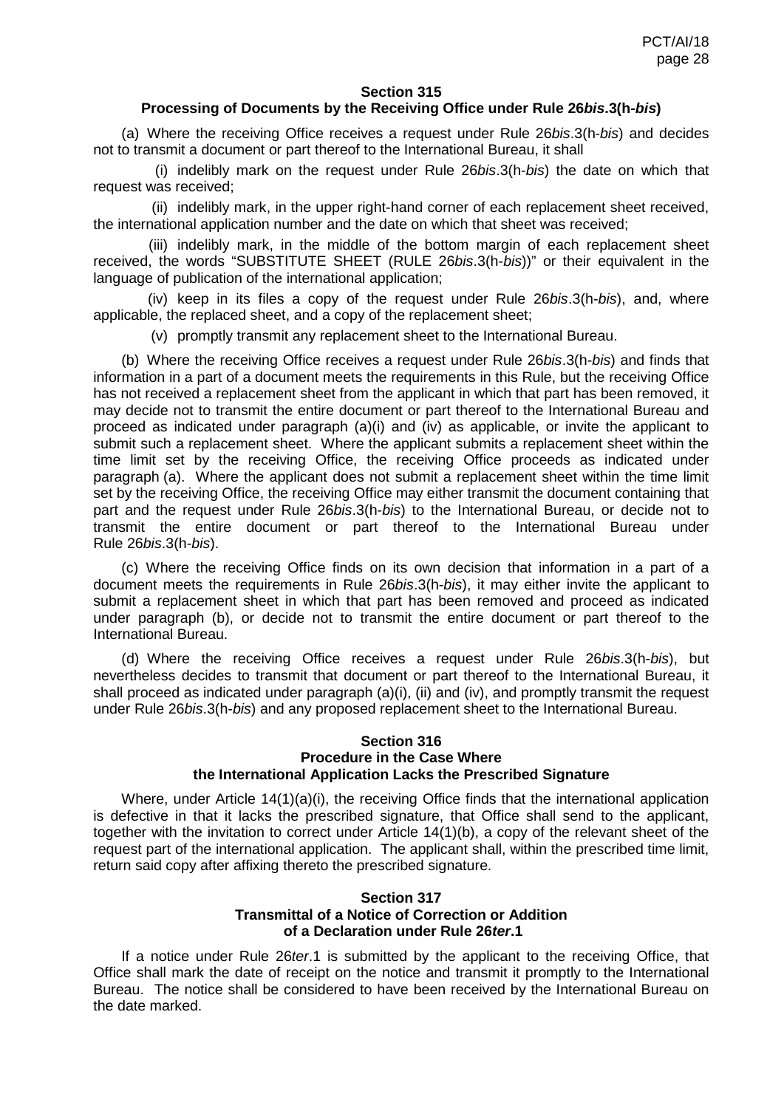#### **Section 315**

#### **Processing of Documents by the Receiving Office under Rule 26***bis***.3(h-***bis***)**

(a) Where the receiving Office receives a request under Rule 26*bis*.3(h-*bis*) and decides not to transmit a document or part thereof to the International Bureau, it shall

(i) indelibly mark on the request under Rule 26*bis*.3(h-*bis*) the date on which that request was received;

(ii) indelibly mark, in the upper right-hand corner of each replacement sheet received, the international application number and the date on which that sheet was received;

(iii) indelibly mark, in the middle of the bottom margin of each replacement sheet received, the words "SUBSTITUTE SHEET (RULE 26*bis*.3(h-*bis*))" or their equivalent in the language of publication of the international application;

(iv) keep in its files a copy of the request under Rule 26*bis*.3(h-*bis*), and, where applicable, the replaced sheet, and a copy of the replacement sheet;

(v) promptly transmit any replacement sheet to the International Bureau.

(b) Where the receiving Office receives a request under Rule 26*bis*.3(h-*bis*) and finds that information in a part of a document meets the requirements in this Rule, but the receiving Office has not received a replacement sheet from the applicant in which that part has been removed, it may decide not to transmit the entire document or part thereof to the International Bureau and proceed as indicated under paragraph (a)(i) and (iv) as applicable, or invite the applicant to submit such a replacement sheet. Where the applicant submits a replacement sheet within the time limit set by the receiving Office, the receiving Office proceeds as indicated under paragraph (a). Where the applicant does not submit a replacement sheet within the time limit set by the receiving Office, the receiving Office may either transmit the document containing that part and the request under Rule 26*bis*.3(h-*bis*) to the International Bureau, or decide not to transmit the entire document or part thereof to the International Bureau under Rule 26*bis*.3(h-*bis*).

(c) Where the receiving Office finds on its own decision that information in a part of a document meets the requirements in Rule 26*bis*.3(h-*bis*), it may either invite the applicant to submit a replacement sheet in which that part has been removed and proceed as indicated under paragraph (b), or decide not to transmit the entire document or part thereof to the International Bureau.

(d) Where the receiving Office receives a request under Rule 26*bis*.3(h-*bis*), but nevertheless decides to transmit that document or part thereof to the International Bureau, it shall proceed as indicated under paragraph (a)(i), (ii) and (iv), and promptly transmit the request under Rule 26*bis*.3(h-*bis*) and any proposed replacement sheet to the International Bureau.

## **Section 316 Procedure in the Case Where the International Application Lacks the Prescribed Signature**

Where, under Article 14(1)(a)(i), the receiving Office finds that the international application is defective in that it lacks the prescribed signature, that Office shall send to the applicant, together with the invitation to correct under Article 14(1)(b), a copy of the relevant sheet of the request part of the international application. The applicant shall, within the prescribed time limit, return said copy after affixing thereto the prescribed signature.

## **Section 317 Transmittal of a Notice of Correction or Addition of a Declaration under Rule 26***ter***.1**

If a notice under Rule 26*ter*.1 is submitted by the applicant to the receiving Office, that Office shall mark the date of receipt on the notice and transmit it promptly to the International Bureau. The notice shall be considered to have been received by the International Bureau on the date marked.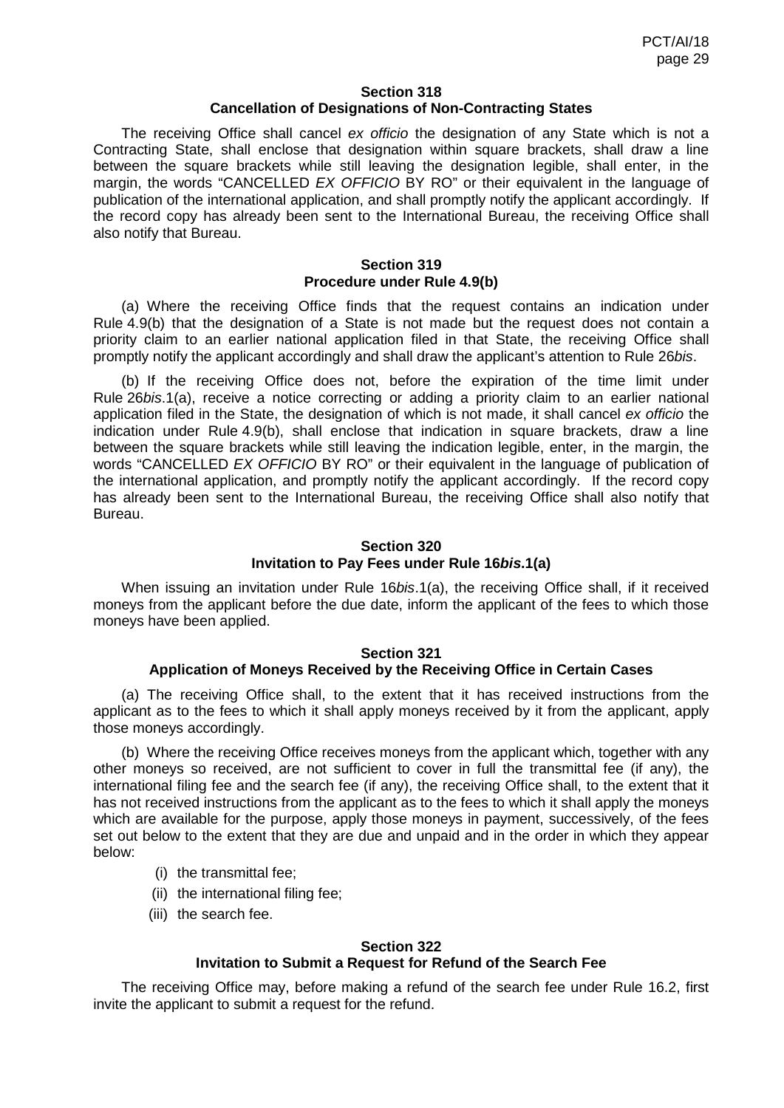#### **Section 318 Cancellation of Designations of Non-Contracting States**

The receiving Office shall cancel *ex officio* the designation of any State which is not a Contracting State, shall enclose that designation within square brackets, shall draw a line between the square brackets while still leaving the designation legible, shall enter, in the margin, the words "CANCELLED *EX OFFICIO* BY RO" or their equivalent in the language of publication of the international application, and shall promptly notify the applicant accordingly. If the record copy has already been sent to the International Bureau, the receiving Office shall also notify that Bureau.

#### **Section 319 Procedure under Rule 4.9(b)**

(a) Where the receiving Office finds that the request contains an indication under Rule 4.9(b) that the designation of a State is not made but the request does not contain a priority claim to an earlier national application filed in that State, the receiving Office shall promptly notify the applicant accordingly and shall draw the applicant's attention to Rule 26*bis*.

(b) If the receiving Office does not, before the expiration of the time limit under Rule 26*bis*.1(a), receive a notice correcting or adding a priority claim to an earlier national application filed in the State, the designation of which is not made, it shall cancel *ex officio* the indication under Rule 4.9(b), shall enclose that indication in square brackets, draw a line between the square brackets while still leaving the indication legible, enter, in the margin, the words "CANCELLED *EX OFFICIO* BY RO" or their equivalent in the language of publication of the international application, and promptly notify the applicant accordingly. If the record copy has already been sent to the International Bureau, the receiving Office shall also notify that Bureau.

## **Section 320 Invitation to Pay Fees under Rule 16***bis***.1(a)**

When issuing an invitation under Rule 16*bis*.1(a), the receiving Office shall, if it received moneys from the applicant before the due date, inform the applicant of the fees to which those moneys have been applied.

#### **Section 321**

## **Application of Moneys Received by the Receiving Office in Certain Cases**

(a) The receiving Office shall, to the extent that it has received instructions from the applicant as to the fees to which it shall apply moneys received by it from the applicant, apply those moneys accordingly.

(b) Where the receiving Office receives moneys from the applicant which, together with any other moneys so received, are not sufficient to cover in full the transmittal fee (if any), the international filing fee and the search fee (if any), the receiving Office shall, to the extent that it has not received instructions from the applicant as to the fees to which it shall apply the moneys which are available for the purpose, apply those moneys in payment, successively, of the fees set out below to the extent that they are due and unpaid and in the order in which they appear below:

- (i) the transmittal fee;
- (ii) the international filing fee;
- (iii) the search fee.

#### **Section 322 Invitation to Submit a Request for Refund of the Search Fee**

The receiving Office may, before making a refund of the search fee under Rule 16.2, first invite the applicant to submit a request for the refund.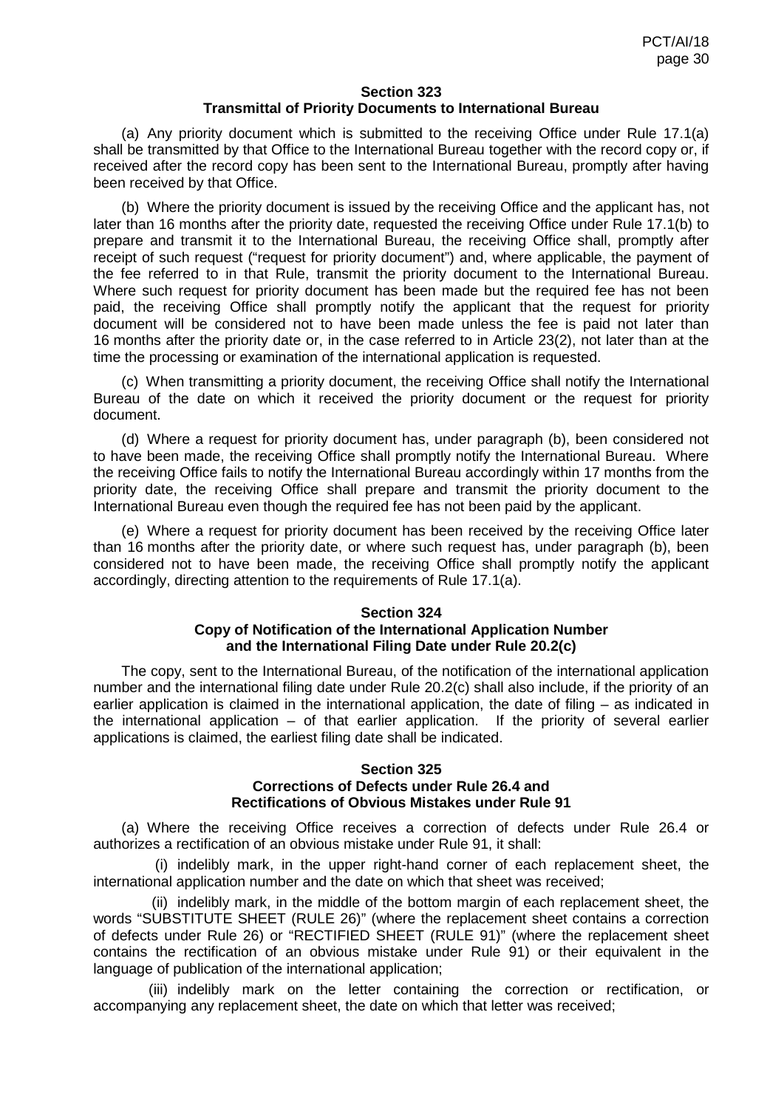#### **Section 323 Transmittal of Priority Documents to International Bureau**

(a) Any priority document which is submitted to the receiving Office under Rule 17.1(a) shall be transmitted by that Office to the International Bureau together with the record copy or, if received after the record copy has been sent to the International Bureau, promptly after having been received by that Office.

(b) Where the priority document is issued by the receiving Office and the applicant has, not later than 16 months after the priority date, requested the receiving Office under Rule 17.1(b) to prepare and transmit it to the International Bureau, the receiving Office shall, promptly after receipt of such request ("request for priority document") and, where applicable, the payment of the fee referred to in that Rule, transmit the priority document to the International Bureau. Where such request for priority document has been made but the required fee has not been paid, the receiving Office shall promptly notify the applicant that the request for priority document will be considered not to have been made unless the fee is paid not later than 16 months after the priority date or, in the case referred to in Article 23(2), not later than at the time the processing or examination of the international application is requested.

(c) When transmitting a priority document, the receiving Office shall notify the International Bureau of the date on which it received the priority document or the request for priority document.

(d) Where a request for priority document has, under paragraph (b), been considered not to have been made, the receiving Office shall promptly notify the International Bureau. Where the receiving Office fails to notify the International Bureau accordingly within 17 months from the priority date, the receiving Office shall prepare and transmit the priority document to the International Bureau even though the required fee has not been paid by the applicant.

(e) Where a request for priority document has been received by the receiving Office later than 16 months after the priority date, or where such request has, under paragraph (b), been considered not to have been made, the receiving Office shall promptly notify the applicant accordingly, directing attention to the requirements of Rule 17.1(a).

## **Section 324 Copy of Notification of the International Application Number and the International Filing Date under Rule 20.2(c)**

The copy, sent to the International Bureau, of the notification of the international application number and the international filing date under Rule 20.2(c) shall also include, if the priority of an earlier application is claimed in the international application, the date of filing – as indicated in the international application – of that earlier application. If the priority of several earlier applications is claimed, the earliest filing date shall be indicated.

#### **Section 325 Corrections of Defects under Rule 26.4 and Rectifications of Obvious Mistakes under Rule 91**

(a) Where the receiving Office receives a correction of defects under Rule 26.4 or authorizes a rectification of an obvious mistake under Rule 91, it shall:

(i) indelibly mark, in the upper right-hand corner of each replacement sheet, the international application number and the date on which that sheet was received;

(ii) indelibly mark, in the middle of the bottom margin of each replacement sheet, the words "SUBSTITUTE SHEET (RULE 26)" (where the replacement sheet contains a correction of defects under Rule 26) or "RECTIFIED SHEET (RULE 91)" (where the replacement sheet contains the rectification of an obvious mistake under Rule 91) or their equivalent in the language of publication of the international application;

(iii) indelibly mark on the letter containing the correction or rectification, or accompanying any replacement sheet, the date on which that letter was received;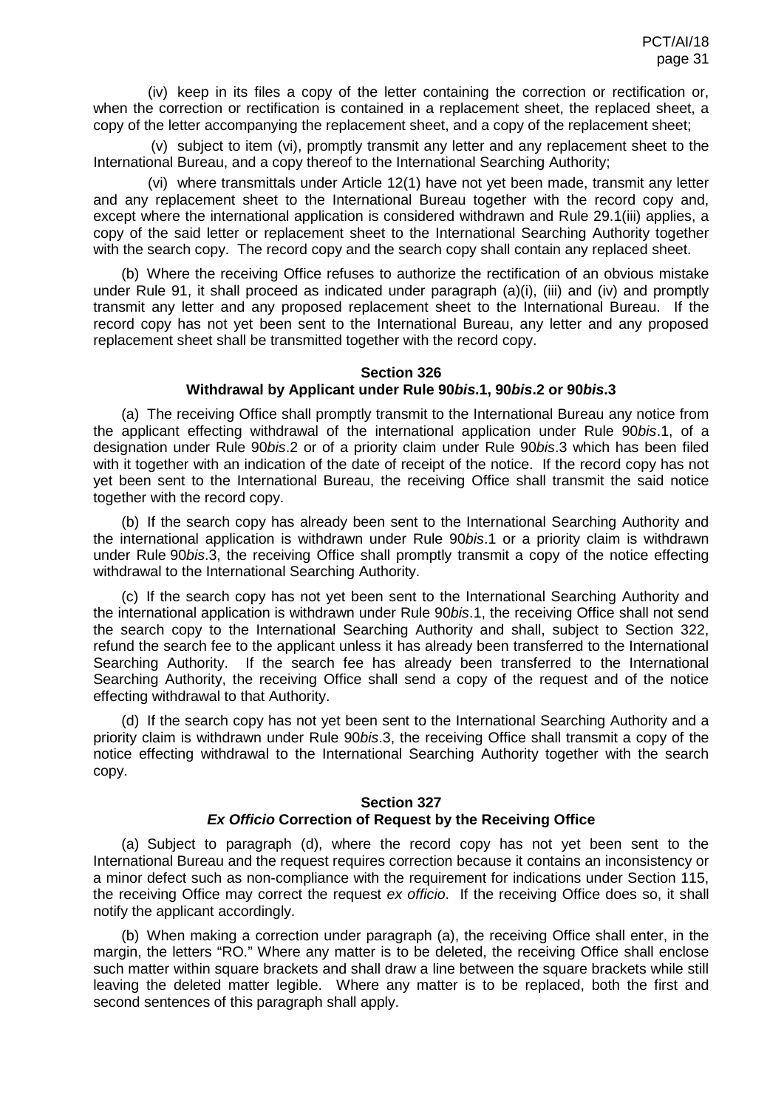(iv) keep in its files a copy of the letter containing the correction or rectification or, when the correction or rectification is contained in a replacement sheet, the replaced sheet, a copy of the letter accompanying the replacement sheet, and a copy of the replacement sheet;

(v) subject to item (vi), promptly transmit any letter and any replacement sheet to the International Bureau, and a copy thereof to the International Searching Authority;

(vi) where transmittals under Article 12(1) have not yet been made, transmit any letter and any replacement sheet to the International Bureau together with the record copy and, except where the international application is considered withdrawn and Rule 29.1(iii) applies, a copy of the said letter or replacement sheet to the International Searching Authority together with the search copy. The record copy and the search copy shall contain any replaced sheet.

(b) Where the receiving Office refuses to authorize the rectification of an obvious mistake under Rule 91, it shall proceed as indicated under paragraph (a)(i), (iii) and (iv) and promptly transmit any letter and any proposed replacement sheet to the International Bureau. If the record copy has not yet been sent to the International Bureau, any letter and any proposed replacement sheet shall be transmitted together with the record copy.

## **Section 326**

#### **Withdrawal by Applicant under Rule 90***bis***.1, 90***bis***.2 or 90***bis***.3**

(a) The receiving Office shall promptly transmit to the International Bureau any notice from the applicant effecting withdrawal of the international application under Rule 90*bis*.1, of a designation under Rule 90*bis*.2 or of a priority claim under Rule 90*bis*.3 which has been filed with it together with an indication of the date of receipt of the notice. If the record copy has not yet been sent to the International Bureau, the receiving Office shall transmit the said notice together with the record copy.

(b) If the search copy has already been sent to the International Searching Authority and the international application is withdrawn under Rule 90*bis*.1 or a priority claim is withdrawn under Rule 90*bis*.3, the receiving Office shall promptly transmit a copy of the notice effecting withdrawal to the International Searching Authority.

(c) If the search copy has not yet been sent to the International Searching Authority and the international application is withdrawn under Rule 90*bis*.1, the receiving Office shall not send the search copy to the International Searching Authority and shall, subject to Section 322, refund the search fee to the applicant unless it has already been transferred to the International Searching Authority. If the search fee has already been transferred to the International Searching Authority, the receiving Office shall send a copy of the request and of the notice effecting withdrawal to that Authority.

(d) If the search copy has not yet been sent to the International Searching Authority and a priority claim is withdrawn under Rule 90*bis*.3, the receiving Office shall transmit a copy of the notice effecting withdrawal to the International Searching Authority together with the search copy.

#### **Section 327**

## *Ex Officio* **Correction of Request by the Receiving Office**

(a) Subject to paragraph (d), where the record copy has not yet been sent to the International Bureau and the request requires correction because it contains an inconsistency or a minor defect such as non-compliance with the requirement for indications under Section 115, the receiving Office may correct the request *ex officio*. If the receiving Office does so, it shall notify the applicant accordingly.

(b) When making a correction under paragraph (a), the receiving Office shall enter, in the margin, the letters "RO." Where any matter is to be deleted, the receiving Office shall enclose such matter within square brackets and shall draw a line between the square brackets while still leaving the deleted matter legible. Where any matter is to be replaced, both the first and second sentences of this paragraph shall apply.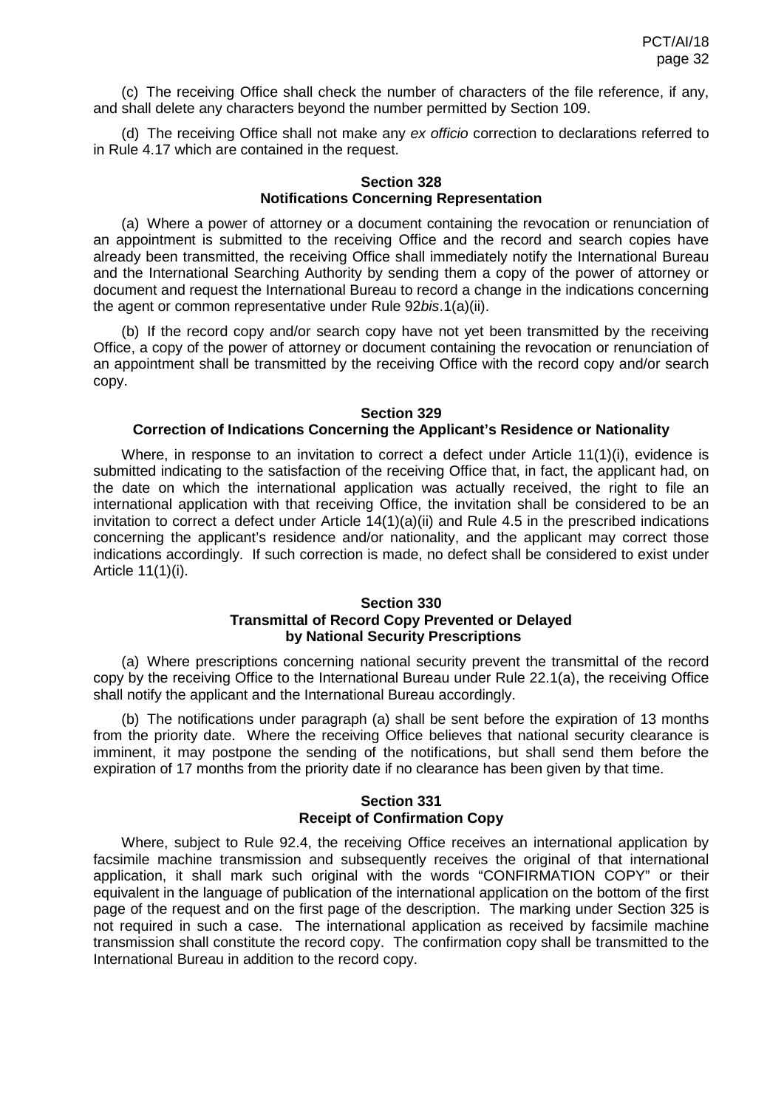(c) The receiving Office shall check the number of characters of the file reference, if any, and shall delete any characters beyond the number permitted by Section 109.

(d) The receiving Office shall not make any *ex officio* correction to declarations referred to in Rule 4.17 which are contained in the request.

## **Section 328 Notifications Concerning Representation**

(a) Where a power of attorney or a document containing the revocation or renunciation of an appointment is submitted to the receiving Office and the record and search copies have already been transmitted, the receiving Office shall immediately notify the International Bureau and the International Searching Authority by sending them a copy of the power of attorney or document and request the International Bureau to record a change in the indications concerning the agent or common representative under Rule 92*bis*.1(a)(ii).

(b) If the record copy and/or search copy have not yet been transmitted by the receiving Office, a copy of the power of attorney or document containing the revocation or renunciation of an appointment shall be transmitted by the receiving Office with the record copy and/or search copy.

## **Section 329 Correction of Indications Concerning the Applicant's Residence or Nationality**

Where, in response to an invitation to correct a defect under Article 11(1)(i), evidence is submitted indicating to the satisfaction of the receiving Office that, in fact, the applicant had, on the date on which the international application was actually received, the right to file an international application with that receiving Office, the invitation shall be considered to be an invitation to correct a defect under Article 14(1)(a)(ii) and Rule 4.5 in the prescribed indications concerning the applicant's residence and/or nationality, and the applicant may correct those indications accordingly. If such correction is made, no defect shall be considered to exist under Article 11(1)(i).

## **Section 330 Transmittal of Record Copy Prevented or Delayed by National Security Prescriptions**

(a) Where prescriptions concerning national security prevent the transmittal of the record copy by the receiving Office to the International Bureau under Rule 22.1(a), the receiving Office shall notify the applicant and the International Bureau accordingly.

(b) The notifications under paragraph (a) shall be sent before the expiration of 13 months from the priority date. Where the receiving Office believes that national security clearance is imminent, it may postpone the sending of the notifications, but shall send them before the expiration of 17 months from the priority date if no clearance has been given by that time.

## **Section 331 Receipt of Confirmation Copy**

Where, subject to Rule 92.4, the receiving Office receives an international application by facsimile machine transmission and subsequently receives the original of that international application, it shall mark such original with the words "CONFIRMATION COPY" or their equivalent in the language of publication of the international application on the bottom of the first page of the request and on the first page of the description. The marking under Section 325 is not required in such a case. The international application as received by facsimile machine transmission shall constitute the record copy. The confirmation copy shall be transmitted to the International Bureau in addition to the record copy.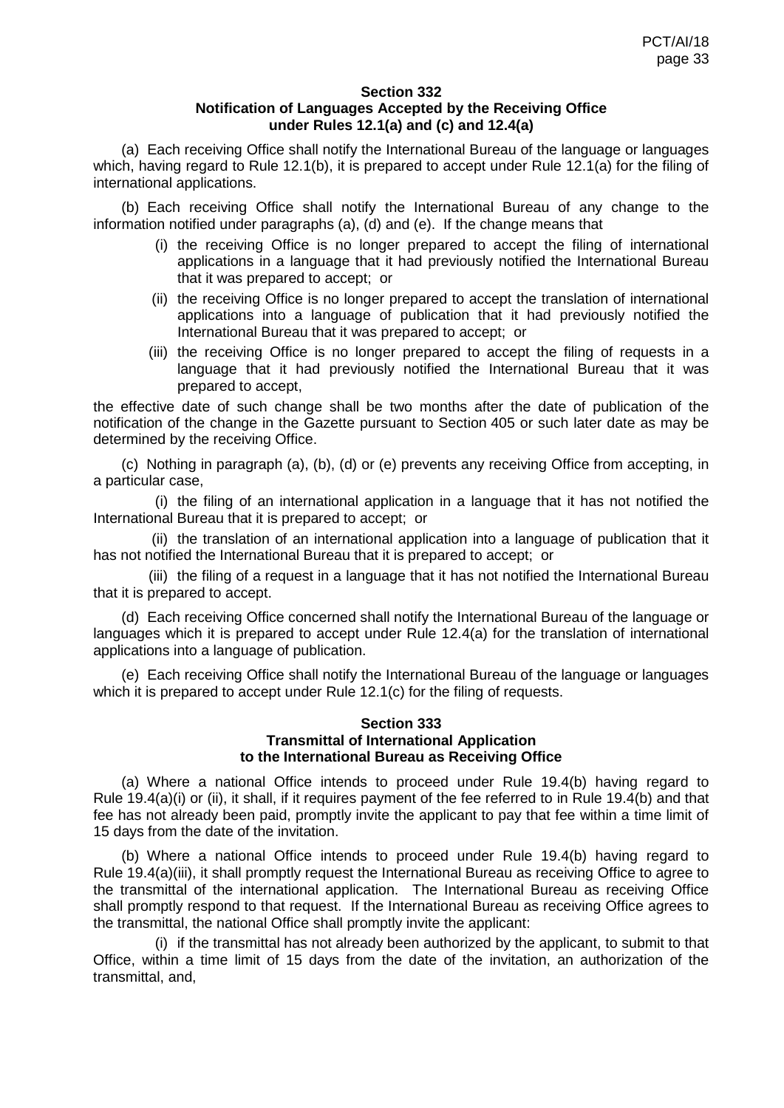#### **Section 332 Notification of Languages Accepted by the Receiving Office under Rules 12.1(a) and (c) and 12.4(a)**

(a) Each receiving Office shall notify the International Bureau of the language or languages which, having regard to Rule 12.1(b), it is prepared to accept under Rule 12.1(a) for the filing of international applications.

(b) Each receiving Office shall notify the International Bureau of any change to the information notified under paragraphs (a), (d) and (e). If the change means that

- (i) the receiving Office is no longer prepared to accept the filing of international applications in a language that it had previously notified the International Bureau that it was prepared to accept; or
- (ii) the receiving Office is no longer prepared to accept the translation of international applications into a language of publication that it had previously notified the International Bureau that it was prepared to accept; or
- (iii) the receiving Office is no longer prepared to accept the filing of requests in a language that it had previously notified the International Bureau that it was prepared to accept,

the effective date of such change shall be two months after the date of publication of the notification of the change in the Gazette pursuant to Section 405 or such later date as may be determined by the receiving Office.

(c) Nothing in paragraph (a), (b), (d) or (e) prevents any receiving Office from accepting, in a particular case,

(i) the filing of an international application in a language that it has not notified the International Bureau that it is prepared to accept; or

(ii) the translation of an international application into a language of publication that it has not notified the International Bureau that it is prepared to accept; or

(iii) the filing of a request in a language that it has not notified the International Bureau that it is prepared to accept.

(d) Each receiving Office concerned shall notify the International Bureau of the language or languages which it is prepared to accept under Rule 12.4(a) for the translation of international applications into a language of publication.

(e) Each receiving Office shall notify the International Bureau of the language or languages which it is prepared to accept under Rule 12.1(c) for the filing of requests.

#### **Section 333 Transmittal of International Application to the International Bureau as Receiving Office**

(a) Where a national Office intends to proceed under Rule 19.4(b) having regard to Rule 19.4(a)(i) or (ii), it shall, if it requires payment of the fee referred to in Rule 19.4(b) and that fee has not already been paid, promptly invite the applicant to pay that fee within a time limit of 15 days from the date of the invitation.

(b) Where a national Office intends to proceed under Rule 19.4(b) having regard to Rule 19.4(a)(iii), it shall promptly request the International Bureau as receiving Office to agree to the transmittal of the international application. The International Bureau as receiving Office shall promptly respond to that request. If the International Bureau as receiving Office agrees to the transmittal, the national Office shall promptly invite the applicant:

(i) if the transmittal has not already been authorized by the applicant, to submit to that Office, within a time limit of 15 days from the date of the invitation, an authorization of the transmittal, and,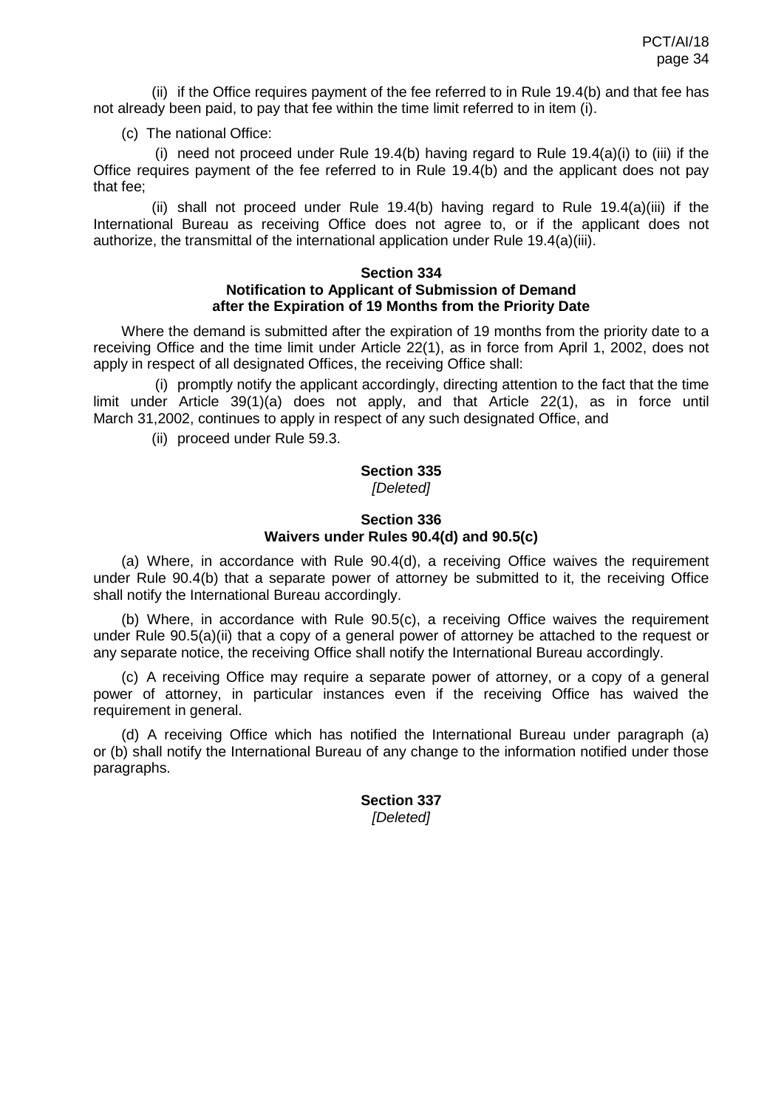(ii) if the Office requires payment of the fee referred to in Rule 19.4(b) and that fee has not already been paid, to pay that fee within the time limit referred to in item (i).

### (c) The national Office:

(i) need not proceed under Rule 19.4(b) having regard to Rule 19.4(a)(i) to (iii) if the Office requires payment of the fee referred to in Rule 19.4(b) and the applicant does not pay that fee;

(ii) shall not proceed under Rule 19.4(b) having regard to Rule 19.4(a)(iii) if the International Bureau as receiving Office does not agree to, or if the applicant does not authorize, the transmittal of the international application under Rule 19.4(a)(iii).

#### **Section 334 Notification to Applicant of Submission of Demand after the Expiration of 19 Months from the Priority Date**

Where the demand is submitted after the expiration of 19 months from the priority date to a receiving Office and the time limit under Article 22(1), as in force from April 1, 2002, does not apply in respect of all designated Offices, the receiving Office shall:

(i) promptly notify the applicant accordingly, directing attention to the fact that the time limit under Article 39(1)(a) does not apply, and that Article 22(1), as in force until March 31,2002, continues to apply in respect of any such designated Office, and

(ii) proceed under Rule 59.3.

#### **Section 335**  *[Deleted]*

## **Section 336 Waivers under Rules 90.4(d) and 90.5(c)**

(a) Where, in accordance with Rule 90.4(d), a receiving Office waives the requirement under Rule 90.4(b) that a separate power of attorney be submitted to it, the receiving Office shall notify the International Bureau accordingly.

(b) Where, in accordance with Rule 90.5(c), a receiving Office waives the requirement under Rule 90.5(a)(ii) that a copy of a general power of attorney be attached to the request or any separate notice, the receiving Office shall notify the International Bureau accordingly.

(c) A receiving Office may require a separate power of attorney, or a copy of a general power of attorney, in particular instances even if the receiving Office has waived the requirement in general.

(d) A receiving Office which has notified the International Bureau under paragraph (a) or (b) shall notify the International Bureau of any change to the information notified under those paragraphs.

## **Section 337** *[Deleted]*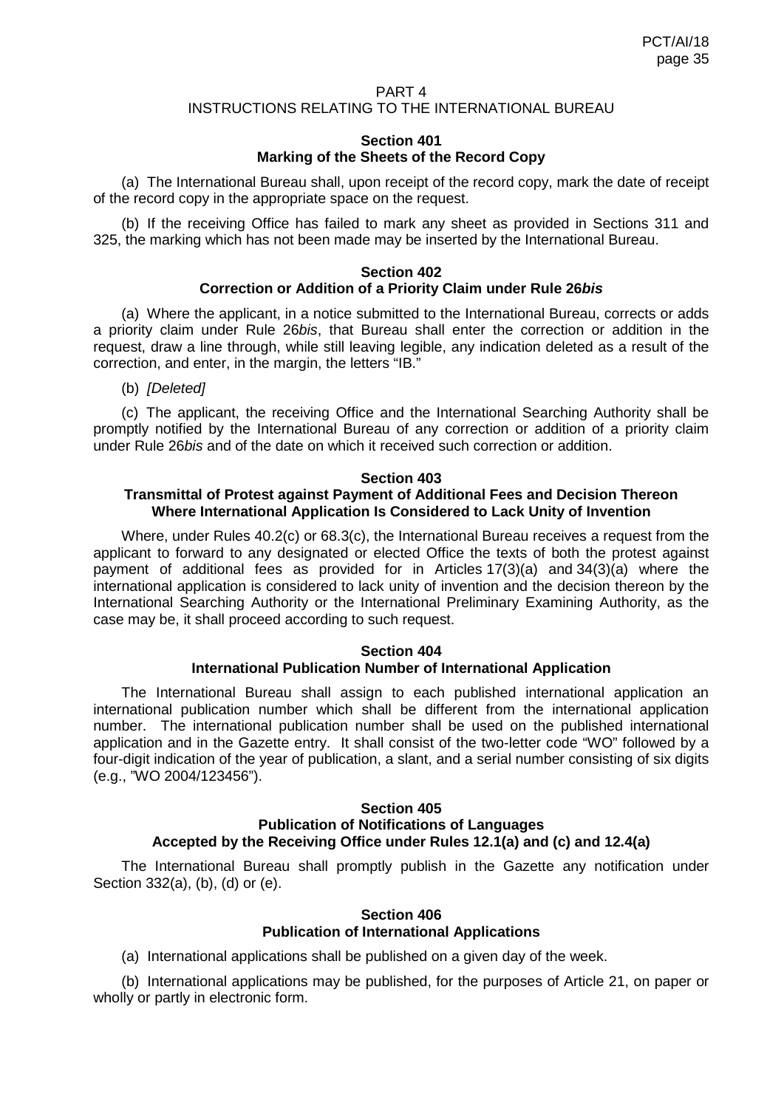## PART 4 INSTRUCTIONS RELATING TO THE INTERNATIONAL BUREAU

### **Section 401 Marking of the Sheets of the Record Copy**

(a) The International Bureau shall, upon receipt of the record copy, mark the date of receipt of the record copy in the appropriate space on the request.

(b) If the receiving Office has failed to mark any sheet as provided in Sections 311 and 325, the marking which has not been made may be inserted by the International Bureau.

### **Section 402 Correction or Addition of a Priority Claim under Rule 26***bis*

(a) Where the applicant, in a notice submitted to the International Bureau, corrects or adds a priority claim under Rule 26*bis*, that Bureau shall enter the correction or addition in the request, draw a line through, while still leaving legible, any indication deleted as a result of the correction, and enter, in the margin, the letters "IB."

(b) *[Deleted]*

(c) The applicant, the receiving Office and the International Searching Authority shall be promptly notified by the International Bureau of any correction or addition of a priority claim under Rule 26*bis* and of the date on which it received such correction or addition.

#### **Section 403**

## **Transmittal of Protest against Payment of Additional Fees and Decision Thereon Where International Application Is Considered to Lack Unity of Invention**

Where, under Rules 40.2(c) or 68.3(c), the International Bureau receives a request from the applicant to forward to any designated or elected Office the texts of both the protest against payment of additional fees as provided for in Articles 17(3)(a) and 34(3)(a) where the international application is considered to lack unity of invention and the decision thereon by the International Searching Authority or the International Preliminary Examining Authority, as the case may be, it shall proceed according to such request.

#### **Section 404 International Publication Number of International Application**

The International Bureau shall assign to each published international application an international publication number which shall be different from the international application number. The international publication number shall be used on the published international application and in the Gazette entry. It shall consist of the two-letter code "WO" followed by a four-digit indication of the year of publication, a slant, and a serial number consisting of six digits (e.g., "WO 2004/123456").

#### **Section 405 Publication of Notifications of Languages Accepted by the Receiving Office under Rules 12.1(a) and (c) and 12.4(a)**

The International Bureau shall promptly publish in the Gazette any notification under Section 332(a), (b), (d) or (e).

## **Section 406 Publication of International Applications**

(a) International applications shall be published on a given day of the week.

(b) International applications may be published, for the purposes of Article 21, on paper or wholly or partly in electronic form.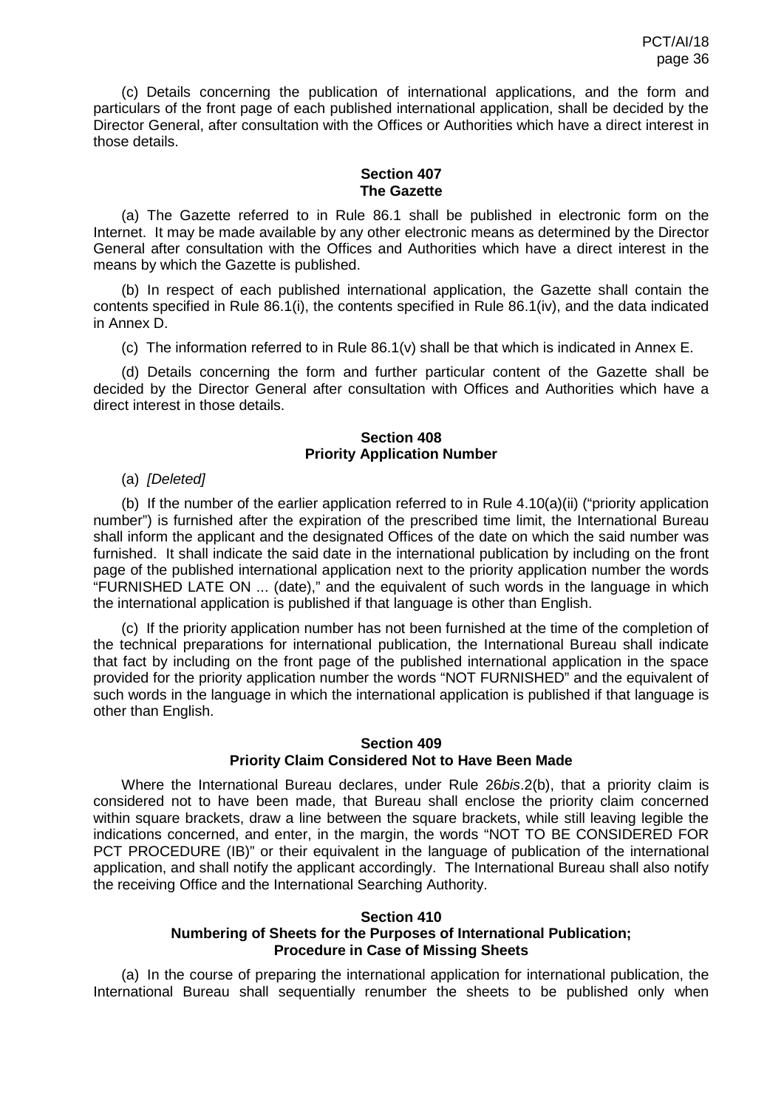(c) Details concerning the publication of international applications, and the form and particulars of the front page of each published international application, shall be decided by the Director General, after consultation with the Offices or Authorities which have a direct interest in those details.

#### **Section 407 The Gazette**

(a) The Gazette referred to in Rule 86.1 shall be published in electronic form on the Internet. It may be made available by any other electronic means as determined by the Director General after consultation with the Offices and Authorities which have a direct interest in the means by which the Gazette is published.

(b) In respect of each published international application, the Gazette shall contain the contents specified in Rule 86.1(i), the contents specified in Rule 86.1(iv), and the data indicated in Annex D.

(c) The information referred to in Rule 86.1(v) shall be that which is indicated in Annex E.

(d) Details concerning the form and further particular content of the Gazette shall be decided by the Director General after consultation with Offices and Authorities which have a direct interest in those details.

## **Section 408 Priority Application Number**

(a) *[Deleted]*

(b) If the number of the earlier application referred to in Rule 4.10(a)(ii) ("priority application number") is furnished after the expiration of the prescribed time limit, the International Bureau shall inform the applicant and the designated Offices of the date on which the said number was furnished. It shall indicate the said date in the international publication by including on the front page of the published international application next to the priority application number the words "FURNISHED LATE ON ... (date)," and the equivalent of such words in the language in which the international application is published if that language is other than English.

(c) If the priority application number has not been furnished at the time of the completion of the technical preparations for international publication, the International Bureau shall indicate that fact by including on the front page of the published international application in the space provided for the priority application number the words "NOT FURNISHED" and the equivalent of such words in the language in which the international application is published if that language is other than English.

## **Section 409 Priority Claim Considered Not to Have Been Made**

Where the International Bureau declares, under Rule 26*bis*.2(b), that a priority claim is considered not to have been made, that Bureau shall enclose the priority claim concerned within square brackets, draw a line between the square brackets, while still leaving legible the indications concerned, and enter, in the margin, the words "NOT TO BE CONSIDERED FOR PCT PROCEDURE (IB)" or their equivalent in the language of publication of the international application, and shall notify the applicant accordingly. The International Bureau shall also notify the receiving Office and the International Searching Authority.

#### **Section 410 Numbering of Sheets for the Purposes of International Publication; Procedure in Case of Missing Sheets**

(a) In the course of preparing the international application for international publication, the International Bureau shall sequentially renumber the sheets to be published only when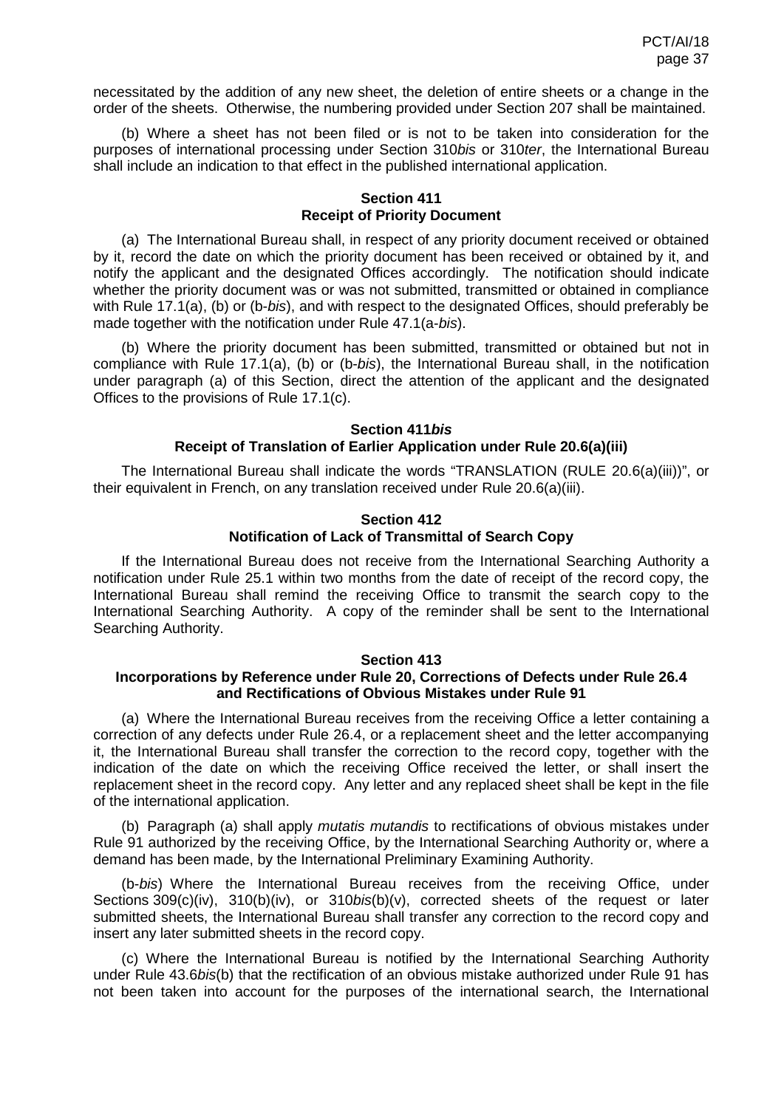necessitated by the addition of any new sheet, the deletion of entire sheets or a change in the order of the sheets. Otherwise, the numbering provided under Section 207 shall be maintained.

(b) Where a sheet has not been filed or is not to be taken into consideration for the purposes of international processing under Section 310*bis* or 310*ter*, the International Bureau shall include an indication to that effect in the published international application.

#### **Section 411 Receipt of Priority Document**

(a) The International Bureau shall, in respect of any priority document received or obtained by it, record the date on which the priority document has been received or obtained by it, and notify the applicant and the designated Offices accordingly. The notification should indicate whether the priority document was or was not submitted, transmitted or obtained in compliance with Rule 17.1(a), (b) or (b-*bis*), and with respect to the designated Offices, should preferably be made together with the notification under Rule 47.1(a-*bis*).

(b) Where the priority document has been submitted, transmitted or obtained but not in compliance with Rule 17.1(a), (b) or (b-*bis*), the International Bureau shall, in the notification under paragraph (a) of this Section, direct the attention of the applicant and the designated Offices to the provisions of Rule 17.1(c).

# **Section 411***bis* **Receipt of Translation of Earlier Application under Rule 20.6(a)(iii)**

The International Bureau shall indicate the words "TRANSLATION (RULE 20.6(a)(iii))", or their equivalent in French, on any translation received under Rule 20.6(a)(iii).

# **Section 412 Notification of Lack of Transmittal of Search Copy**

If the International Bureau does not receive from the International Searching Authority a notification under Rule 25.1 within two months from the date of receipt of the record copy, the International Bureau shall remind the receiving Office to transmit the search copy to the International Searching Authority. A copy of the reminder shall be sent to the International Searching Authority.

### **Section 413**

# **Incorporations by Reference under Rule 20, Corrections of Defects under Rule 26.4 and Rectifications of Obvious Mistakes under Rule 91**

(a) Where the International Bureau receives from the receiving Office a letter containing a correction of any defects under Rule 26.4, or a replacement sheet and the letter accompanying it, the International Bureau shall transfer the correction to the record copy, together with the indication of the date on which the receiving Office received the letter, or shall insert the replacement sheet in the record copy. Any letter and any replaced sheet shall be kept in the file of the international application.

(b) Paragraph (a) shall apply *mutatis mutandis* to rectifications of obvious mistakes under Rule 91 authorized by the receiving Office, by the International Searching Authority or, where a demand has been made, by the International Preliminary Examining Authority.

(b-*bis*) Where the International Bureau receives from the receiving Office, under Sections 309(c)(iv), 310(b)(iv), or 310*bis*(b)(v), corrected sheets of the request or later submitted sheets, the International Bureau shall transfer any correction to the record copy and insert any later submitted sheets in the record copy.

(c) Where the International Bureau is notified by the International Searching Authority under Rule 43.6*bis*(b) that the rectification of an obvious mistake authorized under Rule 91 has not been taken into account for the purposes of the international search, the International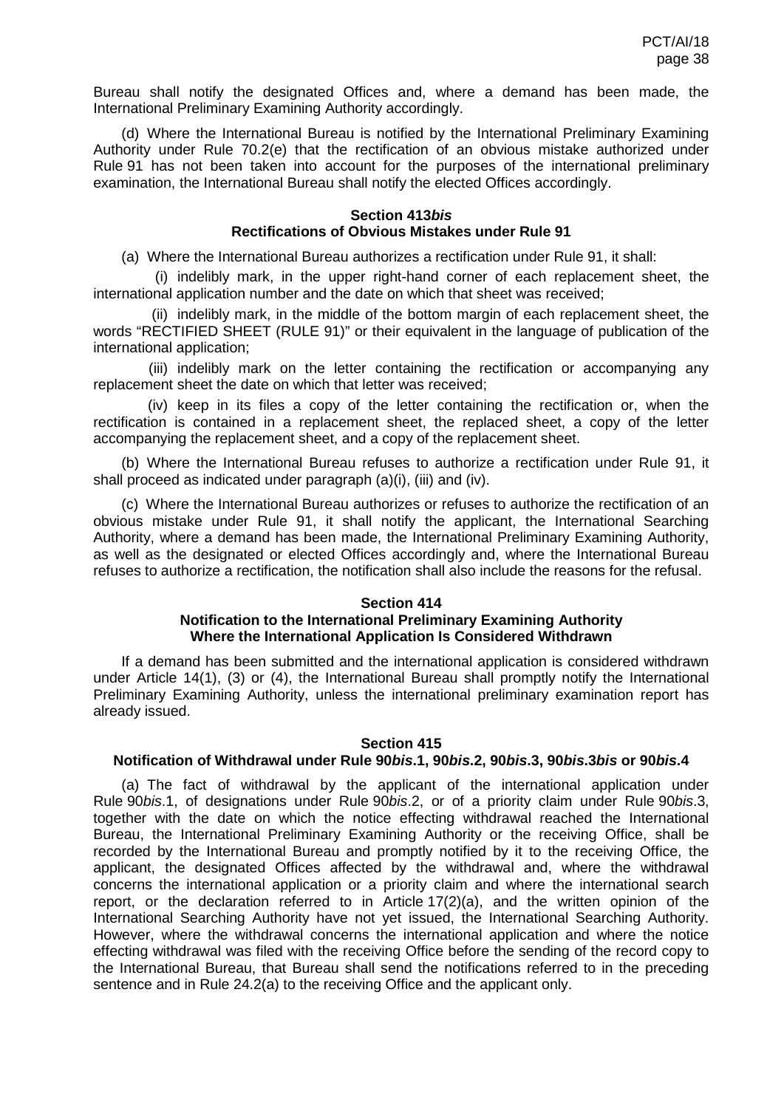Bureau shall notify the designated Offices and, where a demand has been made, the International Preliminary Examining Authority accordingly.

(d) Where the International Bureau is notified by the International Preliminary Examining Authority under Rule 70.2(e) that the rectification of an obvious mistake authorized under Rule 91 has not been taken into account for the purposes of the international preliminary examination, the International Bureau shall notify the elected Offices accordingly.

## **Section 413***bis*

# **Rectifications of Obvious Mistakes under Rule 91**

(a) Where the International Bureau authorizes a rectification under Rule 91, it shall:

(i) indelibly mark, in the upper right-hand corner of each replacement sheet, the international application number and the date on which that sheet was received;

(ii) indelibly mark, in the middle of the bottom margin of each replacement sheet, the words "RECTIFIED SHEET (RULE 91)" or their equivalent in the language of publication of the international application;

(iii) indelibly mark on the letter containing the rectification or accompanying any replacement sheet the date on which that letter was received;

(iv) keep in its files a copy of the letter containing the rectification or, when the rectification is contained in a replacement sheet, the replaced sheet, a copy of the letter accompanying the replacement sheet, and a copy of the replacement sheet.

(b) Where the International Bureau refuses to authorize a rectification under Rule 91, it shall proceed as indicated under paragraph (a)(i), (iii) and (iv).

(c) Where the International Bureau authorizes or refuses to authorize the rectification of an obvious mistake under Rule 91, it shall notify the applicant, the International Searching Authority, where a demand has been made, the International Preliminary Examining Authority, as well as the designated or elected Offices accordingly and, where the International Bureau refuses to authorize a rectification, the notification shall also include the reasons for the refusal.

### **Section 414**

# **Notification to the International Preliminary Examining Authority Where the International Application Is Considered Withdrawn**

If a demand has been submitted and the international application is considered withdrawn under Article 14(1), (3) or (4), the International Bureau shall promptly notify the International Preliminary Examining Authority, unless the international preliminary examination report has already issued.

#### **Section 415**

## **Notification of Withdrawal under Rule 90***bis***.1, 90***bis***.2, 90***bis***.3, 90***bis***.3***bis* **or 90***bis***.4**

(a) The fact of withdrawal by the applicant of the international application under Rule 90*bis*.1, of designations under Rule 90*bis*.2, or of a priority claim under Rule 90*bis*.3, together with the date on which the notice effecting withdrawal reached the International Bureau, the International Preliminary Examining Authority or the receiving Office, shall be recorded by the International Bureau and promptly notified by it to the receiving Office, the applicant, the designated Offices affected by the withdrawal and, where the withdrawal concerns the international application or a priority claim and where the international search report, or the declaration referred to in Article 17(2)(a), and the written opinion of the International Searching Authority have not yet issued, the International Searching Authority. However, where the withdrawal concerns the international application and where the notice effecting withdrawal was filed with the receiving Office before the sending of the record copy to the International Bureau, that Bureau shall send the notifications referred to in the preceding sentence and in Rule 24.2(a) to the receiving Office and the applicant only.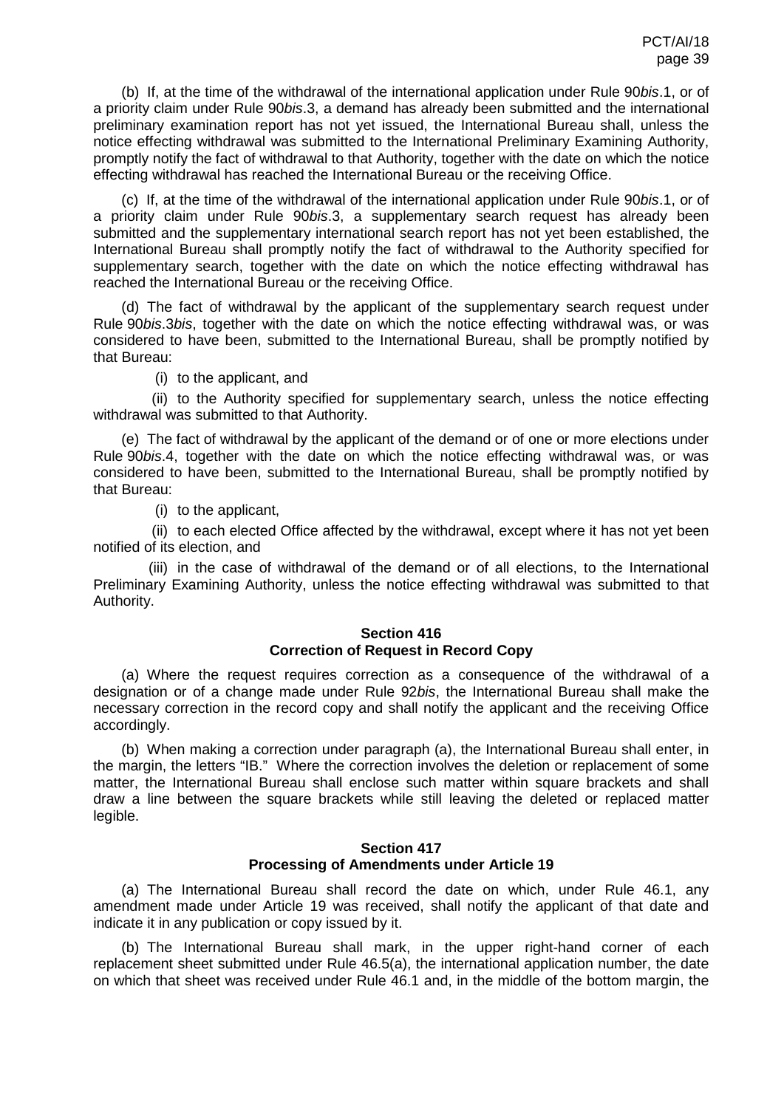(b) If, at the time of the withdrawal of the international application under Rule 90*bis*.1, or of a priority claim under Rule 90*bis*.3, a demand has already been submitted and the international preliminary examination report has not yet issued, the International Bureau shall, unless the notice effecting withdrawal was submitted to the International Preliminary Examining Authority, promptly notify the fact of withdrawal to that Authority, together with the date on which the notice effecting withdrawal has reached the International Bureau or the receiving Office.

(c) If, at the time of the withdrawal of the international application under Rule 90*bis*.1, or of a priority claim under Rule 90*bis*.3, a supplementary search request has already been submitted and the supplementary international search report has not yet been established, the International Bureau shall promptly notify the fact of withdrawal to the Authority specified for supplementary search, together with the date on which the notice effecting withdrawal has reached the International Bureau or the receiving Office.

(d) The fact of withdrawal by the applicant of the supplementary search request under Rule 90*bis*.3*bis*, together with the date on which the notice effecting withdrawal was, or was considered to have been, submitted to the International Bureau, shall be promptly notified by that Bureau:

(i) to the applicant, and

(ii) to the Authority specified for supplementary search, unless the notice effecting withdrawal was submitted to that Authority.

(e) The fact of withdrawal by the applicant of the demand or of one or more elections under Rule 90*bis*.4, together with the date on which the notice effecting withdrawal was, or was considered to have been, submitted to the International Bureau, shall be promptly notified by that Bureau:

(i) to the applicant,

(ii) to each elected Office affected by the withdrawal, except where it has not yet been notified of its election, and

(iii) in the case of withdrawal of the demand or of all elections, to the International Preliminary Examining Authority, unless the notice effecting withdrawal was submitted to that Authority.

# **Section 416 Correction of Request in Record Copy**

(a) Where the request requires correction as a consequence of the withdrawal of a designation or of a change made under Rule 92*bis*, the International Bureau shall make the necessary correction in the record copy and shall notify the applicant and the receiving Office accordingly.

(b) When making a correction under paragraph (a), the International Bureau shall enter, in the margin, the letters "IB." Where the correction involves the deletion or replacement of some matter, the International Bureau shall enclose such matter within square brackets and shall draw a line between the square brackets while still leaving the deleted or replaced matter legible.

### **Section 417 Processing of Amendments under Article 19**

(a) The International Bureau shall record the date on which, under Rule 46.1, any amendment made under Article 19 was received, shall notify the applicant of that date and indicate it in any publication or copy issued by it.

(b) The International Bureau shall mark, in the upper right-hand corner of each replacement sheet submitted under Rule 46.5(a), the international application number, the date on which that sheet was received under Rule 46.1 and, in the middle of the bottom margin, the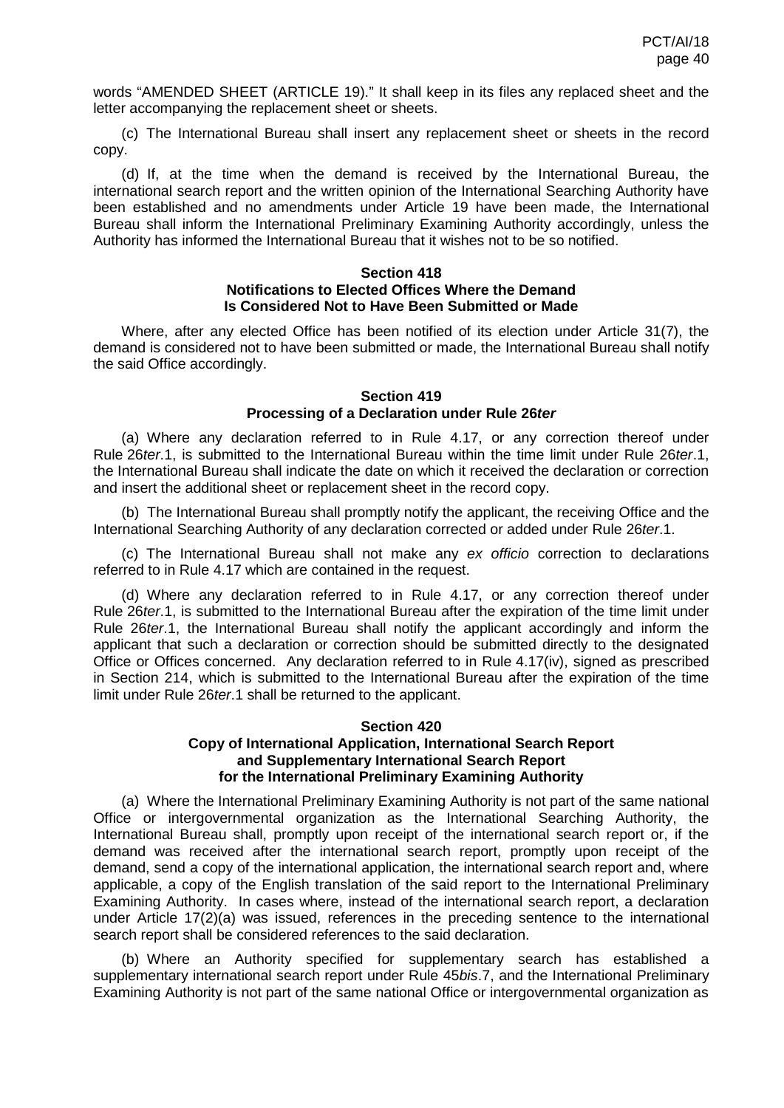words "AMENDED SHEET (ARTICLE 19)." It shall keep in its files any replaced sheet and the letter accompanying the replacement sheet or sheets.

(c) The International Bureau shall insert any replacement sheet or sheets in the record copy.

(d) If, at the time when the demand is received by the International Bureau, the international search report and the written opinion of the International Searching Authority have been established and no amendments under Article 19 have been made, the International Bureau shall inform the International Preliminary Examining Authority accordingly, unless the Authority has informed the International Bureau that it wishes not to be so notified.

#### **Section 418 Notifications to Elected Offices Where the Demand Is Considered Not to Have Been Submitted or Made**

Where, after any elected Office has been notified of its election under Article 31(7), the demand is considered not to have been submitted or made, the International Bureau shall notify the said Office accordingly.

#### **Section 419 Processing of a Declaration under Rule 26***ter*

(a) Where any declaration referred to in Rule 4.17, or any correction thereof under Rule 26*ter*.1, is submitted to the International Bureau within the time limit under Rule 26*ter*.1, the International Bureau shall indicate the date on which it received the declaration or correction and insert the additional sheet or replacement sheet in the record copy.

(b) The International Bureau shall promptly notify the applicant, the receiving Office and the International Searching Authority of any declaration corrected or added under Rule 26*ter*.1.

(c) The International Bureau shall not make any *ex officio* correction to declarations referred to in Rule 4.17 which are contained in the request.

(d) Where any declaration referred to in Rule 4.17, or any correction thereof under Rule 26*ter*.1, is submitted to the International Bureau after the expiration of the time limit under Rule 26*ter*.1, the International Bureau shall notify the applicant accordingly and inform the applicant that such a declaration or correction should be submitted directly to the designated Office or Offices concerned. Any declaration referred to in Rule 4.17(iv), signed as prescribed in Section 214, which is submitted to the International Bureau after the expiration of the time limit under Rule 26*ter*.1 shall be returned to the applicant.

### **Section 420 Copy of International Application, International Search Report and Supplementary International Search Report for the International Preliminary Examining Authority**

(a) Where the International Preliminary Examining Authority is not part of the same national Office or intergovernmental organization as the International Searching Authority, the International Bureau shall, promptly upon receipt of the international search report or, if the demand was received after the international search report, promptly upon receipt of the demand, send a copy of the international application, the international search report and, where applicable, a copy of the English translation of the said report to the International Preliminary Examining Authority. In cases where, instead of the international search report, a declaration under Article 17(2)(a) was issued, references in the preceding sentence to the international search report shall be considered references to the said declaration.

(b) Where an Authority specified for supplementary search has established a supplementary international search report under Rule 45*bis*.7, and the International Preliminary Examining Authority is not part of the same national Office or intergovernmental organization as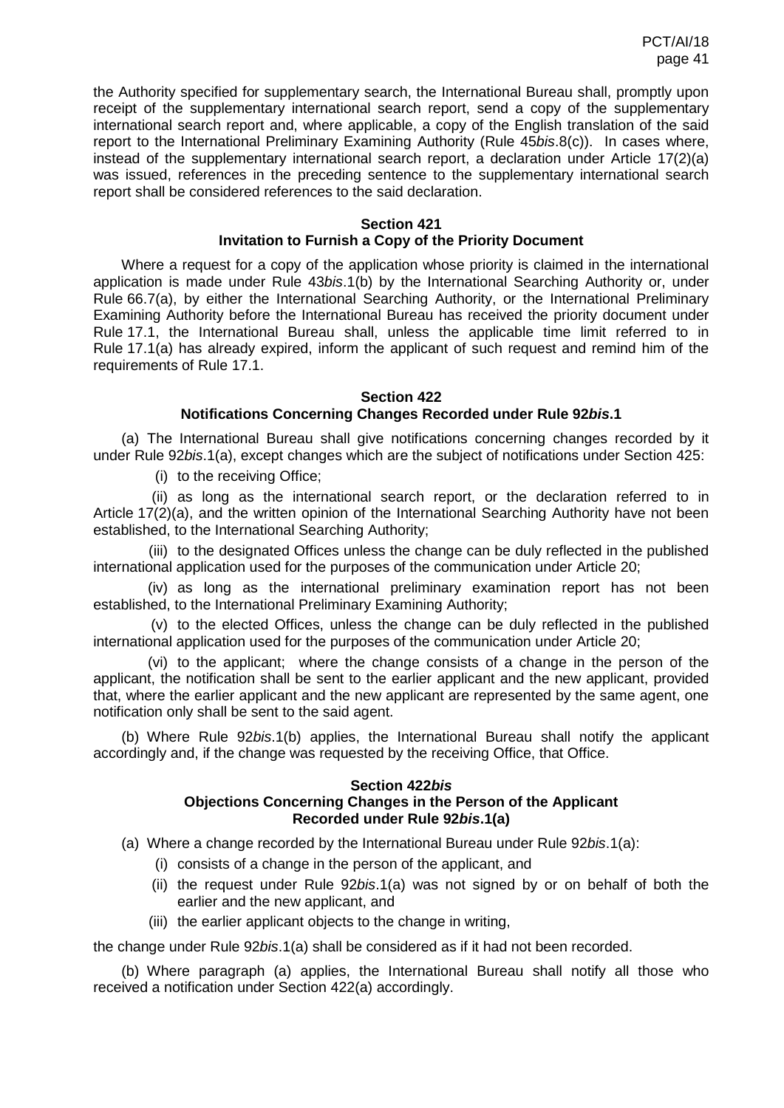the Authority specified for supplementary search, the International Bureau shall, promptly upon receipt of the supplementary international search report, send a copy of the supplementary international search report and, where applicable, a copy of the English translation of the said report to the International Preliminary Examining Authority (Rule 45*bis*.8(c)). In cases where, instead of the supplementary international search report, a declaration under Article 17(2)(a) was issued, references in the preceding sentence to the supplementary international search report shall be considered references to the said declaration.

#### **Section 421**

# **Invitation to Furnish a Copy of the Priority Document**

Where a request for a copy of the application whose priority is claimed in the international application is made under Rule 43*bis*.1(b) by the International Searching Authority or, under Rule 66.7(a), by either the International Searching Authority, or the International Preliminary Examining Authority before the International Bureau has received the priority document under Rule 17.1, the International Bureau shall, unless the applicable time limit referred to in Rule 17.1(a) has already expired, inform the applicant of such request and remind him of the requirements of Rule 17.1.

### **Section 422**

### **Notifications Concerning Changes Recorded under Rule 92***bis***.1**

(a) The International Bureau shall give notifications concerning changes recorded by it under Rule 92*bis*.1(a), except changes which are the subject of notifications under Section 425:

(i) to the receiving Office;

(ii) as long as the international search report, or the declaration referred to in Article 17(2)(a), and the written opinion of the International Searching Authority have not been established, to the International Searching Authority;

(iii) to the designated Offices unless the change can be duly reflected in the published international application used for the purposes of the communication under Article 20;

(iv) as long as the international preliminary examination report has not been established, to the International Preliminary Examining Authority;

(v) to the elected Offices, unless the change can be duly reflected in the published international application used for the purposes of the communication under Article 20;

(vi) to the applicant; where the change consists of a change in the person of the applicant, the notification shall be sent to the earlier applicant and the new applicant, provided that, where the earlier applicant and the new applicant are represented by the same agent, one notification only shall be sent to the said agent.

(b) Where Rule 92*bis*.1(b) applies, the International Bureau shall notify the applicant accordingly and, if the change was requested by the receiving Office, that Office.

### **Section 422***bis*

# **Objections Concerning Changes in the Person of the Applicant Recorded under Rule 92***bis***.1(a)**

(a) Where a change recorded by the International Bureau under Rule 92*bis*.1(a):

- (i) consists of a change in the person of the applicant, and
- (ii) the request under Rule 92*bis*.1(a) was not signed by or on behalf of both the earlier and the new applicant, and
- (iii) the earlier applicant objects to the change in writing,

the change under Rule 92*bis*.1(a) shall be considered as if it had not been recorded.

(b) Where paragraph (a) applies, the International Bureau shall notify all those who received a notification under Section 422(a) accordingly.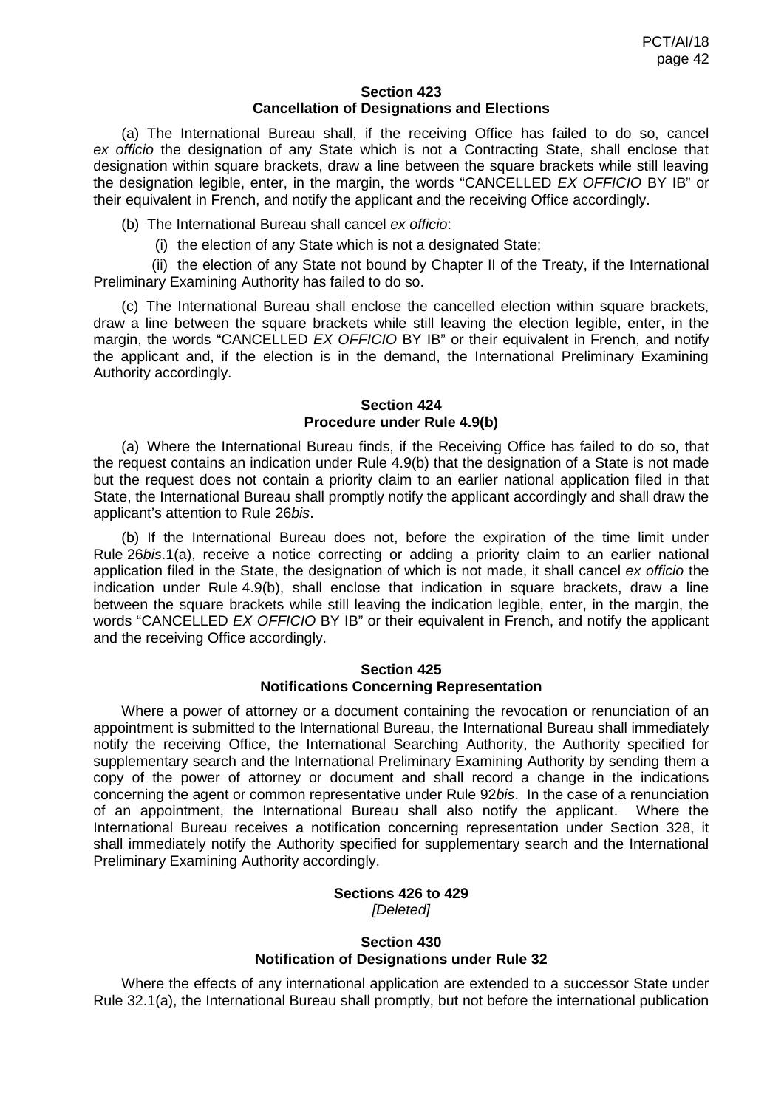#### **Section 423 Cancellation of Designations and Elections**

(a) The International Bureau shall, if the receiving Office has failed to do so, cancel *ex officio* the designation of any State which is not a Contracting State, shall enclose that designation within square brackets, draw a line between the square brackets while still leaving the designation legible, enter, in the margin, the words "CANCELLED *EX OFFICIO* BY IB" or their equivalent in French, and notify the applicant and the receiving Office accordingly.

(b) The International Bureau shall cancel *ex officio*:

(i) the election of any State which is not a designated State;

(ii) the election of any State not bound by Chapter II of the Treaty, if the International Preliminary Examining Authority has failed to do so.

(c) The International Bureau shall enclose the cancelled election within square brackets, draw a line between the square brackets while still leaving the election legible, enter, in the margin, the words "CANCELLED *EX OFFICIO* BY IB" or their equivalent in French, and notify the applicant and, if the election is in the demand, the International Preliminary Examining Authority accordingly.

#### **Section 424 Procedure under Rule 4.9(b)**

(a) Where the International Bureau finds, if the Receiving Office has failed to do so, that the request contains an indication under Rule 4.9(b) that the designation of a State is not made but the request does not contain a priority claim to an earlier national application filed in that State, the International Bureau shall promptly notify the applicant accordingly and shall draw the applicant's attention to Rule 26*bis*.

(b) If the International Bureau does not, before the expiration of the time limit under Rule 26*bis*.1(a), receive a notice correcting or adding a priority claim to an earlier national application filed in the State, the designation of which is not made, it shall cancel *ex officio* the indication under Rule 4.9(b), shall enclose that indication in square brackets, draw a line between the square brackets while still leaving the indication legible, enter, in the margin, the words "CANCELLED *EX OFFICIO* BY IB" or their equivalent in French, and notify the applicant and the receiving Office accordingly.

### **Section 425 Notifications Concerning Representation**

Where a power of attorney or a document containing the revocation or renunciation of an appointment is submitted to the International Bureau, the International Bureau shall immediately notify the receiving Office, the International Searching Authority, the Authority specified for supplementary search and the International Preliminary Examining Authority by sending them a copy of the power of attorney or document and shall record a change in the indications concerning the agent or common representative under Rule 92*bis*. In the case of a renunciation of an appointment, the International Bureau shall also notify the applicant. Where the International Bureau receives a notification concerning representation under Section 328, it shall immediately notify the Authority specified for supplementary search and the International Preliminary Examining Authority accordingly.

#### **Sections 426 to 429** *[Deleted]*

#### **Section 430 Notification of Designations under Rule 32**

Where the effects of any international application are extended to a successor State under Rule 32.1(a), the International Bureau shall promptly, but not before the international publication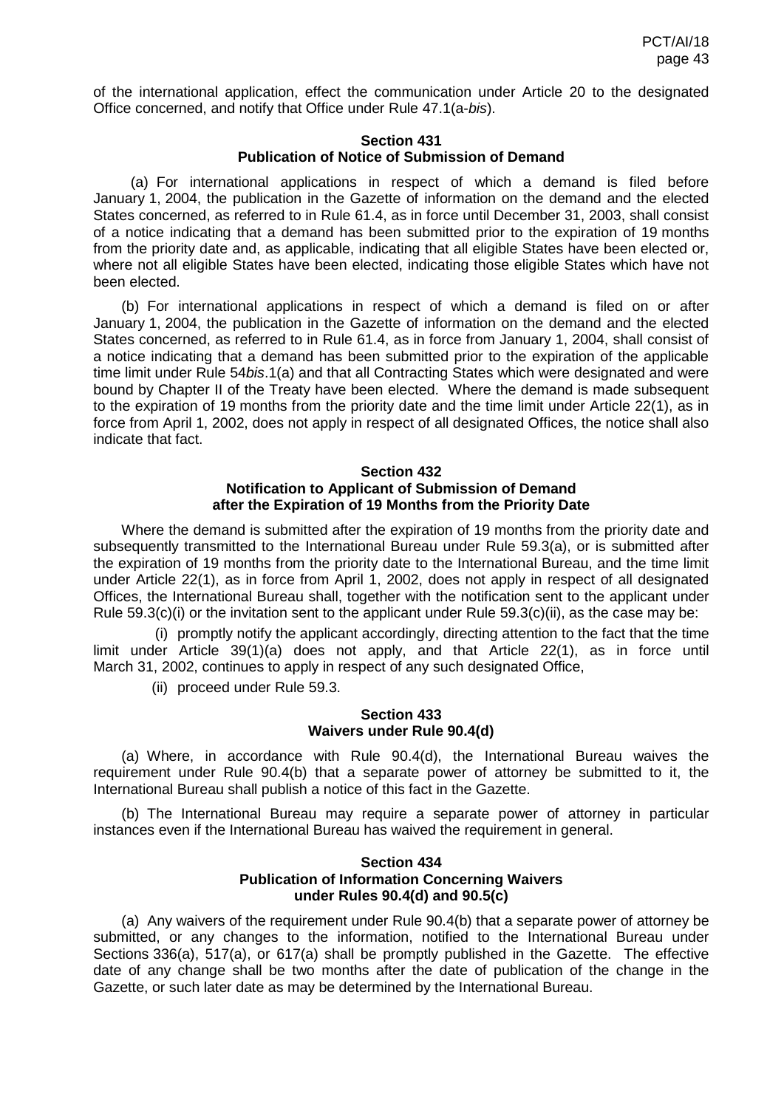of the international application, effect the communication under Article 20 to the designated Office concerned, and notify that Office under Rule 47.1(a-*bis*).

### **Section 431 Publication of Notice of Submission of Demand**

(a) For international applications in respect of which a demand is filed before January 1, 2004, the publication in the Gazette of information on the demand and the elected States concerned, as referred to in Rule 61.4, as in force until December 31, 2003, shall consist of a notice indicating that a demand has been submitted prior to the expiration of 19 months from the priority date and, as applicable, indicating that all eligible States have been elected or, where not all eligible States have been elected, indicating those eligible States which have not been elected.

(b) For international applications in respect of which a demand is filed on or after January 1, 2004, the publication in the Gazette of information on the demand and the elected States concerned, as referred to in Rule 61.4, as in force from January 1, 2004, shall consist of a notice indicating that a demand has been submitted prior to the expiration of the applicable time limit under Rule 54*bis*.1(a) and that all Contracting States which were designated and were bound by Chapter II of the Treaty have been elected. Where the demand is made subsequent to the expiration of 19 months from the priority date and the time limit under Article 22(1), as in force from April 1, 2002, does not apply in respect of all designated Offices, the notice shall also indicate that fact.

# **Section 432 Notification to Applicant of Submission of Demand after the Expiration of 19 Months from the Priority Date**

Where the demand is submitted after the expiration of 19 months from the priority date and subsequently transmitted to the International Bureau under Rule 59.3(a), or is submitted after the expiration of 19 months from the priority date to the International Bureau, and the time limit under Article 22(1), as in force from April 1, 2002, does not apply in respect of all designated Offices, the International Bureau shall, together with the notification sent to the applicant under Rule 59.3(c)(i) or the invitation sent to the applicant under Rule  $59.3(c)$ (ii), as the case may be:

(i) promptly notify the applicant accordingly, directing attention to the fact that the time limit under Article 39(1)(a) does not apply, and that Article 22(1), as in force until March 31, 2002, continues to apply in respect of any such designated Office,

(ii) proceed under Rule 59.3.

# **Section 433 Waivers under Rule 90.4(d)**

(a) Where, in accordance with Rule 90.4(d), the International Bureau waives the requirement under Rule 90.4(b) that a separate power of attorney be submitted to it, the International Bureau shall publish a notice of this fact in the Gazette.

(b) The International Bureau may require a separate power of attorney in particular instances even if the International Bureau has waived the requirement in general.

## **Section 434 Publication of Information Concerning Waivers under Rules 90.4(d) and 90.5(c)**

(a) Any waivers of the requirement under Rule 90.4(b) that a separate power of attorney be submitted, or any changes to the information, notified to the International Bureau under Sections 336(a), 517(a), or 617(a) shall be promptly published in the Gazette. The effective date of any change shall be two months after the date of publication of the change in the Gazette, or such later date as may be determined by the International Bureau.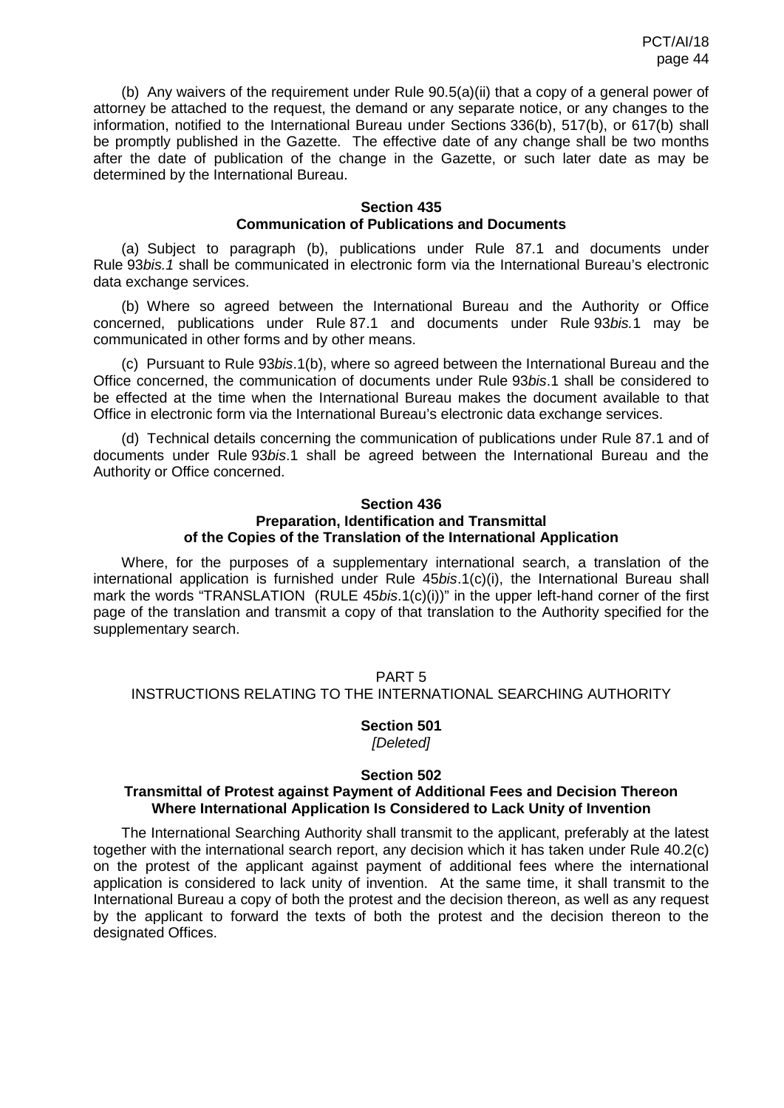(b) Any waivers of the requirement under Rule 90.5(a)(ii) that a copy of a general power of attorney be attached to the request, the demand or any separate notice, or any changes to the information, notified to the International Bureau under Sections 336(b), 517(b), or 617(b) shall be promptly published in the Gazette. The effective date of any change shall be two months after the date of publication of the change in the Gazette, or such later date as may be determined by the International Bureau.

## **Section 435 Communication of Publications and Documents**

(a) Subject to paragraph (b), publications under Rule 87.1 and documents under Rule 93*bis.1* shall be communicated in electronic form via the International Bureau's electronic data exchange services.

(b) Where so agreed between the International Bureau and the Authority or Office concerned, publications under Rule 87.1 and documents under Rule 93*bis.*1 may be communicated in other forms and by other means.

(c) Pursuant to Rule 93*bis*.1(b), where so agreed between the International Bureau and the Office concerned, the communication of documents under Rule 93*bis*.1 shall be considered to be effected at the time when the International Bureau makes the document available to that Office in electronic form via the International Bureau's electronic data exchange services.

(d) Technical details concerning the communication of publications under Rule 87.1 and of documents under Rule 93*bis*.1 shall be agreed between the International Bureau and the Authority or Office concerned.

### **Section 436 Preparation, Identification and Transmittal of the Copies of the Translation of the International Application**

Where, for the purposes of a supplementary international search, a translation of the international application is furnished under Rule 45*bis*.1(c)(i), the International Bureau shall mark the words "TRANSLATION (RULE 45*bis*.1(c)(i))" in the upper left-hand corner of the first page of the translation and transmit a copy of that translation to the Authority specified for the supplementary search.

# PART 5 INSTRUCTIONS RELATING TO THE INTERNATIONAL SEARCHING AUTHORITY

### **Section 501** *[Deleted]*

### **Section 502**

### **Transmittal of Protest against Payment of Additional Fees and Decision Thereon Where International Application Is Considered to Lack Unity of Invention**

The International Searching Authority shall transmit to the applicant, preferably at the latest together with the international search report, any decision which it has taken under Rule 40.2(c) on the protest of the applicant against payment of additional fees where the international application is considered to lack unity of invention. At the same time, it shall transmit to the International Bureau a copy of both the protest and the decision thereon, as well as any request by the applicant to forward the texts of both the protest and the decision thereon to the designated Offices.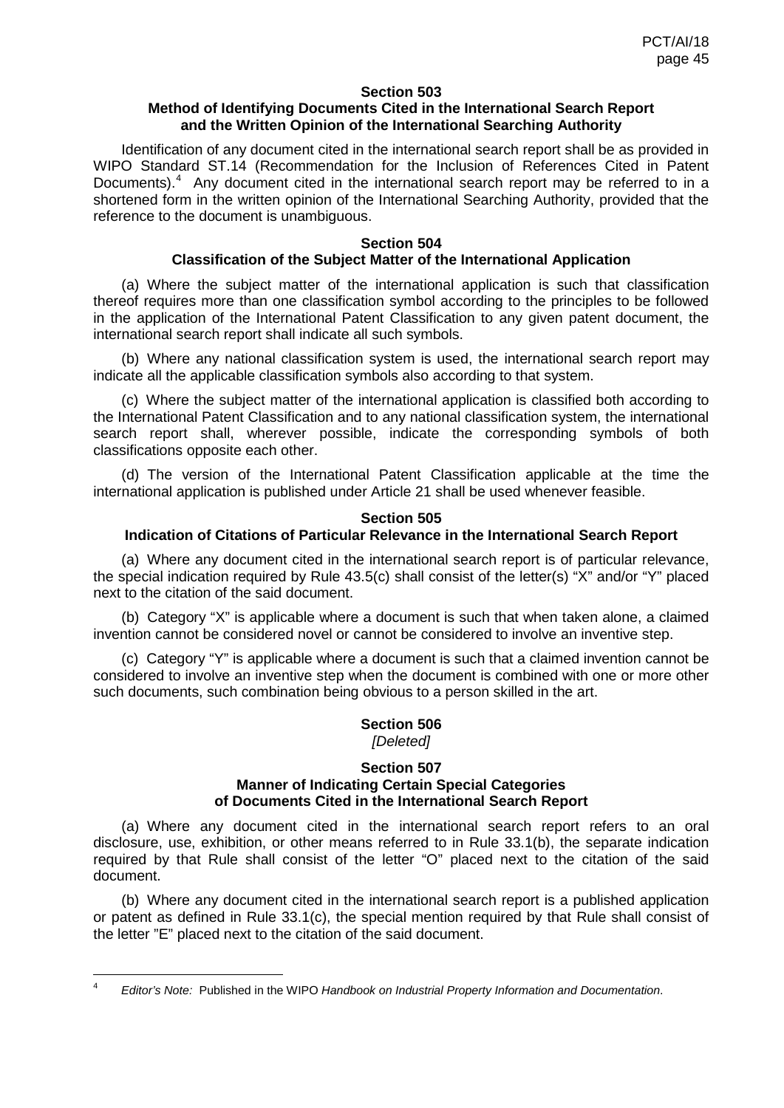### **Section 503**

# **Method of Identifying Documents Cited in the International Search Report and the Written Opinion of the International Searching Authority**

Identification of any document cited in the international search report shall be as provided in WIPO Standard ST.14 (Recommendation for the Inclusion of References Cited in Patent Documents).<sup>[4](#page-13-0)</sup> Any document cited in the international search report may be referred to in a shortened form in the written opinion of the International Searching Authority, provided that the reference to the document is unambiguous.

### **Section 504**

# **Classification of the Subject Matter of the International Application**

(a) Where the subject matter of the international application is such that classification thereof requires more than one classification symbol according to the principles to be followed in the application of the International Patent Classification to any given patent document, the international search report shall indicate all such symbols.

(b) Where any national classification system is used, the international search report may indicate all the applicable classification symbols also according to that system.

(c) Where the subject matter of the international application is classified both according to the International Patent Classification and to any national classification system, the international search report shall, wherever possible, indicate the corresponding symbols of both classifications opposite each other.

(d) The version of the International Patent Classification applicable at the time the international application is published under Article 21 shall be used whenever feasible.

#### **Section 505**

# **Indication of Citations of Particular Relevance in the International Search Report**

(a) Where any document cited in the international search report is of particular relevance, the special indication required by Rule 43.5(c) shall consist of the letter(s) "X" and/or "Y" placed next to the citation of the said document.

(b) Category "X" is applicable where a document is such that when taken alone, a claimed invention cannot be considered novel or cannot be considered to involve an inventive step.

(c) Category "Y" is applicable where a document is such that a claimed invention cannot be considered to involve an inventive step when the document is combined with one or more other such documents, such combination being obvious to a person skilled in the art.

### **Section 506** *[Deleted]*

#### **Section 507 Manner of Indicating Certain Special Categories of Documents Cited in the International Search Report**

(a) Where any document cited in the international search report refers to an oral disclosure, use, exhibition, or other means referred to in Rule 33.1(b), the separate indication required by that Rule shall consist of the letter "O" placed next to the citation of the said document.

<span id="page-44-0"></span>(b) Where any document cited in the international search report is a published application or patent as defined in Rule 33.1(c), the special mention required by that Rule shall consist of the letter "E" placed next to the citation of the said document.

 <sup>4</sup> *Editor's Note:* Published in the WIPO *Handbook on Industrial Property Information and Documentation*.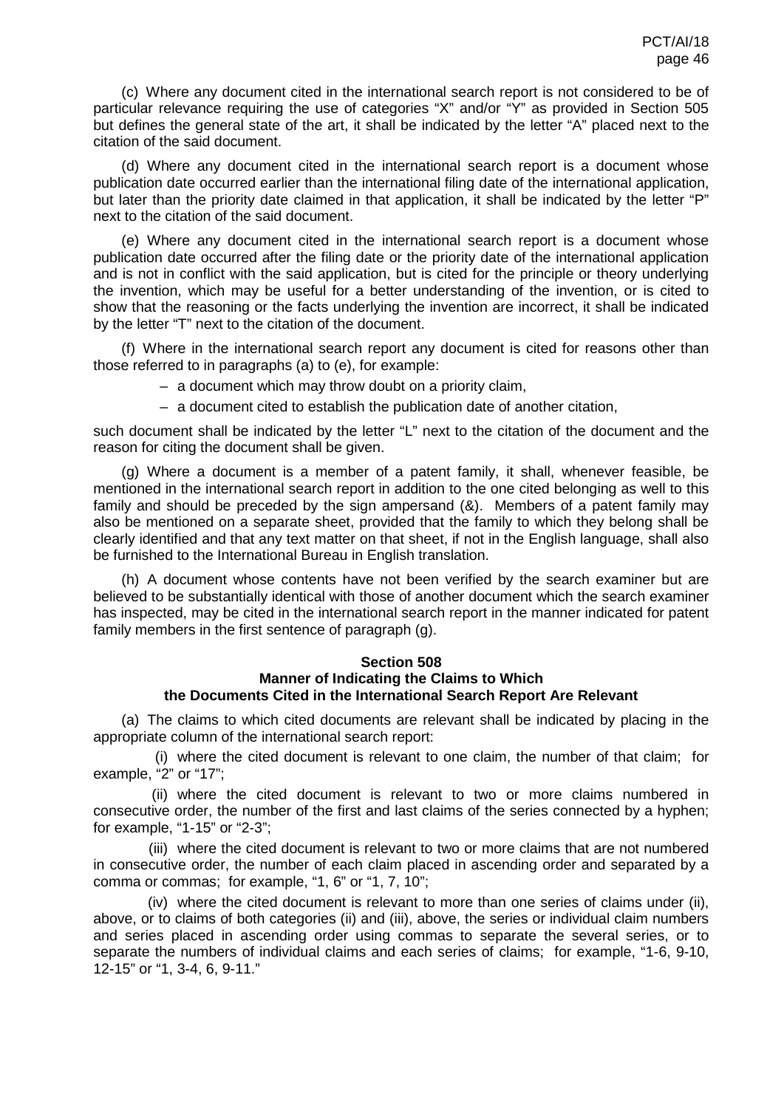(c) Where any document cited in the international search report is not considered to be of particular relevance requiring the use of categories "X" and/or "Y" as provided in Section 505 but defines the general state of the art, it shall be indicated by the letter "A" placed next to the citation of the said document.

(d) Where any document cited in the international search report is a document whose publication date occurred earlier than the international filing date of the international application, but later than the priority date claimed in that application, it shall be indicated by the letter "P" next to the citation of the said document.

(e) Where any document cited in the international search report is a document whose publication date occurred after the filing date or the priority date of the international application and is not in conflict with the said application, but is cited for the principle or theory underlying the invention, which may be useful for a better understanding of the invention, or is cited to show that the reasoning or the facts underlying the invention are incorrect, it shall be indicated by the letter "T" next to the citation of the document.

(f) Where in the international search report any document is cited for reasons other than those referred to in paragraphs (a) to (e), for example:

- a document which may throw doubt on a priority claim,
- a document cited to establish the publication date of another citation,

such document shall be indicated by the letter "L" next to the citation of the document and the reason for citing the document shall be given.

(g) Where a document is a member of a patent family, it shall, whenever feasible, be mentioned in the international search report in addition to the one cited belonging as well to this family and should be preceded by the sign ampersand (&). Members of a patent family may also be mentioned on a separate sheet, provided that the family to which they belong shall be clearly identified and that any text matter on that sheet, if not in the English language, shall also be furnished to the International Bureau in English translation.

(h) A document whose contents have not been verified by the search examiner but are believed to be substantially identical with those of another document which the search examiner has inspected, may be cited in the international search report in the manner indicated for patent family members in the first sentence of paragraph (g).

# **Section 508 Manner of Indicating the Claims to Which the Documents Cited in the International Search Report Are Relevant**

(a) The claims to which cited documents are relevant shall be indicated by placing in the appropriate column of the international search report:

(i) where the cited document is relevant to one claim, the number of that claim; for example, "2" or "17";

(ii) where the cited document is relevant to two or more claims numbered in consecutive order, the number of the first and last claims of the series connected by a hyphen; for example, "1-15" or "2-3";

(iii) where the cited document is relevant to two or more claims that are not numbered in consecutive order, the number of each claim placed in ascending order and separated by a comma or commas; for example, "1, 6" or "1, 7, 10";

(iv) where the cited document is relevant to more than one series of claims under (ii), above, or to claims of both categories (ii) and (iii), above, the series or individual claim numbers and series placed in ascending order using commas to separate the several series, or to separate the numbers of individual claims and each series of claims; for example, "1-6, 9-10, 12-15" or "1, 3-4, 6, 9-11."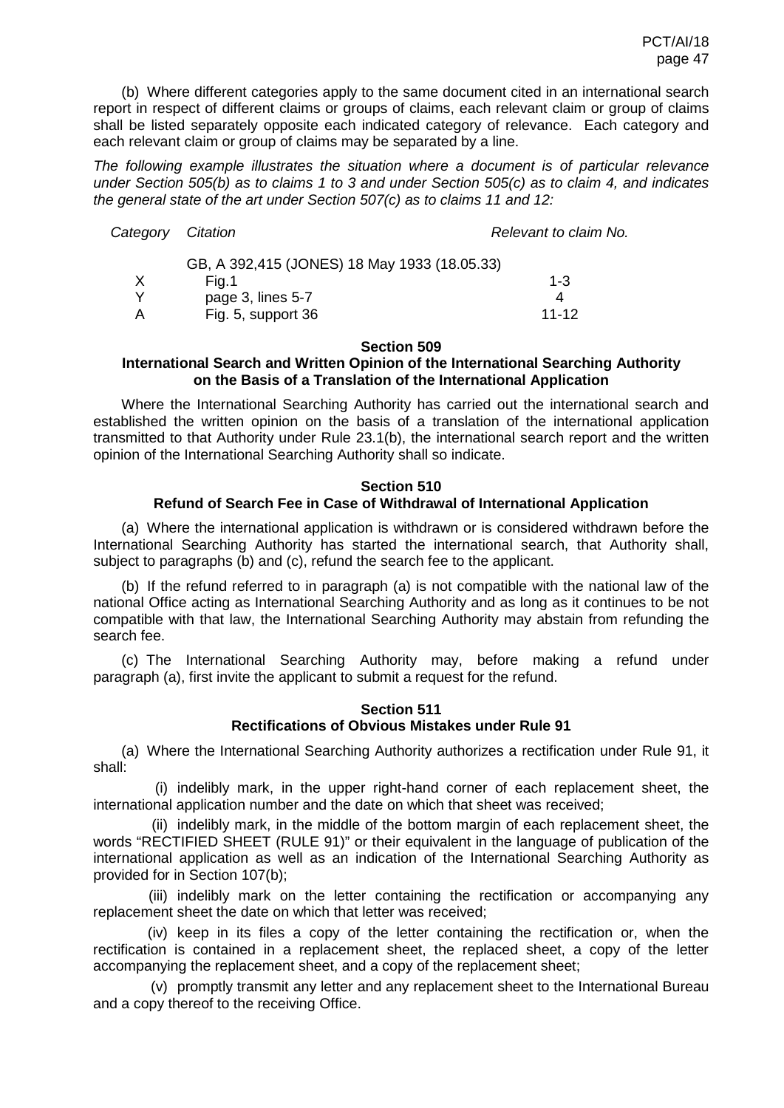(b) Where different categories apply to the same document cited in an international search report in respect of different claims or groups of claims, each relevant claim or group of claims shall be listed separately opposite each indicated category of relevance. Each category and each relevant claim or group of claims may be separated by a line.

*The following example illustrates the situation where a document is of particular relevance under Section 505(b) as to claims 1 to 3 and under Section 505(c) as to claim 4, and indicates the general state of the art under Section 507(c) as to claims 11 and 12:*

| Category | Citation                                     | Relevant to claim No. |
|----------|----------------------------------------------|-----------------------|
|          | GB, A 392,415 (JONES) 18 May 1933 (18.05.33) |                       |
| X        | Fig.1                                        | $1 - 3$               |
| v        | page 3, lines 5-7                            | 4                     |
| A        | Fig. 5, support 36                           | $11 - 12$             |

#### **Section 509**

# **International Search and Written Opinion of the International Searching Authority on the Basis of a Translation of the International Application**

Where the International Searching Authority has carried out the international search and established the written opinion on the basis of a translation of the international application transmitted to that Authority under Rule 23.1(b), the international search report and the written opinion of the International Searching Authority shall so indicate.

### **Section 510 Refund of Search Fee in Case of Withdrawal of International Application**

(a) Where the international application is withdrawn or is considered withdrawn before the International Searching Authority has started the international search, that Authority shall, subject to paragraphs (b) and (c), refund the search fee to the applicant.

(b) If the refund referred to in paragraph (a) is not compatible with the national law of the national Office acting as International Searching Authority and as long as it continues to be not compatible with that law, the International Searching Authority may abstain from refunding the search fee.

(c) The International Searching Authority may, before making a refund under paragraph (a), first invite the applicant to submit a request for the refund.

### **Section 511 Rectifications of Obvious Mistakes under Rule 91**

(a) Where the International Searching Authority authorizes a rectification under Rule 91, it shall:

(i) indelibly mark, in the upper right-hand corner of each replacement sheet, the international application number and the date on which that sheet was received;

(ii) indelibly mark, in the middle of the bottom margin of each replacement sheet, the words "RECTIFIED SHEET (RULE 91)" or their equivalent in the language of publication of the international application as well as an indication of the International Searching Authority as provided for in Section 107(b);

(iii) indelibly mark on the letter containing the rectification or accompanying any replacement sheet the date on which that letter was received;

(iv) keep in its files a copy of the letter containing the rectification or, when the rectification is contained in a replacement sheet, the replaced sheet, a copy of the letter accompanying the replacement sheet, and a copy of the replacement sheet;

(v) promptly transmit any letter and any replacement sheet to the International Bureau and a copy thereof to the receiving Office.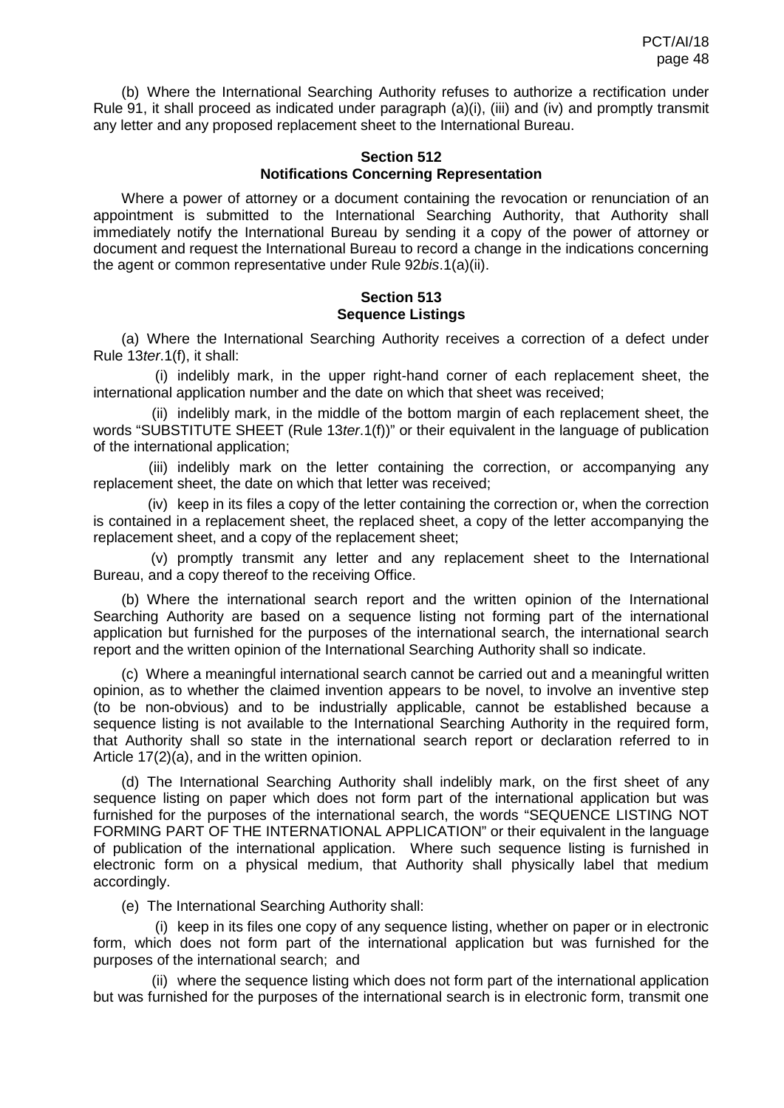(b) Where the International Searching Authority refuses to authorize a rectification under Rule 91, it shall proceed as indicated under paragraph (a)(i), (iii) and (iv) and promptly transmit any letter and any proposed replacement sheet to the International Bureau.

#### **Section 512 Notifications Concerning Representation**

Where a power of attorney or a document containing the revocation or renunciation of an appointment is submitted to the International Searching Authority, that Authority shall immediately notify the International Bureau by sending it a copy of the power of attorney or document and request the International Bureau to record a change in the indications concerning the agent or common representative under Rule 92*bis*.1(a)(ii).

## **Section 513 Sequence Listings**

(a) Where the International Searching Authority receives a correction of a defect under Rule 13*ter*.1(f), it shall:

(i) indelibly mark, in the upper right-hand corner of each replacement sheet, the international application number and the date on which that sheet was received;

(ii) indelibly mark, in the middle of the bottom margin of each replacement sheet, the words "SUBSTITUTE SHEET (Rule 13*ter*.1(f))" or their equivalent in the language of publication of the international application;

(iii) indelibly mark on the letter containing the correction, or accompanying any replacement sheet, the date on which that letter was received;

(iv) keep in its files a copy of the letter containing the correction or, when the correction is contained in a replacement sheet, the replaced sheet, a copy of the letter accompanying the replacement sheet, and a copy of the replacement sheet;

(v) promptly transmit any letter and any replacement sheet to the International Bureau, and a copy thereof to the receiving Office.

(b) Where the international search report and the written opinion of the International Searching Authority are based on a sequence listing not forming part of the international application but furnished for the purposes of the international search, the international search report and the written opinion of the International Searching Authority shall so indicate.

(c) Where a meaningful international search cannot be carried out and a meaningful written opinion, as to whether the claimed invention appears to be novel, to involve an inventive step (to be non-obvious) and to be industrially applicable, cannot be established because a sequence listing is not available to the International Searching Authority in the required form, that Authority shall so state in the international search report or declaration referred to in Article 17(2)(a), and in the written opinion.

(d) The International Searching Authority shall indelibly mark, on the first sheet of any sequence listing on paper which does not form part of the international application but was furnished for the purposes of the international search, the words "SEQUENCE LISTING NOT FORMING PART OF THE INTERNATIONAL APPLICATION" or their equivalent in the language of publication of the international application. Where such sequence listing is furnished in electronic form on a physical medium, that Authority shall physically label that medium accordingly.

(e) The International Searching Authority shall:

(i) keep in its files one copy of any sequence listing, whether on paper or in electronic form, which does not form part of the international application but was furnished for the purposes of the international search; and

(ii) where the sequence listing which does not form part of the international application but was furnished for the purposes of the international search is in electronic form, transmit one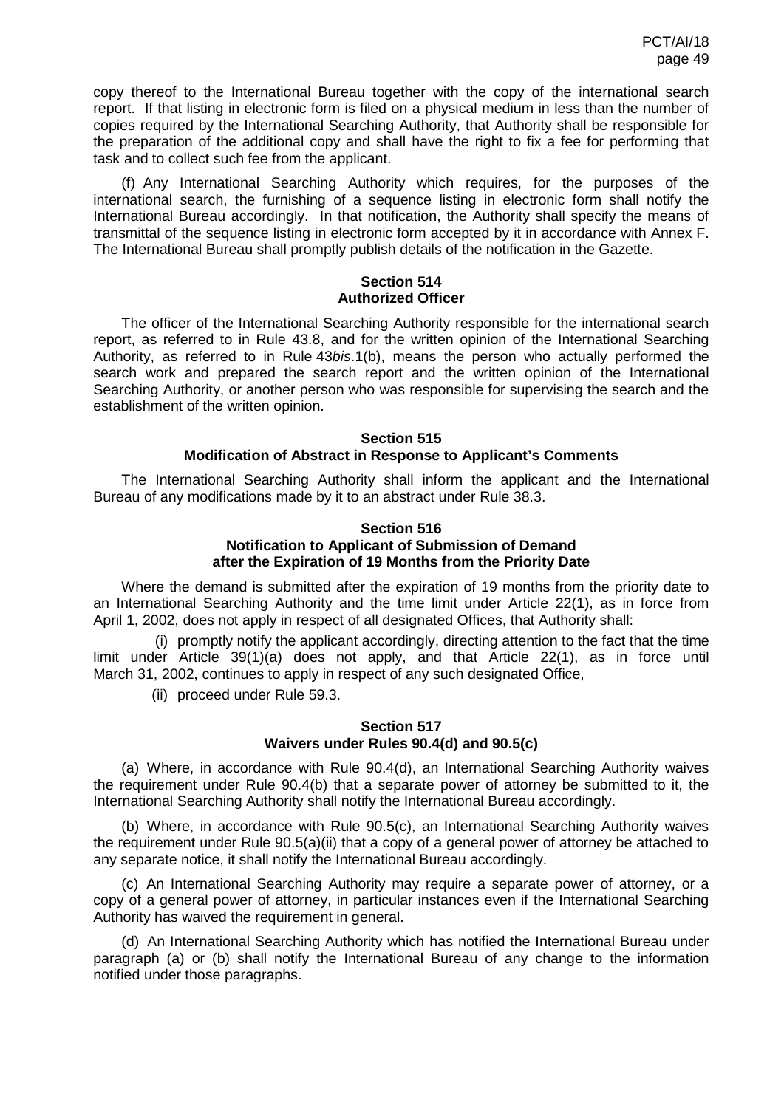copy thereof to the International Bureau together with the copy of the international search report. If that listing in electronic form is filed on a physical medium in less than the number of copies required by the International Searching Authority, that Authority shall be responsible for the preparation of the additional copy and shall have the right to fix a fee for performing that task and to collect such fee from the applicant.

(f) Any International Searching Authority which requires, for the purposes of the international search, the furnishing of a sequence listing in electronic form shall notify the International Bureau accordingly. In that notification, the Authority shall specify the means of transmittal of the sequence listing in electronic form accepted by it in accordance with Annex F. The International Bureau shall promptly publish details of the notification in the Gazette.

# **Section 514 Authorized Officer**

The officer of the International Searching Authority responsible for the international search report, as referred to in Rule 43.8, and for the written opinion of the International Searching Authority, as referred to in Rule 43*bis*.1(b), means the person who actually performed the search work and prepared the search report and the written opinion of the International Searching Authority, or another person who was responsible for supervising the search and the establishment of the written opinion.

# **Section 515 Modification of Abstract in Response to Applicant's Comments**

The International Searching Authority shall inform the applicant and the International Bureau of any modifications made by it to an abstract under Rule 38.3.

# **Section 516 Notification to Applicant of Submission of Demand after the Expiration of 19 Months from the Priority Date**

Where the demand is submitted after the expiration of 19 months from the priority date to an International Searching Authority and the time limit under Article 22(1), as in force from April 1, 2002, does not apply in respect of all designated Offices, that Authority shall:

(i) promptly notify the applicant accordingly, directing attention to the fact that the time limit under Article 39(1)(a) does not apply, and that Article 22(1), as in force until March 31, 2002, continues to apply in respect of any such designated Office,

(ii) proceed under Rule 59.3.

# **Section 517 Waivers under Rules 90.4(d) and 90.5(c)**

(a) Where, in accordance with Rule 90.4(d), an International Searching Authority waives the requirement under Rule 90.4(b) that a separate power of attorney be submitted to it, the International Searching Authority shall notify the International Bureau accordingly.

(b) Where, in accordance with Rule 90.5(c), an International Searching Authority waives the requirement under Rule 90.5(a)(ii) that a copy of a general power of attorney be attached to any separate notice, it shall notify the International Bureau accordingly.

(c) An International Searching Authority may require a separate power of attorney, or a copy of a general power of attorney, in particular instances even if the International Searching Authority has waived the requirement in general.

(d) An International Searching Authority which has notified the International Bureau under paragraph (a) or (b) shall notify the International Bureau of any change to the information notified under those paragraphs.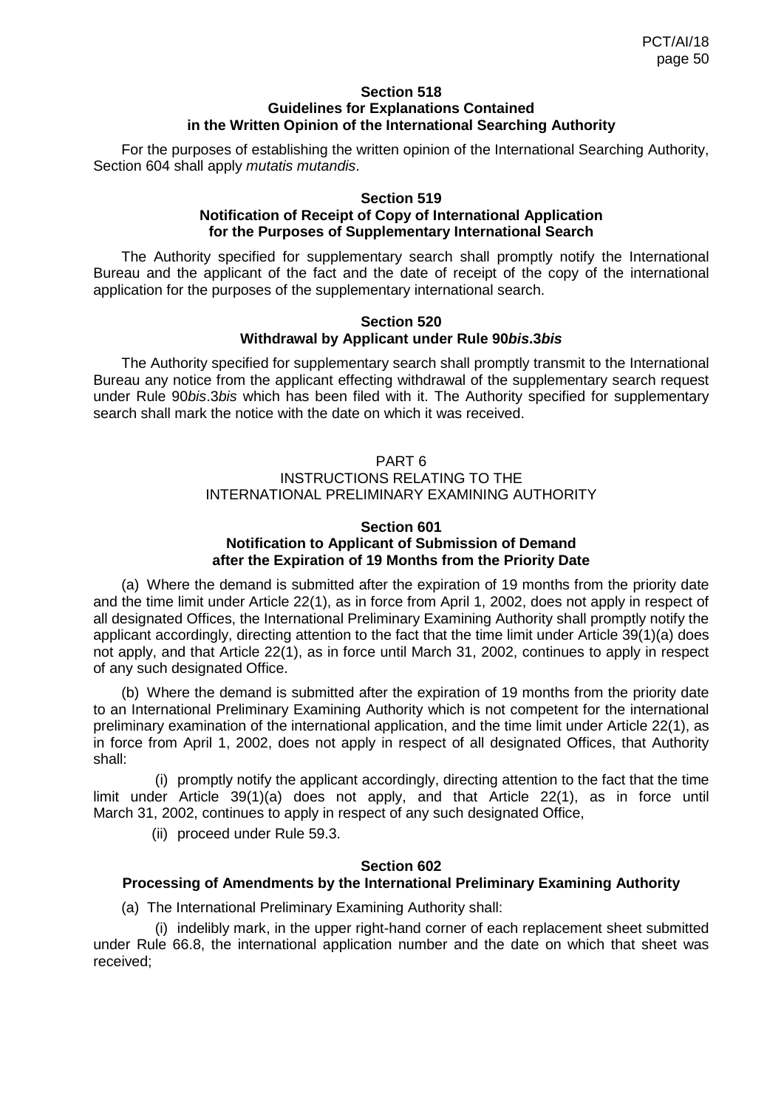### **Section 518 Guidelines for Explanations Contained in the Written Opinion of the International Searching Authority**

For the purposes of establishing the written opinion of the International Searching Authority, Section 604 shall apply *mutatis mutandis*.

## **Section 519 Notification of Receipt of Copy of International Application for the Purposes of Supplementary International Search**

The Authority specified for supplementary search shall promptly notify the International Bureau and the applicant of the fact and the date of receipt of the copy of the international application for the purposes of the supplementary international search.

### **Section 520 Withdrawal by Applicant under Rule 90***bis***.3***bis*

The Authority specified for supplementary search shall promptly transmit to the International Bureau any notice from the applicant effecting withdrawal of the supplementary search request under Rule 90*bis*.3*bis* which has been filed with it. The Authority specified for supplementary search shall mark the notice with the date on which it was received.

# PART 6 INSTRUCTIONS RELATING TO THE INTERNATIONAL PRELIMINARY EXAMINING AUTHORITY

# **Section 601 Notification to Applicant of Submission of Demand after the Expiration of 19 Months from the Priority Date**

(a) Where the demand is submitted after the expiration of 19 months from the priority date and the time limit under Article 22(1), as in force from April 1, 2002, does not apply in respect of all designated Offices, the International Preliminary Examining Authority shall promptly notify the applicant accordingly, directing attention to the fact that the time limit under Article 39(1)(a) does not apply, and that Article 22(1), as in force until March 31, 2002, continues to apply in respect of any such designated Office.

(b) Where the demand is submitted after the expiration of 19 months from the priority date to an International Preliminary Examining Authority which is not competent for the international preliminary examination of the international application, and the time limit under Article 22(1), as in force from April 1, 2002, does not apply in respect of all designated Offices, that Authority shall:

(i) promptly notify the applicant accordingly, directing attention to the fact that the time limit under Article 39(1)(a) does not apply, and that Article 22(1), as in force until March 31, 2002, continues to apply in respect of any such designated Office,

(ii) proceed under Rule 59.3.

# **Section 602**

# **Processing of Amendments by the International Preliminary Examining Authority**

(a) The International Preliminary Examining Authority shall:

(i) indelibly mark, in the upper right-hand corner of each replacement sheet submitted under Rule 66.8, the international application number and the date on which that sheet was received;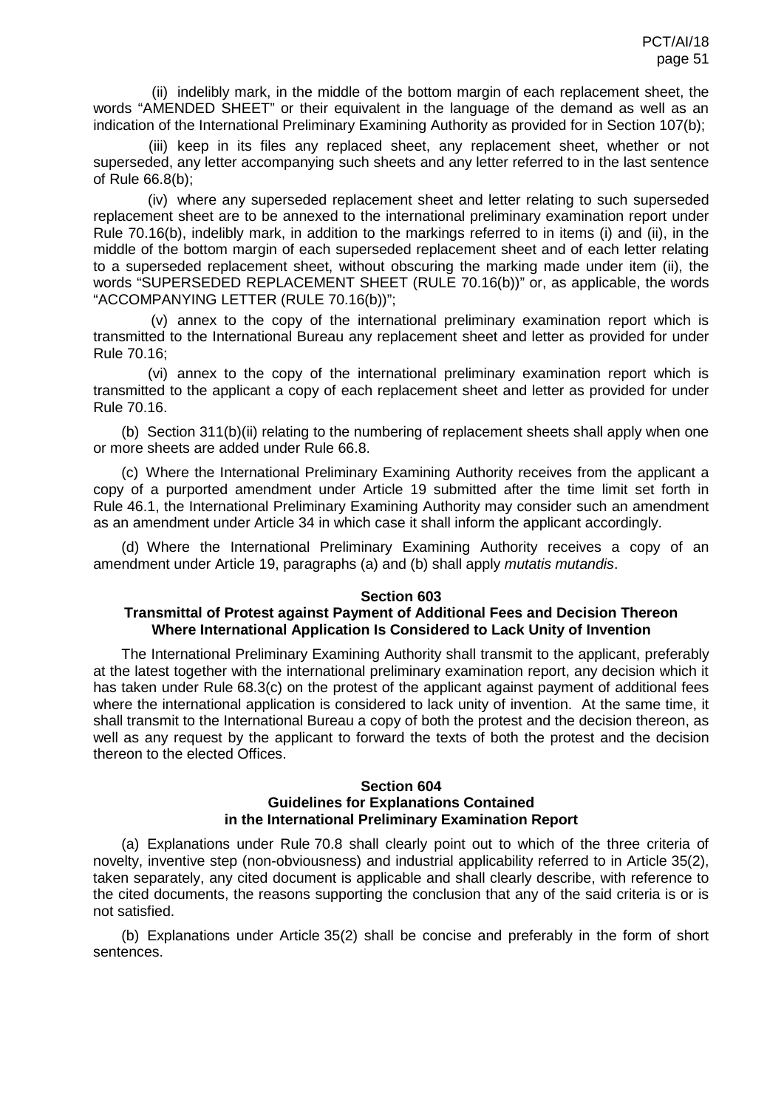(ii) indelibly mark, in the middle of the bottom margin of each replacement sheet, the words "AMENDED SHEET" or their equivalent in the language of the demand as well as an indication of the International Preliminary Examining Authority as provided for in Section 107(b);

(iii) keep in its files any replaced sheet, any replacement sheet, whether or not superseded, any letter accompanying such sheets and any letter referred to in the last sentence of Rule 66.8(b);

(iv) where any superseded replacement sheet and letter relating to such superseded replacement sheet are to be annexed to the international preliminary examination report under Rule 70.16(b), indelibly mark, in addition to the markings referred to in items (i) and (ii), in the middle of the bottom margin of each superseded replacement sheet and of each letter relating to a superseded replacement sheet, without obscuring the marking made under item (ii), the words "SUPERSEDED REPLACEMENT SHEET (RULE 70.16(b))" or, as applicable, the words "ACCOMPANYING LETTER (RULE 70.16(b))";

(v) annex to the copy of the international preliminary examination report which is transmitted to the International Bureau any replacement sheet and letter as provided for under Rule 70.16;

(vi) annex to the copy of the international preliminary examination report which is transmitted to the applicant a copy of each replacement sheet and letter as provided for under Rule 70.16.

(b) Section 311(b)(ii) relating to the numbering of replacement sheets shall apply when one or more sheets are added under Rule 66.8.

(c) Where the International Preliminary Examining Authority receives from the applicant a copy of a purported amendment under Article 19 submitted after the time limit set forth in Rule 46.1, the International Preliminary Examining Authority may consider such an amendment as an amendment under Article 34 in which case it shall inform the applicant accordingly.

(d) Where the International Preliminary Examining Authority receives a copy of an amendment under Article 19, paragraphs (a) and (b) shall apply *mutatis mutandis*.

### **Section 603**

# **Transmittal of Protest against Payment of Additional Fees and Decision Thereon Where International Application Is Considered to Lack Unity of Invention**

The International Preliminary Examining Authority shall transmit to the applicant, preferably at the latest together with the international preliminary examination report, any decision which it has taken under Rule 68.3(c) on the protest of the applicant against payment of additional fees where the international application is considered to lack unity of invention. At the same time, it shall transmit to the International Bureau a copy of both the protest and the decision thereon, as well as any request by the applicant to forward the texts of both the protest and the decision thereon to the elected Offices.

### **Section 604 Guidelines for Explanations Contained in the International Preliminary Examination Report**

(a) Explanations under Rule 70.8 shall clearly point out to which of the three criteria of novelty, inventive step (non-obviousness) and industrial applicability referred to in Article 35(2), taken separately, any cited document is applicable and shall clearly describe, with reference to the cited documents, the reasons supporting the conclusion that any of the said criteria is or is not satisfied.

(b) Explanations under Article 35(2) shall be concise and preferably in the form of short sentences.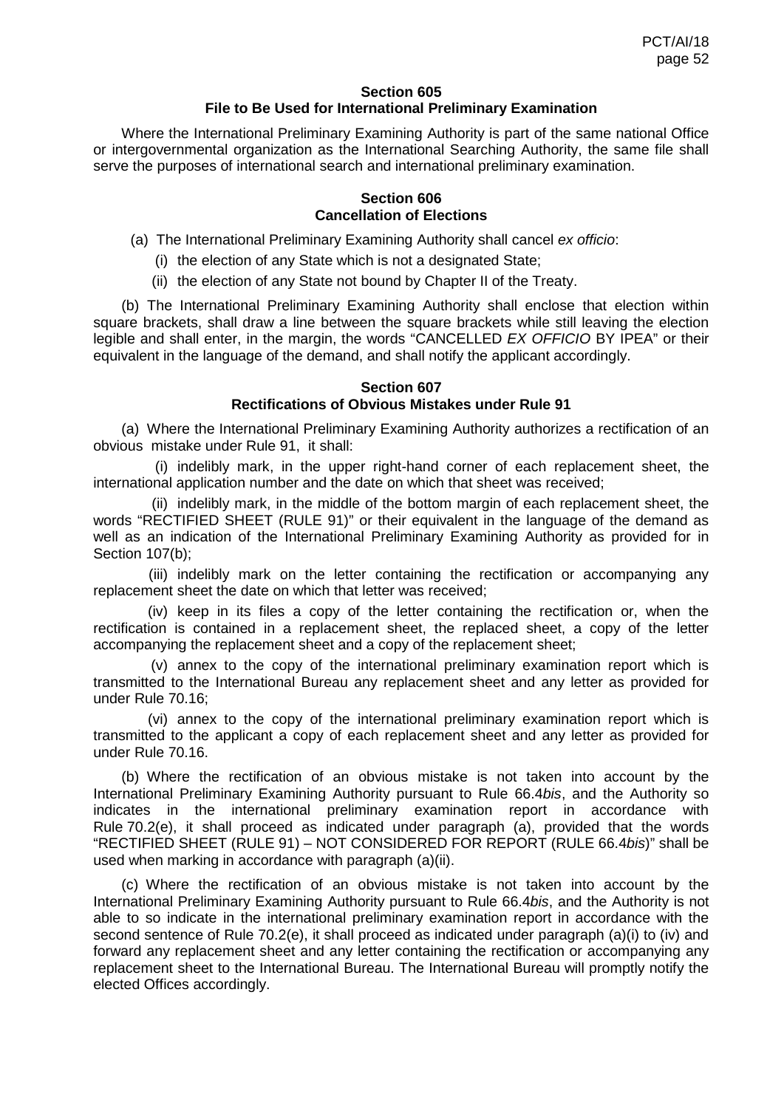## **Section 605 File to Be Used for International Preliminary Examination**

Where the International Preliminary Examining Authority is part of the same national Office or intergovernmental organization as the International Searching Authority, the same file shall serve the purposes of international search and international preliminary examination.

## **Section 606 Cancellation of Elections**

- (a) The International Preliminary Examining Authority shall cancel *ex officio*:
	- (i) the election of any State which is not a designated State;
	- (ii) the election of any State not bound by Chapter II of the Treaty.

(b) The International Preliminary Examining Authority shall enclose that election within square brackets, shall draw a line between the square brackets while still leaving the election legible and shall enter, in the margin, the words "CANCELLED *EX OFFICIO* BY IPEA" or their equivalent in the language of the demand, and shall notify the applicant accordingly.

# **Section 607**

# **Rectifications of Obvious Mistakes under Rule 91**

(a) Where the International Preliminary Examining Authority authorizes a rectification of an obvious mistake under Rule 91, it shall:

(i) indelibly mark, in the upper right-hand corner of each replacement sheet, the international application number and the date on which that sheet was received;

(ii) indelibly mark, in the middle of the bottom margin of each replacement sheet, the words "RECTIFIED SHEET (RULE 91)" or their equivalent in the language of the demand as well as an indication of the International Preliminary Examining Authority as provided for in Section 107(b);

(iii) indelibly mark on the letter containing the rectification or accompanying any replacement sheet the date on which that letter was received;

(iv) keep in its files a copy of the letter containing the rectification or, when the rectification is contained in a replacement sheet, the replaced sheet, a copy of the letter accompanying the replacement sheet and a copy of the replacement sheet;

(v) annex to the copy of the international preliminary examination report which is transmitted to the International Bureau any replacement sheet and any letter as provided for under Rule 70.16;

(vi) annex to the copy of the international preliminary examination report which is transmitted to the applicant a copy of each replacement sheet and any letter as provided for under Rule 70.16.

(b) Where the rectification of an obvious mistake is not taken into account by the International Preliminary Examining Authority pursuant to Rule 66.4*bis*, and the Authority so indicates in the international preliminary examination report in accordance with Rule 70.2(e), it shall proceed as indicated under paragraph (a), provided that the words "RECTIFIED SHEET (RULE 91) – NOT CONSIDERED FOR REPORT (RULE 66.4*bis*)" shall be used when marking in accordance with paragraph (a)(ii).

(c) Where the rectification of an obvious mistake is not taken into account by the International Preliminary Examining Authority pursuant to Rule 66.4*bis*, and the Authority is not able to so indicate in the international preliminary examination report in accordance with the second sentence of Rule 70.2(e), it shall proceed as indicated under paragraph (a)(i) to (iv) and forward any replacement sheet and any letter containing the rectification or accompanying any replacement sheet to the International Bureau. The International Bureau will promptly notify the elected Offices accordingly.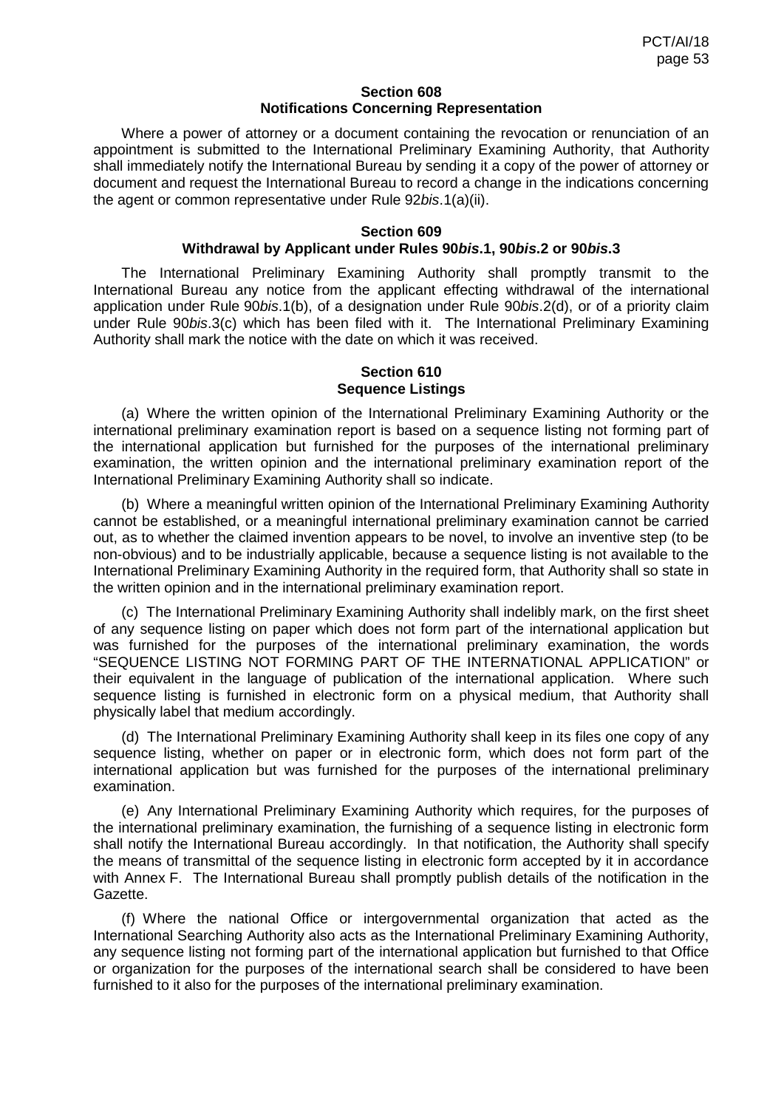#### **Section 608 Notifications Concerning Representation**

Where a power of attorney or a document containing the revocation or renunciation of an appointment is submitted to the International Preliminary Examining Authority, that Authority shall immediately notify the International Bureau by sending it a copy of the power of attorney or document and request the International Bureau to record a change in the indications concerning the agent or common representative under Rule 92*bis*.1(a)(ii).

#### **Section 609 Withdrawal by Applicant under Rules 90***bis***.1, 90***bis***.2 or 90***bis***.3**

The International Preliminary Examining Authority shall promptly transmit to the International Bureau any notice from the applicant effecting withdrawal of the international application under Rule 90*bis*.1(b), of a designation under Rule 90*bis*.2(d), or of a priority claim under Rule 90*bis*.3(c) which has been filed with it. The International Preliminary Examining Authority shall mark the notice with the date on which it was received.

# **Section 610 Sequence Listings**

(a) Where the written opinion of the International Preliminary Examining Authority or the international preliminary examination report is based on a sequence listing not forming part of the international application but furnished for the purposes of the international preliminary examination, the written opinion and the international preliminary examination report of the International Preliminary Examining Authority shall so indicate.

(b) Where a meaningful written opinion of the International Preliminary Examining Authority cannot be established, or a meaningful international preliminary examination cannot be carried out, as to whether the claimed invention appears to be novel, to involve an inventive step (to be non-obvious) and to be industrially applicable, because a sequence listing is not available to the International Preliminary Examining Authority in the required form, that Authority shall so state in the written opinion and in the international preliminary examination report.

(c) The International Preliminary Examining Authority shall indelibly mark, on the first sheet of any sequence listing on paper which does not form part of the international application but was furnished for the purposes of the international preliminary examination, the words "SEQUENCE LISTING NOT FORMING PART OF THE INTERNATIONAL APPLICATION" or their equivalent in the language of publication of the international application. Where such sequence listing is furnished in electronic form on a physical medium, that Authority shall physically label that medium accordingly.

(d) The International Preliminary Examining Authority shall keep in its files one copy of any sequence listing, whether on paper or in electronic form, which does not form part of the international application but was furnished for the purposes of the international preliminary examination.

(e) Any International Preliminary Examining Authority which requires, for the purposes of the international preliminary examination, the furnishing of a sequence listing in electronic form shall notify the International Bureau accordingly. In that notification, the Authority shall specify the means of transmittal of the sequence listing in electronic form accepted by it in accordance with Annex F. The International Bureau shall promptly publish details of the notification in the Gazette.

(f) Where the national Office or intergovernmental organization that acted as the International Searching Authority also acts as the International Preliminary Examining Authority, any sequence listing not forming part of the international application but furnished to that Office or organization for the purposes of the international search shall be considered to have been furnished to it also for the purposes of the international preliminary examination.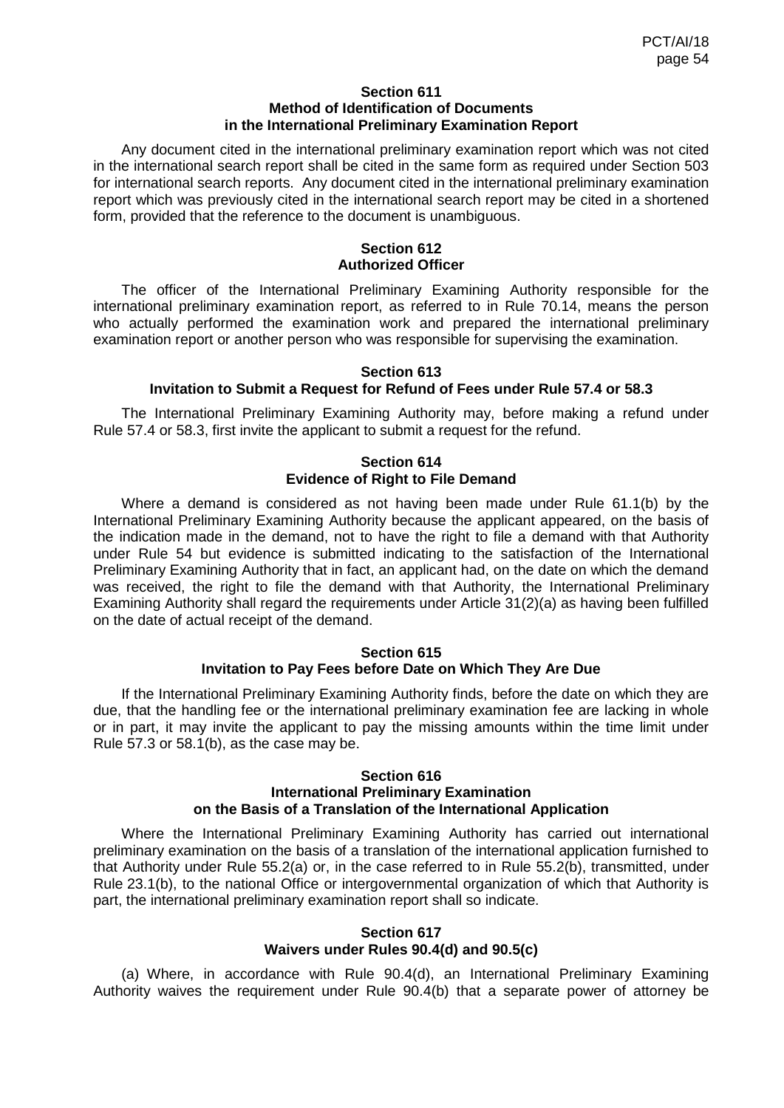#### **Section 611 Method of Identification of Documents in the International Preliminary Examination Report**

Any document cited in the international preliminary examination report which was not cited in the international search report shall be cited in the same form as required under Section 503 for international search reports. Any document cited in the international preliminary examination report which was previously cited in the international search report may be cited in a shortened form, provided that the reference to the document is unambiguous.

# **Section 612 Authorized Officer**

The officer of the International Preliminary Examining Authority responsible for the international preliminary examination report, as referred to in Rule 70.14, means the person who actually performed the examination work and prepared the international preliminary examination report or another person who was responsible for supervising the examination.

### **Section 613**

# **Invitation to Submit a Request for Refund of Fees under Rule 57.4 or 58.3**

The International Preliminary Examining Authority may, before making a refund under Rule 57.4 or 58.3, first invite the applicant to submit a request for the refund.

# **Section 614 Evidence of Right to File Demand**

Where a demand is considered as not having been made under Rule 61.1(b) by the International Preliminary Examining Authority because the applicant appeared, on the basis of the indication made in the demand, not to have the right to file a demand with that Authority under Rule 54 but evidence is submitted indicating to the satisfaction of the International Preliminary Examining Authority that in fact, an applicant had, on the date on which the demand was received, the right to file the demand with that Authority, the International Preliminary Examining Authority shall regard the requirements under Article 31(2)(a) as having been fulfilled on the date of actual receipt of the demand.

### **Section 615 Invitation to Pay Fees before Date on Which They Are Due**

If the International Preliminary Examining Authority finds, before the date on which they are due, that the handling fee or the international preliminary examination fee are lacking in whole or in part, it may invite the applicant to pay the missing amounts within the time limit under Rule 57.3 or 58.1(b), as the case may be.

#### **Section 616 International Preliminary Examination on the Basis of a Translation of the International Application**

Where the International Preliminary Examining Authority has carried out international preliminary examination on the basis of a translation of the international application furnished to that Authority under Rule 55.2(a) or, in the case referred to in Rule 55.2(b), transmitted, under Rule 23.1(b), to the national Office or intergovernmental organization of which that Authority is part, the international preliminary examination report shall so indicate.

### **Section 617 Waivers under Rules 90.4(d) and 90.5(c)**

(a) Where, in accordance with Rule 90.4(d), an International Preliminary Examining Authority waives the requirement under Rule 90.4(b) that a separate power of attorney be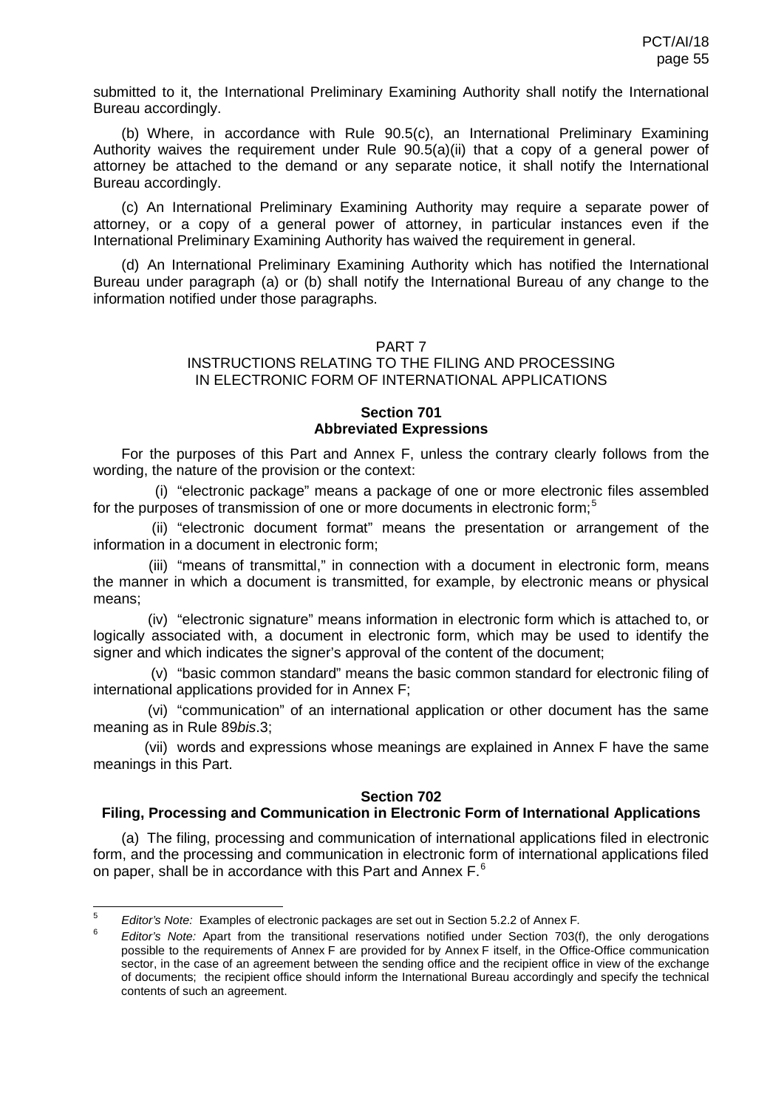submitted to it, the International Preliminary Examining Authority shall notify the International Bureau accordingly.

(b) Where, in accordance with Rule 90.5(c), an International Preliminary Examining Authority waives the requirement under Rule 90.5(a)(ii) that a copy of a general power of attorney be attached to the demand or any separate notice, it shall notify the International Bureau accordingly.

(c) An International Preliminary Examining Authority may require a separate power of attorney, or a copy of a general power of attorney, in particular instances even if the International Preliminary Examining Authority has waived the requirement in general.

(d) An International Preliminary Examining Authority which has notified the International Bureau under paragraph (a) or (b) shall notify the International Bureau of any change to the information notified under those paragraphs.

### PART 7

### INSTRUCTIONS RELATING TO THE FILING AND PROCESSING IN ELECTRONIC FORM OF INTERNATIONAL APPLICATIONS

## **Section 701 Abbreviated Expressions**

For the purposes of this Part and Annex F, unless the contrary clearly follows from the wording, the nature of the provision or the context:

(i) "electronic package" means a package of one or more electronic files assembled for the purposes of transmission of one or more documents in electronic form;<sup>[5](#page-44-0)</sup>

(ii) "electronic document format" means the presentation or arrangement of the information in a document in electronic form;

(iii) "means of transmittal," in connection with a document in electronic form, means the manner in which a document is transmitted, for example, by electronic means or physical means;

(iv) "electronic signature" means information in electronic form which is attached to, or logically associated with, a document in electronic form, which may be used to identify the signer and which indicates the signer's approval of the content of the document;

(v) "basic common standard" means the basic common standard for electronic filing of international applications provided for in Annex F;

(vi) "communication" of an international application or other document has the same meaning as in Rule 89*bis*.3;

<span id="page-54-1"></span>(vii) words and expressions whose meanings are explained in Annex F have the same meanings in this Part.

### **Section 702**

### **Filing, Processing and Communication in Electronic Form of International Applications**

(a) The filing, processing and communication of international applications filed in electronic form, and the processing and communication in electronic form of international applications filed on paper, shall be in accordance with this Part and Annex F.<sup>[6](#page-54-0)</sup>

 <sup>5</sup> *Editor's Note:* Examples of electronic packages are set out in Section 5.2.2 of Annex F*.*

<span id="page-54-0"></span><sup>6</sup> *Editor's Note:* Apart from the transitional reservations notified under Section 703(f), the only derogations possible to the requirements of Annex F are provided for by Annex F itself, in the Office-Office communication sector, in the case of an agreement between the sending office and the recipient office in view of the exchange of documents; the recipient office should inform the International Bureau accordingly and specify the technical contents of such an agreement.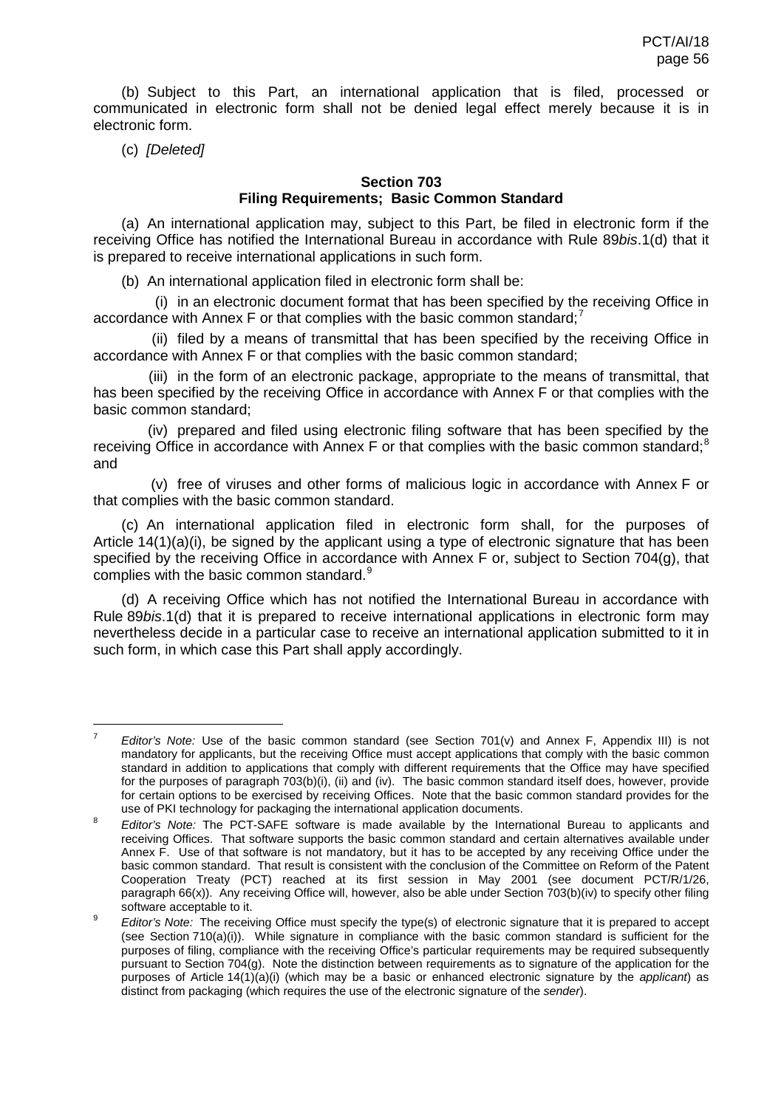(b) Subject to this Part, an international application that is filed, processed or communicated in electronic form shall not be denied legal effect merely because it is in electronic form.

(c) *[Deleted]*

# **Section 703**

# **Filing Requirements; Basic Common Standard**

(a) An international application may, subject to this Part, be filed in electronic form if the receiving Office has notified the International Bureau in accordance with Rule 89*bis*.1(d) that it is prepared to receive international applications in such form.

(b) An international application filed in electronic form shall be:

(i) in an electronic document format that has been specified by the receiving Office in accordance with Annex F or that complies with the basic common standard;<sup>[7](#page-54-1)</sup>

(ii) filed by a means of transmittal that has been specified by the receiving Office in accordance with Annex F or that complies with the basic common standard;

(iii) in the form of an electronic package, appropriate to the means of transmittal, that has been specified by the receiving Office in accordance with Annex F or that complies with the basic common standard;

(iv) prepared and filed using electronic filing software that has been specified by the receiving Office in accordance with Annex F or that complies with the basic common standard;<sup>[8](#page-55-0)</sup> and

(v) free of viruses and other forms of malicious logic in accordance with Annex F or that complies with the basic common standard.

(c) An international application filed in electronic form shall, for the purposes of Article  $14(1)(a)(i)$ , be signed by the applicant using a type of electronic signature that has been specified by the receiving Office in accordance with Annex F or, subject to Section 704(g), that complies with the basic common standard.<sup>[9](#page-55-1)</sup>

(d) A receiving Office which has not notified the International Bureau in accordance with Rule 89*bis*.1(d) that it is prepared to receive international applications in electronic form may nevertheless decide in a particular case to receive an international application submitted to it in such form, in which case this Part shall apply accordingly.

<span id="page-55-2"></span> <sup>7</sup> *Editor's Note:* Use of the basic common standard (see Section 701(v) and Annex F, Appendix III) is not mandatory for applicants, but the receiving Office must accept applications that comply with the basic common standard in addition to applications that comply with different requirements that the Office may have specified for the purposes of paragraph 703(b)(i), (ii) and (iv). The basic common standard itself does, however, provide for certain options to be exercised by receiving Offices. Note that the basic common standard provides for the use of PKI technology for packaging the international application documents.

<span id="page-55-0"></span><sup>8</sup> *Editor's Note:* The PCT-SAFE software is made available by the International Bureau to applicants and receiving Offices. That software supports the basic common standard and certain alternatives available under Annex F. Use of that software is not mandatory, but it has to be accepted by any receiving Office under the basic common standard. That result is consistent with the conclusion of the Committee on Reform of the Patent Cooperation Treaty (PCT) reached at its first session in May 2001 (see document PCT/R/1/26, paragraph 66(x)). Any receiving Office will, however, also be able under Section 703(b)(iv) to specify other filing software acceptable to it.

<span id="page-55-1"></span><sup>&</sup>lt;sup>9</sup> *Editor's Note:* The receiving Office must specify the type(s) of electronic signature that it is prepared to accept (see Section 710(a)(i)). While signature in compliance with the basic common standard is sufficient for the purposes of filing, compliance with the receiving Office's particular requirements may be required subsequently pursuant to Section 704(g). Note the distinction between requirements as to signature of the application for the purposes of Article 14(1)(a)(i) (which may be a basic or enhanced electronic signature by the *applicant*) as distinct from packaging (which requires the use of the electronic signature of the *sender*).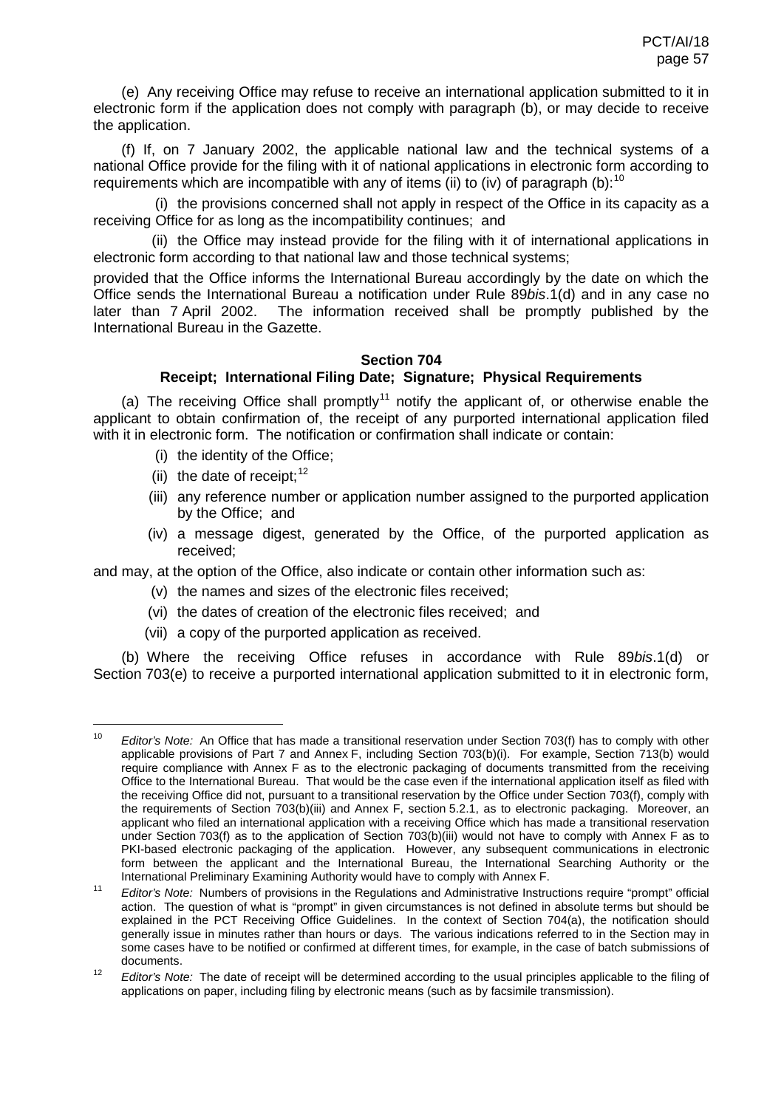(e) Any receiving Office may refuse to receive an international application submitted to it in electronic form if the application does not comply with paragraph (b), or may decide to receive the application.

(f) If, on 7 January 2002, the applicable national law and the technical systems of a national Office provide for the filing with it of national applications in electronic form according to requirements which are incompatible with any of items (ii) to (iv) of paragraph (b):  $10$ 

(i) the provisions concerned shall not apply in respect of the Office in its capacity as a receiving Office for as long as the incompatibility continues; and

(ii) the Office may instead provide for the filing with it of international applications in electronic form according to that national law and those technical systems;

provided that the Office informs the International Bureau accordingly by the date on which the Office sends the International Bureau a notification under Rule 89*bis*.1(d) and in any case no The information received shall be promptly published by the International Bureau in the Gazette.

# <span id="page-56-4"></span><span id="page-56-3"></span>**Section 704**

# **Receipt; International Filing Date; Signature; Physical Requirements**

(a) The receiving Office shall promptly<sup>[11](#page-56-0)</sup> notify the applicant of, or otherwise enable the applicant to obtain confirmation of, the receipt of any purported international application filed with it in electronic form. The notification or confirmation shall indicate or contain:

- (i) the identity of the Office;
- (ii) the date of receipt:  $12$
- (iii) any reference number or application number assigned to the purported application by the Office; and
- (iv) a message digest, generated by the Office, of the purported application as received;

and may, at the option of the Office, also indicate or contain other information such as:

- (v) the names and sizes of the electronic files received;
- (vi) the dates of creation of the electronic files received; and
- (vii) a copy of the purported application as received.

(b) Where the receiving Office refuses in accordance with Rule 89*bis*.1(d) or Section 703(e) to receive a purported international application submitted to it in electronic form,

<span id="page-56-2"></span> <sup>10</sup> *Editor's Note:* An Office that has made a transitional reservation under Section 703(f) has to comply with other applicable provisions of Part 7 and Annex F, including Section 703(b)(i). For example, Section 713(b) would require compliance with Annex F as to the electronic packaging of documents transmitted from the receiving Office to the International Bureau. That would be the case even if the international application itself as filed with the receiving Office did not, pursuant to a transitional reservation by the Office under Section 703(f), comply with the requirements of Section 703(b)(iii) and Annex F, section 5.2.1, as to electronic packaging. Moreover, an applicant who filed an international application with a receiving Office which has made a transitional reservation under Section 703(f) as to the application of Section 703(b)(iii) would not have to comply with Annex F as to PKI-based electronic packaging of the application. However, any subsequent communications in electronic form between the applicant and the International Bureau, the International Searching Authority or the International Preliminary Examining Authority would have to comply with Annex F.

<span id="page-56-0"></span><sup>11</sup> *Editor's Note:* Numbers of provisions in the Regulations and Administrative Instructions require "prompt" official action. The question of what is "prompt" in given circumstances is not defined in absolute terms but should be explained in the PCT Receiving Office Guidelines. In the context of Section 704(a), the notification should generally issue in minutes rather than hours or days. The various indications referred to in the Section may in some cases have to be notified or confirmed at different times, for example, in the case of batch submissions of documents.

<span id="page-56-1"></span><sup>&</sup>lt;sup>12</sup> *Editor's Note:* The date of receipt will be determined according to the usual principles applicable to the filing of applications on paper, including filing by electronic means (such as by facsimile transmission).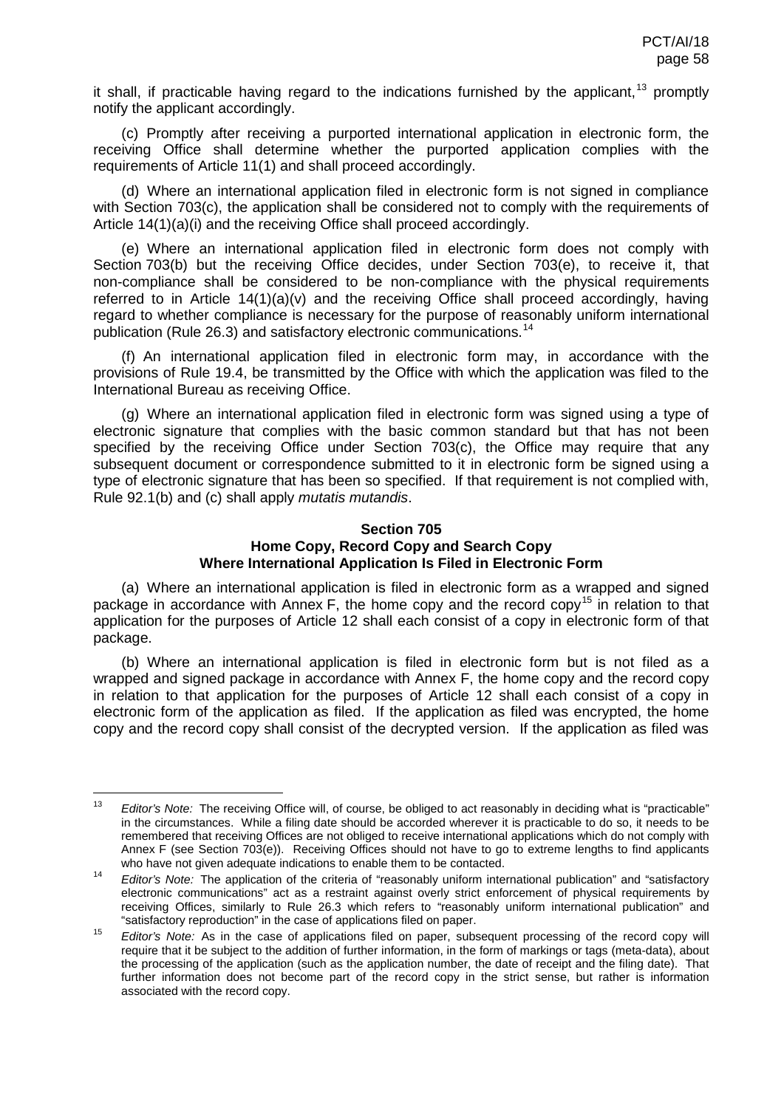<span id="page-57-3"></span>it shall, if practicable having regard to the indications furnished by the applicant,  $13$  promptly notify the applicant accordingly.

(c) Promptly after receiving a purported international application in electronic form, the receiving Office shall determine whether the purported application complies with the requirements of Article 11(1) and shall proceed accordingly.

(d) Where an international application filed in electronic form is not signed in compliance with Section 703(c), the application shall be considered not to comply with the requirements of Article 14(1)(a)(i) and the receiving Office shall proceed accordingly.

(e) Where an international application filed in electronic form does not comply with Section 703(b) but the receiving Office decides, under Section 703(e), to receive it, that non-compliance shall be considered to be non-compliance with the physical requirements referred to in Article 14(1)(a)(v) and the receiving Office shall proceed accordingly, having regard to whether compliance is necessary for the purpose of reasonably uniform international publication (Rule 26.3) and satisfactory electronic communications.<sup>[14](#page-57-0)</sup>

(f) An international application filed in electronic form may, in accordance with the provisions of Rule 19.4, be transmitted by the Office with which the application was filed to the International Bureau as receiving Office.

(g) Where an international application filed in electronic form was signed using a type of electronic signature that complies with the basic common standard but that has not been specified by the receiving Office under Section 703(c), the Office may require that any subsequent document or correspondence submitted to it in electronic form be signed using a type of electronic signature that has been so specified. If that requirement is not complied with, Rule 92.1(b) and (c) shall apply *mutatis mutandis*.

# **Section 705 Home Copy, Record Copy and Search Copy Where International Application Is Filed in Electronic Form**

(a) Where an international application is filed in electronic form as a wrapped and signed package in accordance with Annex F, the home copy and the record copy<sup>[15](#page-57-1)</sup> in relation to that application for the purposes of Article 12 shall each consist of a copy in electronic form of that package.

(b) Where an international application is filed in electronic form but is not filed as a wrapped and signed package in accordance with Annex F, the home copy and the record copy in relation to that application for the purposes of Article 12 shall each consist of a copy in electronic form of the application as filed. If the application as filed was encrypted, the home copy and the record copy shall consist of the decrypted version. If the application as filed was

<span id="page-57-2"></span> <sup>13</sup> *Editor's Note:* The receiving Office will, of course, be obliged to act reasonably in deciding what is "practicable" in the circumstances. While a filing date should be accorded wherever it is practicable to do so, it needs to be remembered that receiving Offices are not obliged to receive international applications which do not comply with Annex F (see Section 703(e)). Receiving Offices should not have to go to extreme lengths to find applicants who have not given adequate indications to enable them to be contacted.

<span id="page-57-0"></span><sup>14</sup> *Editor's Note:* The application of the criteria of "reasonably uniform international publication" and "satisfactory electronic communications" act as a restraint against overly strict enforcement of physical requirements by receiving Offices, similarly to Rule 26.3 which refers to "reasonably uniform international publication" and "satisfactory reproduction" in the case of applications filed on paper.

<span id="page-57-1"></span><sup>15</sup> *Editor's Note:* As in the case of applications filed on paper, subsequent processing of the record copy will require that it be subject to the addition of further information, in the form of markings or tags (meta-data), about the processing of the application (such as the application number, the date of receipt and the filing date). That further information does not become part of the record copy in the strict sense, but rather is information associated with the record copy.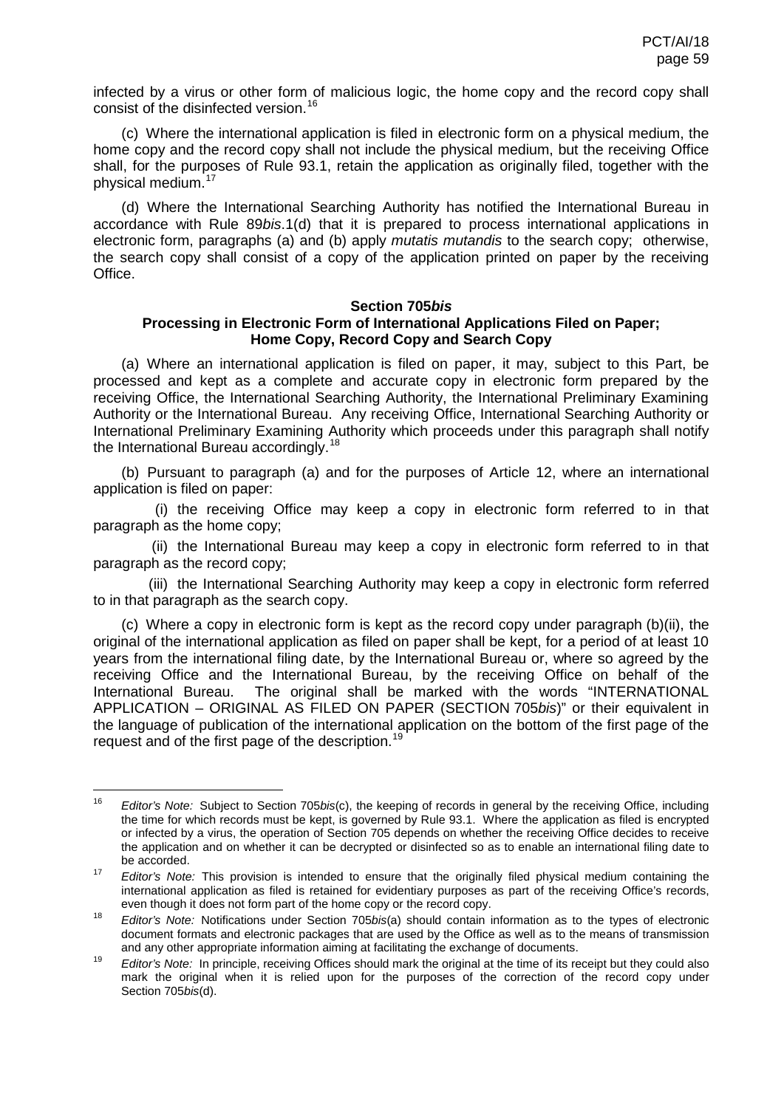infected by a virus or other form of malicious logic, the home copy and the record copy shall consist of the disinfected version.<sup>[16](#page-57-2)</sup>

(c) Where the international application is filed in electronic form on a physical medium, the home copy and the record copy shall not include the physical medium, but the receiving Office shall, for the purposes of Rule 93.1, retain the application as originally filed, together with the physical medium.[17](#page-58-0)

(d) Where the International Searching Authority has notified the International Bureau in accordance with Rule 89*bis*.1(d) that it is prepared to process international applications in electronic form, paragraphs (a) and (b) apply *mutatis mutandis* to the search copy; otherwise, the search copy shall consist of a copy of the application printed on paper by the receiving Office.

#### **Section 705***bis*

# **Processing in Electronic Form of International Applications Filed on Paper; Home Copy, Record Copy and Search Copy**

(a) Where an international application is filed on paper, it may, subject to this Part, be processed and kept as a complete and accurate copy in electronic form prepared by the receiving Office, the International Searching Authority, the International Preliminary Examining Authority or the International Bureau. Any receiving Office, International Searching Authority or International Preliminary Examining Authority which proceeds under this paragraph shall notify the International Bureau accordingly.<sup>[18](#page-58-1)</sup>

(b) Pursuant to paragraph (a) and for the purposes of Article 12, where an international application is filed on paper:

(i) the receiving Office may keep a copy in electronic form referred to in that paragraph as the home copy;

(ii) the International Bureau may keep a copy in electronic form referred to in that paragraph as the record copy;

(iii) the International Searching Authority may keep a copy in electronic form referred to in that paragraph as the search copy.

(c) Where a copy in electronic form is kept as the record copy under paragraph (b)(ii), the original of the international application as filed on paper shall be kept, for a period of at least 10 years from the international filing date, by the International Bureau or, where so agreed by the receiving Office and the International Bureau, by the receiving Office on behalf of the International Bureau. The original shall be marked with the words "INTERNATIONAL APPLICATION – ORIGINAL AS FILED ON PAPER (SECTION 705*bis*)" or their equivalent in the language of publication of the international application on the bottom of the first page of the request and of the first page of the description.[19](#page-58-2)

<span id="page-58-3"></span> <sup>16</sup> *Editor's Note:* Subject to Section 705*bis*(c), the keeping of records in general by the receiving Office, including the time for which records must be kept, is governed by Rule 93.1. Where the application as filed is encrypted or infected by a virus, the operation of Section 705 depends on whether the receiving Office decides to receive the application and on whether it can be decrypted or disinfected so as to enable an international filing date to be accorded.

<span id="page-58-0"></span><sup>17</sup> *Editor's Note:* This provision is intended to ensure that the originally filed physical medium containing the international application as filed is retained for evidentiary purposes as part of the receiving Office's records, even though it does not form part of the home copy or the record copy.

<span id="page-58-1"></span><sup>18</sup> *Editor's Note:* Notifications under Section 705*bis*(a) should contain information as to the types of electronic document formats and electronic packages that are used by the Office as well as to the means of transmission and any other appropriate information aiming at facilitating the exchange of documents.

<span id="page-58-2"></span><sup>19</sup> *Editor's Note:* In principle, receiving Offices should mark the original at the time of its receipt but they could also mark the original when it is relied upon for the purposes of the correction of the record copy under Section 705*bis*(d).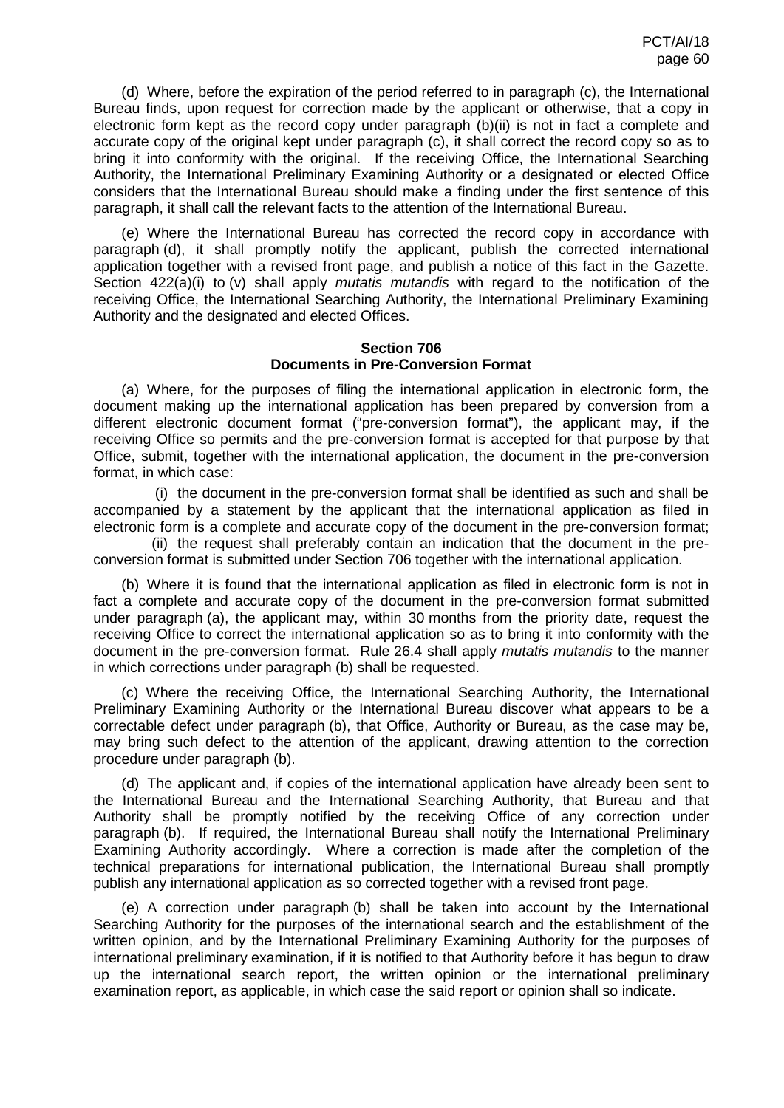(d) Where, before the expiration of the period referred to in paragraph (c), the International Bureau finds, upon request for correction made by the applicant or otherwise, that a copy in electronic form kept as the record copy under paragraph (b)(ii) is not in fact a complete and accurate copy of the original kept under paragraph (c), it shall correct the record copy so as to bring it into conformity with the original. If the receiving Office, the International Searching Authority, the International Preliminary Examining Authority or a designated or elected Office considers that the International Bureau should make a finding under the first sentence of this paragraph, it shall call the relevant facts to the attention of the International Bureau.

(e) Where the International Bureau has corrected the record copy in accordance with paragraph (d), it shall promptly notify the applicant, publish the corrected international application together with a revised front page, and publish a notice of this fact in the Gazette. Section 422(a)(i) to (v) shall apply *mutatis mutandis* with regard to the notification of the receiving Office, the International Searching Authority, the International Preliminary Examining Authority and the designated and elected Offices.

### **Section 706 Documents in Pre-Conversion Format**

(a) Where, for the purposes of filing the international application in electronic form, the document making up the international application has been prepared by conversion from a different electronic document format ("pre-conversion format"), the applicant may, if the receiving Office so permits and the pre-conversion format is accepted for that purpose by that Office, submit, together with the international application, the document in the pre-conversion format, in which case:

(i) the document in the pre-conversion format shall be identified as such and shall be accompanied by a statement by the applicant that the international application as filed in electronic form is a complete and accurate copy of the document in the pre-conversion format;

(ii) the request shall preferably contain an indication that the document in the preconversion format is submitted under Section 706 together with the international application.

(b) Where it is found that the international application as filed in electronic form is not in fact a complete and accurate copy of the document in the pre-conversion format submitted under paragraph (a), the applicant may, within 30 months from the priority date, request the receiving Office to correct the international application so as to bring it into conformity with the document in the pre-conversion format. Rule 26.4 shall apply *mutatis mutandis* to the manner in which corrections under paragraph (b) shall be requested.

(c) Where the receiving Office, the International Searching Authority, the International Preliminary Examining Authority or the International Bureau discover what appears to be a correctable defect under paragraph (b), that Office, Authority or Bureau, as the case may be, may bring such defect to the attention of the applicant, drawing attention to the correction procedure under paragraph (b).

(d) The applicant and, if copies of the international application have already been sent to the International Bureau and the International Searching Authority, that Bureau and that Authority shall be promptly notified by the receiving Office of any correction under paragraph (b). If required, the International Bureau shall notify the International Preliminary Examining Authority accordingly. Where a correction is made after the completion of the technical preparations for international publication, the International Bureau shall promptly publish any international application as so corrected together with a revised front page.

(e) A correction under paragraph (b) shall be taken into account by the International Searching Authority for the purposes of the international search and the establishment of the written opinion, and by the International Preliminary Examining Authority for the purposes of international preliminary examination, if it is notified to that Authority before it has begun to draw up the international search report, the written opinion or the international preliminary examination report, as applicable, in which case the said report or opinion shall so indicate.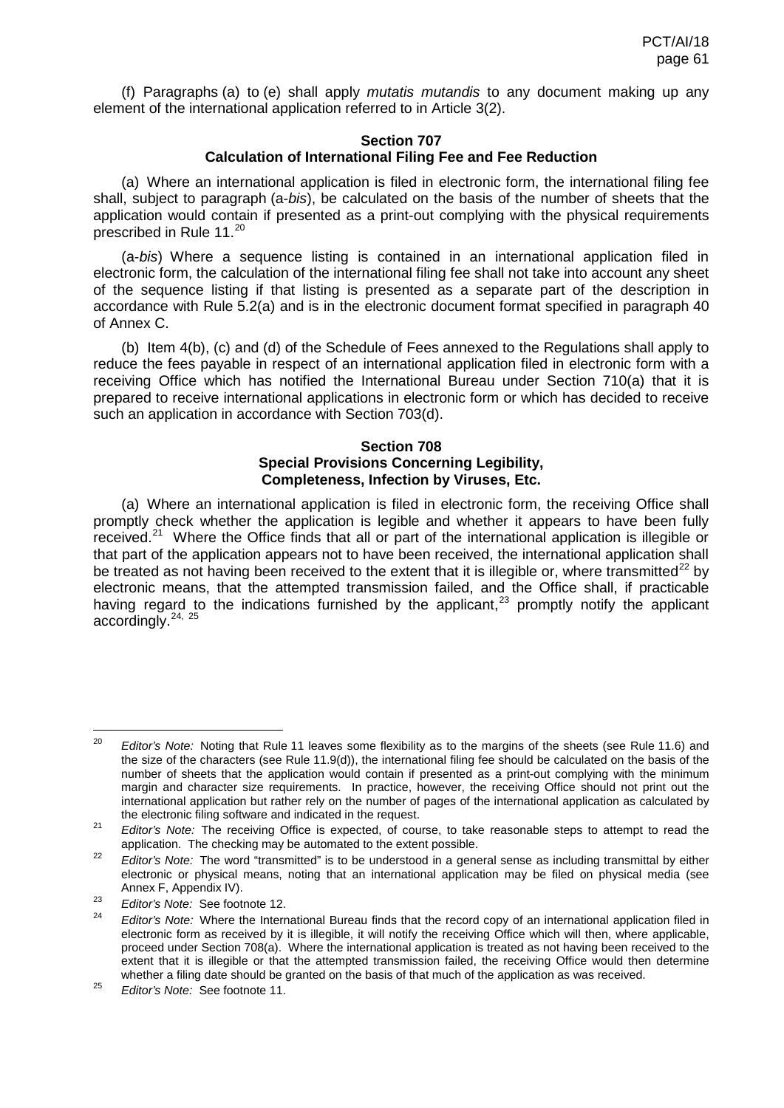(f) Paragraphs (a) to (e) shall apply *mutatis mutandis* to any document making up any element of the international application referred to in Article 3(2).

## **Section 707 Calculation of International Filing Fee and Fee Reduction**

(a) Where an international application is filed in electronic form, the international filing fee shall, subject to paragraph (a-*bis*), be calculated on the basis of the number of sheets that the application would contain if presented as a print-out complying with the physical requirements prescribed in Rule 11. [20](#page-58-3)

(a-*bis*) Where a sequence listing is contained in an international application filed in electronic form, the calculation of the international filing fee shall not take into account any sheet of the sequence listing if that listing is presented as a separate part of the description in accordance with Rule 5.2(a) and is in the electronic document format specified in paragraph 40 of Annex C.

(b) Item 4(b), (c) and (d) of the Schedule of Fees annexed to the Regulations shall apply to reduce the fees payable in respect of an international application filed in electronic form with a receiving Office which has notified the International Bureau under Section 710(a) that it is prepared to receive international applications in electronic form or which has decided to receive such an application in accordance with Section 703(d).

## **Section 708 Special Provisions Concerning Legibility, Completeness, Infection by Viruses, Etc.**

(a) Where an international application is filed in electronic form, the receiving Office shall promptly check whether the application is legible and whether it appears to have been fully received.<sup>21</sup> Where the Office finds that all or part of the international application is illegible or that part of the application appears not to have been received, the international application shall be treated as not having been received to the extent that it is illegible or, where transmitted<sup>[22](#page-60-1)</sup> by electronic means, that the attempted transmission failed, and the Office shall, if practicable having regard to the indications furnished by the applicant, $^{23}$  $^{23}$  $^{23}$  promptly notify the applicant accordingly.<sup>[24,](#page-60-3) [25](#page-60-4)</sup>

<sup>&</sup>lt;sup>20</sup> *Editor's Note:* Noting that Rule 11 leaves some flexibility as to the margins of the sheets (see Rule 11.6) and the size of the characters (see Rule 11.9(d)), the international filing fee should be calculated on the basis of the number of sheets that the application would contain if presented as a print-out complying with the minimum margin and character size requirements. In practice, however, the receiving Office should not print out the international application but rather rely on the number of pages of the international application as calculated by the electronic filing software and indicated in the request.

<span id="page-60-0"></span><sup>&</sup>lt;sup>21</sup> *Editor's Note:* The receiving Office is expected, of course, to take reasonable steps to attempt to read the application. The checking may be automated to the extent possible.

<span id="page-60-1"></span><sup>&</sup>lt;sup>22</sup> *Editor's Note:* The word "transmitted" is to be understood in a general sense as including transmittal by either electronic or physical means, noting that an international application may be filed on physical media (see Annex F, Appendix IV).

<span id="page-60-2"></span><sup>&</sup>lt;sup>23</sup> *Editor's Note:* See footnot[e 12.](#page-56-3)

<span id="page-60-5"></span><span id="page-60-3"></span><sup>24</sup> *Editor's Note:* Where the International Bureau finds that the record copy of an international application filed in electronic form as received by it is illegible, it will notify the receiving Office which will then, where applicable, proceed under Section 708(a). Where the international application is treated as not having been received to the extent that it is illegible or that the attempted transmission failed, the receiving Office would then determine whether a filing date should be granted on the basis of that much of the application as was received.

<span id="page-60-4"></span><sup>25</sup> *Editor's Note:* See footnot[e 11.](#page-56-4)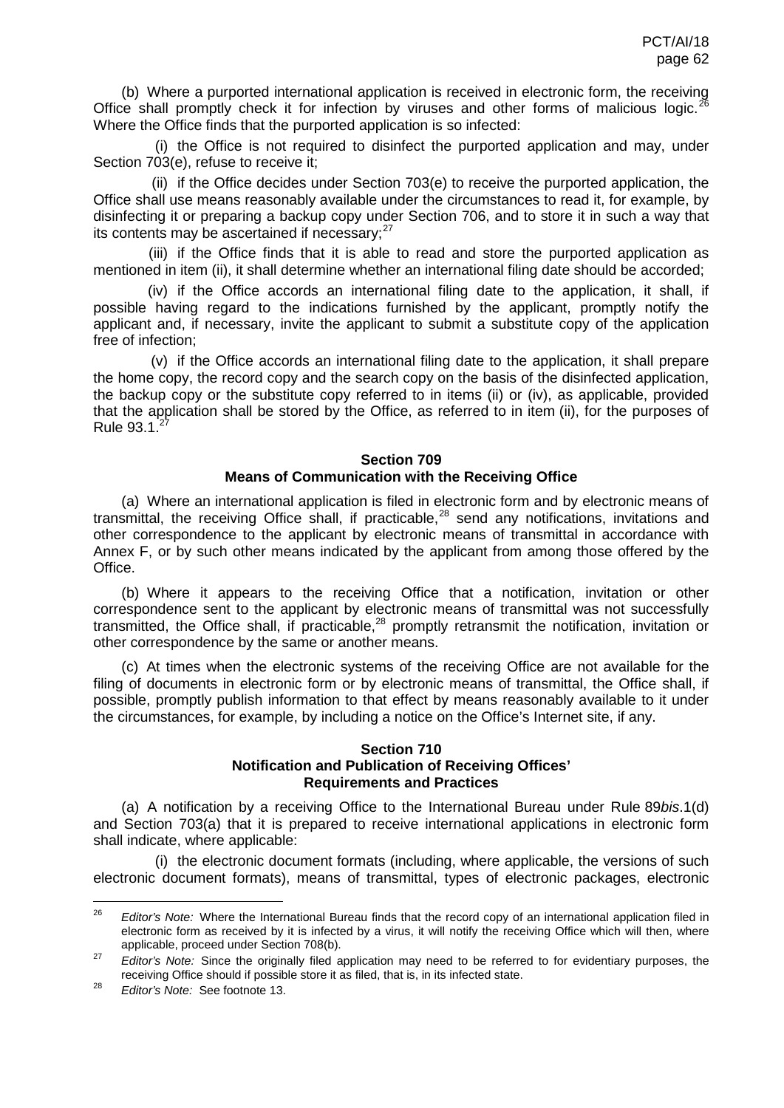(b) Where a purported international application is received in electronic form, the receiving Office shall promptly check it for infection by viruses and other forms of malicious logic.<sup>26</sup> Where the Office finds that the purported application is so infected:

(i) the Office is not required to disinfect the purported application and may, under Section 703(e), refuse to receive it;

(ii) if the Office decides under Section 703(e) to receive the purported application, the Office shall use means reasonably available under the circumstances to read it, for example, by disinfecting it or preparing a backup copy under Section 706, and to store it in such a way that its contents may be ascertained if necessary; $27$ 

(iii) if the Office finds that it is able to read and store the purported application as mentioned in item (ii), it shall determine whether an international filing date should be accorded;

(iv) if the Office accords an international filing date to the application, it shall, if possible having regard to the indications furnished by the applicant, promptly notify the applicant and, if necessary, invite the applicant to submit a substitute copy of the application free of infection;

(v) if the Office accords an international filing date to the application, it shall prepare the home copy, the record copy and the search copy on the basis of the disinfected application, the backup copy or the substitute copy referred to in items (ii) or (iv), as applicable, provided that the application shall be stored by the Office, as referred to in item (ii), for the purposes of Rule  $93.1.^27$  $93.1.^27$ 

### <span id="page-61-1"></span><span id="page-61-0"></span>**Section 709 Means of Communication with the Receiving Office**

(a) Where an international application is filed in electronic form and by electronic means of transmittal, the receiving Office shall, if practicable,[28](#page-61-3) send any notifications, invitations and other correspondence to the applicant by electronic means of transmittal in accordance with Annex F, or by such other means indicated by the applicant from among those offered by the Office.

(b) Where it appears to the receiving Office that a notification, invitation or other correspondence sent to the applicant by electronic means of transmittal was not successfully transmitted, the Office shall, if practicable, $^{28}$  $^{28}$  $^{28}$  promptly retransmit the notification, invitation or other correspondence by the same or another means.

(c) At times when the electronic systems of the receiving Office are not available for the filing of documents in electronic form or by electronic means of transmittal, the Office shall, if possible, promptly publish information to that effect by means reasonably available to it under the circumstances, for example, by including a notice on the Office's Internet site, if any.

## **Section 710 Notification and Publication of Receiving Offices' Requirements and Practices**

(a) A notification by a receiving Office to the International Bureau under Rule 89*bis*.1(d) and Section 703(a) that it is prepared to receive international applications in electronic form shall indicate, where applicable:

(i) the electronic document formats (including, where applicable, the versions of such electronic document formats), means of transmittal, types of electronic packages, electronic

<sup>&</sup>lt;sup>26</sup> *Editor's Note:* Where the International Bureau finds that the record copy of an international application filed in electronic form as received by it is infected by a virus, it will notify the receiving Office which will then, where applicable, proceed under Section 708(b).

<span id="page-61-2"></span><sup>&</sup>lt;sup>27</sup> *Editor's Note:* Since the originally filed application may need to be referred to for evidentiary purposes, the receiving Office should if possible store it as filed, that is, in its infected state.

<span id="page-61-3"></span><sup>28</sup> *Editor's Note:* See footnot[e 13.](#page-57-3)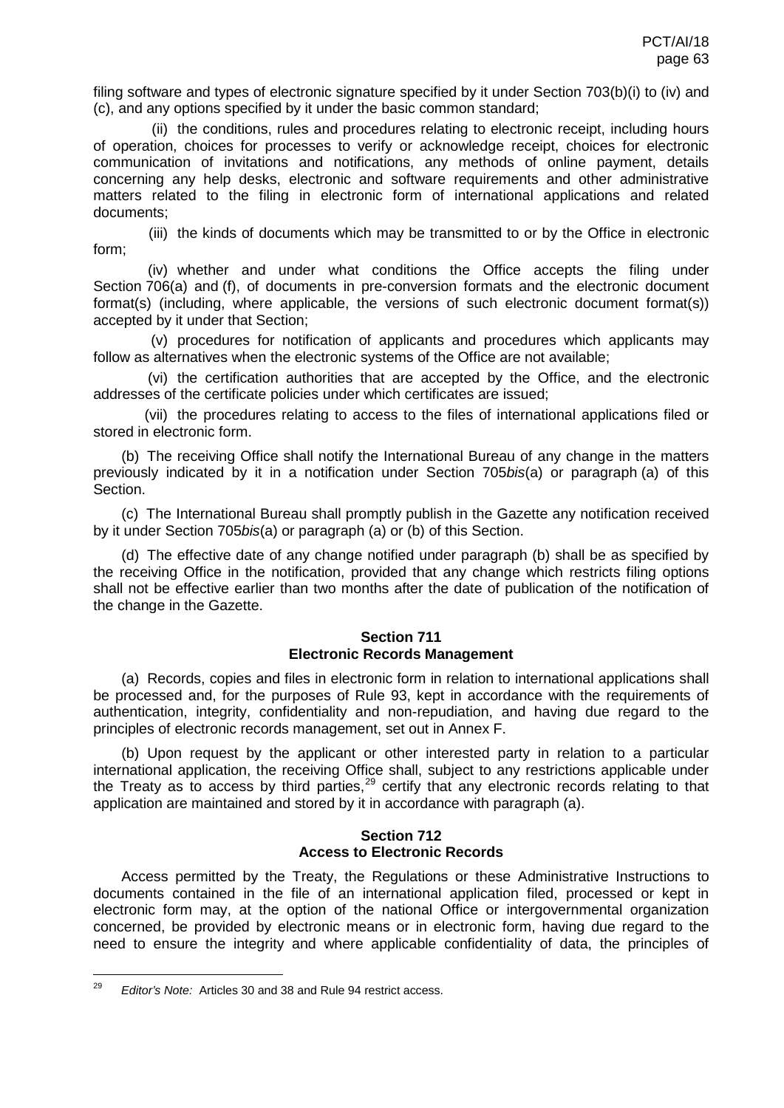filing software and types of electronic signature specified by it under Section 703(b)(i) to (iv) and (c), and any options specified by it under the basic common standard;

(ii) the conditions, rules and procedures relating to electronic receipt, including hours of operation, choices for processes to verify or acknowledge receipt, choices for electronic communication of invitations and notifications, any methods of online payment, details concerning any help desks, electronic and software requirements and other administrative matters related to the filing in electronic form of international applications and related documents;

(iii) the kinds of documents which may be transmitted to or by the Office in electronic form;

(iv) whether and under what conditions the Office accepts the filing under Section 706(a) and (f), of documents in pre-conversion formats and the electronic document format(s) (including, where applicable, the versions of such electronic document format(s)) accepted by it under that Section;

(v) procedures for notification of applicants and procedures which applicants may follow as alternatives when the electronic systems of the Office are not available;

(vi) the certification authorities that are accepted by the Office, and the electronic addresses of the certificate policies under which certificates are issued;

(vii) the procedures relating to access to the files of international applications filed or stored in electronic form.

(b) The receiving Office shall notify the International Bureau of any change in the matters previously indicated by it in a notification under Section 705*bis*(a) or paragraph (a) of this Section.

(c) The International Bureau shall promptly publish in the Gazette any notification received by it under Section 705*bis*(a) or paragraph (a) or (b) of this Section.

(d) The effective date of any change notified under paragraph (b) shall be as specified by the receiving Office in the notification, provided that any change which restricts filing options shall not be effective earlier than two months after the date of publication of the notification of the change in the Gazette.

# **Section 711 Electronic Records Management**

(a) Records, copies and files in electronic form in relation to international applications shall be processed and, for the purposes of Rule 93, kept in accordance with the requirements of authentication, integrity, confidentiality and non-repudiation, and having due regard to the principles of electronic records management, set out in Annex F.

(b) Upon request by the applicant or other interested party in relation to a particular international application, the receiving Office shall, subject to any restrictions applicable under the Treaty as to access by third parties,  $29$  certify that any electronic records relating to that application are maintained and stored by it in accordance with paragraph (a).

### **Section 712 Access to Electronic Records**

<span id="page-62-0"></span>Access permitted by the Treaty, the Regulations or these Administrative Instructions to documents contained in the file of an international application filed, processed or kept in electronic form may, at the option of the national Office or intergovernmental organization concerned, be provided by electronic means or in electronic form, having due regard to the need to ensure the integrity and where applicable confidentiality of data, the principles of

 <sup>29</sup> *Editor's Note:* Articles 30 and 38 and Rule 94 restrict access.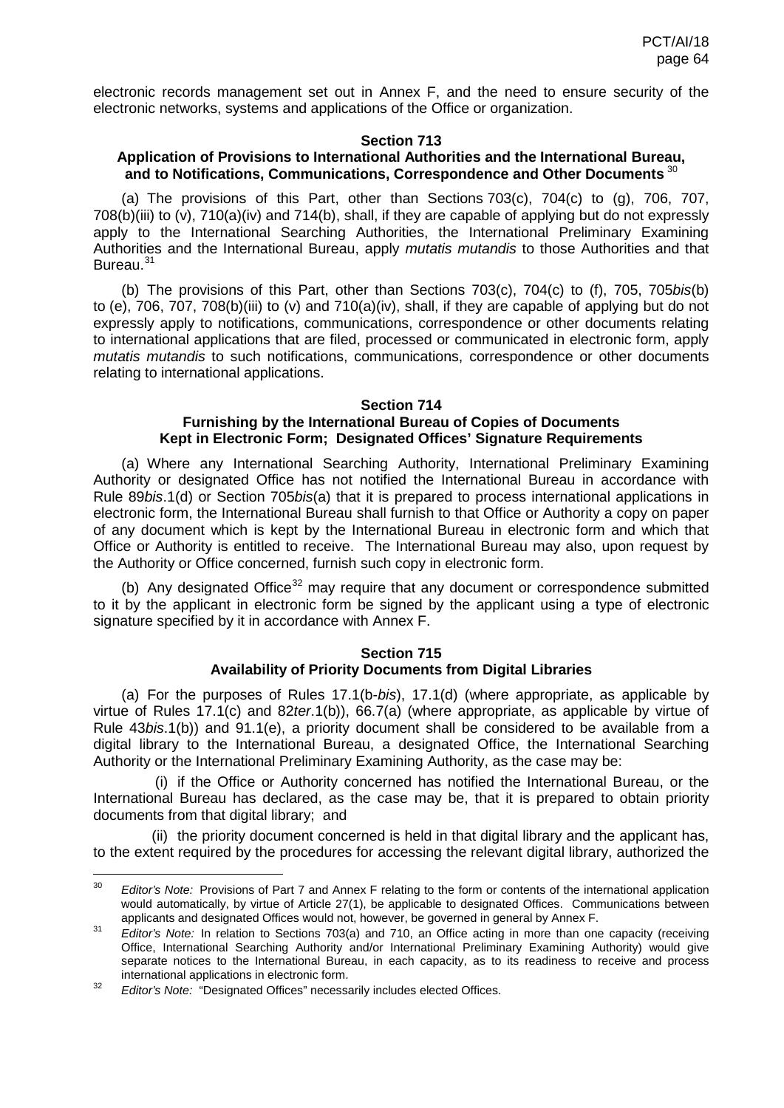electronic records management set out in Annex F, and the need to ensure security of the electronic networks, systems and applications of the Office or organization.

### **Section 713**

# **Application of Provisions to International Authorities and the International Bureau, and to Notifications, Communications, Correspondence and Other Documents** [30](#page-62-0)

(a) The provisions of this Part, other than Sections 703(c), 704(c) to (g), 706, 707, 708(b)(iii) to (v), 710(a)(iv) and 714(b), shall, if they are capable of applying but do not expressly apply to the International Searching Authorities, the International Preliminary Examining Authorities and the International Bureau, apply *mutatis mutandis* to those Authorities and that Bureau.<sup>[31](#page-63-0)</sup>

(b) The provisions of this Part, other than Sections 703(c), 704(c) to (f), 705, 705*bis*(b) to (e), 706, 707, 708(b)(iii) to (v) and 710(a)(iv), shall, if they are capable of applying but do not expressly apply to notifications, communications, correspondence or other documents relating to international applications that are filed, processed or communicated in electronic form, apply *mutatis mutandis* to such notifications, communications, correspondence or other documents relating to international applications.

#### **Section 714**

### **Furnishing by the International Bureau of Copies of Documents Kept in Electronic Form; Designated Offices' Signature Requirements**

(a) Where any International Searching Authority, International Preliminary Examining Authority or designated Office has not notified the International Bureau in accordance with Rule 89*bis*.1(d) or Section 705*bis*(a) that it is prepared to process international applications in electronic form, the International Bureau shall furnish to that Office or Authority a copy on paper of any document which is kept by the International Bureau in electronic form and which that Office or Authority is entitled to receive. The International Bureau may also, upon request by the Authority or Office concerned, furnish such copy in electronic form.

(b) Any designated Office<sup>[32](#page-63-1)</sup> may require that any document or correspondence submitted to it by the applicant in electronic form be signed by the applicant using a type of electronic signature specified by it in accordance with Annex F.

# **Section 715 Availability of Priority Documents from Digital Libraries**

(a) For the purposes of Rules 17.1(b-*bis*), 17.1(d) (where appropriate, as applicable by virtue of Rules 17.1(c) and 82*ter*.1(b)), 66.7(a) (where appropriate, as applicable by virtue of Rule 43*bis*.1(b)) and 91.1(e), a priority document shall be considered to be available from a digital library to the International Bureau, a designated Office, the International Searching Authority or the International Preliminary Examining Authority, as the case may be:

(i) if the Office or Authority concerned has notified the International Bureau, or the International Bureau has declared, as the case may be, that it is prepared to obtain priority documents from that digital library; and

(ii) the priority document concerned is held in that digital library and the applicant has, to the extent required by the procedures for accessing the relevant digital library, authorized the

 <sup>30</sup> *Editor's Note:* Provisions of Part 7 and Annex F relating to the form or contents of the international application would automatically, by virtue of Article 27(1), be applicable to designated Offices. Communications between applicants and designated Offices would not, however, be governed in general by Annex F.

<span id="page-63-0"></span><sup>&</sup>lt;sup>31</sup> *Editor's Note:* In relation to Sections 703(a) and 710, an Office acting in more than one capacity (receiving Office, International Searching Authority and/or International Preliminary Examining Authority) would give separate notices to the International Bureau, in each capacity, as to its readiness to receive and process international applications in electronic form.

<span id="page-63-2"></span><span id="page-63-1"></span><sup>&</sup>lt;sup>32</sup> *Editor's Note:* "Designated Offices" necessarily includes elected Offices.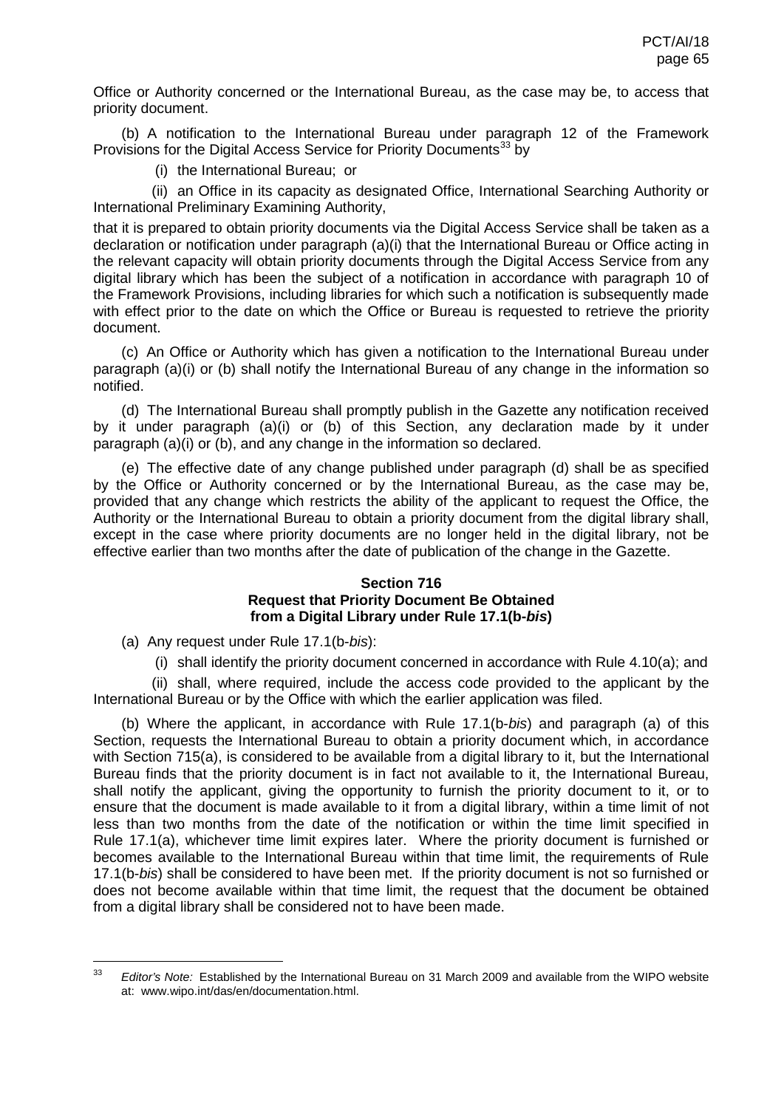Office or Authority concerned or the International Bureau, as the case may be, to access that priority document.

(b) A notification to the International Bureau under paragraph 12 of the Framework Provisions for the Digital Access Service for Priority Documents<sup>[33](#page-63-2)</sup> by

(i) the International Bureau; or

(ii) an Office in its capacity as designated Office, International Searching Authority or International Preliminary Examining Authority,

that it is prepared to obtain priority documents via the Digital Access Service shall be taken as a declaration or notification under paragraph (a)(i) that the International Bureau or Office acting in the relevant capacity will obtain priority documents through the Digital Access Service from any digital library which has been the subject of a notification in accordance with paragraph 10 of the Framework Provisions, including libraries for which such a notification is subsequently made with effect prior to the date on which the Office or Bureau is requested to retrieve the priority document.

(c) An Office or Authority which has given a notification to the International Bureau under paragraph (a)(i) or (b) shall notify the International Bureau of any change in the information so notified.

(d) The International Bureau shall promptly publish in the Gazette any notification received by it under paragraph (a)(i) or (b) of this Section, any declaration made by it under paragraph (a)(i) or (b), and any change in the information so declared.

(e) The effective date of any change published under paragraph (d) shall be as specified by the Office or Authority concerned or by the International Bureau, as the case may be, provided that any change which restricts the ability of the applicant to request the Office, the Authority or the International Bureau to obtain a priority document from the digital library shall, except in the case where priority documents are no longer held in the digital library, not be effective earlier than two months after the date of publication of the change in the Gazette.

### **Section 716 Request that Priority Document Be Obtained from a Digital Library under Rule 17.1(b-***bis***)**

(a) Any request under Rule 17.1(b-*bis*):

(i) shall identify the priority document concerned in accordance with Rule 4.10(a); and

(ii) shall, where required, include the access code provided to the applicant by the International Bureau or by the Office with which the earlier application was filed.

(b) Where the applicant, in accordance with Rule 17.1(b-*bis*) and paragraph (a) of this Section, requests the International Bureau to obtain a priority document which, in accordance with Section 715(a), is considered to be available from a digital library to it, but the International Bureau finds that the priority document is in fact not available to it, the International Bureau, shall notify the applicant, giving the opportunity to furnish the priority document to it, or to ensure that the document is made available to it from a digital library, within a time limit of not less than two months from the date of the notification or within the time limit specified in Rule 17.1(a), whichever time limit expires later. Where the priority document is furnished or becomes available to the International Bureau within that time limit, the requirements of Rule 17.1(b-*bis*) shall be considered to have been met. If the priority document is not so furnished or does not become available within that time limit, the request that the document be obtained from a digital library shall be considered not to have been made.

 <sup>33</sup> *Editor's Note:* Established by the International Bureau on 31 March 2009 and available from the WIPO website at: www.wipo.int/das/en/documentation.html.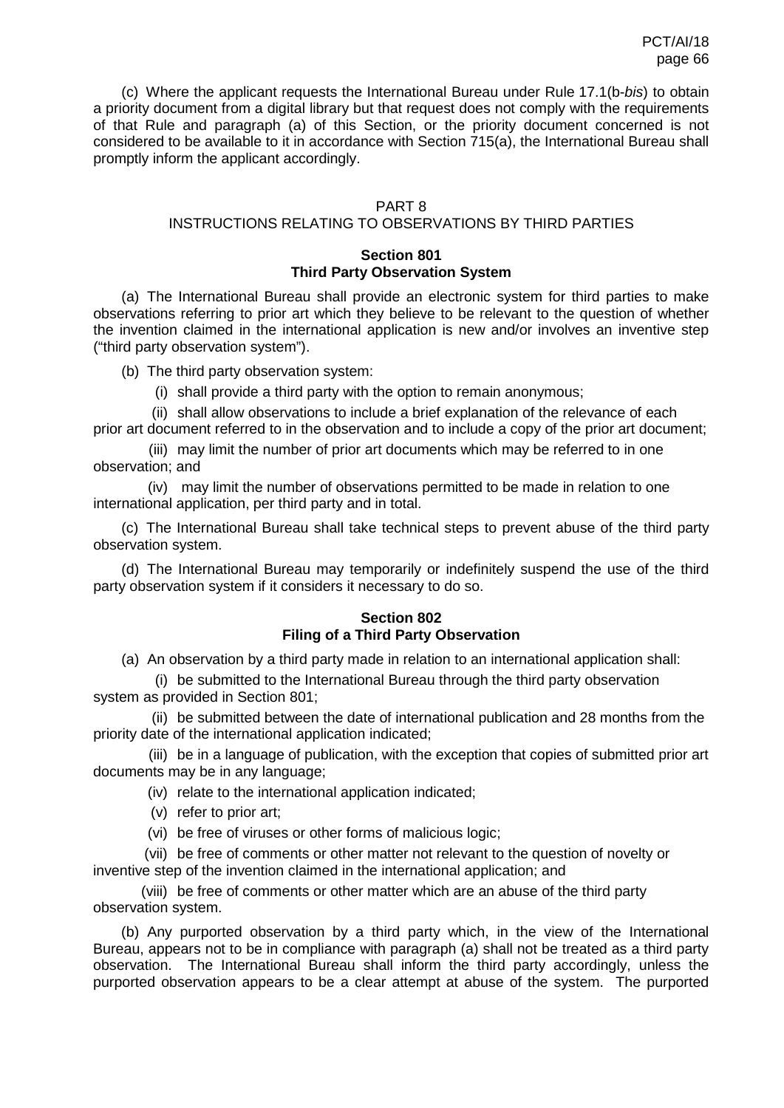(c) Where the applicant requests the International Bureau under Rule 17.1(b-*bis*) to obtain a priority document from a digital library but that request does not comply with the requirements of that Rule and paragraph (a) of this Section, or the priority document concerned is not considered to be available to it in accordance with Section 715(a), the International Bureau shall promptly inform the applicant accordingly.

# PART 8

# INSTRUCTIONS RELATING TO OBSERVATIONS BY THIRD PARTIES

# **Section 801 Third Party Observation System**

(a) The International Bureau shall provide an electronic system for third parties to make observations referring to prior art which they believe to be relevant to the question of whether the invention claimed in the international application is new and/or involves an inventive step ("third party observation system").

(b) The third party observation system:

(i) shall provide a third party with the option to remain anonymous;

(ii) shall allow observations to include a brief explanation of the relevance of each prior art document referred to in the observation and to include a copy of the prior art document;

(iii) may limit the number of prior art documents which may be referred to in one observation; and

(iv) may limit the number of observations permitted to be made in relation to one international application, per third party and in total.

(c) The International Bureau shall take technical steps to prevent abuse of the third party observation system.

(d) The International Bureau may temporarily or indefinitely suspend the use of the third party observation system if it considers it necessary to do so.

# **Section 802 Filing of a Third Party Observation**

(a) An observation by a third party made in relation to an international application shall:

(i) be submitted to the International Bureau through the third party observation system as provided in Section 801;

(ii) be submitted between the date of international publication and 28 months from the priority date of the international application indicated;

(iii) be in a language of publication, with the exception that copies of submitted prior art documents may be in any language;

(iv) relate to the international application indicated;

- (v) refer to prior art;
- (vi) be free of viruses or other forms of malicious logic;

(vii) be free of comments or other matter not relevant to the question of novelty or inventive step of the invention claimed in the international application; and

(viii) be free of comments or other matter which are an abuse of the third party observation system.

(b) Any purported observation by a third party which, in the view of the International Bureau, appears not to be in compliance with paragraph (a) shall not be treated as a third party observation. The International Bureau shall inform the third party accordingly, unless the purported observation appears to be a clear attempt at abuse of the system. The purported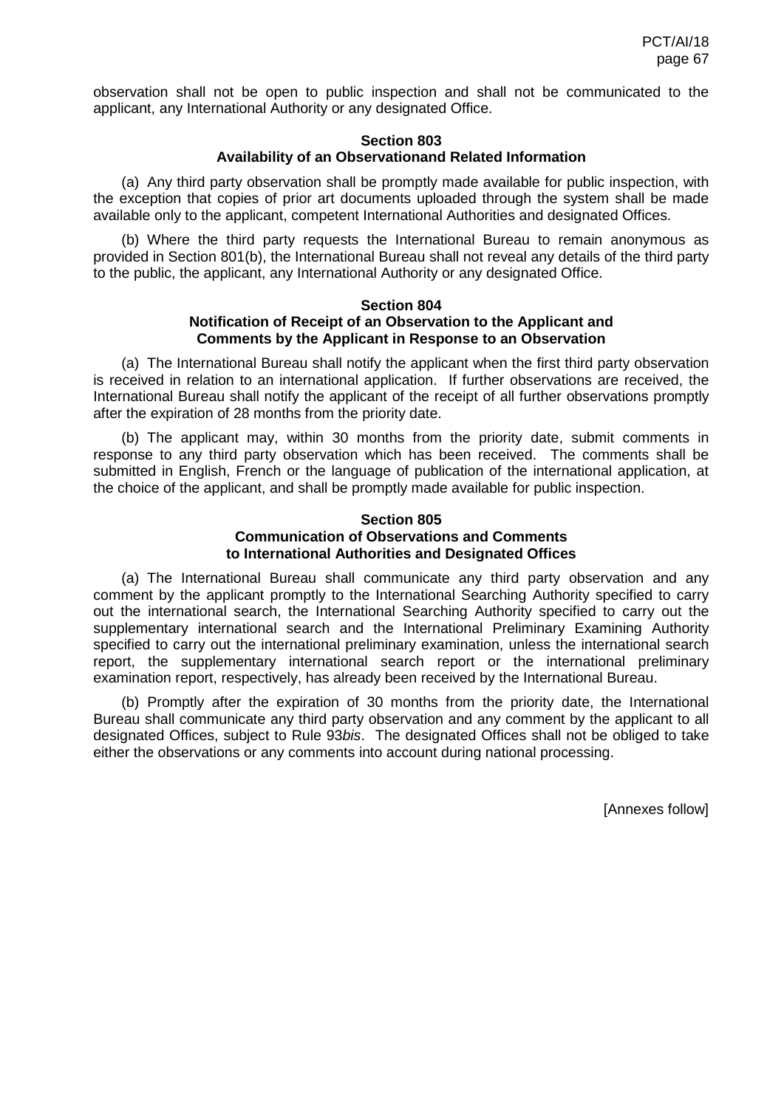observation shall not be open to public inspection and shall not be communicated to the applicant, any International Authority or any designated Office.

#### **Section 803 Availability of an Observationand Related Information**

(a) Any third party observation shall be promptly made available for public inspection, with the exception that copies of prior art documents uploaded through the system shall be made available only to the applicant, competent International Authorities and designated Offices.

(b) Where the third party requests the International Bureau to remain anonymous as provided in Section 801(b), the International Bureau shall not reveal any details of the third party to the public, the applicant, any International Authority or any designated Office.

#### **Section 804 Notification of Receipt of an Observation to the Applicant and Comments by the Applicant in Response to an Observation**

(a) The International Bureau shall notify the applicant when the first third party observation is received in relation to an international application. If further observations are received, the International Bureau shall notify the applicant of the receipt of all further observations promptly after the expiration of 28 months from the priority date.

(b) The applicant may, within 30 months from the priority date, submit comments in response to any third party observation which has been received. The comments shall be submitted in English, French or the language of publication of the international application, at the choice of the applicant, and shall be promptly made available for public inspection.

## **Section 805 Communication of Observations and Comments to International Authorities and Designated Offices**

(a) The International Bureau shall communicate any third party observation and any comment by the applicant promptly to the International Searching Authority specified to carry out the international search, the International Searching Authority specified to carry out the supplementary international search and the International Preliminary Examining Authority specified to carry out the international preliminary examination, unless the international search report, the supplementary international search report or the international preliminary examination report, respectively, has already been received by the International Bureau.

(b) Promptly after the expiration of 30 months from the priority date, the International Bureau shall communicate any third party observation and any comment by the applicant to all designated Offices, subject to Rule 93*bis*. The designated Offices shall not be obliged to take either the observations or any comments into account during national processing.

[Annexes follow]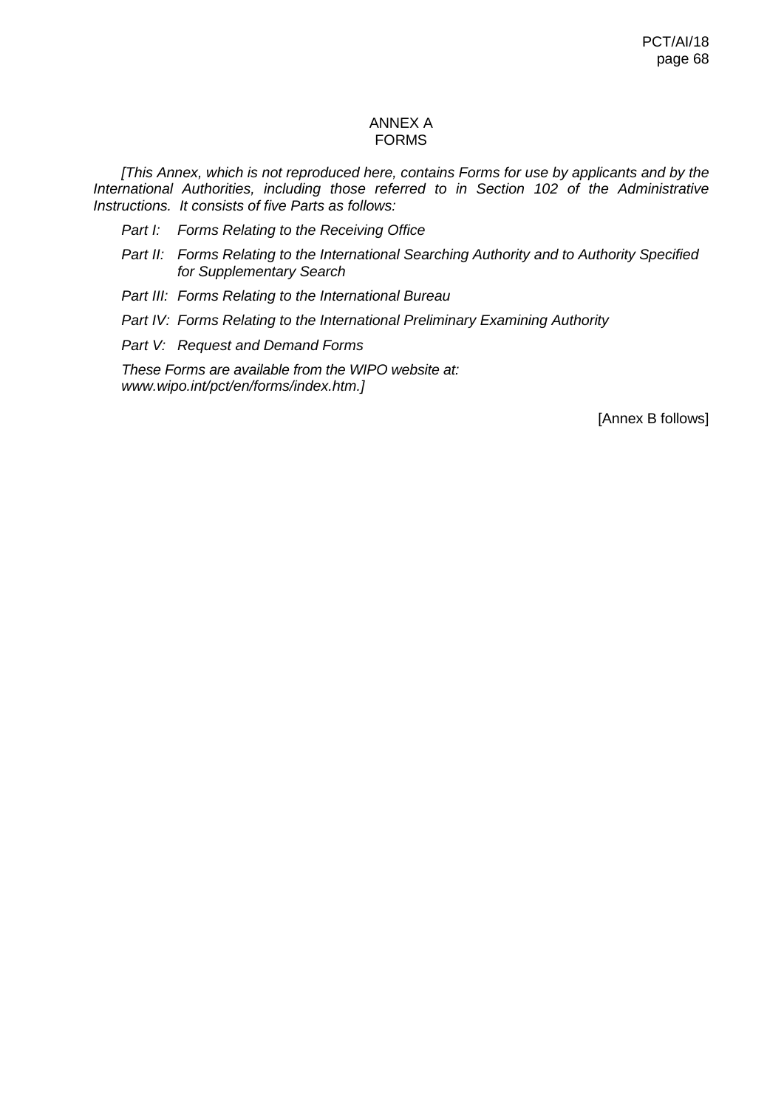# ANNEX A FORMS

*[This Annex, which is not reproduced here, contains Forms for use by applicants and by the International Authorities, including those referred to in Section 102 of the Administrative Instructions. It consists of five Parts as follows:*

- *Part I: Forms Relating to the Receiving Office*
- *Part II: Forms Relating to the International Searching Authority and to Authority Specified for Supplementary Search*
- *Part III: Forms Relating to the International Bureau*
- *Part IV: Forms Relating to the International Preliminary Examining Authority*
- *Part V: Request and Demand Forms*

*These Forms are available from the WIPO website at: www.wipo.int/pct/en/forms/index.htm.]*

[Annex B follows]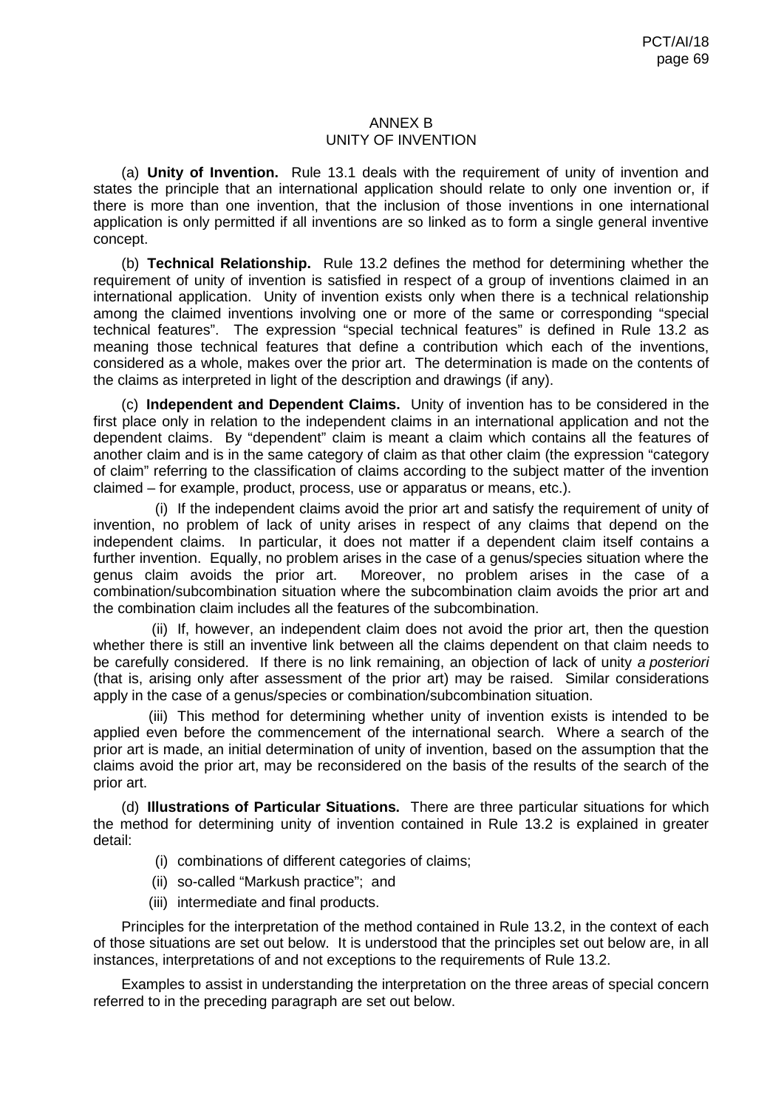# ANNEX B UNITY OF INVENTION

(a) **Unity of Invention.** Rule 13.1 deals with the requirement of unity of invention and states the principle that an international application should relate to only one invention or, if there is more than one invention, that the inclusion of those inventions in one international application is only permitted if all inventions are so linked as to form a single general inventive concept.

(b) **Technical Relationship.** Rule 13.2 defines the method for determining whether the requirement of unity of invention is satisfied in respect of a group of inventions claimed in an international application. Unity of invention exists only when there is a technical relationship among the claimed inventions involving one or more of the same or corresponding "special technical features". The expression "special technical features" is defined in Rule 13.2 as meaning those technical features that define a contribution which each of the inventions, considered as a whole, makes over the prior art. The determination is made on the contents of the claims as interpreted in light of the description and drawings (if any).

(c) **Independent and Dependent Claims.** Unity of invention has to be considered in the first place only in relation to the independent claims in an international application and not the dependent claims. By "dependent" claim is meant a claim which contains all the features of another claim and is in the same category of claim as that other claim (the expression "category of claim" referring to the classification of claims according to the subject matter of the invention claimed – for example, product, process, use or apparatus or means, etc.).

(i) If the independent claims avoid the prior art and satisfy the requirement of unity of invention, no problem of lack of unity arises in respect of any claims that depend on the independent claims. In particular, it does not matter if a dependent claim itself contains a further invention. Equally, no problem arises in the case of a genus/species situation where the genus claim avoids the prior art. Moreover, no problem arises in the case of a Moreover, no problem arises in the case of a combination/subcombination situation where the subcombination claim avoids the prior art and the combination claim includes all the features of the subcombination.

(ii) If, however, an independent claim does not avoid the prior art, then the question whether there is still an inventive link between all the claims dependent on that claim needs to be carefully considered. If there is no link remaining, an objection of lack of unity *a posteriori* (that is, arising only after assessment of the prior art) may be raised. Similar considerations apply in the case of a genus/species or combination/subcombination situation.

(iii) This method for determining whether unity of invention exists is intended to be applied even before the commencement of the international search. Where a search of the prior art is made, an initial determination of unity of invention, based on the assumption that the claims avoid the prior art, may be reconsidered on the basis of the results of the search of the prior art.

(d) **Illustrations of Particular Situations.** There are three particular situations for which the method for determining unity of invention contained in Rule 13.2 is explained in greater detail:

- (i) combinations of different categories of claims;
- (ii) so-called "Markush practice"; and
- (iii) intermediate and final products.

Principles for the interpretation of the method contained in Rule 13.2, in the context of each of those situations are set out below. It is understood that the principles set out below are, in all instances, interpretations of and not exceptions to the requirements of Rule 13.2.

Examples to assist in understanding the interpretation on the three areas of special concern referred to in the preceding paragraph are set out below.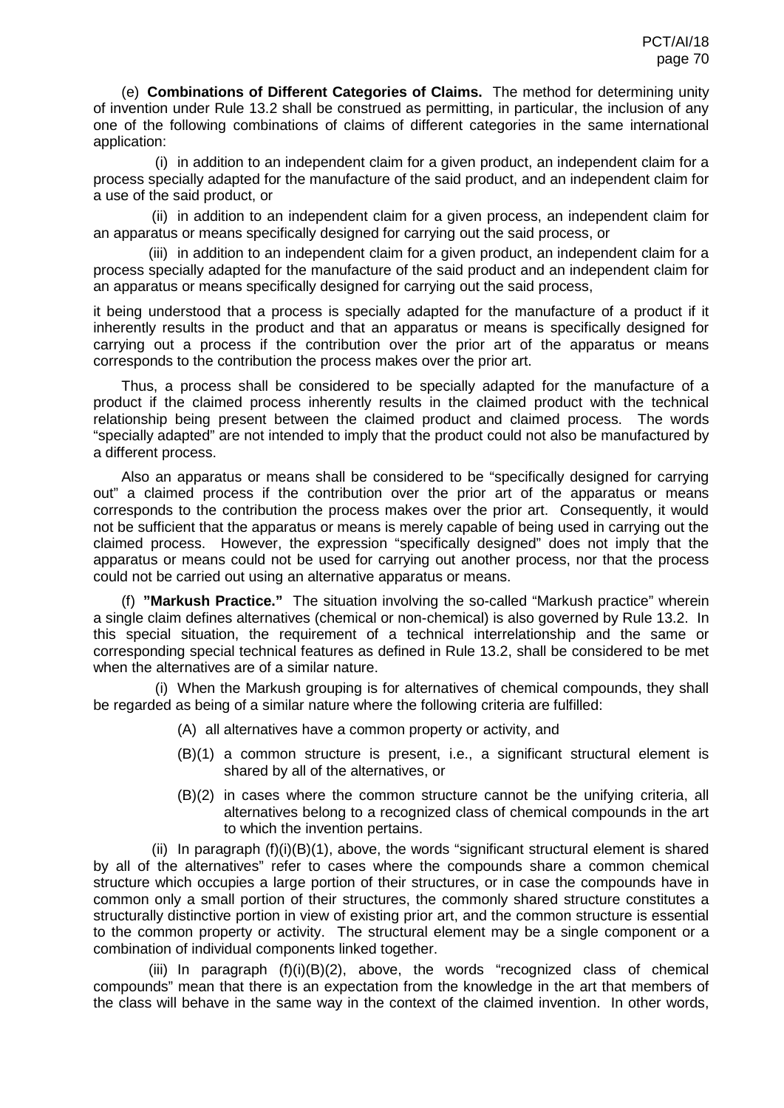(e) **Combinations of Different Categories of Claims.** The method for determining unity of invention under Rule 13.2 shall be construed as permitting, in particular, the inclusion of any one of the following combinations of claims of different categories in the same international application:

(i) in addition to an independent claim for a given product, an independent claim for a process specially adapted for the manufacture of the said product, and an independent claim for a use of the said product, or

(ii) in addition to an independent claim for a given process, an independent claim for an apparatus or means specifically designed for carrying out the said process, or

(iii) in addition to an independent claim for a given product, an independent claim for a process specially adapted for the manufacture of the said product and an independent claim for an apparatus or means specifically designed for carrying out the said process,

it being understood that a process is specially adapted for the manufacture of a product if it inherently results in the product and that an apparatus or means is specifically designed for carrying out a process if the contribution over the prior art of the apparatus or means corresponds to the contribution the process makes over the prior art.

Thus, a process shall be considered to be specially adapted for the manufacture of a product if the claimed process inherently results in the claimed product with the technical relationship being present between the claimed product and claimed process. The words "specially adapted" are not intended to imply that the product could not also be manufactured by a different process.

Also an apparatus or means shall be considered to be "specifically designed for carrying out" a claimed process if the contribution over the prior art of the apparatus or means corresponds to the contribution the process makes over the prior art. Consequently, it would not be sufficient that the apparatus or means is merely capable of being used in carrying out the claimed process. However, the expression "specifically designed" does not imply that the apparatus or means could not be used for carrying out another process, nor that the process could not be carried out using an alternative apparatus or means.

(f) **"Markush Practice."** The situation involving the so-called "Markush practice" wherein a single claim defines alternatives (chemical or non-chemical) is also governed by Rule 13.2. In this special situation, the requirement of a technical interrelationship and the same or corresponding special technical features as defined in Rule 13.2, shall be considered to be met when the alternatives are of a similar nature.

(i) When the Markush grouping is for alternatives of chemical compounds, they shall be regarded as being of a similar nature where the following criteria are fulfilled:

- (A) all alternatives have a common property or activity, and
- (B)(1) a common structure is present, i.e., a significant structural element is shared by all of the alternatives, or
- (B)(2) in cases where the common structure cannot be the unifying criteria, all alternatives belong to a recognized class of chemical compounds in the art to which the invention pertains.

(ii) In paragraph  $(f)(i)(B)(1)$ , above, the words "significant structural element is shared by all of the alternatives" refer to cases where the compounds share a common chemical structure which occupies a large portion of their structures, or in case the compounds have in common only a small portion of their structures, the commonly shared structure constitutes a structurally distinctive portion in view of existing prior art, and the common structure is essential to the common property or activity. The structural element may be a single component or a combination of individual components linked together.

(iii) In paragraph (f)(i)(B)(2), above, the words "recognized class of chemical compounds" mean that there is an expectation from the knowledge in the art that members of the class will behave in the same way in the context of the claimed invention. In other words,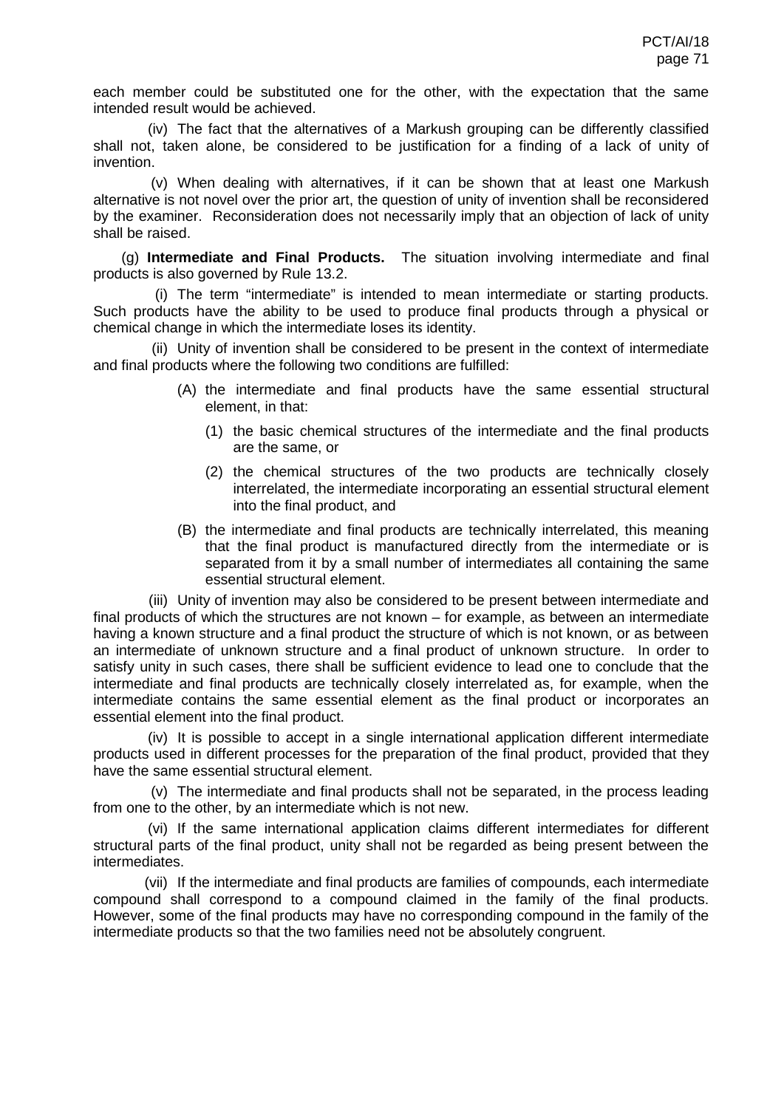each member could be substituted one for the other, with the expectation that the same intended result would be achieved.

(iv) The fact that the alternatives of a Markush grouping can be differently classified shall not, taken alone, be considered to be justification for a finding of a lack of unity of invention.

(v) When dealing with alternatives, if it can be shown that at least one Markush alternative is not novel over the prior art, the question of unity of invention shall be reconsidered by the examiner. Reconsideration does not necessarily imply that an objection of lack of unity shall be raised.

(g) **Intermediate and Final Products.** The situation involving intermediate and final products is also governed by Rule 13.2.

(i) The term "intermediate" is intended to mean intermediate or starting products. Such products have the ability to be used to produce final products through a physical or chemical change in which the intermediate loses its identity.

(ii) Unity of invention shall be considered to be present in the context of intermediate and final products where the following two conditions are fulfilled:

- (A) the intermediate and final products have the same essential structural element, in that:
	- (1) the basic chemical structures of the intermediate and the final products are the same, or
	- (2) the chemical structures of the two products are technically closely interrelated, the intermediate incorporating an essential structural element into the final product, and
- (B) the intermediate and final products are technically interrelated, this meaning that the final product is manufactured directly from the intermediate or is separated from it by a small number of intermediates all containing the same essential structural element.

(iii) Unity of invention may also be considered to be present between intermediate and final products of which the structures are not known – for example, as between an intermediate having a known structure and a final product the structure of which is not known, or as between an intermediate of unknown structure and a final product of unknown structure. In order to satisfy unity in such cases, there shall be sufficient evidence to lead one to conclude that the intermediate and final products are technically closely interrelated as, for example, when the intermediate contains the same essential element as the final product or incorporates an essential element into the final product.

(iv) It is possible to accept in a single international application different intermediate products used in different processes for the preparation of the final product, provided that they have the same essential structural element.

(v) The intermediate and final products shall not be separated, in the process leading from one to the other, by an intermediate which is not new.

(vi) If the same international application claims different intermediates for different structural parts of the final product, unity shall not be regarded as being present between the intermediates.

(vii) If the intermediate and final products are families of compounds, each intermediate compound shall correspond to a compound claimed in the family of the final products. However, some of the final products may have no corresponding compound in the family of the intermediate products so that the two families need not be absolutely congruent.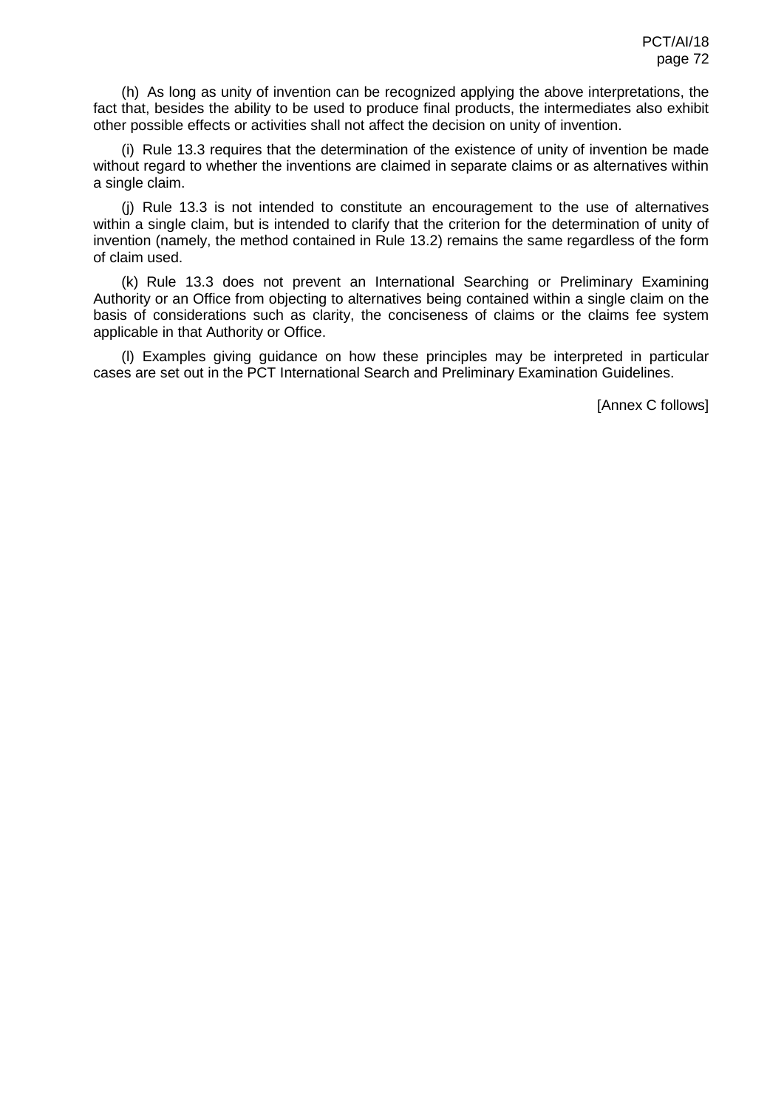(h) As long as unity of invention can be recognized applying the above interpretations, the fact that, besides the ability to be used to produce final products, the intermediates also exhibit other possible effects or activities shall not affect the decision on unity of invention.

(i) Rule 13.3 requires that the determination of the existence of unity of invention be made without regard to whether the inventions are claimed in separate claims or as alternatives within a single claim.

(j) Rule 13.3 is not intended to constitute an encouragement to the use of alternatives within a single claim, but is intended to clarify that the criterion for the determination of unity of invention (namely, the method contained in Rule 13.2) remains the same regardless of the form of claim used.

(k) Rule 13.3 does not prevent an International Searching or Preliminary Examining Authority or an Office from objecting to alternatives being contained within a single claim on the basis of considerations such as clarity, the conciseness of claims or the claims fee system applicable in that Authority or Office.

(l) Examples giving guidance on how these principles may be interpreted in particular cases are set out in the PCT International Search and Preliminary Examination Guidelines.

[Annex C follows]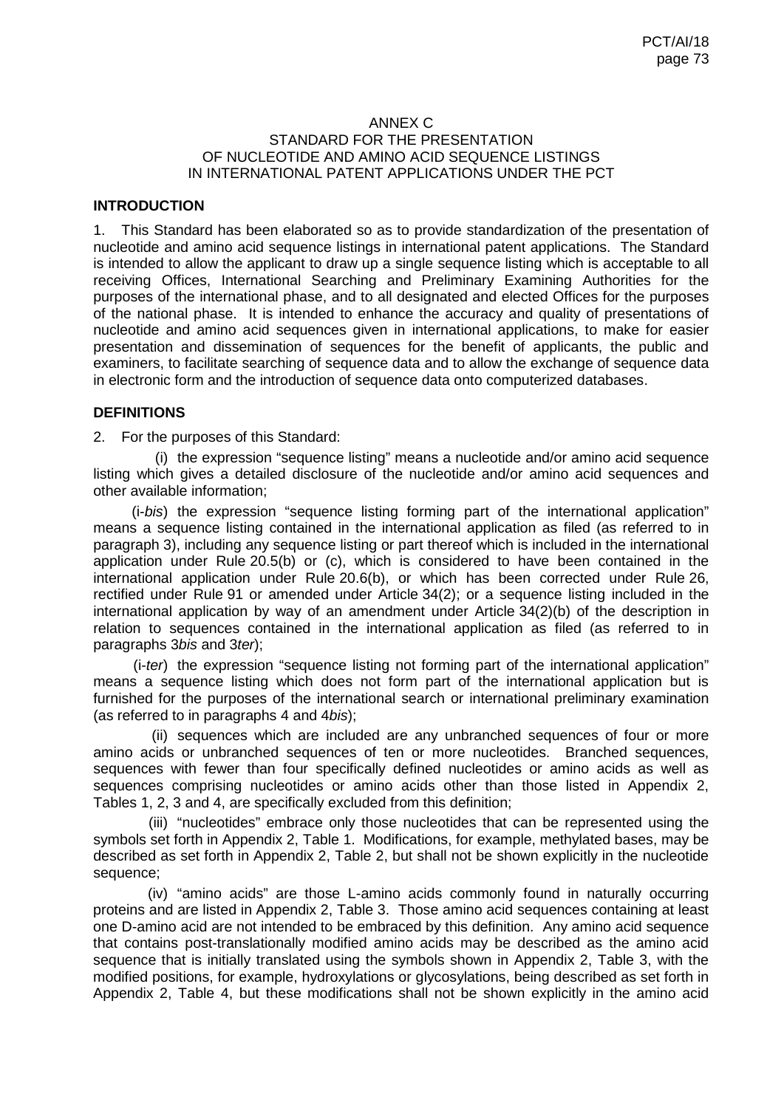#### ANNEX C STANDARD FOR THE PRESENTATION OF NUCLEOTIDE AND AMINO ACID SEQUENCE LISTINGS IN INTERNATIONAL PATENT APPLICATIONS UNDER THE PCT

# **INTRODUCTION**

1. This Standard has been elaborated so as to provide standardization of the presentation of nucleotide and amino acid sequence listings in international patent applications. The Standard is intended to allow the applicant to draw up a single sequence listing which is acceptable to all receiving Offices, International Searching and Preliminary Examining Authorities for the purposes of the international phase, and to all designated and elected Offices for the purposes of the national phase. It is intended to enhance the accuracy and quality of presentations of nucleotide and amino acid sequences given in international applications, to make for easier presentation and dissemination of sequences for the benefit of applicants, the public and examiners, to facilitate searching of sequence data and to allow the exchange of sequence data in electronic form and the introduction of sequence data onto computerized databases.

#### **DEFINITIONS**

2. For the purposes of this Standard:

(i) the expression "sequence listing" means a nucleotide and/or amino acid sequence listing which gives a detailed disclosure of the nucleotide and/or amino acid sequences and other available information;

(i-*bis*) the expression "sequence listing forming part of the international application" means a sequence listing contained in the international application as filed (as referred to in paragraph 3), including any sequence listing or part thereof which is included in the international application under Rule 20.5(b) or (c), which is considered to have been contained in the international application under Rule 20.6(b), or which has been corrected under Rule 26, rectified under Rule 91 or amended under Article 34(2); or a sequence listing included in the international application by way of an amendment under Article 34(2)(b) of the description in relation to sequences contained in the international application as filed (as referred to in paragraphs 3*bis* and 3*ter*);

(i-*ter*) the expression "sequence listing not forming part of the international application" means a sequence listing which does not form part of the international application but is furnished for the purposes of the international search or international preliminary examination (as referred to in paragraphs 4 and 4*bis*);

(ii) sequences which are included are any unbranched sequences of four or more amino acids or unbranched sequences of ten or more nucleotides. Branched sequences, sequences with fewer than four specifically defined nucleotides or amino acids as well as sequences comprising nucleotides or amino acids other than those listed in Appendix 2, Tables 1, 2, 3 and 4, are specifically excluded from this definition;

(iii) "nucleotides" embrace only those nucleotides that can be represented using the symbols set forth in Appendix 2, Table 1. Modifications, for example, methylated bases, may be described as set forth in Appendix 2, Table 2, but shall not be shown explicitly in the nucleotide sequence;

(iv) "amino acids" are those L-amino acids commonly found in naturally occurring proteins and are listed in Appendix 2, Table 3. Those amino acid sequences containing at least one D-amino acid are not intended to be embraced by this definition. Any amino acid sequence that contains post-translationally modified amino acids may be described as the amino acid sequence that is initially translated using the symbols shown in Appendix 2, Table 3, with the modified positions, for example, hydroxylations or glycosylations, being described as set forth in Appendix 2, Table 4, but these modifications shall not be shown explicitly in the amino acid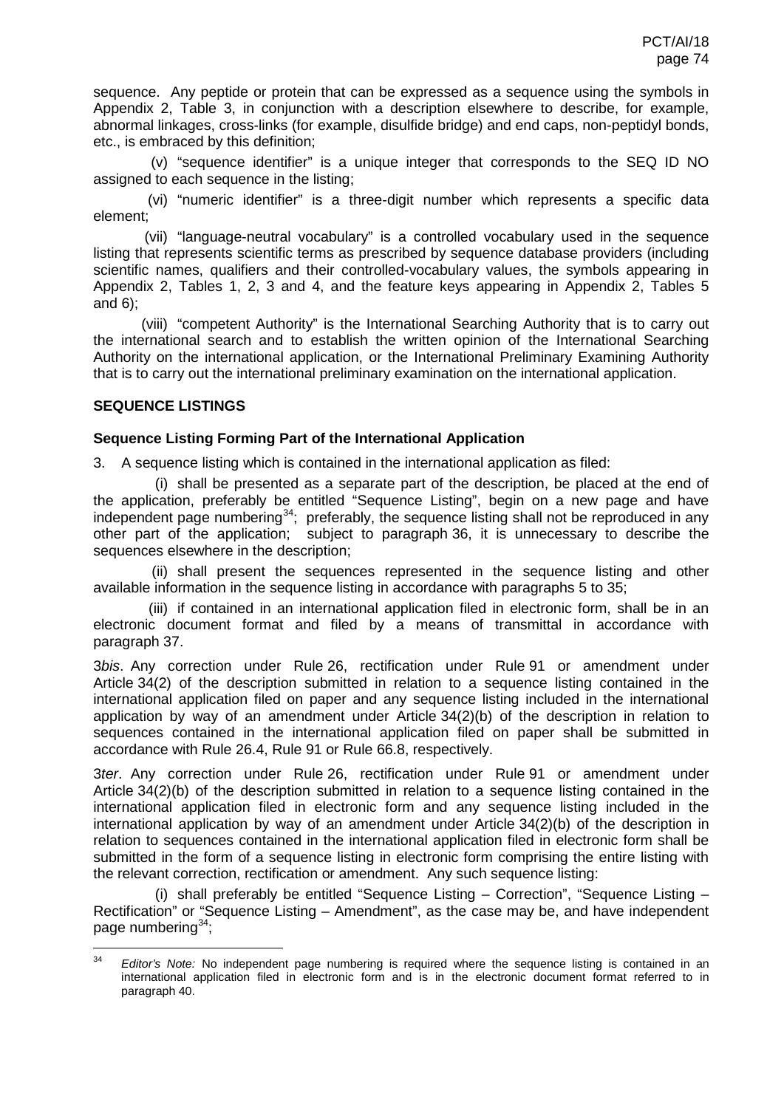sequence. Any peptide or protein that can be expressed as a sequence using the symbols in Appendix 2, Table 3, in conjunction with a description elsewhere to describe, for example, abnormal linkages, cross-links (for example, disulfide bridge) and end caps, non-peptidyl bonds, etc., is embraced by this definition;

(v) "sequence identifier" is a unique integer that corresponds to the SEQ ID NO assigned to each sequence in the listing;

(vi) "numeric identifier" is a three-digit number which represents a specific data element;

(vii) "language-neutral vocabulary" is a controlled vocabulary used in the sequence listing that represents scientific terms as prescribed by sequence database providers (including scientific names, qualifiers and their controlled-vocabulary values, the symbols appearing in Appendix 2, Tables 1, 2, 3 and 4, and the feature keys appearing in Appendix 2, Tables 5 and 6);

(viii) "competent Authority" is the International Searching Authority that is to carry out the international search and to establish the written opinion of the International Searching Authority on the international application, or the International Preliminary Examining Authority that is to carry out the international preliminary examination on the international application.

# **SEQUENCE LISTINGS**

### **Sequence Listing Forming Part of the International Application**

3. A sequence listing which is contained in the international application as filed:

<span id="page-73-0"></span>(i) shall be presented as a separate part of the description, be placed at the end of the application, preferably be entitled "Sequence Listing", begin on a new page and have independent page numbering<sup>34</sup>; preferably, the sequence listing shall not be reproduced in any other part of the application; subject to paragraph 36, it is unnecessary to describe the sequences elsewhere in the description;

(ii) shall present the sequences represented in the sequence listing and other available information in the sequence listing in accordance with paragraphs 5 to 35;

(iii) if contained in an international application filed in electronic form, shall be in an electronic document format and filed by a means of transmittal in accordance with paragraph 37.

3*bis*. Any correction under Rule 26, rectification under Rule 91 or amendment under Article 34(2) of the description submitted in relation to a sequence listing contained in the international application filed on paper and any sequence listing included in the international application by way of an amendment under Article 34(2)(b) of the description in relation to sequences contained in the international application filed on paper shall be submitted in accordance with Rule 26.4, Rule 91 or Rule 66.8, respectively.

3*ter*. Any correction under Rule 26, rectification under Rule 91 or amendment under Article 34(2)(b) of the description submitted in relation to a sequence listing contained in the international application filed in electronic form and any sequence listing included in the international application by way of an amendment under Article 34(2)(b) of the description in relation to sequences contained in the international application filed in electronic form shall be submitted in the form of a sequence listing in electronic form comprising the entire listing with the relevant correction, rectification or amendment. Any such sequence listing:

(i) shall preferably be entitled "Sequence Listing – Correction", "Sequence Listing – Rectification" or "Sequence Listing – Amendment", as the case may be, and have independent page numbering $34$ ;

<span id="page-73-1"></span><sup>&</sup>lt;sup>34</sup> *Editor's Note:* No independent page numbering is required where the sequence listing is contained in an international application filed in electronic form and is in the electronic document format referred to in paragraph 40.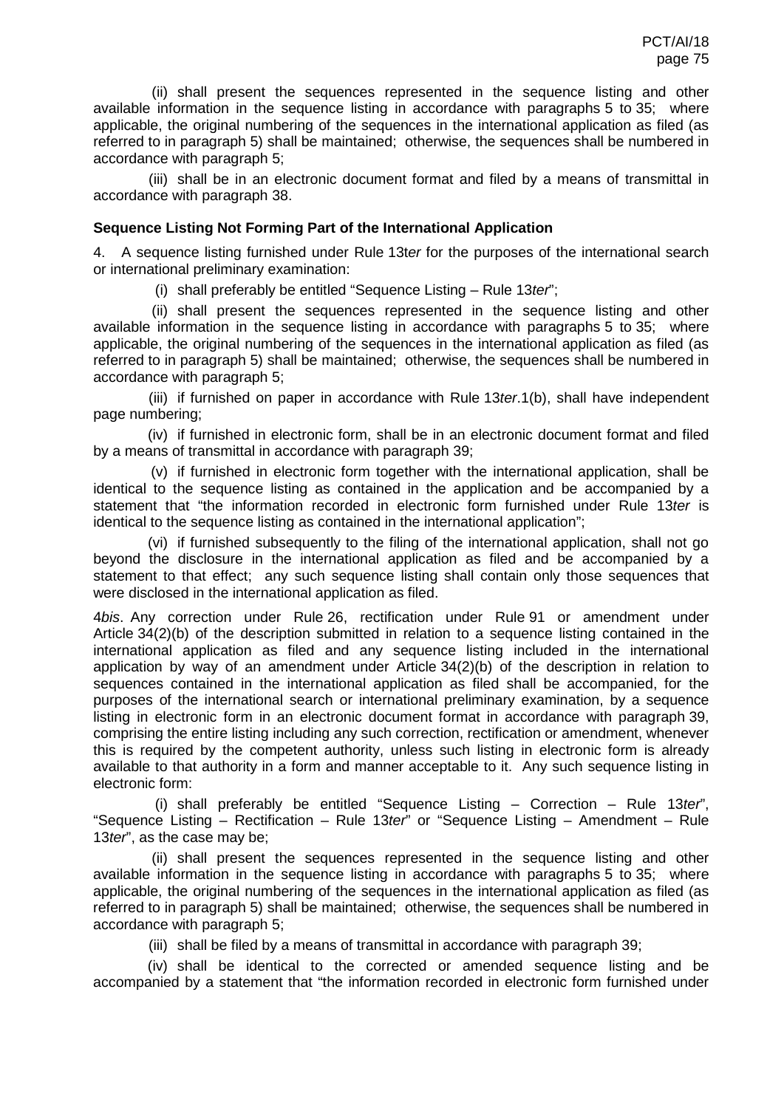(ii) shall present the sequences represented in the sequence listing and other available information in the sequence listing in accordance with paragraphs 5 to 35; where applicable, the original numbering of the sequences in the international application as filed (as referred to in paragraph 5) shall be maintained; otherwise, the sequences shall be numbered in accordance with paragraph 5;

(iii) shall be in an electronic document format and filed by a means of transmittal in accordance with paragraph 38.

#### **Sequence Listing Not Forming Part of the International Application**

4. A sequence listing furnished under Rule 13t*er* for the purposes of the international search or international preliminary examination:

(i) shall preferably be entitled "Sequence Listing – Rule 13*ter*";

(ii) shall present the sequences represented in the sequence listing and other available information in the sequence listing in accordance with paragraphs 5 to 35; where applicable, the original numbering of the sequences in the international application as filed (as referred to in paragraph 5) shall be maintained; otherwise, the sequences shall be numbered in accordance with paragraph 5;

(iii) if furnished on paper in accordance with Rule 13*ter*.1(b), shall have independent page numbering;

(iv) if furnished in electronic form, shall be in an electronic document format and filed by a means of transmittal in accordance with paragraph 39;

(v) if furnished in electronic form together with the international application, shall be identical to the sequence listing as contained in the application and be accompanied by a statement that "the information recorded in electronic form furnished under Rule 13*ter* is identical to the sequence listing as contained in the international application";

(vi) if furnished subsequently to the filing of the international application, shall not go beyond the disclosure in the international application as filed and be accompanied by a statement to that effect; any such sequence listing shall contain only those sequences that were disclosed in the international application as filed.

4*bis*. Any correction under Rule 26, rectification under Rule 91 or amendment under Article 34(2)(b) of the description submitted in relation to a sequence listing contained in the international application as filed and any sequence listing included in the international application by way of an amendment under Article 34(2)(b) of the description in relation to sequences contained in the international application as filed shall be accompanied, for the purposes of the international search or international preliminary examination, by a sequence listing in electronic form in an electronic document format in accordance with paragraph 39, comprising the entire listing including any such correction, rectification or amendment, whenever this is required by the competent authority, unless such listing in electronic form is already available to that authority in a form and manner acceptable to it. Any such sequence listing in electronic form:

(i) shall preferably be entitled "Sequence Listing – Correction – Rule 13*ter*", "Sequence Listing – Rectification – Rule 13*ter*" or "Sequence Listing – Amendment – Rule 13*ter*", as the case may be;

(ii) shall present the sequences represented in the sequence listing and other available information in the sequence listing in accordance with paragraphs 5 to 35; where applicable, the original numbering of the sequences in the international application as filed (as referred to in paragraph 5) shall be maintained; otherwise, the sequences shall be numbered in accordance with paragraph 5;

(iii) shall be filed by a means of transmittal in accordance with paragraph 39;

(iv) shall be identical to the corrected or amended sequence listing and be accompanied by a statement that "the information recorded in electronic form furnished under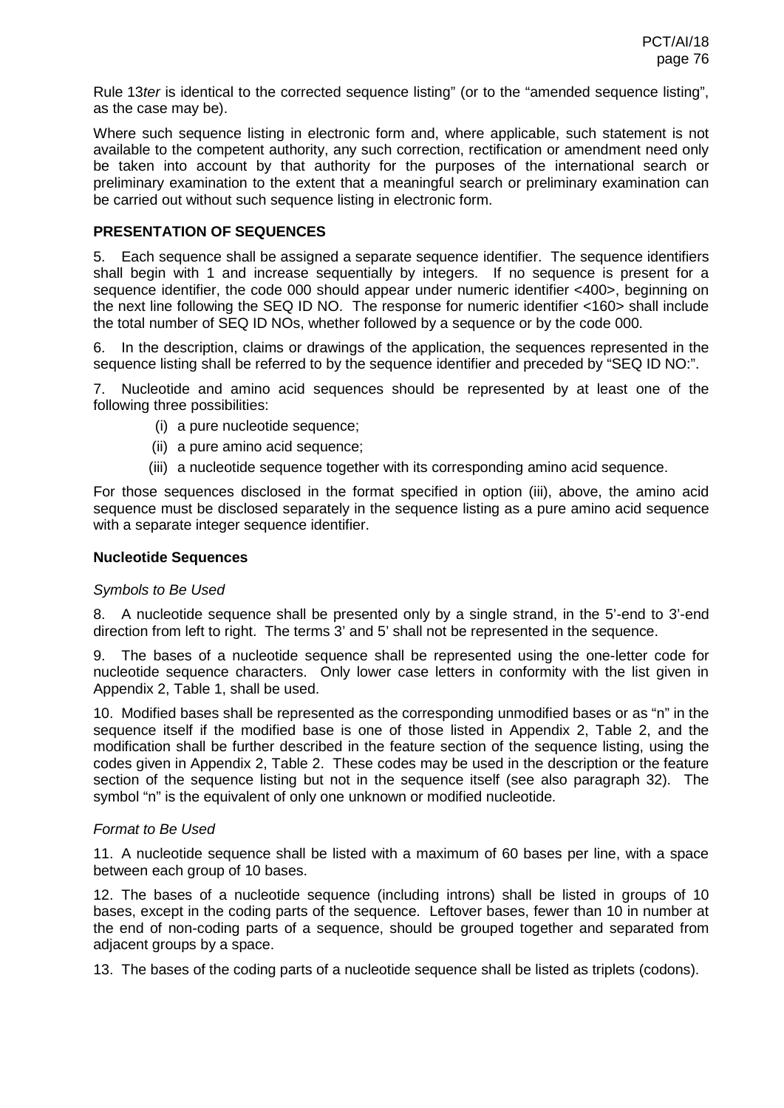Rule 13*ter* is identical to the corrected sequence listing" (or to the "amended sequence listing", as the case may be).

Where such sequence listing in electronic form and, where applicable, such statement is not available to the competent authority, any such correction, rectification or amendment need only be taken into account by that authority for the purposes of the international search or preliminary examination to the extent that a meaningful search or preliminary examination can be carried out without such sequence listing in electronic form.

#### **PRESENTATION OF SEQUENCES**

5. Each sequence shall be assigned a separate sequence identifier. The sequence identifiers shall begin with 1 and increase sequentially by integers. If no sequence is present for a sequence identifier, the code 000 should appear under numeric identifier <400>, beginning on the next line following the SEQ ID NO. The response for numeric identifier <160> shall include the total number of SEQ ID NOs, whether followed by a sequence or by the code 000.

6. In the description, claims or drawings of the application, the sequences represented in the sequence listing shall be referred to by the sequence identifier and preceded by "SEQ ID NO:".

7. Nucleotide and amino acid sequences should be represented by at least one of the following three possibilities:

- (i) a pure nucleotide sequence;
- (ii) a pure amino acid sequence;
- (iii) a nucleotide sequence together with its corresponding amino acid sequence.

For those sequences disclosed in the format specified in option (iii), above, the amino acid sequence must be disclosed separately in the sequence listing as a pure amino acid sequence with a separate integer sequence identifier.

### **Nucleotide Sequences**

#### *Symbols to Be Used*

8. A nucleotide sequence shall be presented only by a single strand, in the 5'-end to 3'-end direction from left to right. The terms 3' and 5' shall not be represented in the sequence.

9. The bases of a nucleotide sequence shall be represented using the one-letter code for nucleotide sequence characters. Only lower case letters in conformity with the list given in Appendix 2, Table 1, shall be used.

10. Modified bases shall be represented as the corresponding unmodified bases or as "n" in the sequence itself if the modified base is one of those listed in Appendix 2, Table 2, and the modification shall be further described in the feature section of the sequence listing, using the codes given in Appendix 2, Table 2. These codes may be used in the description or the feature section of the sequence listing but not in the sequence itself (see also paragraph 32). The symbol "n" is the equivalent of only one unknown or modified nucleotide.

#### *Format to Be Used*

11. A nucleotide sequence shall be listed with a maximum of 60 bases per line, with a space between each group of 10 bases.

12. The bases of a nucleotide sequence (including introns) shall be listed in groups of 10 bases, except in the coding parts of the sequence. Leftover bases, fewer than 10 in number at the end of non-coding parts of a sequence, should be grouped together and separated from adjacent groups by a space.

13. The bases of the coding parts of a nucleotide sequence shall be listed as triplets (codons).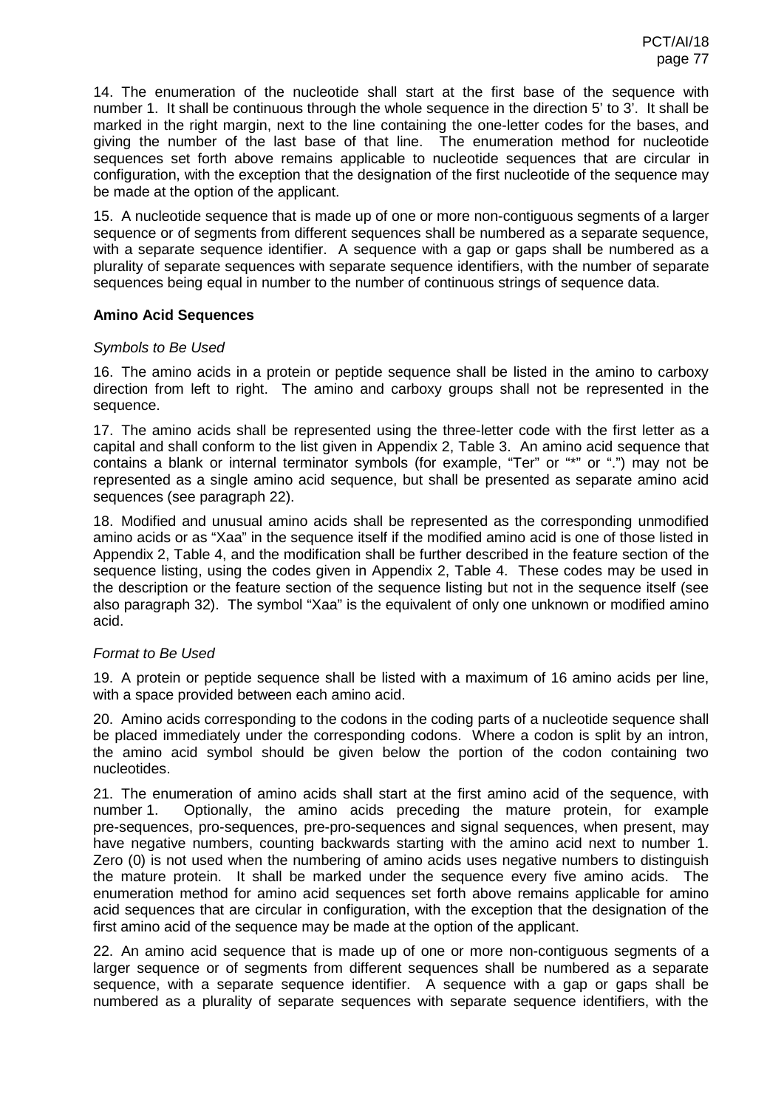14. The enumeration of the nucleotide shall start at the first base of the sequence with number 1. It shall be continuous through the whole sequence in the direction 5' to 3'. It shall be marked in the right margin, next to the line containing the one-letter codes for the bases, and giving the number of the last base of that line. The enumeration method for nucleotide sequences set forth above remains applicable to nucleotide sequences that are circular in configuration, with the exception that the designation of the first nucleotide of the sequence may be made at the option of the applicant.

15. A nucleotide sequence that is made up of one or more non-contiguous segments of a larger sequence or of segments from different sequences shall be numbered as a separate sequence, with a separate sequence identifier. A sequence with a gap or gaps shall be numbered as a plurality of separate sequences with separate sequence identifiers, with the number of separate sequences being equal in number to the number of continuous strings of sequence data.

### **Amino Acid Sequences**

### *Symbols to Be Used*

16. The amino acids in a protein or peptide sequence shall be listed in the amino to carboxy direction from left to right. The amino and carboxy groups shall not be represented in the sequence.

17. The amino acids shall be represented using the three-letter code with the first letter as a capital and shall conform to the list given in Appendix 2, Table 3. An amino acid sequence that contains a blank or internal terminator symbols (for example, "Ter" or "\*" or ".") may not be represented as a single amino acid sequence, but shall be presented as separate amino acid sequences (see paragraph 22).

18. Modified and unusual amino acids shall be represented as the corresponding unmodified amino acids or as "Xaa" in the sequence itself if the modified amino acid is one of those listed in Appendix 2, Table 4, and the modification shall be further described in the feature section of the sequence listing, using the codes given in Appendix 2, Table 4. These codes may be used in the description or the feature section of the sequence listing but not in the sequence itself (see also paragraph 32). The symbol "Xaa" is the equivalent of only one unknown or modified amino acid.

### *Format to Be Used*

19. A protein or peptide sequence shall be listed with a maximum of 16 amino acids per line, with a space provided between each amino acid.

20. Amino acids corresponding to the codons in the coding parts of a nucleotide sequence shall be placed immediately under the corresponding codons. Where a codon is split by an intron, the amino acid symbol should be given below the portion of the codon containing two nucleotides.

21. The enumeration of amino acids shall start at the first amino acid of the sequence, with number 1. Optionally, the amino acids preceding the mature protein, for example pre-sequences, pro-sequences, pre-pro-sequences and signal sequences, when present, may have negative numbers, counting backwards starting with the amino acid next to number 1. Zero (0) is not used when the numbering of amino acids uses negative numbers to distinguish the mature protein. It shall be marked under the sequence every five amino acids. The enumeration method for amino acid sequences set forth above remains applicable for amino acid sequences that are circular in configuration, with the exception that the designation of the first amino acid of the sequence may be made at the option of the applicant.

22. An amino acid sequence that is made up of one or more non-contiguous segments of a larger sequence or of segments from different sequences shall be numbered as a separate sequence, with a separate sequence identifier. A sequence with a gap or gaps shall be numbered as a plurality of separate sequences with separate sequence identifiers, with the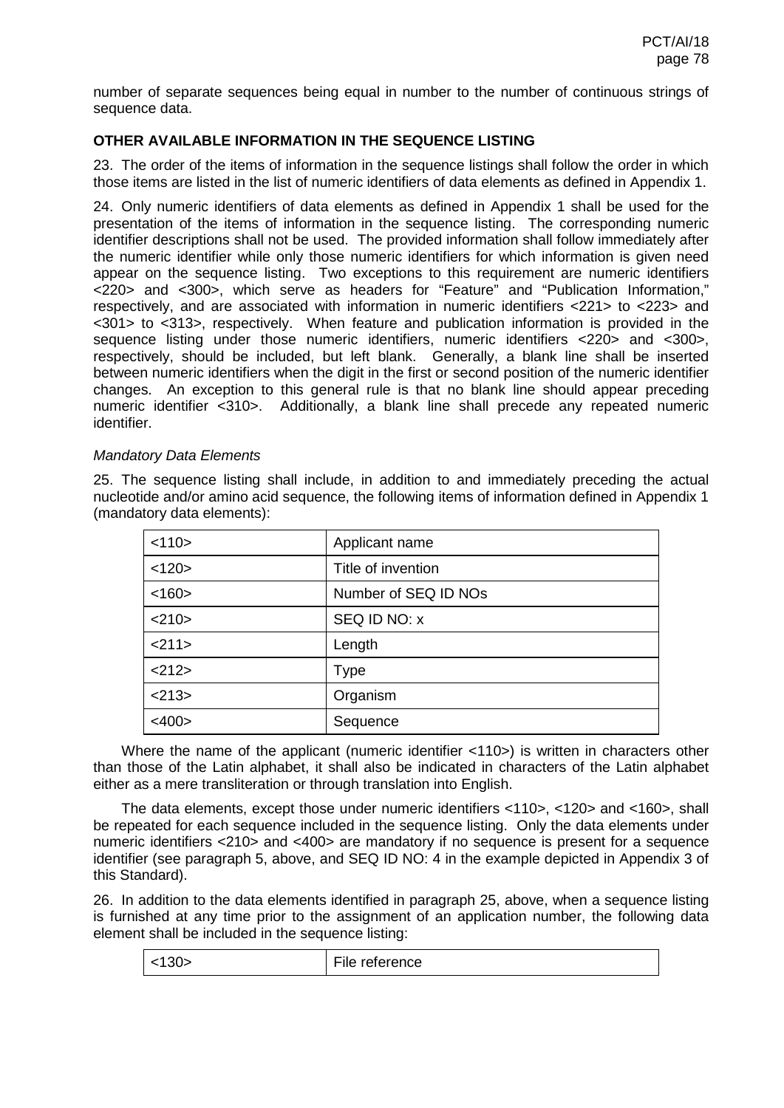number of separate sequences being equal in number to the number of continuous strings of sequence data.

# **OTHER AVAILABLE INFORMATION IN THE SEQUENCE LISTING**

23. The order of the items of information in the sequence listings shall follow the order in which those items are listed in the list of numeric identifiers of data elements as defined in Appendix 1.

24. Only numeric identifiers of data elements as defined in Appendix 1 shall be used for the presentation of the items of information in the sequence listing. The corresponding numeric identifier descriptions shall not be used. The provided information shall follow immediately after the numeric identifier while only those numeric identifiers for which information is given need appear on the sequence listing. Two exceptions to this requirement are numeric identifiers <220> and <300>, which serve as headers for "Feature" and "Publication Information," respectively, and are associated with information in numeric identifiers <221> to <223> and <301> to <313>, respectively. When feature and publication information is provided in the sequence listing under those numeric identifiers, numeric identifiers <220> and <300>, respectively, should be included, but left blank. Generally, a blank line shall be inserted between numeric identifiers when the digit in the first or second position of the numeric identifier changes. An exception to this general rule is that no blank line should appear preceding numeric identifier <310>. Additionally, a blank line shall precede any repeated numeric identifier.

#### *Mandatory Data Elements*

25. The sequence listing shall include, in addition to and immediately preceding the actual nucleotide and/or amino acid sequence, the following items of information defined in Appendix 1 (mandatory data elements):

| Applicant name       |
|----------------------|
| Title of invention   |
| Number of SEQ ID NOs |
| SEQ ID NO: x         |
| Length               |
| Type                 |
| Organism             |
| Sequence             |
|                      |

Where the name of the applicant (numeric identifier <110>) is written in characters other than those of the Latin alphabet, it shall also be indicated in characters of the Latin alphabet either as a mere transliteration or through translation into English.

The data elements, except those under numeric identifiers <110>, <120> and <160>, shall be repeated for each sequence included in the sequence listing. Only the data elements under numeric identifiers <210> and <400> are mandatory if no sequence is present for a sequence identifier (see paragraph 5, above, and SEQ ID NO: 4 in the example depicted in Appendix 3 of this Standard).

26. In addition to the data elements identified in paragraph 25, above, when a sequence listing is furnished at any time prior to the assignment of an application number, the following data element shall be included in the sequence listing:

| 30 <sub>5</sub> | $-1$<br>File reference |
|-----------------|------------------------|
|                 |                        |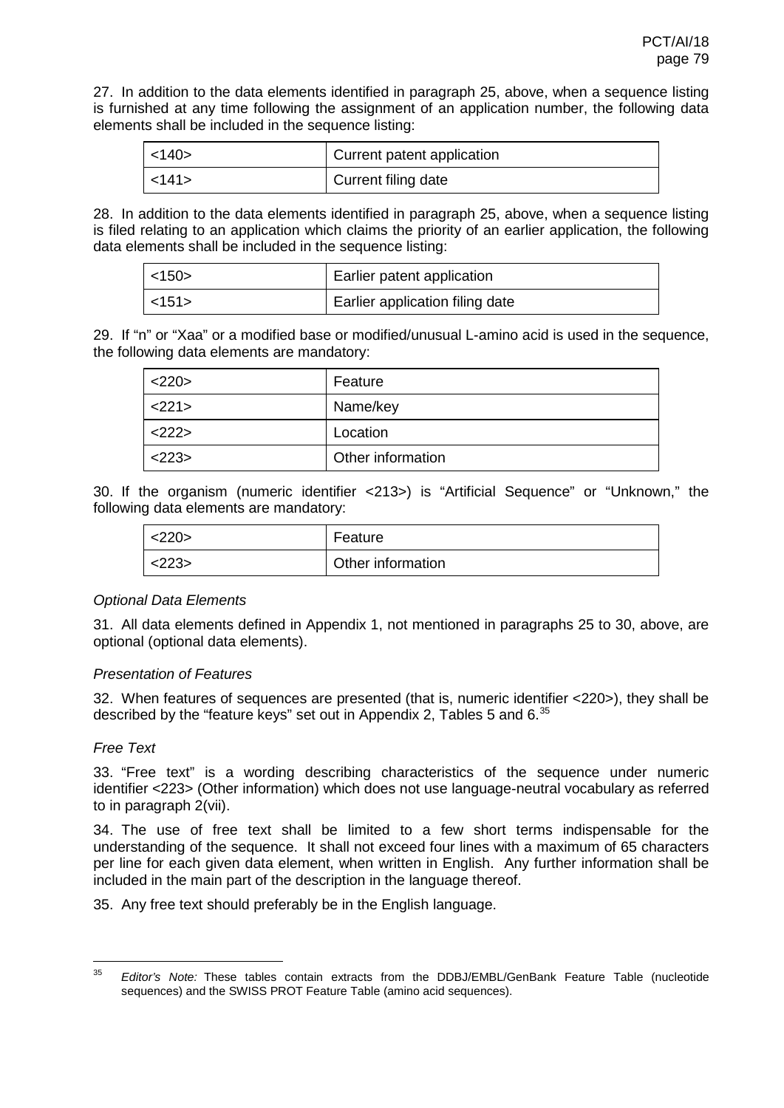27. In addition to the data elements identified in paragraph 25, above, when a sequence listing is furnished at any time following the assignment of an application number, the following data elements shall be included in the sequence listing:

| $<$ 140 $>$ | Current patent application |
|-------------|----------------------------|
| $<$ 141 $>$ | Current filing date        |

28. In addition to the data elements identified in paragraph 25, above, when a sequence listing is filed relating to an application which claims the priority of an earlier application, the following data elements shall be included in the sequence listing:

| $<$ 150 $>$ | Earlier patent application      |
|-------------|---------------------------------|
| $<$ 151 $>$ | Earlier application filing date |

29. If "n" or "Xaa" or a modified base or modified/unusual L-amino acid is used in the sequence, the following data elements are mandatory:

| <220>    | Feature           |
|----------|-------------------|
| 221      | Name/key          |
| $<$ 222> | Location          |
| 223      | Other information |

30. If the organism (numeric identifier <213>) is "Artificial Sequence" or "Unknown," the following data elements are mandatory:

| <220> | Feature           |
|-------|-------------------|
| <223> | Other information |

#### *Optional Data Elements*

31. All data elements defined in Appendix 1, not mentioned in paragraphs 25 to 30, above, are optional (optional data elements).

### *Presentation of Features*

32. When features of sequences are presented (that is, numeric identifier <220>), they shall be described by the "feature keys" set out in Appendix 2, Tables 5 and  $6^{35}$  $6^{35}$  $6^{35}$ 

### <span id="page-78-0"></span>*Free Text*

33. "Free text" is a wording describing characteristics of the sequence under numeric identifier <223> (Other information) which does not use language-neutral vocabulary as referred to in paragraph 2(vii).

34. The use of free text shall be limited to a few short terms indispensable for the understanding of the sequence. It shall not exceed four lines with a maximum of 65 characters per line for each given data element, when written in English. Any further information shall be included in the main part of the description in the language thereof.

35. Any free text should preferably be in the English language.

 <sup>35</sup> *Editor's Note:* These tables contain extracts from the DDBJ/EMBL/GenBank Feature Table (nucleotide sequences) and the SWISS PROT Feature Table (amino acid sequences).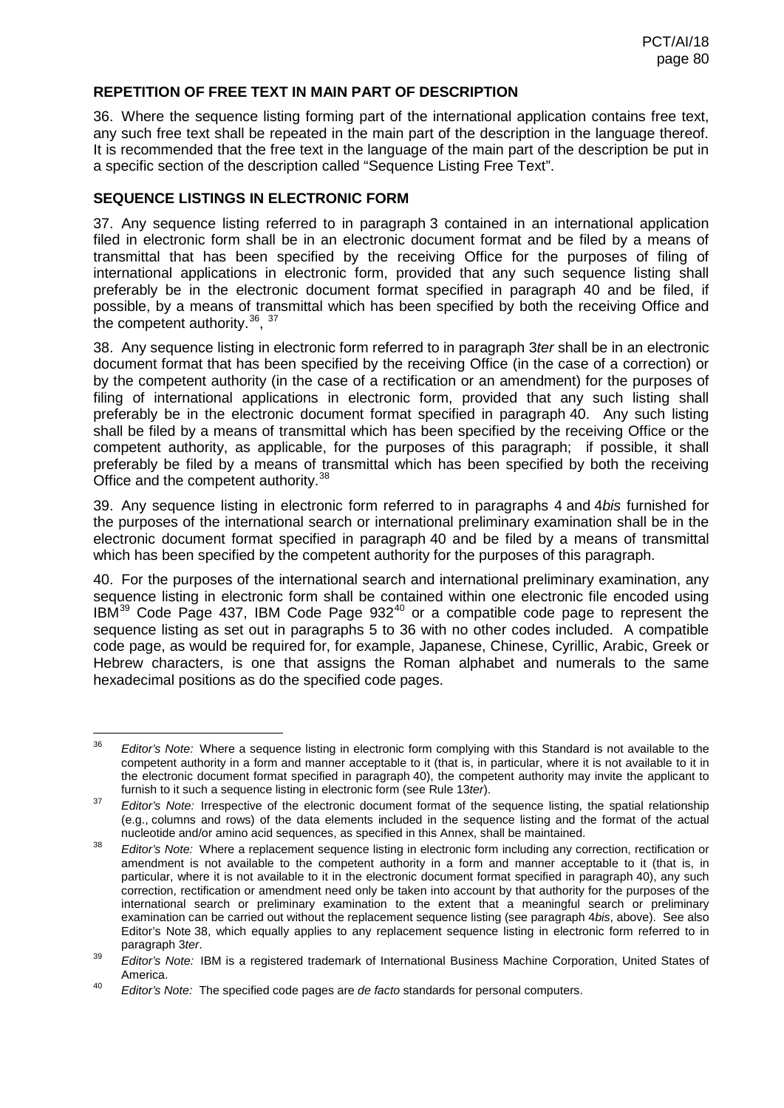#### **REPETITION OF FREE TEXT IN MAIN PART OF DESCRIPTION**

36. Where the sequence listing forming part of the international application contains free text, any such free text shall be repeated in the main part of the description in the language thereof. It is recommended that the free text in the language of the main part of the description be put in a specific section of the description called "Sequence Listing Free Text".

#### **SEQUENCE LISTINGS IN ELECTRONIC FORM**

37. Any sequence listing referred to in paragraph 3 contained in an international application filed in electronic form shall be in an electronic document format and be filed by a means of transmittal that has been specified by the receiving Office for the purposes of filing of international applications in electronic form, provided that any such sequence listing shall preferably be in the electronic document format specified in paragraph 40 and be filed, if possible, by a means of transmittal which has been specified by both the receiving Office and the competent authority.  $36, 37$  $36, 37$  $36, 37$ 

38. Any sequence listing in electronic form referred to in paragraph 3*ter* shall be in an electronic document format that has been specified by the receiving Office (in the case of a correction) or by the competent authority (in the case of a rectification or an amendment) for the purposes of filing of international applications in electronic form, provided that any such listing shall preferably be in the electronic document format specified in paragraph 40. Any such listing shall be filed by a means of transmittal which has been specified by the receiving Office or the competent authority, as applicable, for the purposes of this paragraph; if possible, it shall preferably be filed by a means of transmittal which has been specified by both the receiving Office and the competent authority.<sup>[38](#page-79-1)</sup>

39. Any sequence listing in electronic form referred to in paragraphs 4 and 4*bis* furnished for the purposes of the international search or international preliminary examination shall be in the electronic document format specified in paragraph 40 and be filed by a means of transmittal which has been specified by the competent authority for the purposes of this paragraph.

40. For the purposes of the international search and international preliminary examination, any sequence listing in electronic form shall be contained within one electronic file encoded using IBM<sup>[39](#page-79-2)</sup> Code Page 437, IBM Code Page 932<sup>[40](#page-79-3)</sup> or a compatible code page to represent the sequence listing as set out in paragraphs 5 to 36 with no other codes included. A compatible code page, as would be required for, for example, Japanese, Chinese, Cyrillic, Arabic, Greek or Hebrew characters, is one that assigns the Roman alphabet and numerals to the same hexadecimal positions as do the specified code pages.

 <sup>36</sup> *Editor's Note:* Where a sequence listing in electronic form complying with this Standard is not available to the competent authority in a form and manner acceptable to it (that is, in particular, where it is not available to it in the electronic document format specified in paragraph 40), the competent authority may invite the applicant to furnish to it such a sequence listing in electronic form (see Rule 13*ter*).

<span id="page-79-0"></span><sup>&</sup>lt;sup>37</sup> *Editor's Note:* Irrespective of the electronic document format of the sequence listing, the spatial relationship (e.g., columns and rows) of the data elements included in the sequence listing and the format of the actual nucleotide and/or amino acid sequences, as specified in this Annex, shall be maintained.

<span id="page-79-1"></span><sup>38</sup> *Editor's Note:* Where a replacement sequence listing in electronic form including any correction, rectification or amendment is not available to the competent authority in a form and manner acceptable to it (that is, in particular, where it is not available to it in the electronic document format specified in paragraph 40), any such correction, rectification or amendment need only be taken into account by that authority for the purposes of the international search or preliminary examination to the extent that a meaningful search or preliminary examination can be carried out without the replacement sequence listing (see paragraph 4*bis*, above). See also Editor's Note 38, which equally applies to any replacement sequence listing in electronic form referred to in paragraph 3*ter*.

<span id="page-79-2"></span><sup>39</sup> *Editor's Note:* IBM is a registered trademark of International Business Machine Corporation, United States of America.

<span id="page-79-3"></span><sup>40</sup> *Editor's Note:* The specified code pages are *de facto* standards for personal computers.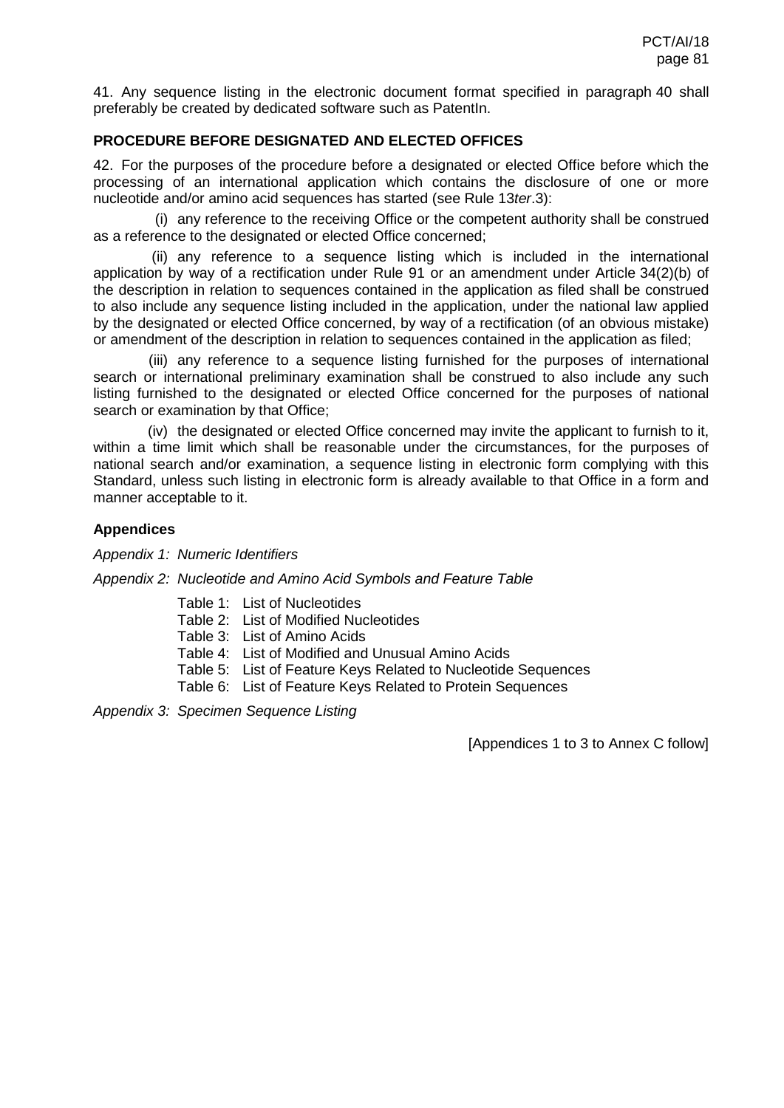41. Any sequence listing in the electronic document format specified in paragraph 40 shall preferably be created by dedicated software such as PatentIn.

### **PROCEDURE BEFORE DESIGNATED AND ELECTED OFFICES**

42. For the purposes of the procedure before a designated or elected Office before which the processing of an international application which contains the disclosure of one or more nucleotide and/or amino acid sequences has started (see Rule 13*ter*.3):

(i) any reference to the receiving Office or the competent authority shall be construed as a reference to the designated or elected Office concerned;

(ii) any reference to a sequence listing which is included in the international application by way of a rectification under Rule 91 or an amendment under Article 34(2)(b) of the description in relation to sequences contained in the application as filed shall be construed to also include any sequence listing included in the application, under the national law applied by the designated or elected Office concerned, by way of a rectification (of an obvious mistake) or amendment of the description in relation to sequences contained in the application as filed;

(iii) any reference to a sequence listing furnished for the purposes of international search or international preliminary examination shall be construed to also include any such listing furnished to the designated or elected Office concerned for the purposes of national search or examination by that Office;

(iv) the designated or elected Office concerned may invite the applicant to furnish to it, within a time limit which shall be reasonable under the circumstances, for the purposes of national search and/or examination, a sequence listing in electronic form complying with this Standard, unless such listing in electronic form is already available to that Office in a form and manner acceptable to it.

#### **Appendices**

*Appendix 1: Numeric Identifiers*

#### *Appendix 2: Nucleotide and Amino Acid Symbols and Feature Table*

- Table 1: List of Nucleotides
- Table 2: List of Modified Nucleotides
- Table 3: List of Amino Acids
- Table 4: List of Modified and Unusual Amino Acids
- Table 5: List of Feature Keys Related to Nucleotide Sequences
- Table 6: List of Feature Keys Related to Protein Sequences

*Appendix 3: Specimen Sequence Listing*

[Appendices 1 to 3 to Annex C follow]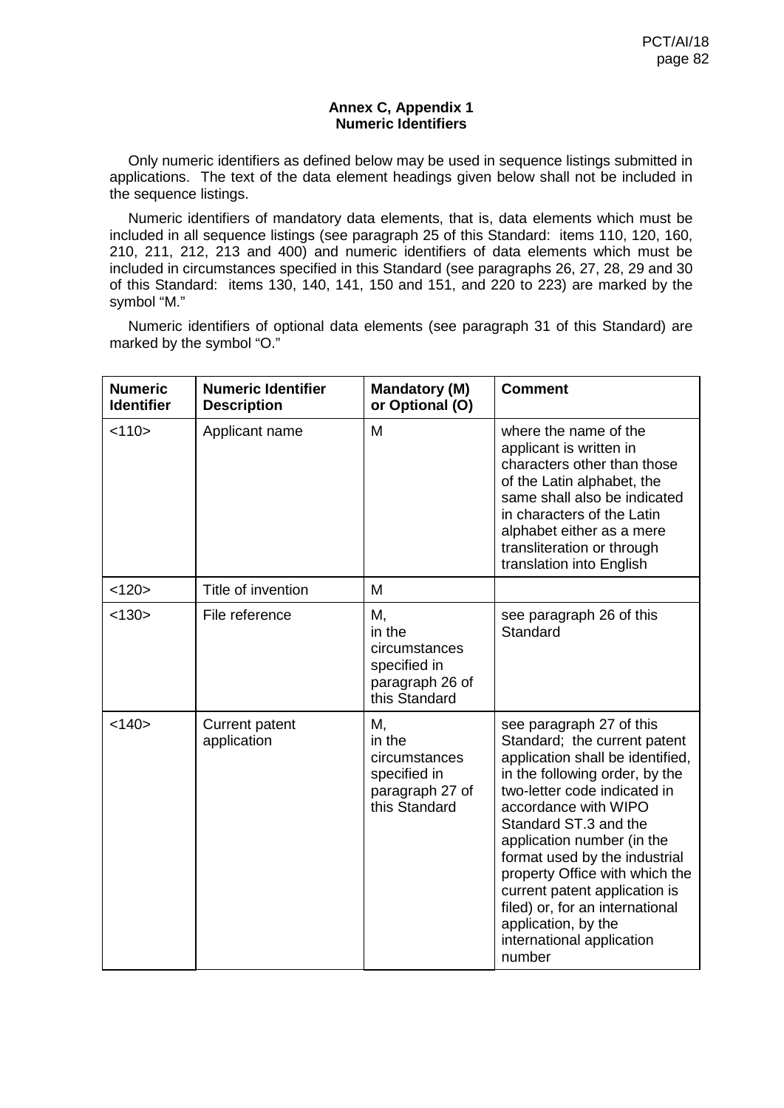#### **Annex C, Appendix 1 Numeric Identifiers**

Only numeric identifiers as defined below may be used in sequence listings submitted in applications. The text of the data element headings given below shall not be included in the sequence listings.

Numeric identifiers of mandatory data elements, that is, data elements which must be included in all sequence listings (see paragraph 25 of this Standard: items 110, 120, 160, 210, 211, 212, 213 and 400) and numeric identifiers of data elements which must be included in circumstances specified in this Standard (see paragraphs 26, 27, 28, 29 and 30 of this Standard: items 130, 140, 141, 150 and 151, and 220 to 223) are marked by the symbol "M."

Numeric identifiers of optional data elements (see paragraph 31 of this Standard) are marked by the symbol "O."

| <b>Numeric</b><br><b>Identifier</b> | <b>Numeric Identifier</b><br><b>Description</b> | <b>Mandatory (M)</b><br>or Optional (O)                                           | <b>Comment</b>                                                                                                                                                                                                                                                                                                                                                                                                                                     |
|-------------------------------------|-------------------------------------------------|-----------------------------------------------------------------------------------|----------------------------------------------------------------------------------------------------------------------------------------------------------------------------------------------------------------------------------------------------------------------------------------------------------------------------------------------------------------------------------------------------------------------------------------------------|
| < 110                               | Applicant name                                  | M                                                                                 | where the name of the<br>applicant is written in<br>characters other than those<br>of the Latin alphabet, the<br>same shall also be indicated<br>in characters of the Latin<br>alphabet either as a mere<br>transliteration or through<br>translation into English                                                                                                                                                                                 |
| <120>                               | Title of invention                              | M                                                                                 |                                                                                                                                                                                                                                                                                                                                                                                                                                                    |
| < 130                               | File reference                                  | М,<br>in the<br>circumstances<br>specified in<br>paragraph 26 of<br>this Standard | see paragraph 26 of this<br>Standard                                                                                                                                                                                                                                                                                                                                                                                                               |
| < 140                               | <b>Current patent</b><br>application            | М,<br>in the<br>circumstances<br>specified in<br>paragraph 27 of<br>this Standard | see paragraph 27 of this<br>Standard; the current patent<br>application shall be identified,<br>in the following order, by the<br>two-letter code indicated in<br>accordance with WIPO<br>Standard ST.3 and the<br>application number (in the<br>format used by the industrial<br>property Office with which the<br>current patent application is<br>filed) or, for an international<br>application, by the<br>international application<br>number |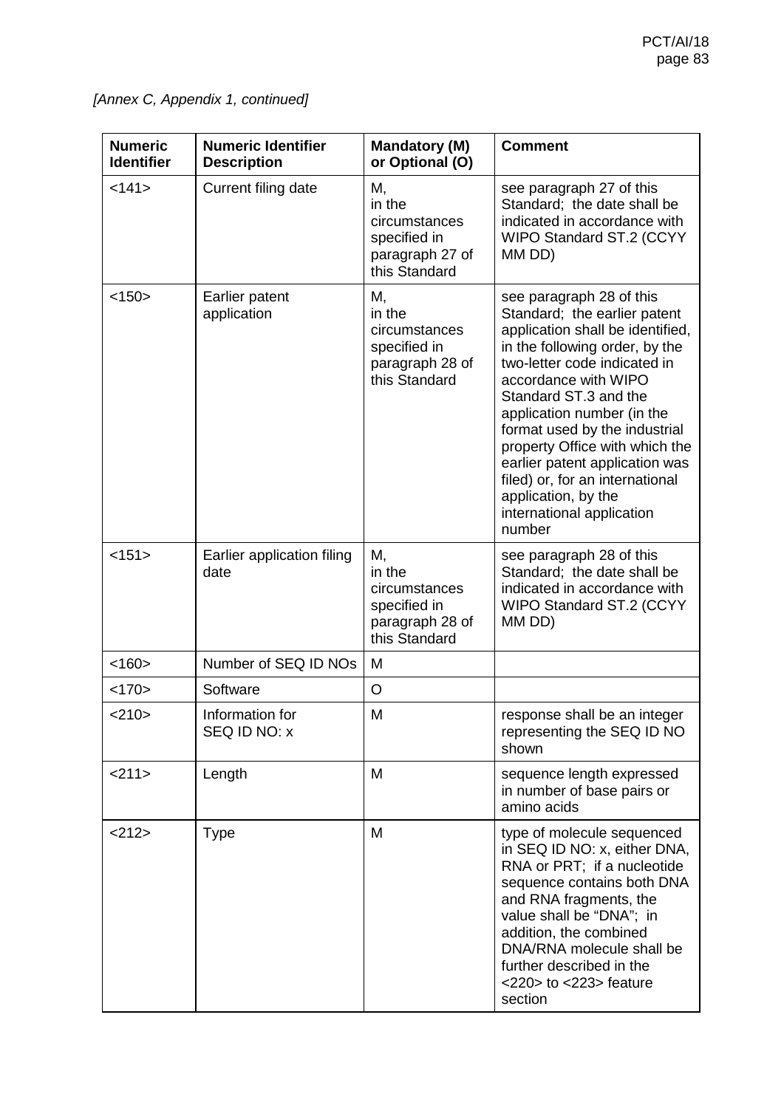*[Annex C, Appendix 1, continued]*

| <b>Numeric</b><br><b>Identifier</b> | <b>Numeric Identifier</b><br><b>Description</b> | <b>Mandatory (M)</b><br>or Optional (O)                                           | <b>Comment</b>                                                                                                                                                                                                                                                                                                                                                                                                                                      |  |
|-------------------------------------|-------------------------------------------------|-----------------------------------------------------------------------------------|-----------------------------------------------------------------------------------------------------------------------------------------------------------------------------------------------------------------------------------------------------------------------------------------------------------------------------------------------------------------------------------------------------------------------------------------------------|--|
| <141>                               | Current filing date                             | М,<br>in the<br>circumstances<br>specified in<br>paragraph 27 of<br>this Standard | see paragraph 27 of this<br>Standard; the date shall be<br>indicated in accordance with<br>WIPO Standard ST.2 (CCYY<br>MM DD)                                                                                                                                                                                                                                                                                                                       |  |
| <150>                               | Earlier patent<br>application                   | М,<br>in the<br>circumstances<br>specified in<br>paragraph 28 of<br>this Standard | see paragraph 28 of this<br>Standard; the earlier patent<br>application shall be identified,<br>in the following order, by the<br>two-letter code indicated in<br>accordance with WIPO<br>Standard ST.3 and the<br>application number (in the<br>format used by the industrial<br>property Office with which the<br>earlier patent application was<br>filed) or, for an international<br>application, by the<br>international application<br>number |  |
| <151>                               | Earlier application filing<br>date              | М,<br>in the<br>circumstances<br>specified in<br>paragraph 28 of<br>this Standard | see paragraph 28 of this<br>Standard; the date shall be<br>indicated in accordance with<br>WIPO Standard ST.2 (CCYY<br>MM DD)                                                                                                                                                                                                                                                                                                                       |  |
| < 160                               | Number of SEQ ID NOs                            | M                                                                                 |                                                                                                                                                                                                                                                                                                                                                                                                                                                     |  |
| <170>                               | Software                                        | O                                                                                 |                                                                                                                                                                                                                                                                                                                                                                                                                                                     |  |
| <210>                               | Information for<br>SEQ ID NO: x                 | M                                                                                 | response shall be an integer<br>representing the SEQ ID NO<br>shown                                                                                                                                                                                                                                                                                                                                                                                 |  |
| <211>                               | Length                                          | M                                                                                 | sequence length expressed<br>in number of base pairs or<br>amino acids                                                                                                                                                                                                                                                                                                                                                                              |  |
| <212>                               | <b>Type</b>                                     | M                                                                                 | type of molecule sequenced<br>in SEQ ID NO: x, either DNA,<br>RNA or PRT; if a nucleotide<br>sequence contains both DNA<br>and RNA fragments, the<br>value shall be "DNA"; in<br>addition, the combined<br>DNA/RNA molecule shall be<br>further described in the<br>$<$ 220 $>$ to $<$ 223 $>$ feature<br>section                                                                                                                                   |  |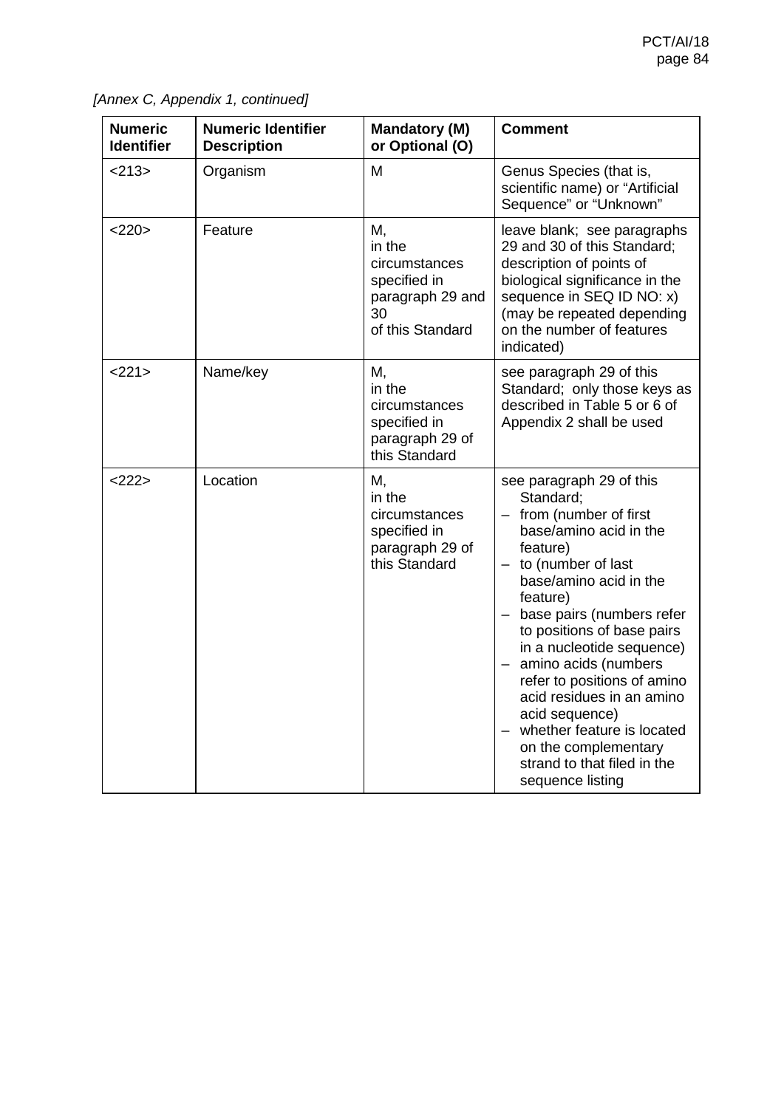| <b>Numeric</b><br><b>Identifier</b> | <b>Numeric Identifier</b><br><b>Description</b> | <b>Mandatory (M)</b><br>or Optional (O)                                                     | <b>Comment</b>                                                                                                                                                                                                                                                                                                                                                                                                                                                                |
|-------------------------------------|-------------------------------------------------|---------------------------------------------------------------------------------------------|-------------------------------------------------------------------------------------------------------------------------------------------------------------------------------------------------------------------------------------------------------------------------------------------------------------------------------------------------------------------------------------------------------------------------------------------------------------------------------|
| <213>                               | Organism                                        | M                                                                                           | Genus Species (that is,<br>scientific name) or "Artificial<br>Sequence" or "Unknown"                                                                                                                                                                                                                                                                                                                                                                                          |
| <220>                               | Feature                                         | M,<br>in the<br>circumstances<br>specified in<br>paragraph 29 and<br>30<br>of this Standard | leave blank; see paragraphs<br>29 and 30 of this Standard;<br>description of points of<br>biological significance in the<br>sequence in SEQ ID NO: x)<br>(may be repeated depending<br>on the number of features<br>indicated)                                                                                                                                                                                                                                                |
| <221>                               | Name/key                                        | М,<br>in the<br>circumstances<br>specified in<br>paragraph 29 of<br>this Standard           | see paragraph 29 of this<br>Standard; only those keys as<br>described in Table 5 or 6 of<br>Appendix 2 shall be used                                                                                                                                                                                                                                                                                                                                                          |
| <222>                               | Location                                        | М,<br>in the<br>circumstances<br>specified in<br>paragraph 29 of<br>this Standard           | see paragraph 29 of this<br>Standard;<br>- from (number of first<br>base/amino acid in the<br>feature)<br>$-$ to (number of last<br>base/amino acid in the<br>feature)<br>base pairs (numbers refer<br>to positions of base pairs<br>in a nucleotide sequence)<br>amino acids (numbers<br>refer to positions of amino<br>acid residues in an amino<br>acid sequence)<br>whether feature is located<br>on the complementary<br>strand to that filed in the<br>sequence listing |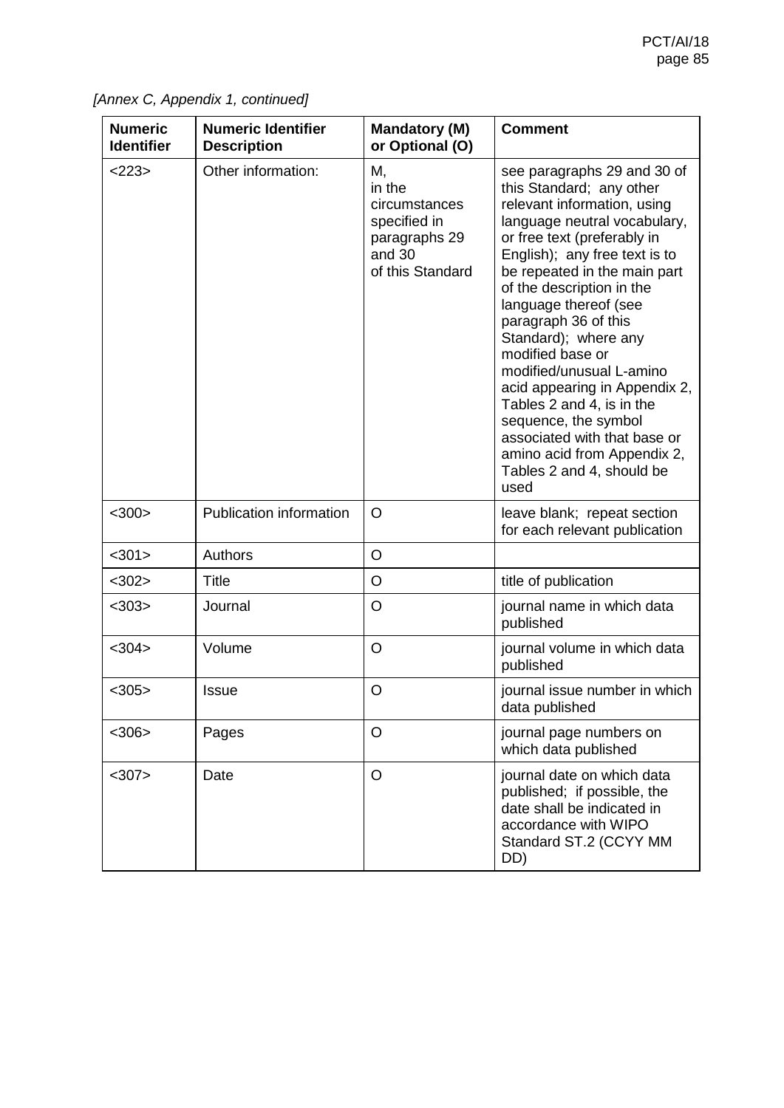| <b>Numeric</b><br><b>Identifier</b> | <b>Numeric Identifier</b><br><b>Description</b> | Mandatory (M)<br>or Optional (O)                                                             | <b>Comment</b>                                                                                                                                                                                                                                                                                                                                                                                                                                                                                                                                                         |
|-------------------------------------|-------------------------------------------------|----------------------------------------------------------------------------------------------|------------------------------------------------------------------------------------------------------------------------------------------------------------------------------------------------------------------------------------------------------------------------------------------------------------------------------------------------------------------------------------------------------------------------------------------------------------------------------------------------------------------------------------------------------------------------|
| <223>                               | Other information:                              | М,<br>in the<br>circumstances<br>specified in<br>paragraphs 29<br>and 30<br>of this Standard | see paragraphs 29 and 30 of<br>this Standard; any other<br>relevant information, using<br>language neutral vocabulary,<br>or free text (preferably in<br>English); any free text is to<br>be repeated in the main part<br>of the description in the<br>language thereof (see<br>paragraph 36 of this<br>Standard); where any<br>modified base or<br>modified/unusual L-amino<br>acid appearing in Appendix 2,<br>Tables 2 and 4, is in the<br>sequence, the symbol<br>associated with that base or<br>amino acid from Appendix 2,<br>Tables 2 and 4, should be<br>used |
| $<$ 300 $>$                         | <b>Publication information</b>                  | $\circ$                                                                                      | leave blank; repeat section<br>for each relevant publication                                                                                                                                                                                                                                                                                                                                                                                                                                                                                                           |
| $301$                               | <b>Authors</b>                                  | $\circ$                                                                                      |                                                                                                                                                                                                                                                                                                                                                                                                                                                                                                                                                                        |
| $302$                               | <b>Title</b>                                    | O                                                                                            | title of publication                                                                                                                                                                                                                                                                                                                                                                                                                                                                                                                                                   |
| $<$ 303>                            | Journal                                         | O                                                                                            | journal name in which data<br>published                                                                                                                                                                                                                                                                                                                                                                                                                                                                                                                                |
| $<$ 304 $>$                         | Volume                                          | $\circ$                                                                                      | journal volume in which data<br>published                                                                                                                                                                                                                                                                                                                                                                                                                                                                                                                              |
| $<$ 305>                            | <b>Issue</b>                                    | $\circ$                                                                                      | journal issue number in which<br>data published                                                                                                                                                                                                                                                                                                                                                                                                                                                                                                                        |
| $306$                               | Pages                                           | $\circ$                                                                                      | journal page numbers on<br>which data published                                                                                                                                                                                                                                                                                                                                                                                                                                                                                                                        |
| $307$                               | Date                                            | $\circ$                                                                                      | journal date on which data<br>published; if possible, the<br>date shall be indicated in<br>accordance with WIPO<br>Standard ST.2 (CCYY MM<br>DD)                                                                                                                                                                                                                                                                                                                                                                                                                       |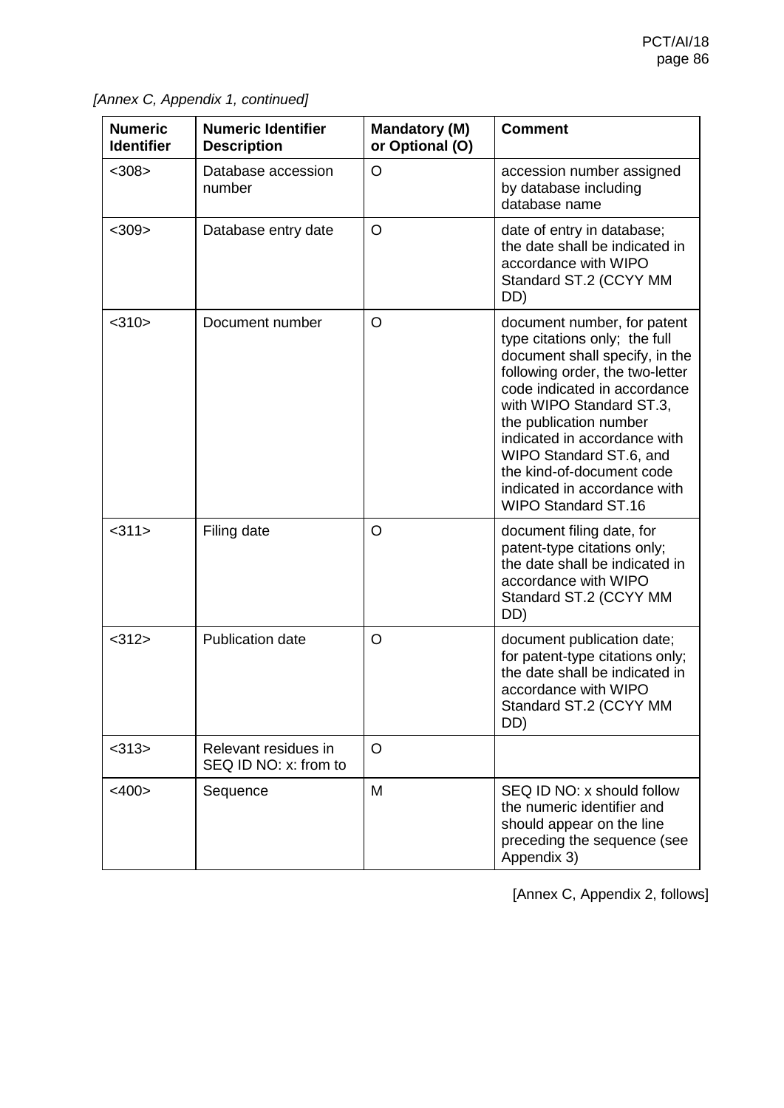| <b>Numeric</b><br><b>Identifier</b> | <b>Numeric Identifier</b><br><b>Description</b> | <b>Mandatory (M)</b><br>or Optional (O) | <b>Comment</b>                                                                                                                                                                                                                                                                                                                                                                |
|-------------------------------------|-------------------------------------------------|-----------------------------------------|-------------------------------------------------------------------------------------------------------------------------------------------------------------------------------------------------------------------------------------------------------------------------------------------------------------------------------------------------------------------------------|
| $<$ 308 $>$                         | Database accession<br>number                    | O                                       | accession number assigned<br>by database including<br>database name                                                                                                                                                                                                                                                                                                           |
| $<$ 309>                            | Database entry date                             | $\circ$                                 | date of entry in database;<br>the date shall be indicated in<br>accordance with WIPO<br>Standard ST.2 (CCYY MM<br>DD)                                                                                                                                                                                                                                                         |
| $<$ 310 $>$                         | Document number                                 | O                                       | document number, for patent<br>type citations only; the full<br>document shall specify, in the<br>following order, the two-letter<br>code indicated in accordance<br>with WIPO Standard ST.3,<br>the publication number<br>indicated in accordance with<br>WIPO Standard ST.6, and<br>the kind-of-document code<br>indicated in accordance with<br><b>WIPO Standard ST.16</b> |
| <311>                               | Filing date                                     | O                                       | document filing date, for<br>patent-type citations only;<br>the date shall be indicated in<br>accordance with WIPO<br>Standard ST.2 (CCYY MM<br>DD)                                                                                                                                                                                                                           |
| $<$ 312>                            | <b>Publication date</b>                         | $\circ$                                 | document publication date;<br>for patent-type citations only;<br>the date shall be indicated in<br>accordance with WIPO<br>Standard ST.2 (CCYY MM<br>DD)                                                                                                                                                                                                                      |
| $<$ 313>                            | Relevant residues in<br>SEQ ID NO: x: from to   | $\circ$                                 |                                                                                                                                                                                                                                                                                                                                                                               |
| $<$ 400 $>$                         | Sequence                                        | M                                       | SEQ ID NO: x should follow<br>the numeric identifier and<br>should appear on the line<br>preceding the sequence (see<br>Appendix 3)                                                                                                                                                                                                                                           |

[Annex C, Appendix 2, follows]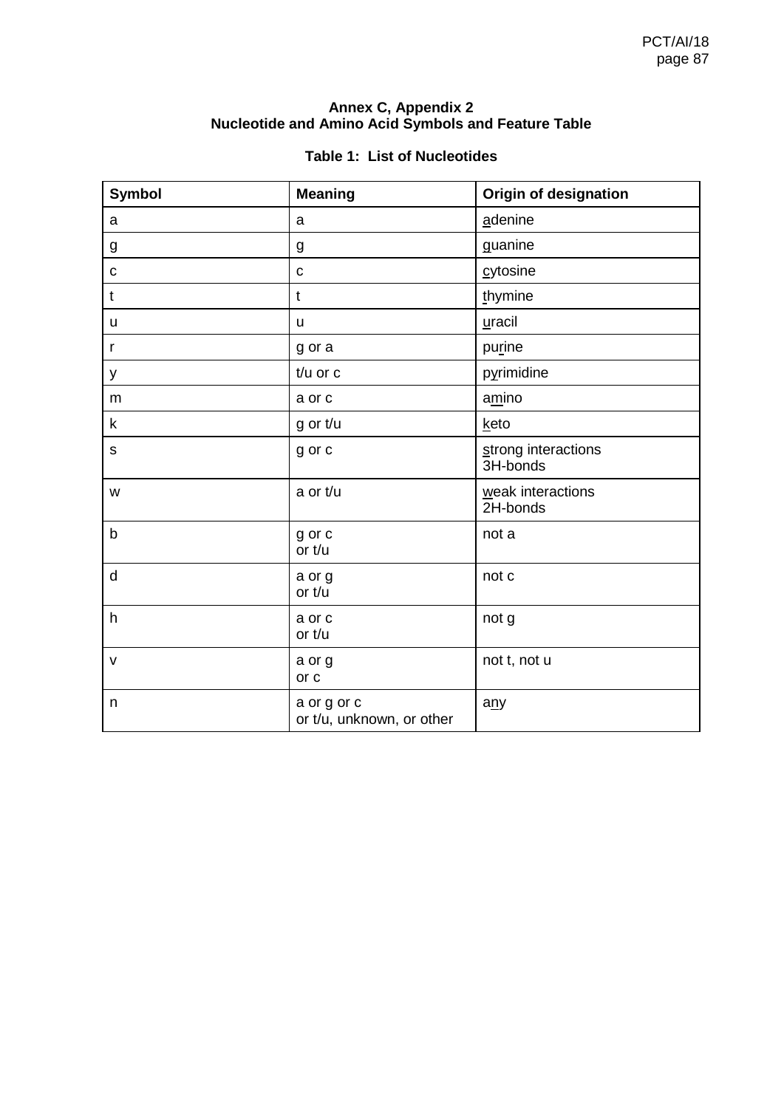# **Annex C, Appendix 2 Nucleotide and Amino Acid Symbols and Feature Table**

|  |  |  | <b>Table 1: List of Nucleotides</b> |
|--|--|--|-------------------------------------|
|--|--|--|-------------------------------------|

| Symbol       | <b>Meaning</b>                           | <b>Origin of designation</b>    |
|--------------|------------------------------------------|---------------------------------|
| a            | a                                        | adenine                         |
| g            | g                                        | guanine                         |
| С            | $\mathbf c$                              | cytosine                        |
| t            | $\mathbf t$                              | thymine                         |
| u            | u                                        | uracil                          |
| r            | g or a                                   | purine                          |
| у            | $t/u$ or $c$                             | pyrimidine                      |
| ${\sf m}$    | a or c                                   | amino                           |
| k            | g or t/u                                 | keto                            |
| $\mathsf S$  | g or c                                   | strong interactions<br>3H-bonds |
| W            | a or t/u                                 | weak interactions<br>2H-bonds   |
| $\mathsf b$  | g or c<br>or t/u                         | not a                           |
| $\mathsf{d}$ | a or g<br>or t/u                         | not c                           |
| h            | a or c<br>or t/u                         | not g                           |
| v            | a or g<br>or c                           | not t, not u                    |
| n            | a or g or c<br>or t/u, unknown, or other | a <sub>ny</sub>                 |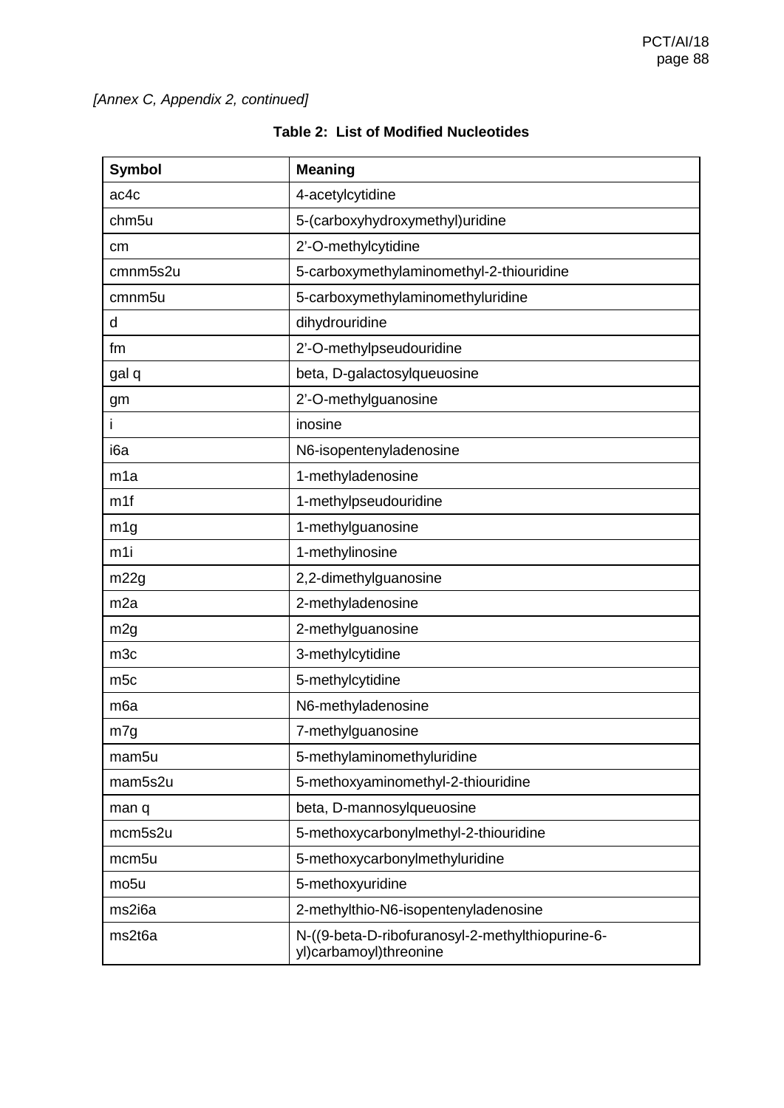| <b>Symbol</b>      | <b>Meaning</b>                                                             |
|--------------------|----------------------------------------------------------------------------|
| ac4c               | 4-acetylcytidine                                                           |
| chm <sub>5u</sub>  | 5-(carboxyhydroxymethyl)uridine                                            |
| cm                 | 2'-O-methylcytidine                                                        |
| cmnm5s2u           | 5-carboxymethylaminomethyl-2-thiouridine                                   |
| cmnm <sub>5u</sub> | 5-carboxymethylaminomethyluridine                                          |
| d                  | dihydrouridine                                                             |
| fm                 | 2'-O-methylpseudouridine                                                   |
| gal q              | beta, D-galactosylqueuosine                                                |
| gm                 | 2'-O-methylguanosine                                                       |
| i                  | inosine                                                                    |
| i6a                | N6-isopentenyladenosine                                                    |
| m1a                | 1-methyladenosine                                                          |
| m1f                | 1-methylpseudouridine                                                      |
| m <sub>1g</sub>    | 1-methylguanosine                                                          |
| m1i                | 1-methylinosine                                                            |
| m22g               | 2,2-dimethylguanosine                                                      |
| m <sub>2a</sub>    | 2-methyladenosine                                                          |
| m <sub>2g</sub>    | 2-methylguanosine                                                          |
| m <sub>3c</sub>    | 3-methylcytidine                                                           |
| m <sub>5c</sub>    | 5-methylcytidine                                                           |
| m <sub>6a</sub>    | N6-methyladenosine                                                         |
| m7g                | 7-methylguanosine                                                          |
| mam <sub>5u</sub>  | 5-methylaminomethyluridine                                                 |
| mam5s2u            | 5-methoxyaminomethyl-2-thiouridine                                         |
| man q              | beta, D-mannosylqueuosine                                                  |
| mcm5s2u            | 5-methoxycarbonylmethyl-2-thiouridine                                      |
| mcm <sub>5u</sub>  | 5-methoxycarbonylmethyluridine                                             |
| mo <sub>5u</sub>   | 5-methoxyuridine                                                           |
| ms2i6a             | 2-methylthio-N6-isopentenyladenosine                                       |
| ms2t6a             | N-((9-beta-D-ribofuranosyl-2-methylthiopurine-6-<br>yl)carbamoyl)threonine |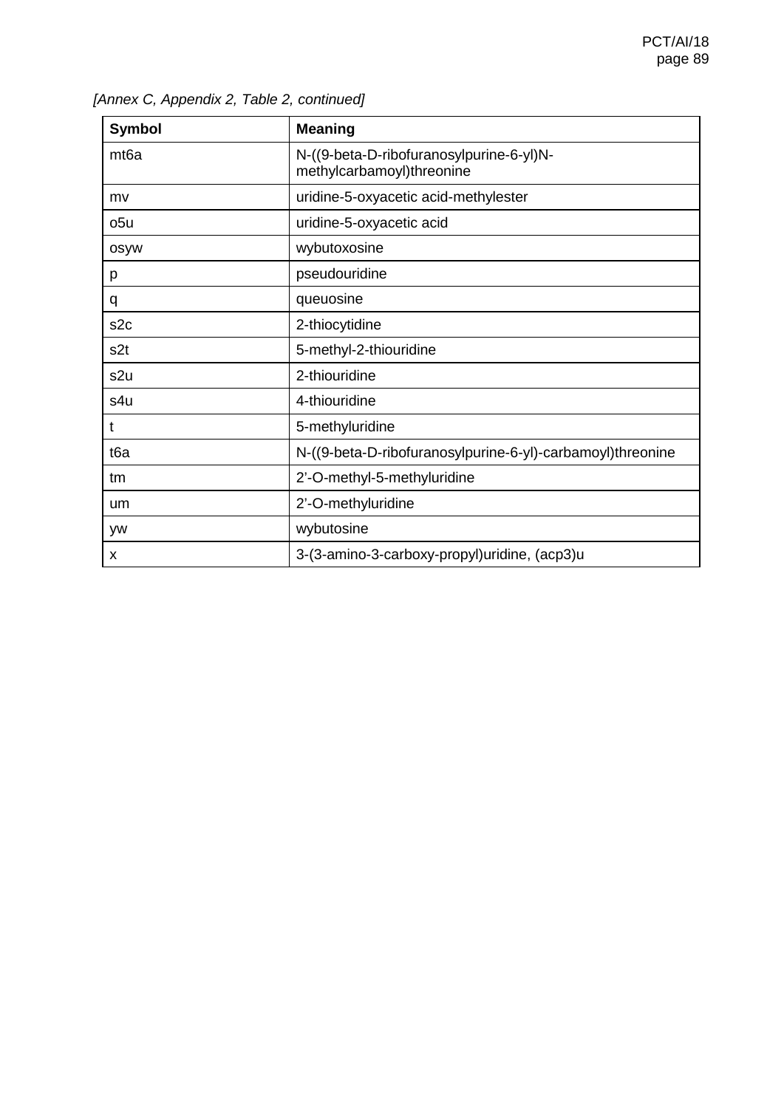| <b>Symbol</b>    | <b>Meaning</b>                                                        |
|------------------|-----------------------------------------------------------------------|
| mt <sub>6a</sub> | N-((9-beta-D-ribofuranosylpurine-6-yl)N-<br>methylcarbamoyl)threonine |
| mv               | uridine-5-oxyacetic acid-methylester                                  |
| o <sub>5u</sub>  | uridine-5-oxyacetic acid                                              |
| osyw             | wybutoxosine                                                          |
| p                | pseudouridine                                                         |
| q                | queuosine                                                             |
| s <sub>2c</sub>  | 2-thiocytidine                                                        |
| s2t              | 5-methyl-2-thiouridine                                                |
| s2u              | 2-thiouridine                                                         |
| s4u              | 4-thiouridine                                                         |
| t                | 5-methyluridine                                                       |
| t6a              | N-((9-beta-D-ribofuranosylpurine-6-yl)-carbamoyl)threonine            |
| tm               | 2'-O-methyl-5-methyluridine                                           |
| um               | 2'-O-methyluridine                                                    |
| <b>yw</b>        | wybutosine                                                            |
| X                | 3-(3-amino-3-carboxy-propyl)uridine, (acp3)u                          |

|  | [Annex C, Appendix 2, Table 2, continued] |  |  |
|--|-------------------------------------------|--|--|
|--|-------------------------------------------|--|--|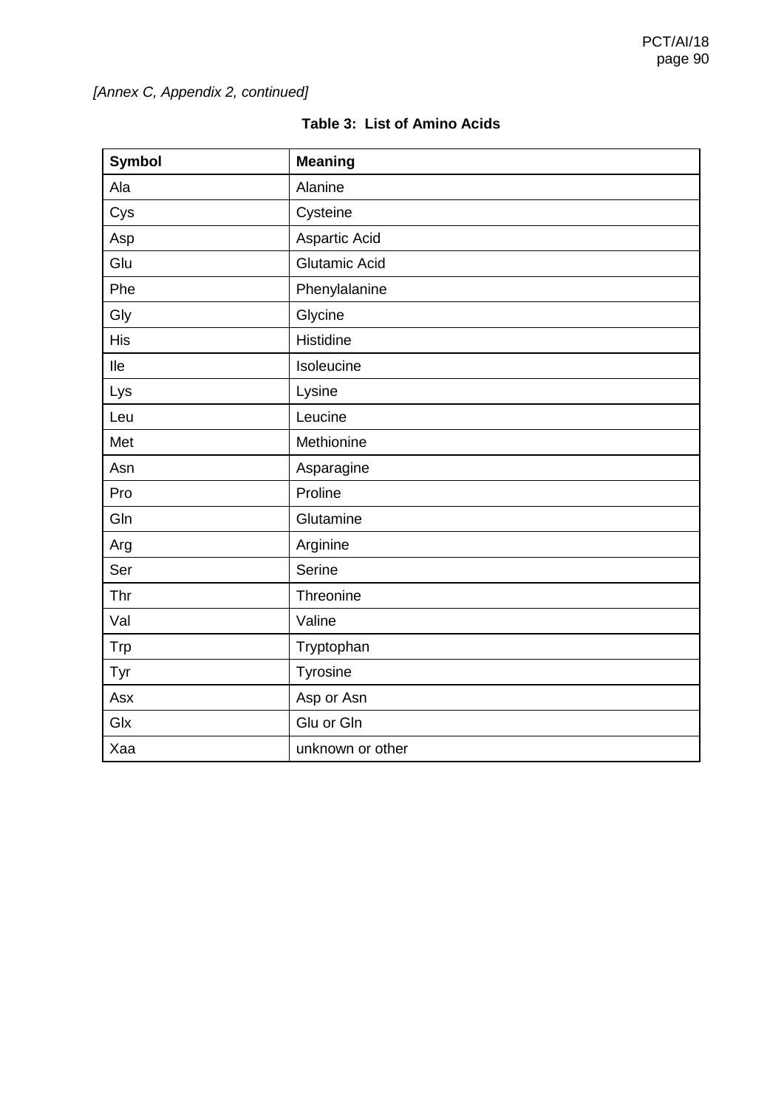| <b>Symbol</b> | <b>Meaning</b>       |
|---------------|----------------------|
| Ala           | Alanine              |
| Cys           | Cysteine             |
| Asp           | Aspartic Acid        |
| Glu           | <b>Glutamic Acid</b> |
| Phe           | Phenylalanine        |
| Gly           | Glycine              |
| His           | Histidine            |
| lle           | Isoleucine           |
| Lys           | Lysine               |
| Leu           | Leucine              |
| Met           | Methionine           |
| Asn           | Asparagine           |
| Pro           | Proline              |
| Gln           | Glutamine            |
| Arg           | Arginine             |
| Ser           | Serine               |
| Thr           | Threonine            |
| Val           | Valine               |
| <b>Trp</b>    | Tryptophan           |
| Tyr           | Tyrosine             |
| Asx           | Asp or Asn           |
| Glx           | Glu or Gln           |
| Xaa           | unknown or other     |

| <b>Table 3: List of Amino Acids</b> |  |  |  |
|-------------------------------------|--|--|--|
|-------------------------------------|--|--|--|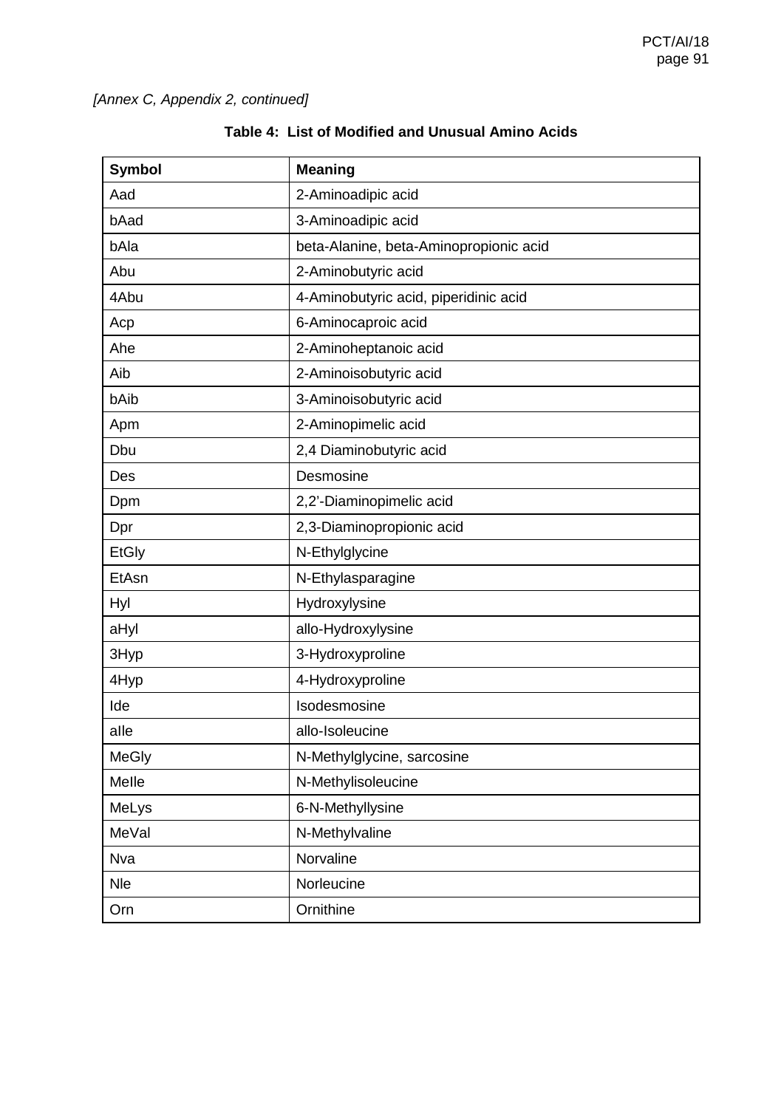| <b>Symbol</b> | <b>Meaning</b>                         |
|---------------|----------------------------------------|
| Aad           | 2-Aminoadipic acid                     |
| bAad          | 3-Aminoadipic acid                     |
| bAla          | beta-Alanine, beta-Aminopropionic acid |
| Abu           | 2-Aminobutyric acid                    |
| 4Abu          | 4-Aminobutyric acid, piperidinic acid  |
| Acp           | 6-Aminocaproic acid                    |
| Ahe           | 2-Aminoheptanoic acid                  |
| Aib           | 2-Aminoisobutyric acid                 |
| bAib          | 3-Aminoisobutyric acid                 |
| Apm           | 2-Aminopimelic acid                    |
| Dbu           | 2,4 Diaminobutyric acid                |
| Des           | Desmosine                              |
| Dpm           | 2,2'-Diaminopimelic acid               |
| Dpr           | 2,3-Diaminopropionic acid              |
| <b>EtGly</b>  | N-Ethylglycine                         |
| EtAsn         | N-Ethylasparagine                      |
| <b>Hyl</b>    | Hydroxylysine                          |
| aHyl          | allo-Hydroxylysine                     |
| 3Hyp          | 3-Hydroxyproline                       |
| 4Hyp          | 4-Hydroxyproline                       |
| Ide           | Isodesmosine                           |
| alle          | allo-Isoleucine                        |
| <b>MeGly</b>  | N-Methylglycine, sarcosine             |
| Melle         | N-Methylisoleucine                     |
| MeLys         | 6-N-Methyllysine                       |
| MeVal         | N-Methylvaline                         |
| <b>Nva</b>    | Norvaline                              |
| <b>Nle</b>    | Norleucine                             |
| Orn           | Ornithine                              |

# **Table 4: List of Modified and Unusual Amino Acids**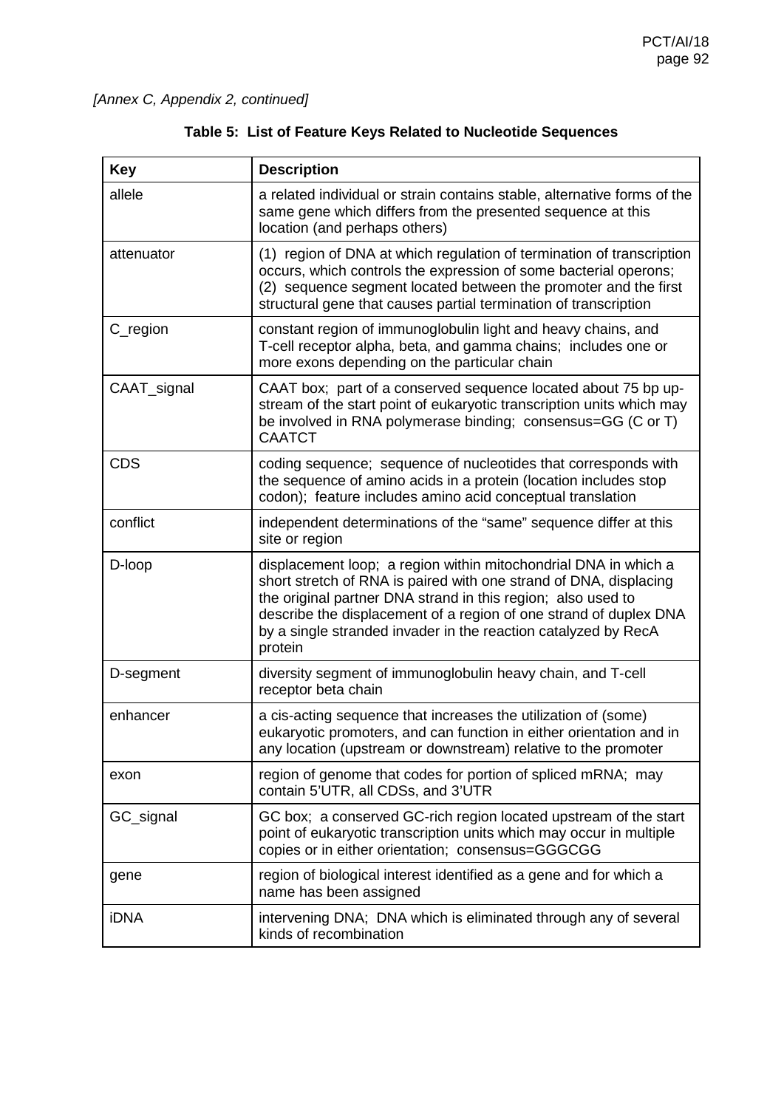| <b>Key</b>  | <b>Description</b>                                                                                                                                                                                                                                                                                                                                     |
|-------------|--------------------------------------------------------------------------------------------------------------------------------------------------------------------------------------------------------------------------------------------------------------------------------------------------------------------------------------------------------|
| allele      | a related individual or strain contains stable, alternative forms of the<br>same gene which differs from the presented sequence at this<br>location (and perhaps others)                                                                                                                                                                               |
| attenuator  | (1) region of DNA at which regulation of termination of transcription<br>occurs, which controls the expression of some bacterial operons;<br>(2) sequence segment located between the promoter and the first<br>structural gene that causes partial termination of transcription                                                                       |
| C_region    | constant region of immunoglobulin light and heavy chains, and<br>T-cell receptor alpha, beta, and gamma chains; includes one or<br>more exons depending on the particular chain                                                                                                                                                                        |
| CAAT_signal | CAAT box; part of a conserved sequence located about 75 bp up-<br>stream of the start point of eukaryotic transcription units which may<br>be involved in RNA polymerase binding; consensus=GG (C or T)<br><b>CAATCT</b>                                                                                                                               |
| <b>CDS</b>  | coding sequence; sequence of nucleotides that corresponds with<br>the sequence of amino acids in a protein (location includes stop<br>codon); feature includes amino acid conceptual translation                                                                                                                                                       |
| conflict    | independent determinations of the "same" sequence differ at this<br>site or region                                                                                                                                                                                                                                                                     |
| D-loop      | displacement loop; a region within mitochondrial DNA in which a<br>short stretch of RNA is paired with one strand of DNA, displacing<br>the original partner DNA strand in this region; also used to<br>describe the displacement of a region of one strand of duplex DNA<br>by a single stranded invader in the reaction catalyzed by RecA<br>protein |
| D-segment   | diversity segment of immunoglobulin heavy chain, and T-cell<br>receptor beta chain                                                                                                                                                                                                                                                                     |
| enhancer    | a cis-acting sequence that increases the utilization of (some)<br>eukaryotic promoters, and can function in either orientation and in<br>any location (upstream or downstream) relative to the promoter                                                                                                                                                |
| exon        | region of genome that codes for portion of spliced mRNA; may<br>contain 5'UTR, all CDSs, and 3'UTR                                                                                                                                                                                                                                                     |
| GC_signal   | GC box; a conserved GC-rich region located upstream of the start<br>point of eukaryotic transcription units which may occur in multiple<br>copies or in either orientation; consensus=GGGCGG                                                                                                                                                           |
| gene        | region of biological interest identified as a gene and for which a<br>name has been assigned                                                                                                                                                                                                                                                           |
| <b>iDNA</b> | intervening DNA; DNA which is eliminated through any of several<br>kinds of recombination                                                                                                                                                                                                                                                              |

|  |  |  |  |  |  | Table 5: List of Feature Keys Related to Nucleotide Sequences |  |
|--|--|--|--|--|--|---------------------------------------------------------------|--|
|--|--|--|--|--|--|---------------------------------------------------------------|--|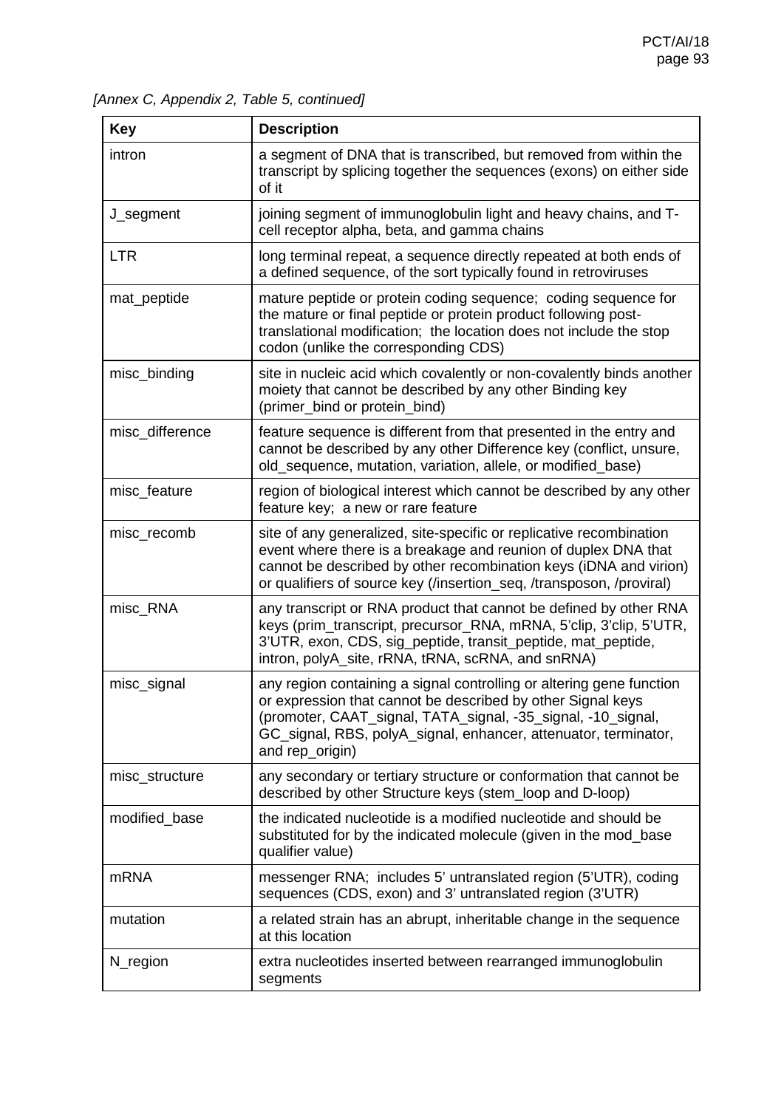*[Annex C, Appendix 2, Table 5, continued]*

| <b>Key</b>      | <b>Description</b>                                                                                                                                                                                                                                                                        |
|-----------------|-------------------------------------------------------------------------------------------------------------------------------------------------------------------------------------------------------------------------------------------------------------------------------------------|
| intron          | a segment of DNA that is transcribed, but removed from within the<br>transcript by splicing together the sequences (exons) on either side<br>of it                                                                                                                                        |
| J_segment       | joining segment of immunoglobulin light and heavy chains, and T-<br>cell receptor alpha, beta, and gamma chains                                                                                                                                                                           |
| <b>LTR</b>      | long terminal repeat, a sequence directly repeated at both ends of<br>a defined sequence, of the sort typically found in retroviruses                                                                                                                                                     |
| mat_peptide     | mature peptide or protein coding sequence; coding sequence for<br>the mature or final peptide or protein product following post-<br>translational modification; the location does not include the stop<br>codon (unlike the corresponding CDS)                                            |
| misc_binding    | site in nucleic acid which covalently or non-covalently binds another<br>moiety that cannot be described by any other Binding key<br>(primer_bind or protein_bind)                                                                                                                        |
| misc_difference | feature sequence is different from that presented in the entry and<br>cannot be described by any other Difference key (conflict, unsure,<br>old_sequence, mutation, variation, allele, or modified_base)                                                                                  |
| misc_feature    | region of biological interest which cannot be described by any other<br>feature key; a new or rare feature                                                                                                                                                                                |
| misc_recomb     | site of any generalized, site-specific or replicative recombination<br>event where there is a breakage and reunion of duplex DNA that<br>cannot be described by other recombination keys (iDNA and virion)<br>or qualifiers of source key (/insertion_seq, /transposon, /proviral)        |
| misc_RNA        | any transcript or RNA product that cannot be defined by other RNA<br>keys (prim_transcript, precursor_RNA, mRNA, 5'clip, 3'clip, 5'UTR,<br>3'UTR, exon, CDS, sig_peptide, transit_peptide, mat_peptide,<br>intron, polyA_site, rRNA, tRNA, scRNA, and snRNA)                              |
| misc_signal     | any region containing a signal controlling or altering gene function<br>or expression that cannot be described by other Signal keys<br>(promoter, CAAT_signal, TATA_signal, -35_signal, -10_signal,<br>GC_signal, RBS, polyA_signal, enhancer, attenuator, terminator,<br>and rep_origin) |
| misc_structure  | any secondary or tertiary structure or conformation that cannot be<br>described by other Structure keys (stem_loop and D-loop)                                                                                                                                                            |
| modified_base   | the indicated nucleotide is a modified nucleotide and should be<br>substituted for by the indicated molecule (given in the mod_base<br>qualifier value)                                                                                                                                   |
| <b>mRNA</b>     | messenger RNA; includes 5' untranslated region (5'UTR), coding<br>sequences (CDS, exon) and 3' untranslated region (3'UTR)                                                                                                                                                                |
| mutation        | a related strain has an abrupt, inheritable change in the sequence<br>at this location                                                                                                                                                                                                    |
| N_region        | extra nucleotides inserted between rearranged immunoglobulin<br>segments                                                                                                                                                                                                                  |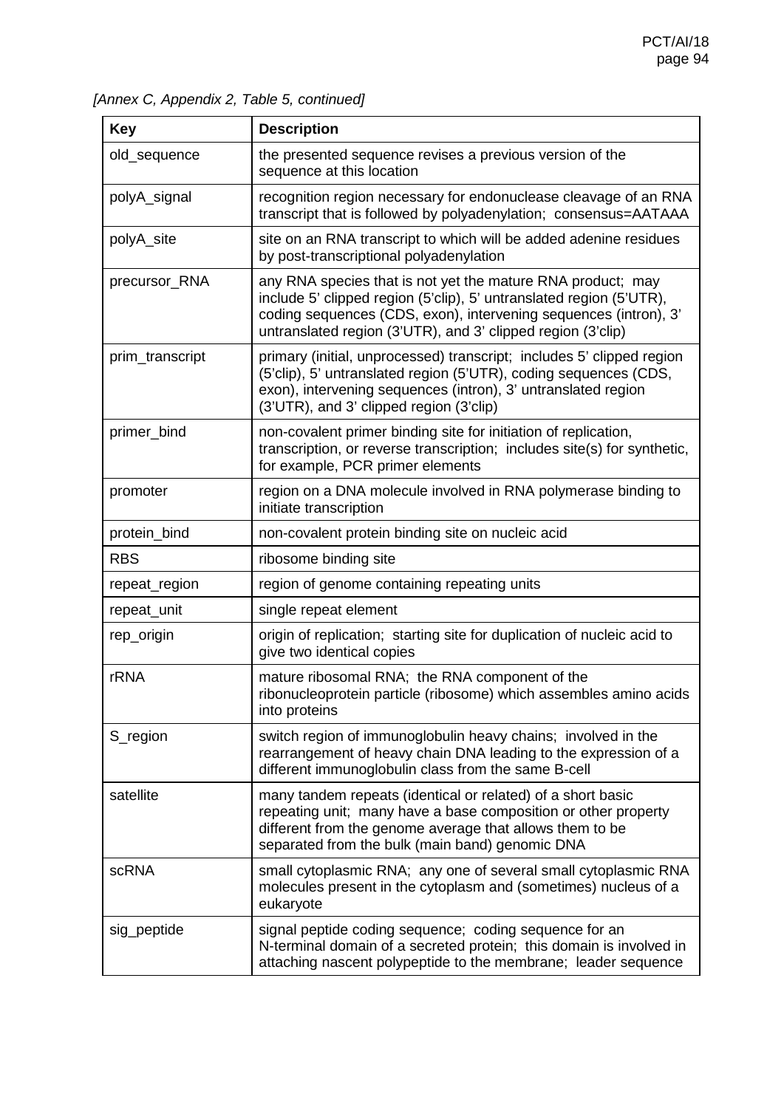*[Annex C, Appendix 2, Table 5, continued]*

| <b>Key</b>      | <b>Description</b>                                                                                                                                                                                                                                                    |
|-----------------|-----------------------------------------------------------------------------------------------------------------------------------------------------------------------------------------------------------------------------------------------------------------------|
| old_sequence    | the presented sequence revises a previous version of the<br>sequence at this location                                                                                                                                                                                 |
| polyA_signal    | recognition region necessary for endonuclease cleavage of an RNA<br>transcript that is followed by polyadenylation; consensus=AATAAA                                                                                                                                  |
| polyA_site      | site on an RNA transcript to which will be added adenine residues<br>by post-transcriptional polyadenylation                                                                                                                                                          |
| precursor_RNA   | any RNA species that is not yet the mature RNA product; may<br>include 5' clipped region (5'clip), 5' untranslated region (5'UTR),<br>coding sequences (CDS, exon), intervening sequences (intron), 3'<br>untranslated region (3'UTR), and 3' clipped region (3'clip) |
| prim_transcript | primary (initial, unprocessed) transcript; includes 5' clipped region<br>(5'clip), 5' untranslated region (5'UTR), coding sequences (CDS,<br>exon), intervening sequences (intron), 3' untranslated region<br>(3'UTR), and 3' clipped region (3'clip)                 |
| primer_bind     | non-covalent primer binding site for initiation of replication,<br>transcription, or reverse transcription; includes site(s) for synthetic,<br>for example, PCR primer elements                                                                                       |
| promoter        | region on a DNA molecule involved in RNA polymerase binding to<br>initiate transcription                                                                                                                                                                              |
| protein_bind    | non-covalent protein binding site on nucleic acid                                                                                                                                                                                                                     |
| <b>RBS</b>      | ribosome binding site                                                                                                                                                                                                                                                 |
| repeat_region   | region of genome containing repeating units                                                                                                                                                                                                                           |
| repeat_unit     | single repeat element                                                                                                                                                                                                                                                 |
| rep_origin      | origin of replication; starting site for duplication of nucleic acid to<br>give two identical copies                                                                                                                                                                  |
| rRNA            | mature ribosomal RNA; the RNA component of the<br>ribonucleoprotein particle (ribosome) which assembles amino acids<br>into proteins                                                                                                                                  |
| S_region        | switch region of immunoglobulin heavy chains; involved in the<br>rearrangement of heavy chain DNA leading to the expression of a<br>different immunoglobulin class from the same B-cell                                                                               |
| satellite       | many tandem repeats (identical or related) of a short basic<br>repeating unit; many have a base composition or other property<br>different from the genome average that allows them to be<br>separated from the bulk (main band) genomic DNA                          |
| <b>scRNA</b>    | small cytoplasmic RNA; any one of several small cytoplasmic RNA<br>molecules present in the cytoplasm and (sometimes) nucleus of a<br>eukaryote                                                                                                                       |
| sig_peptide     | signal peptide coding sequence; coding sequence for an<br>N-terminal domain of a secreted protein; this domain is involved in<br>attaching nascent polypeptide to the membrane; leader sequence                                                                       |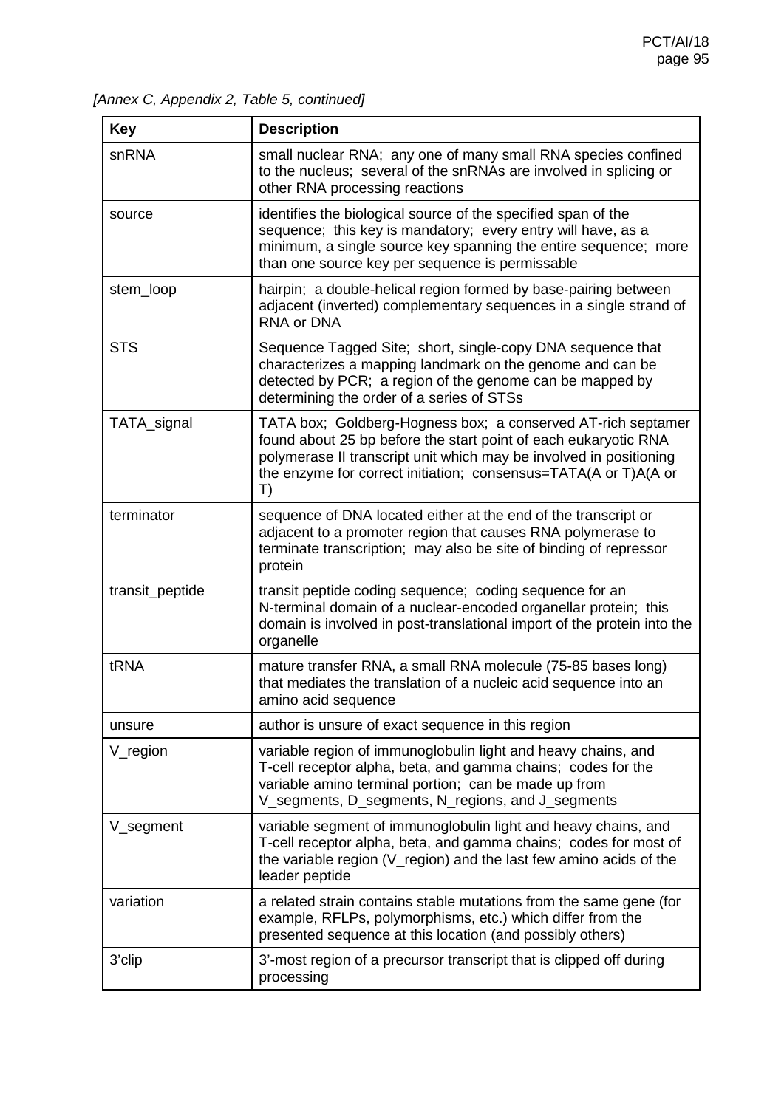*[Annex C, Appendix 2, Table 5, continued]*

| <b>Key</b>          | <b>Description</b>                                                                                                                                                                                                                                                             |
|---------------------|--------------------------------------------------------------------------------------------------------------------------------------------------------------------------------------------------------------------------------------------------------------------------------|
| snRNA               | small nuclear RNA; any one of many small RNA species confined<br>to the nucleus; several of the snRNAs are involved in splicing or<br>other RNA processing reactions                                                                                                           |
| source              | identifies the biological source of the specified span of the<br>sequence; this key is mandatory; every entry will have, as a<br>minimum, a single source key spanning the entire sequence; more<br>than one source key per sequence is permissable                            |
| stem_loop           | hairpin; a double-helical region formed by base-pairing between<br>adjacent (inverted) complementary sequences in a single strand of<br>RNA or DNA                                                                                                                             |
| <b>STS</b>          | Sequence Tagged Site; short, single-copy DNA sequence that<br>characterizes a mapping landmark on the genome and can be<br>detected by PCR; a region of the genome can be mapped by<br>determining the order of a series of STSs                                               |
| TATA_signal         | TATA box; Goldberg-Hogness box; a conserved AT-rich septamer<br>found about 25 bp before the start point of each eukaryotic RNA<br>polymerase II transcript unit which may be involved in positioning<br>the enzyme for correct initiation; consensus=TATA(A or T)A(A or<br>T) |
| terminator          | sequence of DNA located either at the end of the transcript or<br>adjacent to a promoter region that causes RNA polymerase to<br>terminate transcription; may also be site of binding of repressor<br>protein                                                                  |
| transit_peptide     | transit peptide coding sequence; coding sequence for an<br>N-terminal domain of a nuclear-encoded organellar protein; this<br>domain is involved in post-translational import of the protein into the<br>organelle                                                             |
| tRNA                | mature transfer RNA, a small RNA molecule (75-85 bases long)<br>that mediates the translation of a nucleic acid sequence into an<br>amino acid sequence                                                                                                                        |
| unsure              | author is unsure of exact sequence in this region                                                                                                                                                                                                                              |
| $V_{\text{region}}$ | variable region of immunoglobulin light and heavy chains, and<br>T-cell receptor alpha, beta, and gamma chains; codes for the<br>variable amino terminal portion; can be made up from<br>V_segments, D_segments, N_regions, and J_segments                                     |
| V_segment           | variable segment of immunoglobulin light and heavy chains, and<br>T-cell receptor alpha, beta, and gamma chains; codes for most of<br>the variable region (V_region) and the last few amino acids of the<br>leader peptide                                                     |
| variation           | a related strain contains stable mutations from the same gene (for<br>example, RFLPs, polymorphisms, etc.) which differ from the<br>presented sequence at this location (and possibly others)                                                                                  |
| 3'clip              | 3'-most region of a precursor transcript that is clipped off during<br>processing                                                                                                                                                                                              |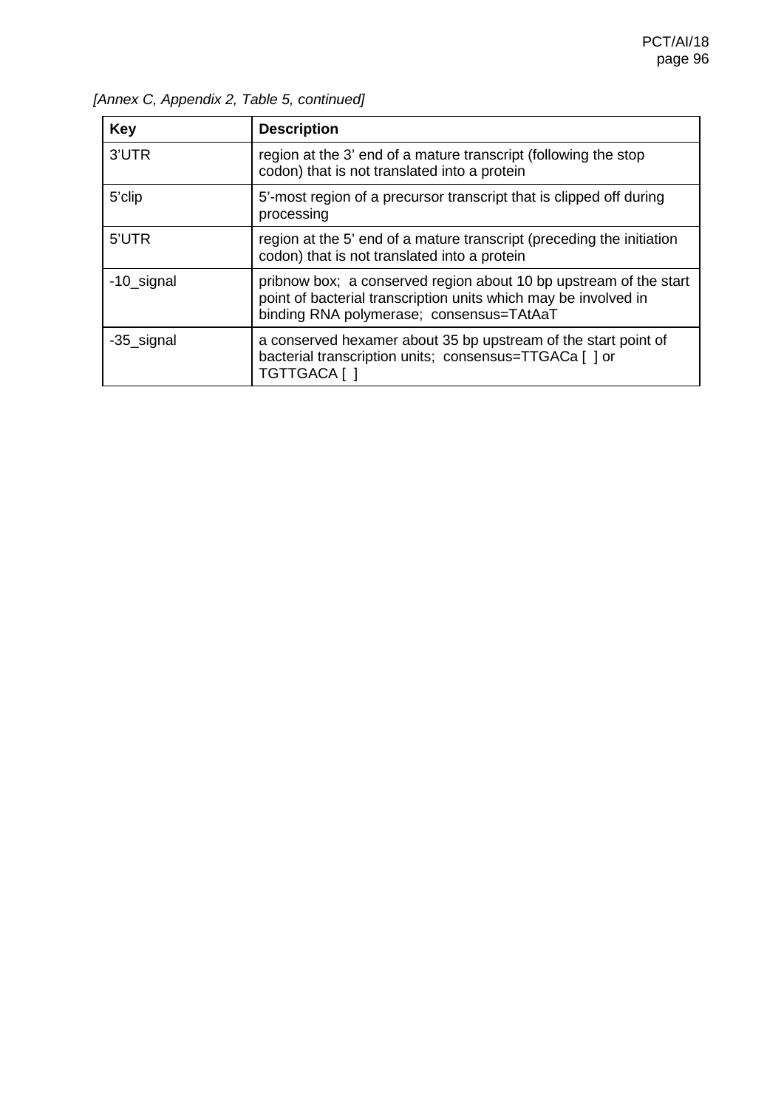| <b>Key</b> | <b>Description</b>                                                                                                                                                               |
|------------|----------------------------------------------------------------------------------------------------------------------------------------------------------------------------------|
| 3'UTR      | region at the 3' end of a mature transcript (following the stop<br>codon) that is not translated into a protein                                                                  |
| 5'clip     | 5'-most region of a precursor transcript that is clipped off during<br>processing                                                                                                |
| 5'UTR      | region at the 5' end of a mature transcript (preceding the initiation<br>codon) that is not translated into a protein                                                            |
| -10_signal | pribnow box; a conserved region about 10 bp upstream of the start<br>point of bacterial transcription units which may be involved in<br>binding RNA polymerase; consensus=TAtAaT |
| -35_signal | a conserved hexamer about 35 bp upstream of the start point of<br>bacterial transcription units; consensus=TTGACa [ ] or<br>TGTTGACA [ ]                                         |

*[Annex C, Appendix 2, Table 5, continued]*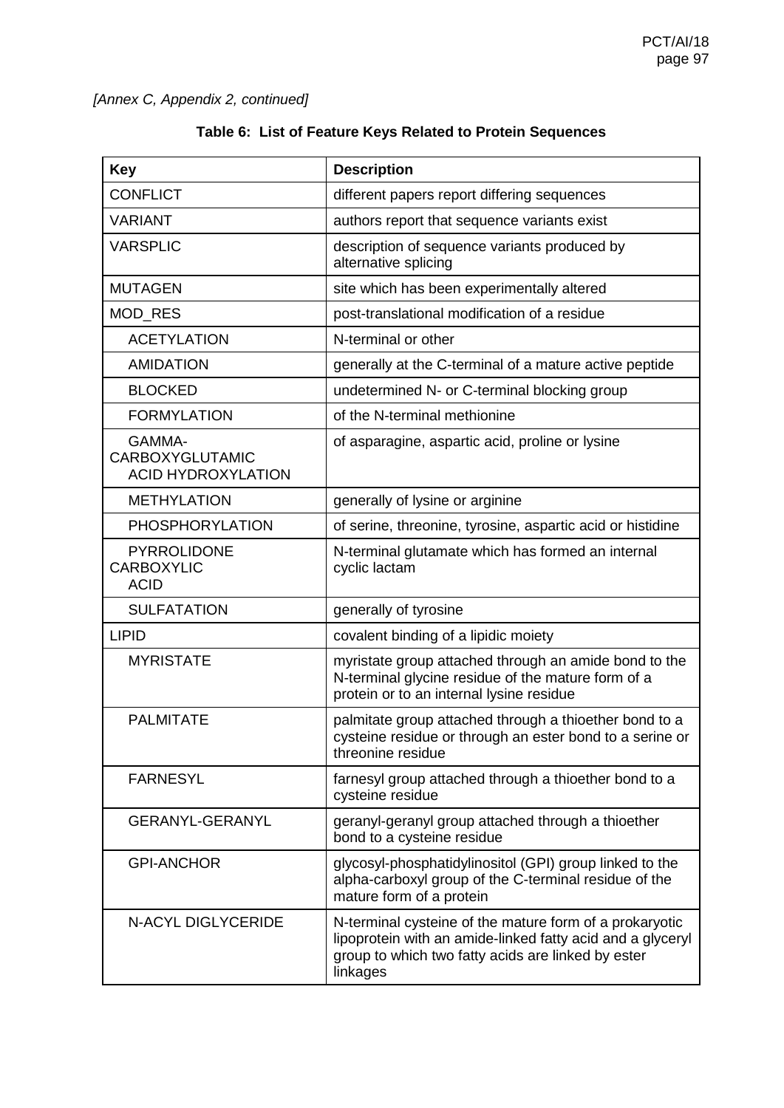| Table 6: List of Feature Keys Related to Protein Sequences |  |  |
|------------------------------------------------------------|--|--|
|------------------------------------------------------------|--|--|

| <b>Key</b>                                                    | <b>Description</b>                                                                                                                                                                      |
|---------------------------------------------------------------|-----------------------------------------------------------------------------------------------------------------------------------------------------------------------------------------|
| <b>CONFLICT</b>                                               | different papers report differing sequences                                                                                                                                             |
| <b>VARIANT</b>                                                | authors report that sequence variants exist                                                                                                                                             |
| <b>VARSPLIC</b>                                               | description of sequence variants produced by<br>alternative splicing                                                                                                                    |
| <b>MUTAGEN</b>                                                | site which has been experimentally altered                                                                                                                                              |
| MOD_RES                                                       | post-translational modification of a residue                                                                                                                                            |
| <b>ACETYLATION</b>                                            | N-terminal or other                                                                                                                                                                     |
| <b>AMIDATION</b>                                              | generally at the C-terminal of a mature active peptide                                                                                                                                  |
| <b>BLOCKED</b>                                                | undetermined N- or C-terminal blocking group                                                                                                                                            |
| <b>FORMYLATION</b>                                            | of the N-terminal methionine                                                                                                                                                            |
| GAMMA-<br><b>CARBOXYGLUTAMIC</b><br><b>ACID HYDROXYLATION</b> | of asparagine, aspartic acid, proline or lysine                                                                                                                                         |
| <b>METHYLATION</b>                                            | generally of lysine or arginine                                                                                                                                                         |
| <b>PHOSPHORYLATION</b>                                        | of serine, threonine, tyrosine, aspartic acid or histidine                                                                                                                              |
| <b>PYRROLIDONE</b><br><b>CARBOXYLIC</b><br><b>ACID</b>        | N-terminal glutamate which has formed an internal<br>cyclic lactam                                                                                                                      |
| <b>SULFATATION</b>                                            | generally of tyrosine                                                                                                                                                                   |
| <b>LIPID</b>                                                  | covalent binding of a lipidic moiety                                                                                                                                                    |
| <b>MYRISTATE</b>                                              | myristate group attached through an amide bond to the<br>N-terminal glycine residue of the mature form of a<br>protein or to an internal lysine residue                                 |
| <b>PALMITATE</b>                                              | palmitate group attached through a thioether bond to a<br>cysteine residue or through an ester bond to a serine or<br>threonine residue                                                 |
| <b>FARNESYL</b>                                               | farnesyl group attached through a thioether bond to a<br>cysteine residue                                                                                                               |
| <b>GERANYL-GERANYL</b>                                        | geranyl-geranyl group attached through a thioether<br>bond to a cysteine residue                                                                                                        |
| <b>GPI-ANCHOR</b>                                             | glycosyl-phosphatidylinositol (GPI) group linked to the<br>alpha-carboxyl group of the C-terminal residue of the<br>mature form of a protein                                            |
| <b>N-ACYL DIGLYCERIDE</b>                                     | N-terminal cysteine of the mature form of a prokaryotic<br>lipoprotein with an amide-linked fatty acid and a glyceryl<br>group to which two fatty acids are linked by ester<br>linkages |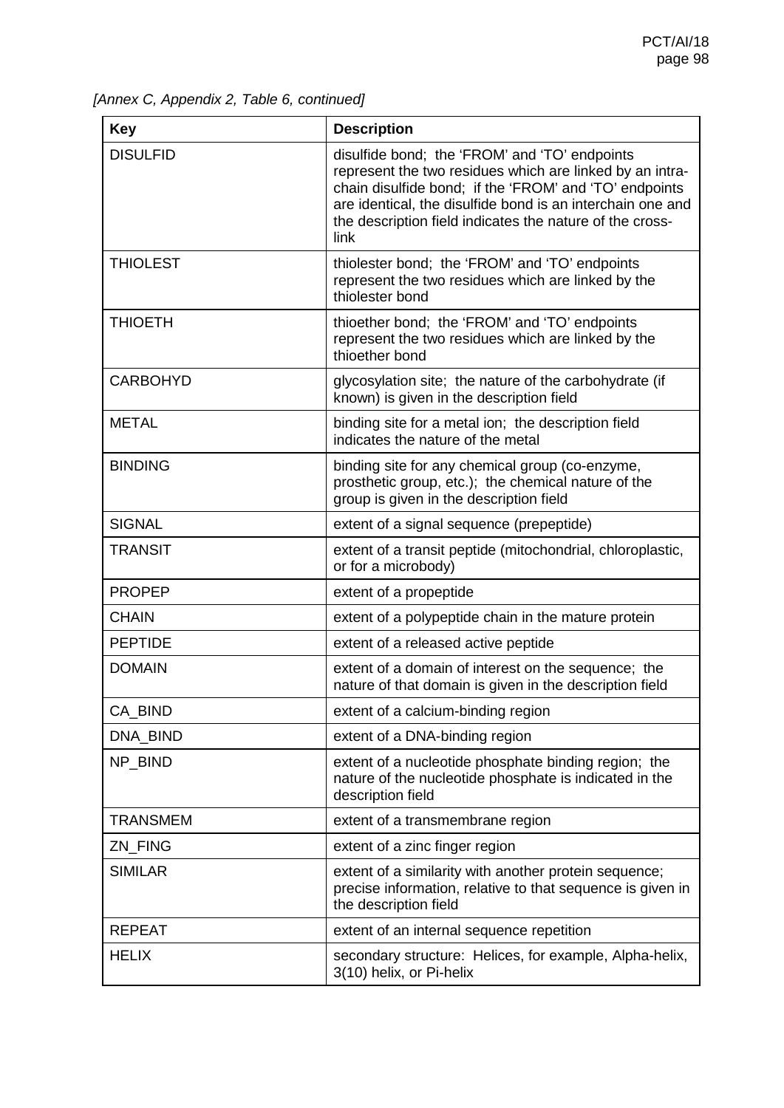*[Annex C, Appendix 2, Table 6, continued]*

| <b>Key</b>      | <b>Description</b>                                                                                                                                                                                                                                                                                    |
|-----------------|-------------------------------------------------------------------------------------------------------------------------------------------------------------------------------------------------------------------------------------------------------------------------------------------------------|
| <b>DISULFID</b> | disulfide bond; the 'FROM' and 'TO' endpoints<br>represent the two residues which are linked by an intra-<br>chain disulfide bond; if the 'FROM' and 'TO' endpoints<br>are identical, the disulfide bond is an interchain one and<br>the description field indicates the nature of the cross-<br>link |
| <b>THIOLEST</b> | thiolester bond; the 'FROM' and 'TO' endpoints<br>represent the two residues which are linked by the<br>thiolester bond                                                                                                                                                                               |
| <b>THIOETH</b>  | thioether bond; the 'FROM' and 'TO' endpoints<br>represent the two residues which are linked by the<br>thioether bond                                                                                                                                                                                 |
| <b>CARBOHYD</b> | glycosylation site; the nature of the carbohydrate (if<br>known) is given in the description field                                                                                                                                                                                                    |
| <b>METAL</b>    | binding site for a metal ion; the description field<br>indicates the nature of the metal                                                                                                                                                                                                              |
| <b>BINDING</b>  | binding site for any chemical group (co-enzyme,<br>prosthetic group, etc.); the chemical nature of the<br>group is given in the description field                                                                                                                                                     |
| <b>SIGNAL</b>   | extent of a signal sequence (prepeptide)                                                                                                                                                                                                                                                              |
| <b>TRANSIT</b>  | extent of a transit peptide (mitochondrial, chloroplastic,<br>or for a microbody)                                                                                                                                                                                                                     |
| <b>PROPEP</b>   | extent of a propeptide                                                                                                                                                                                                                                                                                |
| <b>CHAIN</b>    | extent of a polypeptide chain in the mature protein                                                                                                                                                                                                                                                   |
| <b>PEPTIDE</b>  | extent of a released active peptide                                                                                                                                                                                                                                                                   |
| <b>DOMAIN</b>   | extent of a domain of interest on the sequence; the<br>nature of that domain is given in the description field                                                                                                                                                                                        |
| CA_BIND         | extent of a calcium-binding region                                                                                                                                                                                                                                                                    |
| DNA_BIND        | extent of a DNA-binding region                                                                                                                                                                                                                                                                        |
| NP_BIND         | extent of a nucleotide phosphate binding region; the<br>nature of the nucleotide phosphate is indicated in the<br>description field                                                                                                                                                                   |
| <b>TRANSMEM</b> | extent of a transmembrane region                                                                                                                                                                                                                                                                      |
| ZN_FING         | extent of a zinc finger region                                                                                                                                                                                                                                                                        |
| <b>SIMILAR</b>  | extent of a similarity with another protein sequence;<br>precise information, relative to that sequence is given in<br>the description field                                                                                                                                                          |
| <b>REPEAT</b>   | extent of an internal sequence repetition                                                                                                                                                                                                                                                             |
| <b>HELIX</b>    | secondary structure: Helices, for example, Alpha-helix,<br>3(10) helix, or Pi-helix                                                                                                                                                                                                                   |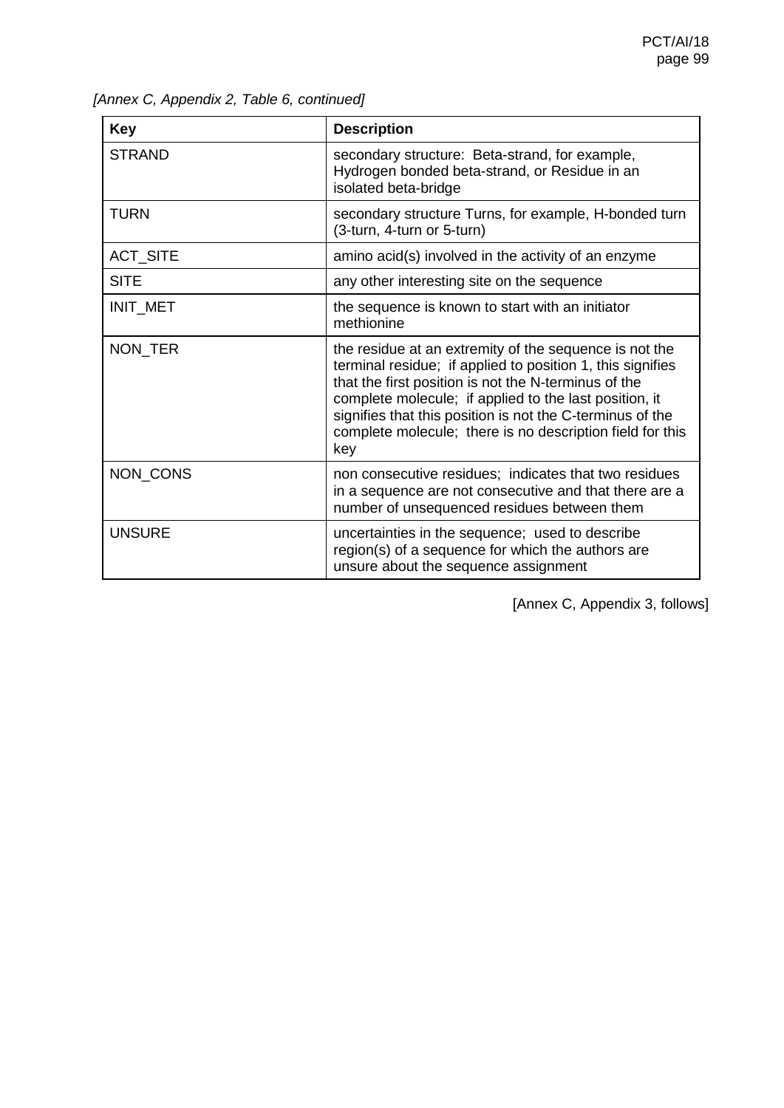| <b>Key</b>      | <b>Description</b>                                                                                                                                                                                                                                                                                                                                                      |
|-----------------|-------------------------------------------------------------------------------------------------------------------------------------------------------------------------------------------------------------------------------------------------------------------------------------------------------------------------------------------------------------------------|
| <b>STRAND</b>   | secondary structure: Beta-strand, for example,<br>Hydrogen bonded beta-strand, or Residue in an<br>isolated beta-bridge                                                                                                                                                                                                                                                 |
| <b>TURN</b>     | secondary structure Turns, for example, H-bonded turn<br>(3-turn, 4-turn or 5-turn)                                                                                                                                                                                                                                                                                     |
| <b>ACT_SITE</b> | amino acid(s) involved in the activity of an enzyme                                                                                                                                                                                                                                                                                                                     |
| <b>SITE</b>     | any other interesting site on the sequence                                                                                                                                                                                                                                                                                                                              |
| INIT_MET        | the sequence is known to start with an initiator<br>methionine                                                                                                                                                                                                                                                                                                          |
| NON_TER         | the residue at an extremity of the sequence is not the<br>terminal residue; if applied to position 1, this signifies<br>that the first position is not the N-terminus of the<br>complete molecule; if applied to the last position, it<br>signifies that this position is not the C-terminus of the<br>complete molecule; there is no description field for this<br>key |
| NON_CONS        | non consecutive residues; indicates that two residues<br>in a sequence are not consecutive and that there are a<br>number of unsequenced residues between them                                                                                                                                                                                                          |
| <b>UNSURE</b>   | uncertainties in the sequence; used to describe<br>region(s) of a sequence for which the authors are<br>unsure about the sequence assignment                                                                                                                                                                                                                            |

*[Annex C, Appendix 2, Table 6, continued]*

[Annex C, Appendix 3, follows]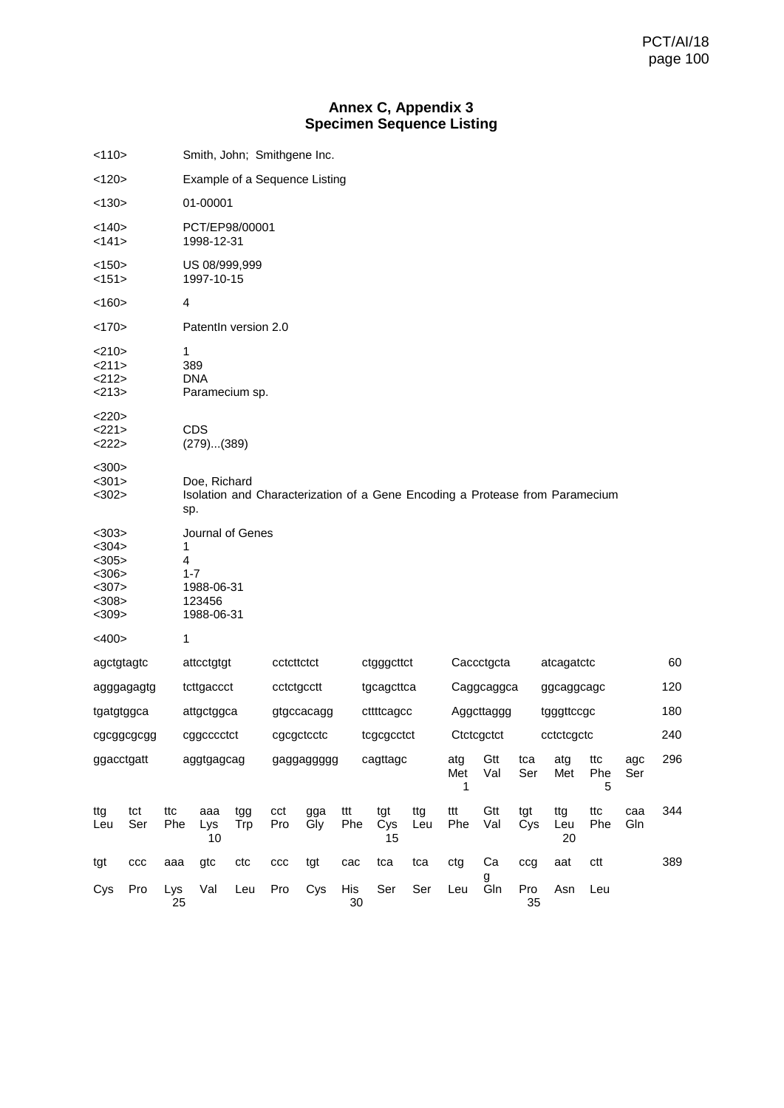# **Annex C, Appendix 3 Specimen Sequence Listing**

| <110>                                                                |            |            | Smith, John; Smithgene Inc.                                       |            |            |            |            |                                                                              |                          |                 |            |            |                  |                 |            |     |
|----------------------------------------------------------------------|------------|------------|-------------------------------------------------------------------|------------|------------|------------|------------|------------------------------------------------------------------------------|--------------------------|-----------------|------------|------------|------------------|-----------------|------------|-----|
| <120>                                                                |            |            | Example of a Sequence Listing                                     |            |            |            |            |                                                                              |                          |                 |            |            |                  |                 |            |     |
| < 130                                                                |            |            | 01-00001                                                          |            |            |            |            |                                                                              |                          |                 |            |            |                  |                 |            |     |
| <140><br><141>                                                       |            |            | PCT/EP98/00001<br>1998-12-31                                      |            |            |            |            |                                                                              |                          |                 |            |            |                  |                 |            |     |
| <150><br><151>                                                       |            |            | US 08/999,999<br>1997-10-15                                       |            |            |            |            |                                                                              |                          |                 |            |            |                  |                 |            |     |
| < 160                                                                |            |            | 4                                                                 |            |            |            |            |                                                                              |                          |                 |            |            |                  |                 |            |     |
| <170>                                                                |            |            | Patentln version 2.0                                              |            |            |            |            |                                                                              |                          |                 |            |            |                  |                 |            |     |
| <210><br>211><br><212><br>$<$ 213>                                   |            | 1          | 389<br><b>DNA</b><br>Paramecium sp.                               |            |            |            |            |                                                                              |                          |                 |            |            |                  |                 |            |     |
| <220>                                                                |            |            |                                                                   |            |            |            |            |                                                                              |                          |                 |            |            |                  |                 |            |     |
| <221><br><222>                                                       |            |            | <b>CDS</b><br>(279)(389)                                          |            |            |            |            |                                                                              |                          |                 |            |            |                  |                 |            |     |
| $300$<br>$301$<br>$302$                                              |            |            | Doe, Richard<br>sp.                                               |            |            |            |            | Isolation and Characterization of a Gene Encoding a Protease from Paramecium |                          |                 |            |            |                  |                 |            |     |
| $303$<br>$304$<br>$<$ 305><br>$<$ 306><br>$307$<br>$308$<br>$<$ 309> |            | 1<br>4     | Journal of Genes<br>$1 - 7$<br>1988-06-31<br>123456<br>1988-06-31 |            |            |            |            |                                                                              |                          |                 |            |            |                  |                 |            |     |
| $<$ 400>                                                             |            | 1          |                                                                   |            |            |            |            |                                                                              |                          |                 |            |            |                  |                 |            |     |
| agctgtagtc                                                           |            |            | attcctgtgt                                                        | cctcttctct |            |            |            | ctgggcttct                                                                   |                          |                 | Caccctgcta |            |                  | atcagatctc      |            |     |
|                                                                      | agggagagtg |            | tcttgaccct                                                        |            | cctctgcctt |            |            | tgcagcttca                                                                   |                          |                 | Caggcaggca |            |                  | ggcaggcagc      |            | 120 |
| tgatgtggca                                                           |            |            | attgctggca                                                        |            |            | gtgccacagg |            | cttttcagcc                                                                   |                          |                 | Aggcttaggg |            |                  | tgggttccgc      |            |     |
|                                                                      | cgcggcgcgg |            | cggcccctct                                                        |            |            | cgcgctcctc |            | tcgcgcctct                                                                   | Ctctcgctct<br>cctctcqctc |                 |            |            |                  | 240             |            |     |
| ggacctgatt                                                           |            | aggtgagcag |                                                                   |            |            | gaggaggggg |            | cagttagc                                                                     |                          | atg<br>Met<br>1 | Gtt<br>Val | tca<br>Ser | atg<br>Met       | ttc<br>Phe<br>5 | agc<br>Ser | 296 |
| ttg<br>Leu                                                           | tct<br>Ser | ttc<br>Phe | aaa<br>Lys<br>10                                                  | tgg<br>Trp | cct<br>Pro | gga<br>Gly | ttt<br>Phe | tgt<br>Cys<br>15                                                             | ttg<br>Leu               | ttt<br>Phe      | Gtt<br>Val | tgt<br>Cys | ttg<br>Leu<br>20 | ttc<br>Phe      | caa<br>Gln | 344 |
| tgt                                                                  | ccc        | aaa        | gtc                                                               | ctc        | ccc        | tgt        | cac        | tca                                                                          | tca                      | ctg             | Ca         | ccg        | aat              | ctt             |            | 389 |
| Cys                                                                  | Pro        | Lys<br>25  | Val                                                               | Leu        | Pro        | Cys        | His<br>30  | Ser                                                                          | Ser                      | Leu             | g<br>Gln   | Pro<br>35  | Asn              | Leu             |            |     |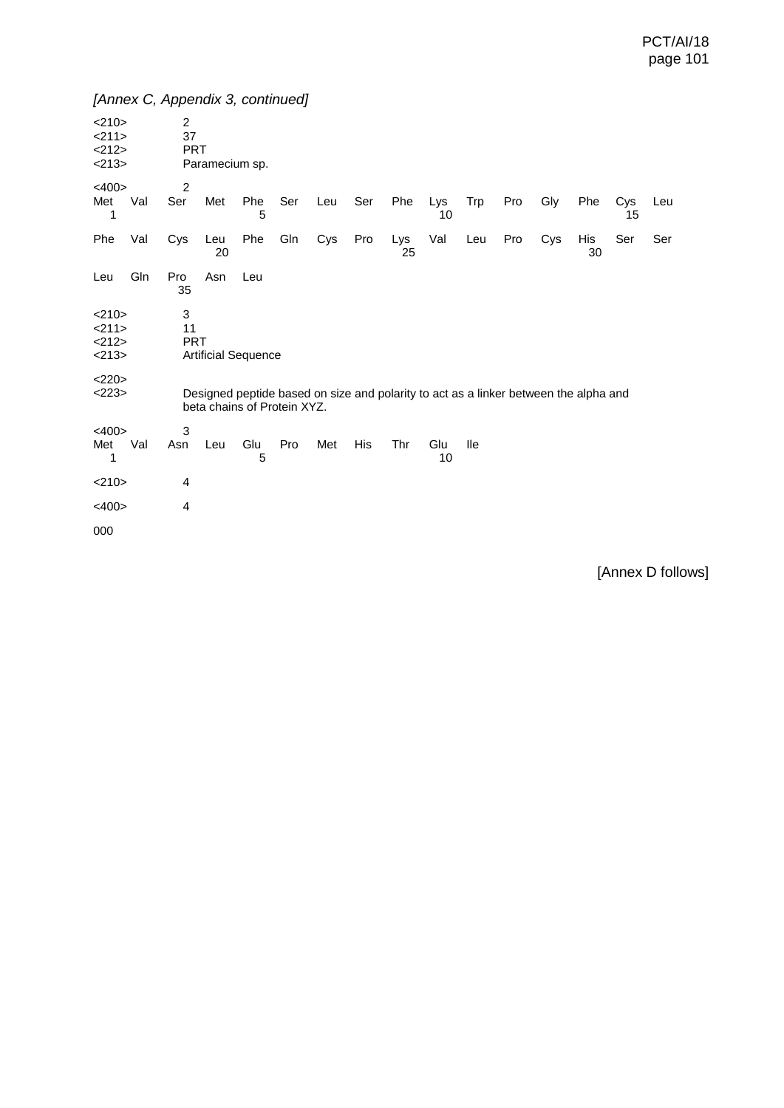| <210><br><211><br><212><br><213> |                                                                                                                     | $\overline{c}$<br>37<br><b>PRT</b> | Paramecium sp.             |          |     |     |     |           |           |     |     |     |           |           |     |
|----------------------------------|---------------------------------------------------------------------------------------------------------------------|------------------------------------|----------------------------|----------|-----|-----|-----|-----------|-----------|-----|-----|-----|-----------|-----------|-----|
| $<$ 400>                         |                                                                                                                     | $\overline{2}$                     |                            |          |     |     |     |           |           |     |     |     |           |           |     |
| Met<br>1                         | Val                                                                                                                 | Ser                                | Met                        | Phe<br>5 | Ser | Leu | Ser | Phe       | Lys<br>10 | Trp | Pro | Gly | Phe       | Cys<br>15 | Leu |
| Phe                              | Val                                                                                                                 | Cys                                | Leu<br>20                  | Phe      | Gln | Cys | Pro | Lys<br>25 | Val       | Leu | Pro | Cys | His<br>30 | Ser       | Ser |
| Leu                              | Gln                                                                                                                 | Pro<br>35                          | Asn                        | Leu      |     |     |     |           |           |     |     |     |           |           |     |
| <210><br><211><br><212><br><213> | 3<br>11<br><b>PRT</b>                                                                                               |                                    | <b>Artificial Sequence</b> |          |     |     |     |           |           |     |     |     |           |           |     |
| <220><br><223>                   | Designed peptide based on size and polarity to act as a linker between the alpha and<br>beta chains of Protein XYZ. |                                    |                            |          |     |     |     |           |           |     |     |     |           |           |     |
| $<$ 400 $>$<br>Met<br>1          | Val                                                                                                                 | 3<br>Asn                           | Leu                        | Glu<br>5 | Pro | Met | His | Thr       | Glu<br>10 | lle |     |     |           |           |     |
| <210>                            |                                                                                                                     | 4                                  |                            |          |     |     |     |           |           |     |     |     |           |           |     |
| $<$ 400 $>$                      |                                                                                                                     | 4                                  |                            |          |     |     |     |           |           |     |     |     |           |           |     |
| 000                              |                                                                                                                     |                                    |                            |          |     |     |     |           |           |     |     |     |           |           |     |

[Annex D follows]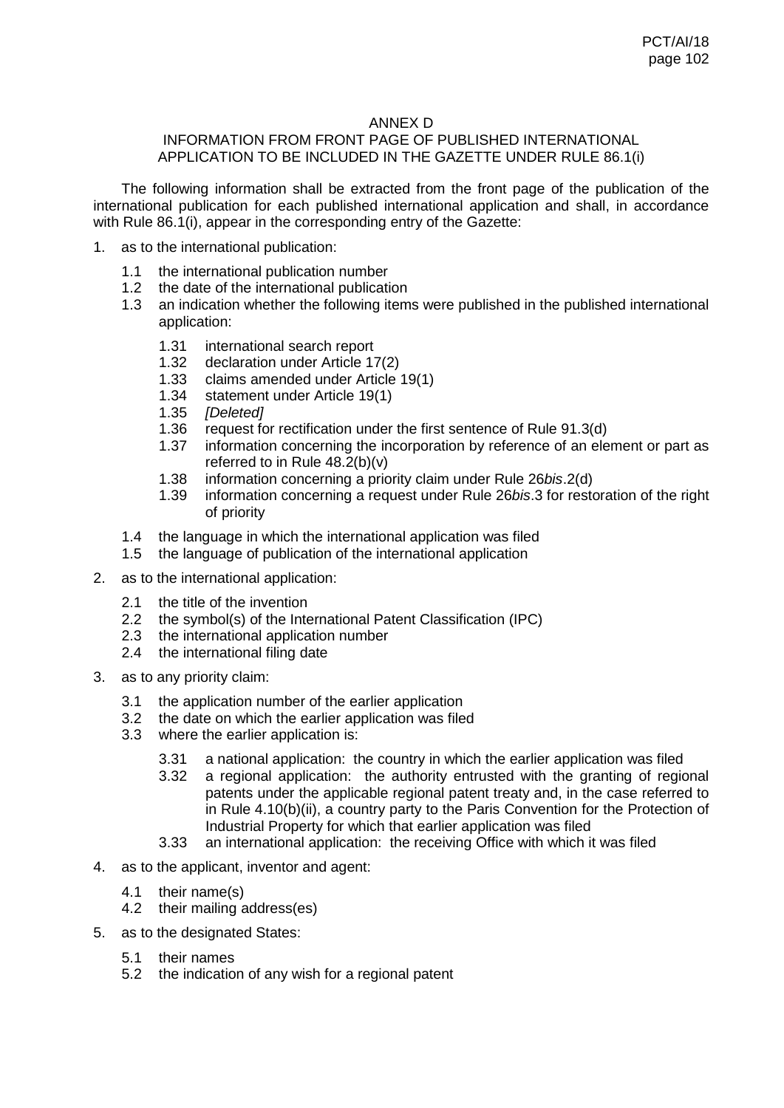### ANNEX D

### INFORMATION FROM FRONT PAGE OF PUBLISHED INTERNATIONAL APPLICATION TO BE INCLUDED IN THE GAZETTE UNDER RULE 86.1(i)

The following information shall be extracted from the front page of the publication of the international publication for each published international application and shall, in accordance with Rule 86.1(i), appear in the corresponding entry of the Gazette:

- 1. as to the international publication:
	- 1.1 the international publication number
	- 1.2 the date of the international publication<br>1.3 an indication whether the following item
	- an indication whether the following items were published in the published international application:
		- 1.31 international search report<br>1.32 declaration under Article 17
		- 1.32 declaration under Article 17(2)<br>1.33 claims amended under Article
		- 1.33 claims amended under Article 19(1)
		- 1.34 statement under Article 19(1)<br>1.35 *IDeleted1*
		- 1.35 *[Deleted]*
		- 1.36 request for rectification under the first sentence of Rule 91.3(d)<br>1.37 information concerning the incorporation by reference of an ele
		- information concerning the incorporation by reference of an element or part as referred to in Rule 48.2(b)(v)
		- 1.38 information concerning a priority claim under Rule 26*bis*.2(d)
		- 1.39 information concerning a request under Rule 26*bis*.3 for restoration of the right of priority
	- 1.4 the language in which the international application was filed<br>1.5 the language of publication of the international application
	- the language of publication of the international application
- 2. as to the international application:
	- 2.1 the title of the invention
	- 2.2 the symbol(s) of the International Patent Classification (IPC)
	- 2.3 the international application number
	- 2.4 the international filing date
- 3. as to any priority claim:
	- 3.1 the application number of the earlier application<br>3.2 the date on which the earlier application was file
	- the date on which the earlier application was filed
	- 3.3 where the earlier application is:
		- 3.31 a national application: the country in which the earlier application was filed
		- 3.32 a regional application: the authority entrusted with the granting of regional patents under the applicable regional patent treaty and, in the case referred to in Rule 4.10(b)(ii), a country party to the Paris Convention for the Protection of Industrial Property for which that earlier application was filed
		- 3.33 an international application: the receiving Office with which it was filed
- 4. as to the applicant, inventor and agent:
	- 4.1 their name(s)
	- 4.2 their mailing address(es)
- 5. as to the designated States:
	- 5.1 their names
	- 5.2 the indication of any wish for a regional patent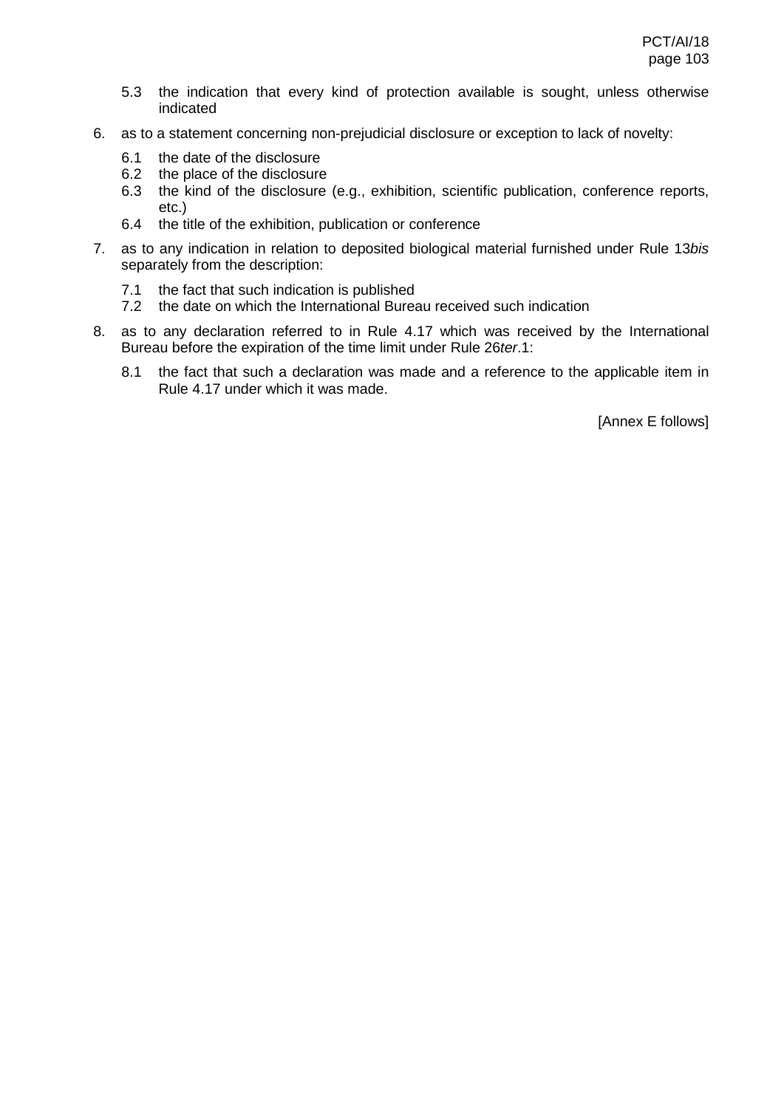- 5.3 the indication that every kind of protection available is sought, unless otherwise indicated
- 6. as to a statement concerning non-prejudicial disclosure or exception to lack of novelty:
	- 6.1 the date of the disclosure
	- 6.2 the place of the disclosure<br>6.3 the kind of the disclosure
	- the kind of the disclosure (e.g., exhibition, scientific publication, conference reports, etc.)
	- 6.4 the title of the exhibition, publication or conference
- 7. as to any indication in relation to deposited biological material furnished under Rule 13*bis* separately from the description:
	- 7.1 the fact that such indication is published
	- 7.2 the date on which the International Bureau received such indication
- 8. as to any declaration referred to in Rule 4.17 which was received by the International Bureau before the expiration of the time limit under Rule 26*ter*.1:
	- 8.1 the fact that such a declaration was made and a reference to the applicable item in Rule 4.17 under which it was made.

[Annex E follows]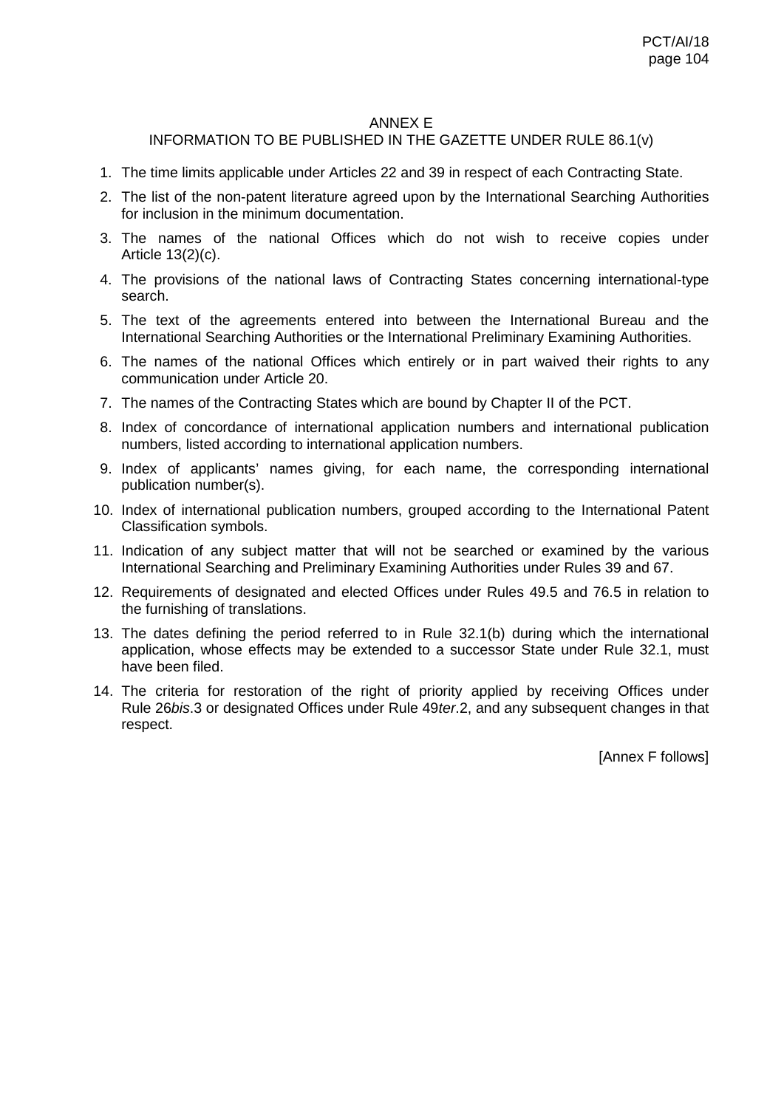#### ANNEX E

# INFORMATION TO BE PUBLISHED IN THE GAZETTE UNDER RULE 86.1(v)

- 1. The time limits applicable under Articles 22 and 39 in respect of each Contracting State.
- 2. The list of the non-patent literature agreed upon by the International Searching Authorities for inclusion in the minimum documentation.
- 3. The names of the national Offices which do not wish to receive copies under Article 13(2)(c).
- 4. The provisions of the national laws of Contracting States concerning international-type search.
- 5. The text of the agreements entered into between the International Bureau and the International Searching Authorities or the International Preliminary Examining Authorities.
- 6. The names of the national Offices which entirely or in part waived their rights to any communication under Article 20.
- 7. The names of the Contracting States which are bound by Chapter II of the PCT.
- 8. Index of concordance of international application numbers and international publication numbers, listed according to international application numbers.
- 9. Index of applicants' names giving, for each name, the corresponding international publication number(s).
- 10. Index of international publication numbers, grouped according to the International Patent Classification symbols.
- 11. Indication of any subject matter that will not be searched or examined by the various International Searching and Preliminary Examining Authorities under Rules 39 and 67.
- 12. Requirements of designated and elected Offices under Rules 49.5 and 76.5 in relation to the furnishing of translations.
- 13. The dates defining the period referred to in Rule 32.1(b) during which the international application, whose effects may be extended to a successor State under Rule 32.1, must have been filed.
- 14. The criteria for restoration of the right of priority applied by receiving Offices under Rule 26*bis*.3 or designated Offices under Rule 49*ter*.2, and any subsequent changes in that respect.

[Annex F follows]